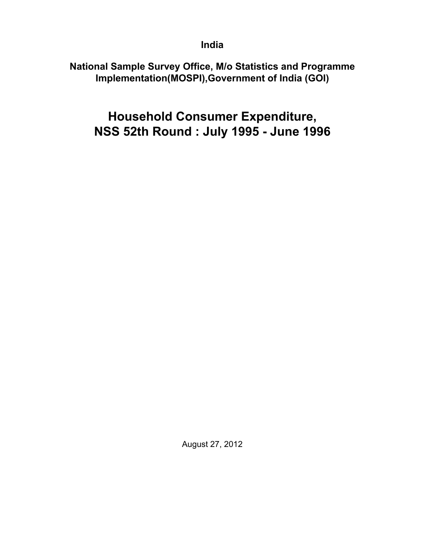**India**

**National Sample Survey Office, M/o Statistics and Programme Implementation(MOSPI),Government of India (GOI)**

**Household Consumer Expenditure, NSS 52th Round : July 1995 - June 1996**

August 27, 2012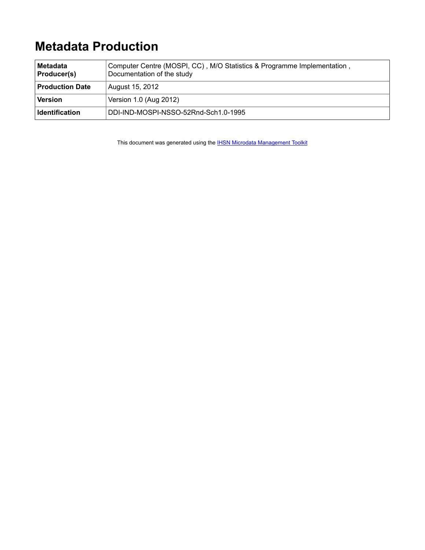# **Metadata Production**

| ∣Metadata<br><b>Producer(s)</b> | Computer Centre (MOSPI, CC), M/O Statistics & Programme Implementation,<br>Documentation of the study |
|---------------------------------|-------------------------------------------------------------------------------------------------------|
| <b>Production Date</b>          | August 15, 2012                                                                                       |
| Version                         | Version 1.0 (Aug 2012)                                                                                |
| Identification                  | DDI-IND-MOSPI-NSSO-52Rnd-Sch1.0-1995                                                                  |

This document was generated using the **[IHSN Microdata Management Toolkit](http://www.surveynetwork.org/toolkit)**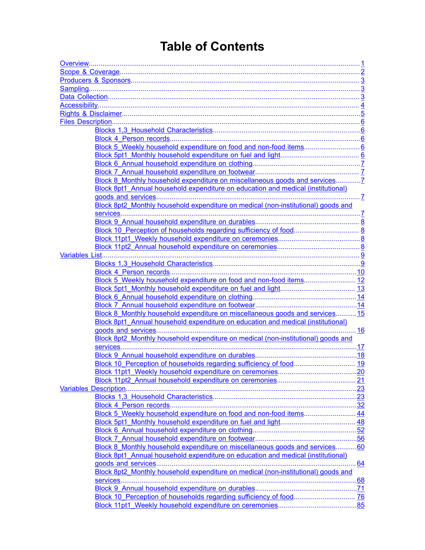# **Table of Contents**

| Block 8pt1 Annual household expenditure on education and medical (institutional)  |  |  |  |
|-----------------------------------------------------------------------------------|--|--|--|
|                                                                                   |  |  |  |
|                                                                                   |  |  |  |
| Block 8pt2 Monthly household expenditure on medical (non-institutional) goods and |  |  |  |
|                                                                                   |  |  |  |
|                                                                                   |  |  |  |
|                                                                                   |  |  |  |
|                                                                                   |  |  |  |
|                                                                                   |  |  |  |
|                                                                                   |  |  |  |
|                                                                                   |  |  |  |
|                                                                                   |  |  |  |
| Block 5 Weekly household expenditure on food and non-food items 12                |  |  |  |
|                                                                                   |  |  |  |
|                                                                                   |  |  |  |
|                                                                                   |  |  |  |
| Block 8 Monthly household expenditure on miscellaneous goods and services15       |  |  |  |
| Block 8pt1 Annual household expenditure on education and medical (institutional)  |  |  |  |
|                                                                                   |  |  |  |
| Block 8pt2 Monthly household expenditure on medical (non-institutional) goods and |  |  |  |
|                                                                                   |  |  |  |
|                                                                                   |  |  |  |
|                                                                                   |  |  |  |
|                                                                                   |  |  |  |
|                                                                                   |  |  |  |
|                                                                                   |  |  |  |
|                                                                                   |  |  |  |
|                                                                                   |  |  |  |
|                                                                                   |  |  |  |
|                                                                                   |  |  |  |
|                                                                                   |  |  |  |
|                                                                                   |  |  |  |
|                                                                                   |  |  |  |
| Block 8 Monthly household expenditure on miscellaneous goods and services60       |  |  |  |
| Block 8pt1 Annual household expenditure on education and medical (institutional)  |  |  |  |
|                                                                                   |  |  |  |
| Block 8pt2 Monthly household expenditure on medical (non-institutional) goods and |  |  |  |
|                                                                                   |  |  |  |
|                                                                                   |  |  |  |
|                                                                                   |  |  |  |
|                                                                                   |  |  |  |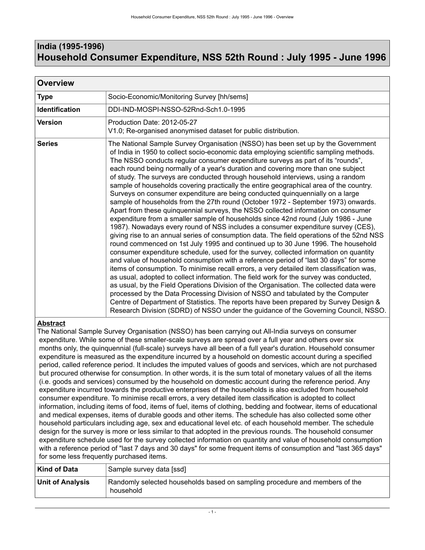# <span id="page-4-0"></span>**India (1995-1996) Household Consumer Expenditure, NSS 52th Round : July 1995 - June 1996**

| <b>Overview</b>       |                                                                                                                                                                                                                                                                                                                                                                                                                                                                                                                                                                                                                                                                                                                                                                                                                                                                                                                                                                                                                                                                                                                                                                                                                                                                                                                                                                                                                                                                                                                                                                                                                                                                                                                                                                                                                                                                                               |  |
|-----------------------|-----------------------------------------------------------------------------------------------------------------------------------------------------------------------------------------------------------------------------------------------------------------------------------------------------------------------------------------------------------------------------------------------------------------------------------------------------------------------------------------------------------------------------------------------------------------------------------------------------------------------------------------------------------------------------------------------------------------------------------------------------------------------------------------------------------------------------------------------------------------------------------------------------------------------------------------------------------------------------------------------------------------------------------------------------------------------------------------------------------------------------------------------------------------------------------------------------------------------------------------------------------------------------------------------------------------------------------------------------------------------------------------------------------------------------------------------------------------------------------------------------------------------------------------------------------------------------------------------------------------------------------------------------------------------------------------------------------------------------------------------------------------------------------------------------------------------------------------------------------------------------------------------|--|
| <b>Type</b>           | Socio-Economic/Monitoring Survey [hh/sems]                                                                                                                                                                                                                                                                                                                                                                                                                                                                                                                                                                                                                                                                                                                                                                                                                                                                                                                                                                                                                                                                                                                                                                                                                                                                                                                                                                                                                                                                                                                                                                                                                                                                                                                                                                                                                                                    |  |
| <b>Identification</b> | DDI-IND-MOSPI-NSSO-52Rnd-Sch1.0-1995                                                                                                                                                                                                                                                                                                                                                                                                                                                                                                                                                                                                                                                                                                                                                                                                                                                                                                                                                                                                                                                                                                                                                                                                                                                                                                                                                                                                                                                                                                                                                                                                                                                                                                                                                                                                                                                          |  |
| <b>Version</b>        | Production Date: 2012-05-27<br>V1.0; Re-organised anonymised dataset for public distribution.                                                                                                                                                                                                                                                                                                                                                                                                                                                                                                                                                                                                                                                                                                                                                                                                                                                                                                                                                                                                                                                                                                                                                                                                                                                                                                                                                                                                                                                                                                                                                                                                                                                                                                                                                                                                 |  |
| <b>Series</b>         | The National Sample Survey Organisation (NSSO) has been set up by the Government<br>of India in 1950 to collect socio-economic data employing scientific sampling methods.<br>The NSSO conducts regular consumer expenditure surveys as part of its "rounds",<br>each round being normally of a year's duration and covering more than one subject<br>of study. The surveys are conducted through household interviews, using a random<br>sample of households covering practically the entire geographical area of the country.<br>Surveys on consumer expenditure are being conducted quinquennially on a large<br>sample of households from the 27th round (October 1972 - September 1973) onwards.<br>Apart from these quinquennial surveys, the NSSO collected information on consumer<br>expenditure from a smaller sample of households since 42nd round (July 1986 - June<br>1987). Nowadays every round of NSS includes a consumer expenditure survey (CES),<br>giving rise to an annual series of consumption data. The field operations of the 52nd NSS<br>round commenced on 1st July 1995 and continued up to 30 June 1996. The household<br>consumer expenditure schedule, used for the survey, collected information on quantity<br>and value of household consumption with a reference period of "last 30 days" for some<br>items of consumption. To minimise recall errors, a very detailed item classification was,<br>as usual, adopted to collect information. The field work for the survey was conducted,<br>as usual, by the Field Operations Division of the Organisation. The collected data were<br>processed by the Data Processing Division of NSSO and tabulated by the Computer<br>Centre of Department of Statistics. The reports have been prepared by Survey Design &<br>Research Division (SDRD) of NSSO under the guidance of the Governing Council, NSSO. |  |

# **Abstract**

The National Sample Survey Organisation (NSSO) has been carrying out All-India surveys on consumer expenditure. While some of these smaller-scale surveys are spread over a full year and others over six months only, the quinquennial (full-scale) surveys have all been of a full year's duration. Household consumer expenditure is measured as the expenditure incurred by a household on domestic account during a specified period, called reference period. It includes the imputed values of goods and services, which are not purchased but procured otherwise for consumption. In other words, it is the sum total of monetary values of all the items (i.e. goods and services) consumed by the household on domestic account during the reference period. Any expenditure incurred towards the productive enterprises of the households is also excluded from household consumer expenditure. To minimise recall errors, a very detailed item classification is adopted to collect information, including items of food, items of fuel, items of clothing, bedding and footwear, items of educational and medical expenses, items of durable goods and other items. The schedule has also collected some other household particulars including age, sex and educational level etc. of each household member. The schedule design for the survey is more or less similar to that adopted in the previous rounds. The household consumer expenditure schedule used for the survey collected information on quantity and value of household consumption with a reference period of "last 7 days and 30 days" for some frequent items of consumption and "last 365 days" for some less frequently purchased items.

| Kind of Data            | Sample survey data [ssd]                                                                 |
|-------------------------|------------------------------------------------------------------------------------------|
| <b>Unit of Analysis</b> | Randomly selected households based on sampling procedure and members of the<br>household |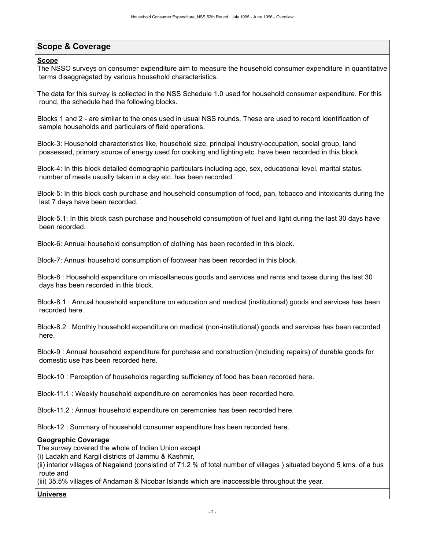# <span id="page-5-0"></span>**Scope & Coverage**

### **Scope**

The NSSO surveys on consumer expenditure aim to measure the household consumer expenditure in quantitative terms disaggregated by various household characteristics.

The data for this survey is collected in the NSS Schedule 1.0 used for household consumer expenditure. For this round, the schedule had the following blocks.

Blocks 1 and 2 - are similar to the ones used in usual NSS rounds. These are used to record identification of sample households and particulars of field operations.

Block-3: Household characteristics like, household size, principal industry-occupation, social group, land possessed, primary source of energy used for cooking and lighting etc. have been recorded in this block.

Block-4: In this block detailed demographic particulars including age, sex, educational level, marital status, number of meals usually taken in a day etc. has been recorded.

Block-5: In this block cash purchase and household consumption of food, pan, tobacco and intoxicants during the last 7 days have been recorded.

Block-5.1: In this block cash purchase and household consumption of fuel and light during the last 30 days have been recorded.

Block-6: Annual household consumption of clothing has been recorded in this block.

Block-7: Annual household consumption of footwear has been recorded in this block.

Block-8 : Household expenditure on miscellaneous goods and services and rents and taxes during the last 30 days has been recorded in this block.

Block-8.1 : Annual household expenditure on education and medical (institutional) goods and services has been recorded here.

Block-8.2 : Monthly household expenditure on medical (non-institutional) goods and services has been recorded here.

Block-9 : Annual household expenditure for purchase and construction (including repairs) of durable goods for domestic use has been recorded here.

Block-10 : Perception of households regarding sufficiency of food has been recorded here.

Block-11.1 : Weekly household expenditure on ceremonies has been recorded here.

Block-11.2 : Annual household expenditure on ceremonies has been recorded here.

Block-12 : Summary of household consumer expenditure has been recorded here.

#### **Geographic Coverage**

The survey covered the whole of Indian Union except

(i) Ladakh and Kargil districts of Jammu & Kashmir,

(ii) interior villages of Nagaland (consistind of 71.2 % of total number of villages ) situated beyond 5 kms. of a bus route and

(iii) 35.5% villages of Andaman & Nicobar Islands which are inaccessible throughout the year.

### **Universe**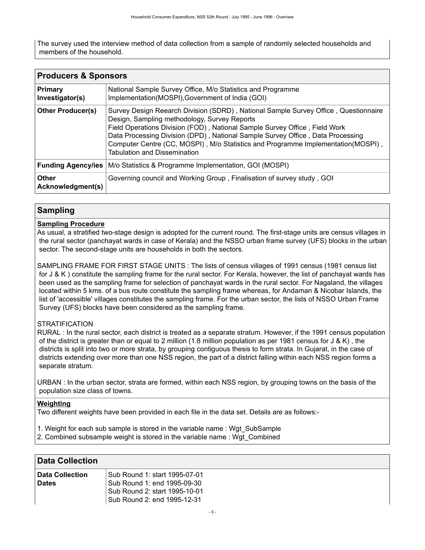The survey used the interview method of data collection from a sample of randomly selected households and members of the household.

<span id="page-6-0"></span>

| <b>Producers &amp; Sponsors</b>   |                                                                                                                                                                                                                                                                                                                                                                                                                                |  |
|-----------------------------------|--------------------------------------------------------------------------------------------------------------------------------------------------------------------------------------------------------------------------------------------------------------------------------------------------------------------------------------------------------------------------------------------------------------------------------|--|
| <b>Primary</b><br>Investigator(s) | National Sample Survey Office, M/o Statistics and Programme<br>Implementation(MOSPI), Government of India (GOI)                                                                                                                                                                                                                                                                                                                |  |
| <b>Other Producer(s)</b>          | Survey Design Reearch Division (SDRD), National Sample Survey Office, Questionnaire<br>Design, Sampling methodology, Survey Reports<br>Field Operations Division (FOD), National Sample Survey Office, Field Work<br>Data Processing Division (DPD), National Sample Survey Office, Data Processing<br>Computer Centre (CC, MOSPI), M/o Statistics and Programme Implementation(MOSPI),<br><b>Tabulation and Dissemination</b> |  |
| <b>Funding Agency/ies</b>         | M/o Statistics & Programme Implementation, GOI (MOSPI)                                                                                                                                                                                                                                                                                                                                                                         |  |
| Other<br>Acknowledgment(s)        | Governing council and Working Group, Finalisation of survey study, GOI                                                                                                                                                                                                                                                                                                                                                         |  |

# <span id="page-6-1"></span>**Sampling**

### **Sampling Procedure**

As usual, a stratified two-stage design is adopted for the current round. The first-stage units are census villages in the rural sector (panchayat wards in case of Kerala) and the NSSO urban frame survey (UFS) blocks in the urban sector. The second-stage units are households in both the sectors.

SAMPLING FRAME FOR FIRST STAGE UNITS : The lists of census villages of 1991 census (1981 census list for J & K ) constitute the sampling frame for the rural sector. For Kerala, however, the list of panchayat wards has been used as the sampling frame for selection of panchayat wards in the rural sector. For Nagaland, the villages located within 5 kms. of a bus route constitute the sampling frame whereas, for Andaman & Nicobar Islands, the list of 'accessible' villages constitutes the sampling frame. For the urban sector, the lists of NSSO Urban Frame Survey (UFS) blocks have been considered as the sampling frame.

#### **STRATIFICATION**

RURAL : In the rural sector, each district is treated as a separate stratum. However, if the 1991 census population of the district is greater than or equal to 2 million (1.8 million population as per 1981 census for  $J & K$ ), the districts is split into two or more strata, by grouping contiguous thesis to form strata. In Gujarat, in the case of districts extending over more than one NSS region, the part of a district falling within each NSS region forms a separate stratum.

URBAN : In the urban sector, strata are formed, within each NSS region, by grouping towns on the basis of the population size class of towns.

#### **Weighting**

Two different weights have been provided in each file in the data set. Details are as follows:-

- 1. Weight for each sub sample is stored in the variable name : Wgt\_SubSample
- 2. Combined subsample weight is stored in the variable name : Wgt\_Combined

# <span id="page-6-2"></span>**Data Collection**

| <b>Data Collection</b> | Sub Round 1: start 1995-07-01<br>Sub Round 1: end 1995-09-30<br>Sub Round 2: start 1995-10-01<br>Sub Round 2: end 1995-12-31 |
|------------------------|------------------------------------------------------------------------------------------------------------------------------|
| <b>Dates</b>           |                                                                                                                              |
|                        |                                                                                                                              |
|                        |                                                                                                                              |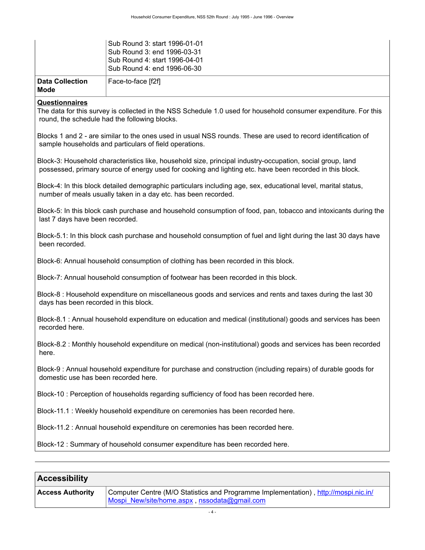| ∣ Data Collection<br>Mode | Face-to-face [f2f]                                                                                                           |
|---------------------------|------------------------------------------------------------------------------------------------------------------------------|
|                           | Sub Round 3: start 1996-01-01<br>Sub Round 3: end 1996-03-31<br>Sub Round 4: start 1996-04-01<br>Sub Round 4: end 1996-06-30 |

#### **Questionnaires**

The data for this survey is collected in the NSS Schedule 1.0 used for household consumer expenditure. For this round, the schedule had the following blocks.

Blocks 1 and 2 - are similar to the ones used in usual NSS rounds. These are used to record identification of sample households and particulars of field operations.

Block-3: Household characteristics like, household size, principal industry-occupation, social group, land possessed, primary source of energy used for cooking and lighting etc. have been recorded in this block.

Block-4: In this block detailed demographic particulars including age, sex, educational level, marital status, number of meals usually taken in a day etc. has been recorded.

Block-5: In this block cash purchase and household consumption of food, pan, tobacco and intoxicants during the last 7 days have been recorded.

Block-5.1: In this block cash purchase and household consumption of fuel and light during the last 30 days have been recorded.

Block-6: Annual household consumption of clothing has been recorded in this block.

Block-7: Annual household consumption of footwear has been recorded in this block.

Block-8 : Household expenditure on miscellaneous goods and services and rents and taxes during the last 30 days has been recorded in this block.

Block-8.1 : Annual household expenditure on education and medical (institutional) goods and services has been recorded here.

Block-8.2 : Monthly household expenditure on medical (non-institutional) goods and services has been recorded here.

Block-9 : Annual household expenditure for purchase and construction (including repairs) of durable goods for domestic use has been recorded here.

Block-10 : Perception of households regarding sufficiency of food has been recorded here.

Block-11.1 : Weekly household expenditure on ceremonies has been recorded here.

Block-11.2 : Annual household expenditure on ceremonies has been recorded here.

Block-12 : Summary of household consumer expenditure has been recorded here.

# <span id="page-7-0"></span>**Accessibility**

| <b>Access Authority</b> | Computer Centre (M/O Statistics and Programme Implementation), http://mospi.nic.in/ |
|-------------------------|-------------------------------------------------------------------------------------|
|                         | Mospi_New/site/home.aspx, nssodata@gmail.com                                        |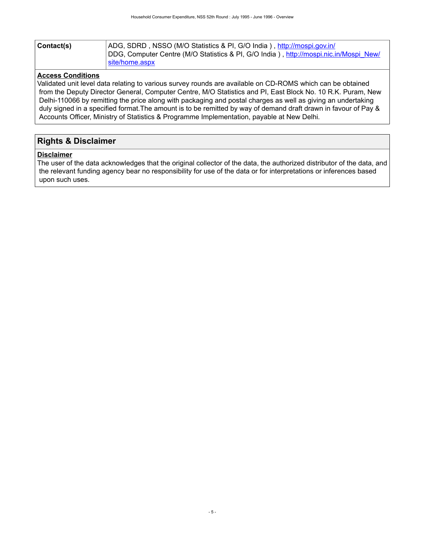| Contact(s) | ADG, SDRD, NSSO (M/O Statistics & PI, G/O India), http://mospi.gov.in/                |
|------------|---------------------------------------------------------------------------------------|
|            | DDG, Computer Centre (M/O Statistics & PI, G/O India), http://mospi.nic.in/Mospi_New/ |
|            | site/home.aspx                                                                        |

### **Access Conditions**

Validated unit level data relating to various survey rounds are available on CD-ROMS which can be obtained from the Deputy Director General, Computer Centre, M/O Statistics and PI, East Block No. 10 R.K. Puram, New Delhi-110066 by remitting the price along with packaging and postal charges as well as giving an undertaking duly signed in a specified format.The amount is to be remitted by way of demand draft drawn in favour of Pay & Accounts Officer, Ministry of Statistics & Programme Implementation, payable at New Delhi.

# <span id="page-8-0"></span>**Rights & Disclaimer**

#### **Disclaimer**

The user of the data acknowledges that the original collector of the data, the authorized distributor of the data, and the relevant funding agency bear no responsibility for use of the data or for interpretations or inferences based upon such uses.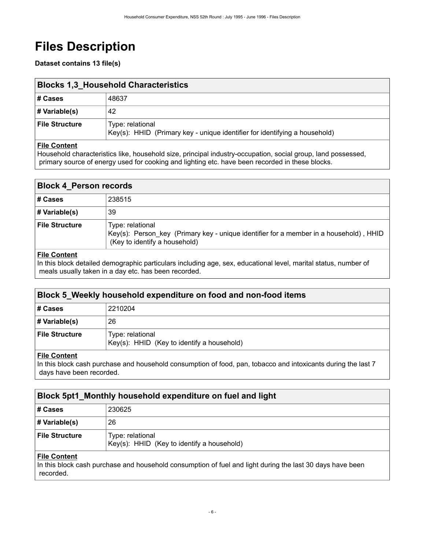# <span id="page-9-0"></span>**Files Description**

**Dataset contains 13 file(s)**

<span id="page-9-1"></span>

| <b>Blocks 1,3 Household Characteristics</b> |                                                                                                |  |
|---------------------------------------------|------------------------------------------------------------------------------------------------|--|
| ∣# Cases                                    | 48637                                                                                          |  |
| $\sharp$ Variable(s)                        | 42                                                                                             |  |
| <b>File Structure</b>                       | Type: relational<br>Key(s): HHID (Primary key - unique identifier for identifying a household) |  |

### **File Content**

Household characteristics like, household size, principal industry-occupation, social group, land possessed, primary source of energy used for cooking and lighting etc. have been recorded in these blocks.

### <span id="page-9-2"></span>**Block 4\_Person records**

| ∣# Cases         | 238515                                                                                                                                      |
|------------------|---------------------------------------------------------------------------------------------------------------------------------------------|
| # Variable(s)    | 39                                                                                                                                          |
| ∣ File Structure | Type: relational<br>Key(s): Person key (Primary key - unique identifier for a member in a household), HHID<br>(Key to identify a household) |

### **File Content**

In this block detailed demographic particulars including age, sex, educational level, marital status, number of meals usually taken in a day etc. has been recorded.

# <span id="page-9-3"></span>**Block 5\_Weekly household expenditure on food and non-food items**

| # Cases               | 2210204                                                        |
|-----------------------|----------------------------------------------------------------|
| # Variable(s)         | 26                                                             |
| <b>File Structure</b> | Type: relational<br>Key(s): HHID (Key to identify a household) |

#### **File Content**

In this block cash purchase and household consumption of food, pan, tobacco and intoxicants during the last 7 days have been recorded.

<span id="page-9-4"></span>

| Block 5pt1 Monthly household expenditure on fuel and light |                                                                |  |  |
|------------------------------------------------------------|----------------------------------------------------------------|--|--|
| ∣# Cases                                                   | 230625                                                         |  |  |
| # Variable(s)                                              | 26                                                             |  |  |
| File Structure                                             | Type: relational<br>Key(s): HHID (Key to identify a household) |  |  |
|                                                            |                                                                |  |  |

### **File Content**

In this block cash purchase and household consumption of fuel and light during the last 30 days have been recorded.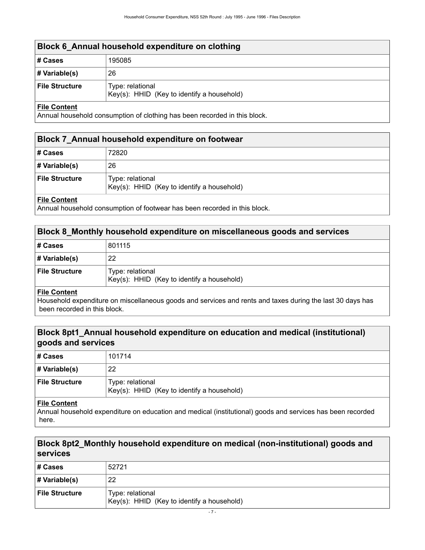# <span id="page-10-0"></span>**Block 6\_Annual household expenditure on clothing # Cases** 195085 **# Variable(s)** 26 **File Structure** | Type: relational Key(s): HHID (Key to identify a household)

### **File Content**

Annual household consumption of clothing has been recorded in this block.

### <span id="page-10-1"></span>**Block 7\_Annual household expenditure on footwear**

| ∣# Cases       | 72820                                                          |
|----------------|----------------------------------------------------------------|
| # Variable(s)  | 26                                                             |
| File Structure | Type: relational<br>Key(s): HHID (Key to identify a household) |
|                |                                                                |

### **File Content**

Annual household consumption of footwear has been recorded in this block.

### <span id="page-10-2"></span>**Block 8\_Monthly household expenditure on miscellaneous goods and services**

| ∣# Cases         | 801115                                                         |
|------------------|----------------------------------------------------------------|
| # Variable(s)    | 22                                                             |
| ∣ File Structure | Type: relational<br>Key(s): HHID (Key to identify a household) |

#### **File Content**

Household expenditure on miscellaneous goods and services and rents and taxes during the last 30 days has been recorded in this block.

# <span id="page-10-3"></span>**Block 8pt1\_Annual household expenditure on education and medical (institutional) goods and services**

| # Cases               | 101714                                                         |
|-----------------------|----------------------------------------------------------------|
| # Variable(s)         | 22                                                             |
| <b>File Structure</b> | Type: relational<br>Key(s): HHID (Key to identify a household) |

#### **File Content**

Annual household expenditure on education and medical (institutional) goods and services has been recorded here.

# <span id="page-10-4"></span>**Block 8pt2\_Monthly household expenditure on medical (non-institutional) goods and services**

| # Cases               | 52721                                                          |
|-----------------------|----------------------------------------------------------------|
| # Variable(s)         | 22                                                             |
| <b>File Structure</b> | Type: relational<br>Key(s): HHID (Key to identify a household) |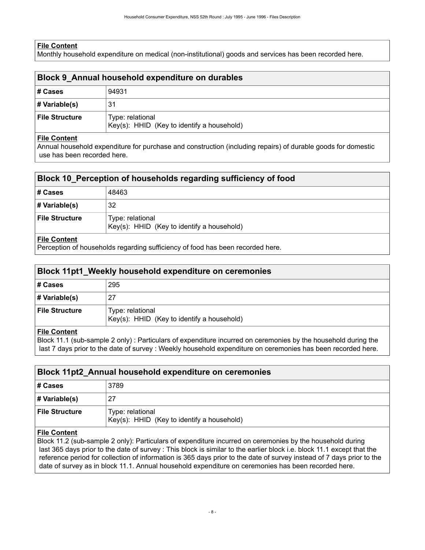### **File Content**

Monthly household expenditure on medical (non-institutional) goods and services has been recorded here.

<span id="page-11-0"></span>

| Block 9 Annual household expenditure on durables |                                                                |  |  |
|--------------------------------------------------|----------------------------------------------------------------|--|--|
| ∣# Cases                                         | 94931                                                          |  |  |
| # Variable(s)                                    | 31                                                             |  |  |
| File Structure                                   | Type: relational<br>Key(s): HHID (Key to identify a household) |  |  |
| $-1$ $-1$ $-1$                                   |                                                                |  |  |

#### **File Content**

Annual household expenditure for purchase and construction (including repairs) of durable goods for domestic use has been recorded here.

### <span id="page-11-1"></span>**Block 10\_Perception of households regarding sufficiency of food**

| ∣# Cases         | 48463                                                          |
|------------------|----------------------------------------------------------------|
| # Variable(s)    | 32                                                             |
| ∣ File Structure | Type: relational<br>Key(s): HHID (Key to identify a household) |
| File Content     |                                                                |

Perception of households regarding sufficiency of food has been recorded here.

# <span id="page-11-2"></span>**Block 11pt1\_Weekly household expenditure on ceremonies**

| # Cases               | 295                                                            |
|-----------------------|----------------------------------------------------------------|
| # Variable(s)         | 27                                                             |
| <b>File Structure</b> | Type: relational<br>Key(s): HHID (Key to identify a household) |

#### **File Content**

Block 11.1 (sub-sample 2 only) : Particulars of expenditure incurred on ceremonies by the household during the last 7 days prior to the date of survey : Weekly household expenditure on ceremonies has been recorded here.

### <span id="page-11-3"></span>**Block 11pt2\_Annual household expenditure on ceremonies**

| ∣# Cases         | 3789                                                           |
|------------------|----------------------------------------------------------------|
| # Variable(s)    | 27                                                             |
| ∣ File Structure | Type: relational<br>Key(s): HHID (Key to identify a household) |

### **File Content**

Block 11.2 (sub-sample 2 only): Particulars of expenditure incurred on ceremonies by the household during last 365 days prior to the date of survey : This block is similar to the earlier block i.e. block 11.1 except that the reference period for collection of information is 365 days prior to the date of survey instead of 7 days prior to the date of survey as in block 11.1. Annual household expenditure on ceremonies has been recorded here.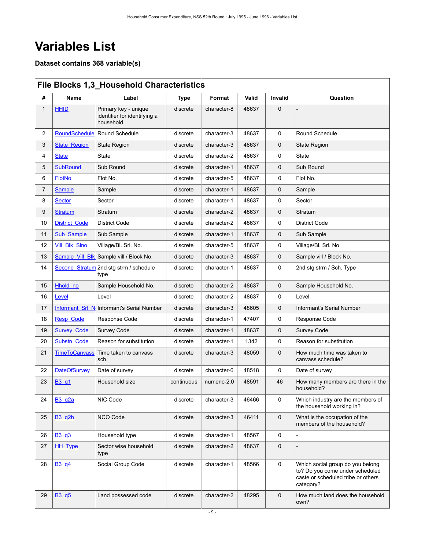# <span id="page-12-0"></span>**Variables List**

**Dataset contains 368 variable(s)**

<span id="page-12-1"></span>

|              | <b>File Blocks 1,3 Household Characteristics</b> |                                                                   |             |             |       |             |                                                                                                                        |
|--------------|--------------------------------------------------|-------------------------------------------------------------------|-------------|-------------|-------|-------------|------------------------------------------------------------------------------------------------------------------------|
| #            | Name                                             | Label                                                             | <b>Type</b> | Format      | Valid | Invalid     | Question                                                                                                               |
| $\mathbf{1}$ | <b>HHID</b>                                      | Primary key - unique<br>identifier for identifying a<br>household | discrete    | character-8 | 48637 | $\mathbf 0$ |                                                                                                                        |
| 2            | <b>RoundSchedule</b>                             | Round Schedule                                                    | discrete    | character-3 | 48637 | 0           | Round Schedule                                                                                                         |
| 3            | <b>State_Region</b>                              | <b>State Region</b>                                               | discrete    | character-3 | 48637 | 0           | <b>State Region</b>                                                                                                    |
| 4            | <b>State</b>                                     | State                                                             | discrete    | character-2 | 48637 | 0           | State                                                                                                                  |
| 5            | <b>SubRound</b>                                  | Sub Round                                                         | discrete    | character-1 | 48637 | $\mathbf 0$ | Sub Round                                                                                                              |
| 6            | <b>FlotNo</b>                                    | Flot No.                                                          | discrete    | character-5 | 48637 | 0           | Flot No.                                                                                                               |
| 7            | <b>Sample</b>                                    | Sample                                                            | discrete    | character-1 | 48637 | 0           | Sample                                                                                                                 |
| 8            | <b>Sector</b>                                    | Sector                                                            | discrete    | character-1 | 48637 | 0           | Sector                                                                                                                 |
| 9            | <b>Stratum</b>                                   | Stratum                                                           | discrete    | character-2 | 48637 | 0           | Stratum                                                                                                                |
| 10           | <b>District Code</b>                             | <b>District Code</b>                                              | discrete    | character-2 | 48637 | 0           | <b>District Code</b>                                                                                                   |
| 11           | Sub Sample                                       | Sub Sample                                                        | discrete    | character-1 | 48637 | 0           | Sub Sample                                                                                                             |
| 12           | <b>Vill Blk Sino</b>                             | Village/Bl. Srl. No.                                              | discrete    | character-5 | 48637 | 0           | Village/Bl. Srl. No.                                                                                                   |
| 13           | Sample Vill Blk                                  | Sample vill / Block No.                                           | discrete    | character-3 | 48637 | 0           | Sample vill / Block No.                                                                                                |
| 14           |                                                  | Second Stratum 2nd stg strm / schedule<br>type                    | discrete    | character-1 | 48637 | 0           | 2nd stg strm / Sch. Type                                                                                               |
| 15           | Hhold no                                         | Sample Household No.                                              | discrete    | character-2 | 48637 | 0           | Sample Household No.                                                                                                   |
| 16           | Level                                            | Level                                                             | discrete    | character-2 | 48637 | 0           | Level                                                                                                                  |
| 17           | Informant Srl N                                  | Informant's Serial Number                                         | discrete    | character-3 | 48605 | 0           | Informant's Serial Number                                                                                              |
| 18           | <b>Resp Code</b>                                 | Response Code                                                     | discrete    | character-1 | 47407 | 0           | Response Code                                                                                                          |
| 19           | <b>Survey Code</b>                               | <b>Survey Code</b>                                                | discrete    | character-1 | 48637 | 0           | <b>Survey Code</b>                                                                                                     |
| 20           | Substn Code                                      | Reason for substitution                                           | discrete    | character-1 | 1342  | 0           | Reason for substitution                                                                                                |
| 21           | <b>TimeToCanvass</b>                             | Time taken to canvass<br>sch.                                     | discrete    | character-3 | 48059 | 0           | How much time was taken to<br>canvass schedule?                                                                        |
| 22           | <b>DateOfSurvey</b>                              | Date of survey                                                    | discrete    | character-6 | 48518 | 0           | Date of survey                                                                                                         |
| 23           | B <sub>3</sub> q <sub>1</sub>                    | Household size                                                    | continuous  | numeric-2.0 | 48591 | 46          | How many members are there in the<br>household?                                                                        |
| 24           | <b>B3_q2a</b>                                    | NIC Code                                                          | discrete    | character-3 | 46466 | 0           | Which industry are the members of<br>the household working in?                                                         |
| 25           | <b>B3 q2b</b>                                    | <b>NCO Code</b>                                                   | discrete    | character-3 | 46411 | $\mathbf 0$ | What is the occupation of the<br>members of the household?                                                             |
| 26           | B3_q3                                            | Household type                                                    | discrete    | character-1 | 48567 | 0           |                                                                                                                        |
| 27           | <b>HH_Type</b>                                   | Sector wise household<br>type                                     | discrete    | character-2 | 48637 | 0           |                                                                                                                        |
| 28           | B3 q4                                            | Social Group Code                                                 | discrete    | character-1 | 48566 | 0           | Which social group do you belong<br>to? Do you come under scheduled<br>caste or scheduled tribe or others<br>category? |
| 29           | B <sub>3</sub> q <sub>5</sub>                    | Land possessed code                                               | discrete    | character-2 | 48295 | 0           | How much land does the household<br>own?                                                                               |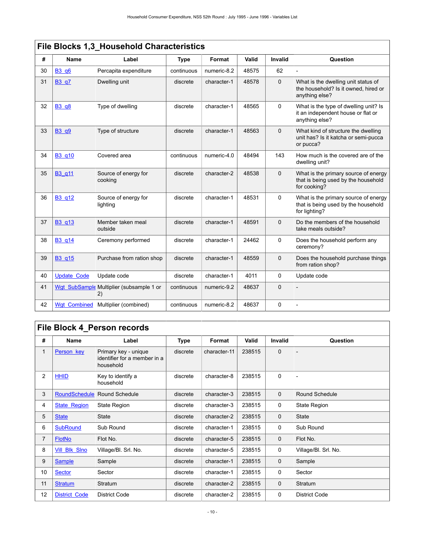| File Blocks 1,3_Household Characteristics |                    |                                                |             |             |       |             |                                                                                               |
|-------------------------------------------|--------------------|------------------------------------------------|-------------|-------------|-------|-------------|-----------------------------------------------------------------------------------------------|
| #                                         | Name               | Label                                          | <b>Type</b> | Format      | Valid | Invalid     | Question                                                                                      |
| 30                                        | <b>B3 q6</b>       | Percapita expenditure                          | continuous  | numeric-8.2 | 48575 | 62          |                                                                                               |
| 31                                        | B3 q7              | Dwelling unit                                  | discrete    | character-1 | 48578 | $\mathbf 0$ | What is the dwelling unit status of<br>the household? Is it owned, hired or<br>anything else? |
| 32                                        | <b>B3 q8</b>       | Type of dwelling                               | discrete    | character-1 | 48565 | 0           | What is the type of dwelling unit? Is<br>it an independent house or flat or<br>anything else? |
| 33                                        | B3 q9              | Type of structure                              | discrete    | character-1 | 48563 | $\mathbf 0$ | What kind of structure the dwelling<br>unit has? Is it katcha or semi-pucca<br>or pucca?      |
| 34                                        | B3 q10             | Covered area                                   | continuous  | numeric-4.0 | 48494 | 143         | How much is the covered are of the<br>dwelling unit?                                          |
| 35                                        | B3 q11             | Source of energy for<br>cooking                | discrete    | character-2 | 48538 | $\mathbf 0$ | What is the primary source of energy<br>that is being used by the household<br>for cooking?   |
| 36                                        | B3 q12             | Source of energy for<br>lighting               | discrete    | character-1 | 48531 | 0           | What is the primary source of energy<br>that is being used by the household<br>for lighting?  |
| 37                                        | B3 q13             | Member taken meal<br>outside                   | discrete    | character-1 | 48591 | $\Omega$    | Do the members of the household<br>take meals outside?                                        |
| 38                                        | B3 q14             | Ceremony performed                             | discrete    | character-1 | 24462 | 0           | Does the household perform any<br>ceremony?                                                   |
| 39                                        | B3 q15             | Purchase from ration shop                      | discrete    | character-1 | 48559 | $\mathbf 0$ | Does the household purchase things<br>from ration shop?                                       |
| 40                                        | <b>Update Code</b> | Update code                                    | discrete    | character-1 | 4011  | $\Omega$    | Update code                                                                                   |
| 41                                        |                    | Wgt_SubSample Multiplier (subsample 1 or<br>2) | continuous  | numeric-9.2 | 48637 | $\mathbf 0$ |                                                                                               |
| 42                                        | Wat Combined       | Multiplier (combined)                          | continuous  | numeric-8.2 | 48637 | 0           |                                                                                               |

# <span id="page-13-0"></span>**File Block 4\_Person records**

| #  | Name                 | Label                                                             | Type     | Format       | Valid  | <b>Invalid</b> | Question                 |
|----|----------------------|-------------------------------------------------------------------|----------|--------------|--------|----------------|--------------------------|
| 1  | Person key           | Primary key - unique<br>identifier for a member in a<br>household | discrete | character-11 | 238515 | $\mathbf 0$    | $\overline{\phantom{a}}$ |
| 2  | <b>HHID</b>          | Key to identify a<br>household                                    | discrete | character-8  | 238515 | 0              |                          |
| 3  | <b>RoundSchedule</b> | Round Schedule                                                    | discrete | character-3  | 238515 | $\mathbf 0$    | Round Schedule           |
| 4  | <b>State Region</b>  | <b>State Region</b>                                               | discrete | character-3  | 238515 | 0              | <b>State Region</b>      |
| 5  | <b>State</b>         | <b>State</b>                                                      | discrete | character-2  | 238515 | $\mathbf 0$    | <b>State</b>             |
| 6  | <b>SubRound</b>      | Sub Round                                                         | discrete | character-1  | 238515 | 0              | Sub Round                |
| 7  | <b>FlotNo</b>        | Flot No.                                                          | discrete | character-5  | 238515 | $\mathbf 0$    | Flot No.                 |
| 8  | <b>Vill Blk Slno</b> | Village/Bl. Srl. No.                                              | discrete | character-5  | 238515 | 0              | Village/Bl. Srl. No.     |
| 9  | <b>Sample</b>        | Sample                                                            | discrete | character-1  | 238515 | $\mathbf 0$    | Sample                   |
| 10 | <b>Sector</b>        | Sector                                                            | discrete | character-1  | 238515 | 0              | Sector                   |
| 11 | <b>Stratum</b>       | <b>Stratum</b>                                                    | discrete | character-2  | 238515 | $\mathbf 0$    | Stratum                  |
| 12 | <b>District Code</b> | <b>District Code</b>                                              | discrete | character-2  | 238515 | $\mathbf 0$    | <b>District Code</b>     |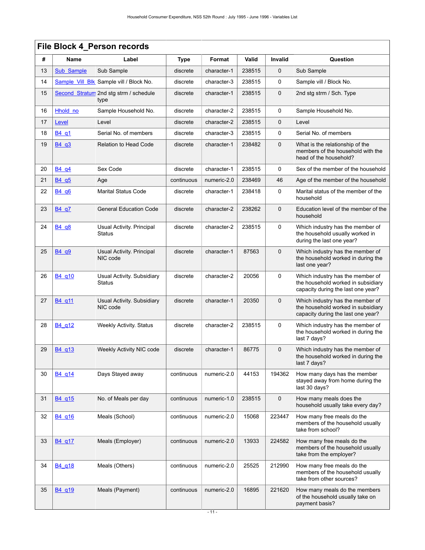|    | File Block 4_Person records    |                                             |             |             |        |              |                                                                                                              |  |  |  |  |
|----|--------------------------------|---------------------------------------------|-------------|-------------|--------|--------------|--------------------------------------------------------------------------------------------------------------|--|--|--|--|
| #  | Name                           | Label                                       | <b>Type</b> | Format      | Valid  | Invalid      | Question                                                                                                     |  |  |  |  |
| 13 | Sub Sample                     | Sub Sample                                  | discrete    | character-1 | 238515 | $\mathbf 0$  | Sub Sample                                                                                                   |  |  |  |  |
| 14 |                                | Sample Vill Blk Sample vill / Block No.     | discrete    | character-3 | 238515 | 0            | Sample vill / Block No.                                                                                      |  |  |  |  |
| 15 | <b>Second Stratum</b>          | 2nd stg strm / schedule<br>type             | discrete    | character-1 | 238515 | 0            | 2nd stg strm / Sch. Type                                                                                     |  |  |  |  |
| 16 | Hhold no                       | Sample Household No.                        | discrete    | character-2 | 238515 | 0            | Sample Household No.                                                                                         |  |  |  |  |
| 17 | Level                          | Level                                       | discrete    | character-2 | 238515 | $\mathbf 0$  | Level                                                                                                        |  |  |  |  |
| 18 | B <sub>4</sub> q <sub>1</sub>  | Serial No. of members                       | discrete    | character-3 | 238515 | 0            | Serial No. of members                                                                                        |  |  |  |  |
| 19 | B4 q3                          | <b>Relation to Head Code</b>                | discrete    | character-1 | 238482 | $\mathbf 0$  | What is the relationship of the<br>members of the household with the<br>head of the household?               |  |  |  |  |
| 20 | B <sub>4</sub> q <sub>4</sub>  | Sex Code                                    | discrete    | character-1 | 238515 | 0            | Sex of the member of the household                                                                           |  |  |  |  |
| 21 | B4 q5                          | Age                                         | continuous  | numeric-2.0 | 238469 | 46           | Age of the member of the household                                                                           |  |  |  |  |
| 22 | B4 q6                          | <b>Marital Status Code</b>                  | discrete    | character-1 | 238418 | 0            | Marital status of the member of the<br>household                                                             |  |  |  |  |
| 23 | B <sub>4</sub> q <sub>7</sub>  | <b>General Education Code</b>               | discrete    | character-2 | 238262 | 0            | Education level of the member of the<br>household                                                            |  |  |  |  |
| 24 | B <sub>4</sub> q <sub>8</sub>  | Usual Activity. Principal<br>Status         | discrete    | character-2 | 238515 | $\mathbf 0$  | Which industry has the member of<br>the household usually worked in<br>during the last one year?             |  |  |  |  |
| 25 | B4 q9                          | Usual Activity. Principal<br>NIC code       | discrete    | character-1 | 87563  | $\mathbf{0}$ | Which industry has the member of<br>the household worked in during the<br>last one year?                     |  |  |  |  |
| 26 | B4 q10                         | Usual Activity. Subsidiary<br><b>Status</b> | discrete    | character-2 | 20056  | $\mathbf 0$  | Which industry has the member of<br>the household worked in subsidiary<br>capacity during the last one year? |  |  |  |  |
| 27 | B4 q11                         | Usual Activity. Subsidiary<br>NIC code      | discrete    | character-1 | 20350  | $\mathbf 0$  | Which industry has the member of<br>the household worked in subsidiary<br>capacity during the last one year? |  |  |  |  |
| 28 | B <sub>4</sub> q <sub>12</sub> | <b>Weekly Activity. Status</b>              | discrete    | character-2 | 238515 | $\mathbf 0$  | Which industry has the member of<br>the household worked in during the<br>last 7 days?                       |  |  |  |  |
| 29 | B4_q13                         | Weekly Activity NIC code                    | discrete    | character-1 | 86775  | $\mathbf 0$  | Which industry has the member of<br>the household worked in during the<br>last 7 days?                       |  |  |  |  |
| 30 | B4 q14                         | Days Stayed away                            | continuous  | numeric-2.0 | 44153  | 194362       | How many days has the member<br>stayed away from home during the<br>last 30 days?                            |  |  |  |  |
| 31 | B <sub>4</sub> q <sub>15</sub> | No. of Meals per day                        | continuous  | numeric-1.0 | 238515 | $\mathbf 0$  | How many meals does the<br>household usually take every day?                                                 |  |  |  |  |
| 32 | B <sub>4</sub> q <sub>16</sub> | Meals (School)                              | continuous  | numeric-2.0 | 15068  | 223447       | How many free meals do the<br>members of the household usually<br>take from school?                          |  |  |  |  |
| 33 | B <sub>4</sub> q <sub>17</sub> | Meals (Employer)                            | continuous  | numeric-2.0 | 13933  | 224582       | How many free meals do the<br>members of the household usually<br>take from the employer?                    |  |  |  |  |
| 34 | B4 g18                         | Meals (Others)                              | continuous  | numeric-2.0 | 25525  | 212990       | How many free meals do the<br>members of the household usually<br>take from other sources?                   |  |  |  |  |
| 35 | B <sub>4</sub> q <sub>19</sub> | Meals (Payment)                             | continuous  | numeric-2.0 | 16895  | 221620       | How many meals do the members<br>of the household usually take on<br>payment basis?                          |  |  |  |  |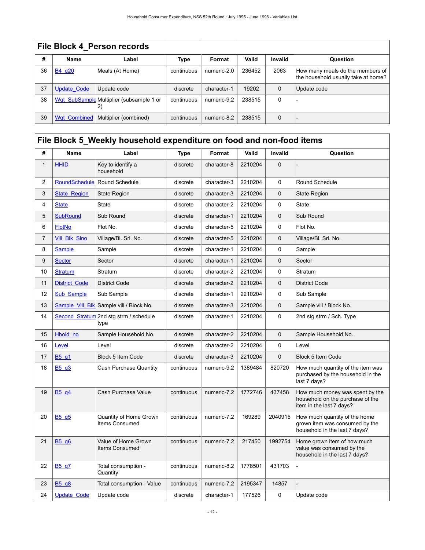|    | File Block 4 Person records |                                                |             |             |        |             |                                                                         |  |  |  |  |
|----|-----------------------------|------------------------------------------------|-------------|-------------|--------|-------------|-------------------------------------------------------------------------|--|--|--|--|
| #  | <b>Name</b>                 | Label                                          | <b>Type</b> | Format      | Valid  | Invalid     | Question                                                                |  |  |  |  |
| 36 | B4 g20                      | Meals (At Home)                                | continuous  | numeric-2.0 | 236452 | 2063        | How many meals do the members of<br>the household usually take at home? |  |  |  |  |
| 37 | <b>Update Code</b>          | Update code                                    | discrete    | character-1 | 19202  | $\mathbf 0$ | Update code                                                             |  |  |  |  |
| 38 |                             | Wgt SubSample Multiplier (subsample 1 or<br>2) | continuous  | numeric-9.2 | 238515 | $\Omega$    |                                                                         |  |  |  |  |
| 39 | <b>Wgt Combined</b>         | Multiplier (combined)                          | continuous  | numeric-8.2 | 238515 | $\Omega$    | $\overline{\phantom{0}}$                                                |  |  |  |  |

# <span id="page-15-0"></span>**File Block 5\_Weekly household expenditure on food and non-food items**

| #              | <b>Name</b>                   | Label                                    | <b>Type</b> | Format      | Valid   | <b>Invalid</b> | Question                                                                                         |
|----------------|-------------------------------|------------------------------------------|-------------|-------------|---------|----------------|--------------------------------------------------------------------------------------------------|
| $\mathbf{1}$   | <b>HHID</b>                   | Key to identify a<br>household           | discrete    | character-8 | 2210204 | 0              |                                                                                                  |
| 2              | <b>RoundSchedule</b>          | Round Schedule                           | discrete    | character-3 | 2210204 | 0              | Round Schedule                                                                                   |
| 3              | <b>State Region</b>           | <b>State Region</b>                      | discrete    | character-3 | 2210204 | $\mathbf 0$    | <b>State Region</b>                                                                              |
| 4              | <b>State</b>                  | <b>State</b>                             | discrete    | character-2 | 2210204 | 0              | <b>State</b>                                                                                     |
| 5              | <b>SubRound</b>               | Sub Round                                | discrete    | character-1 | 2210204 | $\mathbf{0}$   | Sub Round                                                                                        |
| 6              | <b>FlotNo</b>                 | Flot No.                                 | discrete    | character-5 | 2210204 | 0              | Flot No.                                                                                         |
| $\overline{7}$ | <b>Vill Blk Slno</b>          | Village/Bl. Srl. No.                     | discrete    | character-5 | 2210204 | $\mathbf 0$    | Village/Bl. Srl. No.                                                                             |
| 8              | <b>Sample</b>                 | Sample                                   | discrete    | character-1 | 2210204 | 0              | Sample                                                                                           |
| 9              | <b>Sector</b>                 | Sector                                   | discrete    | character-1 | 2210204 | $\mathbf 0$    | Sector                                                                                           |
| 10             | <b>Stratum</b>                | Stratum                                  | discrete    | character-2 | 2210204 | $\mathsf 0$    | Stratum                                                                                          |
| 11             | <b>District Code</b>          | <b>District Code</b>                     | discrete    | character-2 | 2210204 | $\mathbf 0$    | <b>District Code</b>                                                                             |
| 12             | Sub Sample                    | Sub Sample                               | discrete    | character-1 | 2210204 | 0              | Sub Sample                                                                                       |
| 13             | Sample Vill Blk               | Sample vill / Block No.                  | discrete    | character-3 | 2210204 | $\mathbf 0$    | Sample vill / Block No.                                                                          |
| 14             | <b>Second Stratum</b>         | 2nd stg strm / schedule<br>type          | discrete    | character-1 | 2210204 | 0              | 2nd stg strm / Sch. Type                                                                         |
| 15             | Hhold no                      | Sample Household No.                     | discrete    | character-2 | 2210204 | $\mathbf 0$    | Sample Household No.                                                                             |
| 16             | Level                         | Level                                    | discrete    | character-2 | 2210204 | 0              | Level                                                                                            |
| 17             | B <sub>5</sub> q <sub>1</sub> | <b>Block 5 Item Code</b>                 | discrete    | character-3 | 2210204 | $\mathbf 0$    | Block 5 Item Code                                                                                |
| 18             | B5 q3                         | Cash Purchase Quantity                   | continuous  | numeric-9.2 | 1389484 | 820720         | How much quantity of the item was<br>purchased by the household in the<br>last 7 days?           |
| 19             | B5 q4                         | Cash Purchase Value                      | continuous  | numeric-7.2 | 1772746 | 437458         | How much money was spent by the<br>household on the purchase of the<br>item in the last 7 days?  |
| 20             | B5 q5                         | Quantity of Home Grown<br>Items Consumed | continuous  | numeric-7.2 | 169289  | 2040915        | How much quantity of the home<br>grown item was consumed by the<br>household in the last 7 days? |
| 21             | B <sub>5</sub> q <sub>6</sub> | Value of Home Grown<br>Items Consumed    | continuous  | numeric-7.2 | 217450  | 1992754        | Home grown item of how much<br>value was consumed by the<br>household in the last 7 days?        |
| 22             | B <sub>5</sub> q7             | Total consumption -<br>Quantity          | continuous  | numeric-8.2 | 1778501 | 431703         | $\overline{a}$                                                                                   |
| 23             | <b>B5 q8</b>                  | Total consumption - Value                | continuous  | numeric-7.2 | 2195347 | 14857          |                                                                                                  |
| 24             | <b>Update Code</b>            | Update code                              | discrete    | character-1 | 177526  | 0              | Update code                                                                                      |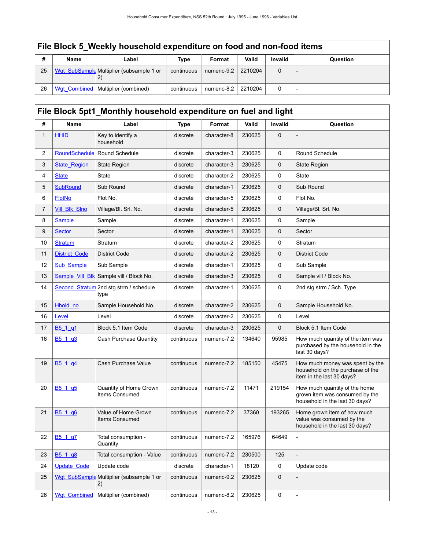|    | File Block 5 Weekly household expenditure on food and non-food items |                                                 |            |                     |         |                |          |  |  |  |  |
|----|----------------------------------------------------------------------|-------------------------------------------------|------------|---------------------|---------|----------------|----------|--|--|--|--|
| #  | Name                                                                 | Label                                           | Type       | Format              | Valid   | <b>Invalid</b> | Question |  |  |  |  |
| 25 |                                                                      | Wgt SubSample Multiplier (subsample 1 or<br>(2) | continuous | numeric-9.2         | 2210204 | $\Omega$       |          |  |  |  |  |
| 26 |                                                                      | Wgt Combined   Multiplier (combined)            | continuous | numeric-8.2 2210204 |         |                |          |  |  |  |  |

# <span id="page-16-0"></span>**File Block 5pt1 Monthly household expenditure on fuel and light**

| #  | Name                            | Label                                          | <b>Type</b> | Format      | Valid  | Invalid     | Question                                                                                          |
|----|---------------------------------|------------------------------------------------|-------------|-------------|--------|-------------|---------------------------------------------------------------------------------------------------|
| 1  | <b>HHID</b>                     | Key to identify a<br>household                 | discrete    | character-8 | 230625 | $\mathbf 0$ |                                                                                                   |
| 2  | RoundSchedule                   | Round Schedule                                 | discrete    | character-3 | 230625 | 0           | Round Schedule                                                                                    |
| 3  | <b>State Region</b>             | State Region                                   | discrete    | character-3 | 230625 | 0           | <b>State Region</b>                                                                               |
| 4  | <b>State</b>                    | State                                          | discrete    | character-2 | 230625 | 0           | State                                                                                             |
| 5  | <b>SubRound</b>                 | Sub Round                                      | discrete    | character-1 | 230625 | 0           | Sub Round                                                                                         |
| 6  | <b>FlotNo</b>                   | Flot No.                                       | discrete    | character-5 | 230625 | 0           | Flot No.                                                                                          |
| 7  | <b>Vill Blk Slno</b>            | Village/Bl. Srl. No.                           | discrete    | character-5 | 230625 | $\mathbf 0$ | Village/Bl. Srl. No.                                                                              |
| 8  | <b>Sample</b>                   | Sample                                         | discrete    | character-1 | 230625 | 0           | Sample                                                                                            |
| 9  | <b>Sector</b>                   | Sector                                         | discrete    | character-1 | 230625 | 0           | Sector                                                                                            |
| 10 | <b>Stratum</b>                  | Stratum                                        | discrete    | character-2 | 230625 | 0           | Stratum                                                                                           |
| 11 | <b>District Code</b>            | <b>District Code</b>                           | discrete    | character-2 | 230625 | 0           | <b>District Code</b>                                                                              |
| 12 | <b>Sub Sample</b>               | Sub Sample                                     | discrete    | character-1 | 230625 | 0           | Sub Sample                                                                                        |
| 13 |                                 | Sample_Vill_Blk Sample vill / Block No.        | discrete    | character-3 | 230625 | 0           | Sample vill / Block No.                                                                           |
| 14 | Second Stratum                  | 2nd stg strm / schedule<br>type                | discrete    | character-1 | 230625 | 0           | 2nd stg strm / Sch. Type                                                                          |
| 15 | Hhold no                        | Sample Household No.                           | discrete    | character-2 | 230625 | $\mathbf 0$ | Sample Household No.                                                                              |
| 16 | Level                           | Level                                          | discrete    | character-2 | 230625 | 0           | Level                                                                                             |
| 17 | B <sub>5</sub> 1 q <sub>1</sub> | Block 5.1 Item Code                            | discrete    | character-3 | 230625 | 0           | Block 5.1 Item Code                                                                               |
| 18 | B <sub>5</sub> 1 q <sub>3</sub> | Cash Purchase Quantity                         | continuous  | numeric-7.2 | 134640 | 95985       | How much quantity of the item was<br>purchased by the household in the<br>last 30 days?           |
| 19 | B5 1 q4                         | Cash Purchase Value                            | continuous  | numeric-7.2 | 185150 | 45475       | How much money was spent by the<br>household on the purchase of the<br>item in the last 30 days?  |
| 20 | B <sub>5</sub> 1 q <sub>5</sub> | Quantity of Home Grown<br>Items Consumed       | continuous  | numeric-7.2 | 11471  | 219154      | How much quantity of the home<br>grown item was consumed by the<br>household in the last 30 days? |
| 21 | B5 1 q6                         | Value of Home Grown<br><b>Items Consumed</b>   | continuous  | numeric-7.2 | 37360  | 193265      | Home grown item of how much<br>value was consumed by the<br>household in the last 30 days?        |
| 22 | B <sub>5</sub> 1 q <sup>7</sup> | Total consumption -<br>Quantity                | continuous  | numeric-7.2 | 165976 | 64649       | $\overline{a}$                                                                                    |
| 23 | B <sub>5</sub> 1 q <sub>8</sub> | Total consumption - Value                      | continuous  | numeric-7.2 | 230500 | 125         |                                                                                                   |
| 24 | <b>Update Code</b>              | Update code                                    | discrete    | character-1 | 18120  | 0           | Update code                                                                                       |
| 25 |                                 | Wgt SubSample Multiplier (subsample 1 or<br>2) | continuous  | numeric-9.2 | 230625 | 0           |                                                                                                   |
| 26 | <b>Wgt Combined</b>             | Multiplier (combined)                          | continuous  | numeric-8.2 | 230625 | 0           | $\overline{\phantom{a}}$                                                                          |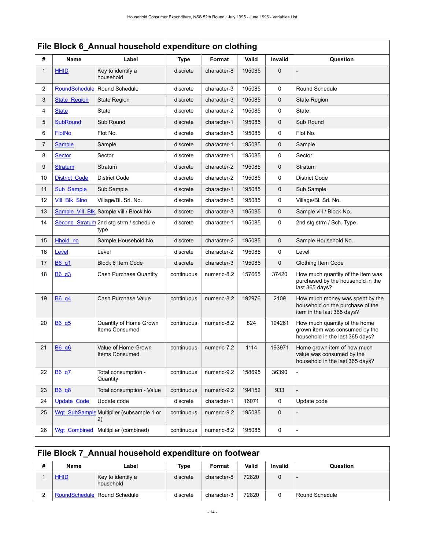<span id="page-17-0"></span>

|              | File Block 6_Annual household expenditure on clothing |                                                |             |             |        |                |                                                                                                    |  |  |  |  |
|--------------|-------------------------------------------------------|------------------------------------------------|-------------|-------------|--------|----------------|----------------------------------------------------------------------------------------------------|--|--|--|--|
| #            | Name                                                  | Label                                          | <b>Type</b> | Format      | Valid  | <b>Invalid</b> | Question                                                                                           |  |  |  |  |
| $\mathbf{1}$ | <b>HHID</b>                                           | Key to identify a<br>household                 | discrete    | character-8 | 195085 | $\mathbf 0$    |                                                                                                    |  |  |  |  |
| 2            | <b>RoundSchedule</b>                                  | <b>Round Schedule</b>                          | discrete    | character-3 | 195085 | 0              | Round Schedule                                                                                     |  |  |  |  |
| 3            | <b>State Region</b>                                   | <b>State Region</b>                            | discrete    | character-3 | 195085 | 0              | State Region                                                                                       |  |  |  |  |
| 4            | <b>State</b>                                          | <b>State</b>                                   | discrete    | character-2 | 195085 | 0              | State                                                                                              |  |  |  |  |
| 5            | <b>SubRound</b>                                       | Sub Round                                      | discrete    | character-1 | 195085 | 0              | Sub Round                                                                                          |  |  |  |  |
| 6            | <b>FlotNo</b>                                         | Flot No.                                       | discrete    | character-5 | 195085 | 0              | Flot No.                                                                                           |  |  |  |  |
| 7            | <b>Sample</b>                                         | Sample                                         | discrete    | character-1 | 195085 | 0              | Sample                                                                                             |  |  |  |  |
| 8            | <b>Sector</b>                                         | Sector                                         | discrete    | character-1 | 195085 | 0              | Sector                                                                                             |  |  |  |  |
| 9            | <b>Stratum</b>                                        | Stratum                                        | discrete    | character-2 | 195085 | 0              | Stratum                                                                                            |  |  |  |  |
| 10           | <b>District Code</b>                                  | <b>District Code</b>                           | discrete    | character-2 | 195085 | 0              | <b>District Code</b>                                                                               |  |  |  |  |
| 11           | Sub Sample                                            | Sub Sample                                     | discrete    | character-1 | 195085 | 0              | Sub Sample                                                                                         |  |  |  |  |
| 12           | <b>Vill Blk Slno</b>                                  | Village/Bl. Srl. No.                           | discrete    | character-5 | 195085 | 0              | Village/Bl. Srl. No.                                                                               |  |  |  |  |
| 13           |                                                       | Sample Vill Blk Sample vill / Block No.        | discrete    | character-3 | 195085 | 0              | Sample vill / Block No.                                                                            |  |  |  |  |
| 14           |                                                       | Second Stratum 2nd stg strm / schedule<br>type | discrete    | character-1 | 195085 | 0              | 2nd stg strm / Sch. Type                                                                           |  |  |  |  |
| 15           | Hhold_no                                              | Sample Household No.                           | discrete    | character-2 | 195085 | 0              | Sample Household No.                                                                               |  |  |  |  |
| 16           | Level                                                 | Level                                          | discrete    | character-2 | 195085 | 0              | Level                                                                                              |  |  |  |  |
| 17           | B6_q1                                                 | Block 6 Item Code                              | discrete    | character-3 | 195085 | 0              | Clothing Item Code                                                                                 |  |  |  |  |
| 18           | B6 q3                                                 | Cash Purchase Quantity                         | continuous  | numeric-8.2 | 157665 | 37420          | How much quantity of the item was<br>purchased by the household in the<br>last 365 days?           |  |  |  |  |
| 19           | B6 q4                                                 | Cash Purchase Value                            | continuous  | numeric-8.2 | 192976 | 2109           | How much money was spent by the<br>household on the purchase of the<br>item in the last 365 days?  |  |  |  |  |
| 20           | B6 q5                                                 | Quantity of Home Grown<br>Items Consumed       | continuous  | numeric-8.2 | 824    | 194261         | How much quantity of the home<br>grown item was consumed by the<br>household in the last 365 days? |  |  |  |  |
| 21           | <b>B6 q6</b>                                          | Value of Home Grown<br>Items Consumed          | continuous  | numeric-7.2 | 1114   | 193971         | Home grown item of how much<br>value was consumed by the<br>household in the last 365 days?        |  |  |  |  |
| 22           | <b>B6 q7</b>                                          | Total consumption -<br>Quantity                | continuous  | numeric-9.2 | 158695 | 36390          | L,                                                                                                 |  |  |  |  |
| 23           | <b>B6 q8</b>                                          | Total consumption - Value                      | continuous  | numeric-9.2 | 194152 | 933            |                                                                                                    |  |  |  |  |
| 24           | <b>Update Code</b>                                    | Update code                                    | discrete    | character-1 | 16071  | 0              | Update code                                                                                        |  |  |  |  |
| 25           |                                                       | Wgt SubSample Multiplier (subsample 1 or<br>2) | continuous  | numeric-9.2 | 195085 | 0              |                                                                                                    |  |  |  |  |
| 26           | <b>Wgt Combined</b>                                   | Multiplier (combined)                          | continuous  | numeric-8.2 | 195085 | 0              | $\frac{1}{2}$                                                                                      |  |  |  |  |

# <span id="page-17-1"></span>**File Block 7\_Annual household expenditure on footwear**

| Name        | Label                          | Type     | Format      | Valid | <b>Invalid</b> | Question       |
|-------------|--------------------------------|----------|-------------|-------|----------------|----------------|
| <b>HHID</b> | Key to identify a<br>household | discrete | character-8 | 72820 |                |                |
|             | RoundSchedule Round Schedule   | discrete | character-3 | 72820 |                | Round Schedule |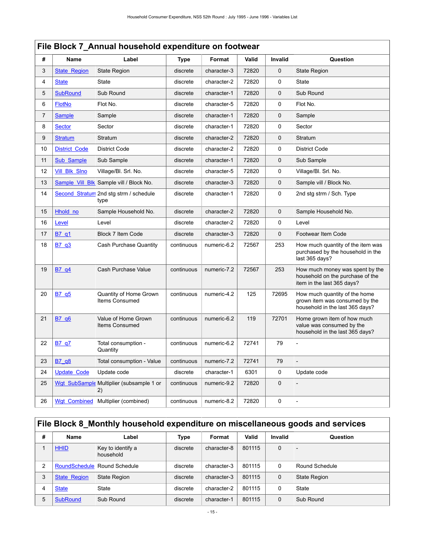|                | File Block 7_Annual household expenditure on footwear |                                                |             |             |       |             |                                                                                                    |  |  |  |  |
|----------------|-------------------------------------------------------|------------------------------------------------|-------------|-------------|-------|-------------|----------------------------------------------------------------------------------------------------|--|--|--|--|
| #              | <b>Name</b>                                           | Label                                          | <b>Type</b> | Format      | Valid | Invalid     | Question                                                                                           |  |  |  |  |
| 3              | <b>State Region</b>                                   | <b>State Region</b>                            | discrete    | character-3 | 72820 | $\mathbf 0$ | <b>State Region</b>                                                                                |  |  |  |  |
| 4              | <b>State</b>                                          | State                                          | discrete    | character-2 | 72820 | 0           | State                                                                                              |  |  |  |  |
| 5              | <b>SubRound</b>                                       | Sub Round                                      | discrete    | character-1 | 72820 | $\mathbf 0$ | Sub Round                                                                                          |  |  |  |  |
| 6              | <b>FlotNo</b>                                         | Flot No.                                       | discrete    | character-5 | 72820 | 0           | Flot No.                                                                                           |  |  |  |  |
| $\overline{7}$ | <b>Sample</b>                                         | Sample                                         | discrete    | character-1 | 72820 | $\mathbf 0$ | Sample                                                                                             |  |  |  |  |
| 8              | <b>Sector</b>                                         | Sector                                         | discrete    | character-1 | 72820 | 0           | Sector                                                                                             |  |  |  |  |
| 9              | <b>Stratum</b>                                        | Stratum                                        | discrete    | character-2 | 72820 | $\mathbf 0$ | Stratum                                                                                            |  |  |  |  |
| 10             | <b>District Code</b>                                  | <b>District Code</b>                           | discrete    | character-2 | 72820 | 0           | District Code                                                                                      |  |  |  |  |
| 11             | Sub Sample                                            | Sub Sample                                     | discrete    | character-1 | 72820 | $\mathbf 0$ | Sub Sample                                                                                         |  |  |  |  |
| 12             | Vill_Blk_Slno                                         | Village/Bl. Srl. No.                           | discrete    | character-5 | 72820 | 0           | Village/Bl. Srl. No.                                                                               |  |  |  |  |
| 13             | Sample Vill Blk                                       | Sample vill / Block No.                        | discrete    | character-3 | 72820 | $\mathbf 0$ | Sample vill / Block No.                                                                            |  |  |  |  |
| 14             |                                                       | Second_Stratum 2nd stg strm / schedule<br>type | discrete    | character-1 | 72820 | $\Omega$    | 2nd stg strm / Sch. Type                                                                           |  |  |  |  |
| 15             | Hhold no                                              | Sample Household No.                           | discrete    | character-2 | 72820 | $\mathbf 0$ | Sample Household No.                                                                               |  |  |  |  |
| 16             | Level                                                 | Level                                          | discrete    | character-2 | 72820 | 0           | Level                                                                                              |  |  |  |  |
| 17             | B7 q1                                                 | <b>Block 7 Item Code</b>                       | discrete    | character-3 | 72820 | $\mathbf 0$ | Footwear Item Code                                                                                 |  |  |  |  |
| 18             | B7q3                                                  | Cash Purchase Quantity                         | continuous  | numeric-6.2 | 72567 | 253         | How much quantity of the item was<br>purchased by the household in the<br>last 365 days?           |  |  |  |  |
| 19             | B7 q4                                                 | Cash Purchase Value                            | continuous  | numeric-7.2 | 72567 | 253         | How much money was spent by the<br>household on the purchase of the<br>item in the last 365 days?  |  |  |  |  |
| 20             | B7q5                                                  | Quantity of Home Grown<br>Items Consumed       | continuous  | numeric-4.2 | 125   | 72695       | How much quantity of the home<br>grown item was consumed by the<br>household in the last 365 days? |  |  |  |  |
| 21             | B7 q6                                                 | Value of Home Grown<br>Items Consumed          | continuous  | numeric-6.2 | 119   | 72701       | Home grown item of how much<br>value was consumed by the<br>household in the last 365 days?        |  |  |  |  |
| 22             | <b>B7 q7</b>                                          | Total consumption -<br>Quantity                | continuous  | numeric-6.2 | 72741 | 79          |                                                                                                    |  |  |  |  |
| 23             | B7_q8                                                 | Total consumption - Value                      | continuous  | numeric-7.2 | 72741 | 79          |                                                                                                    |  |  |  |  |
| 24             | <b>Update Code</b>                                    | Update code                                    | discrete    | character-1 | 6301  | 0           | Update code                                                                                        |  |  |  |  |
| 25             | <b>Wgt SubSample</b>                                  | Multiplier (subsample 1 or<br>2)               | continuous  | numeric-9.2 | 72820 | $\mathbf 0$ |                                                                                                    |  |  |  |  |
| 26             | Wgt Combined                                          | Multiplier (combined)                          | continuous  | numeric-8.2 | 72820 | 0           | $\frac{1}{2}$                                                                                      |  |  |  |  |

# <span id="page-18-0"></span>**File Block 8\_Monthly household expenditure on miscellaneous goods and services**

| # | Name                | Label                          | Type     | Format      | Valid  | Invalid      | Question            |
|---|---------------------|--------------------------------|----------|-------------|--------|--------------|---------------------|
|   | <b>HHID</b>         | Key to identify a<br>household | discrete | character-8 | 801115 | $\mathbf 0$  |                     |
| 2 |                     | RoundSchedule Round Schedule   | discrete | character-3 | 801115 | 0            | Round Schedule      |
| 3 | <b>State Region</b> | <b>State Region</b>            | discrete | character-3 | 801115 | $\mathbf{0}$ | <b>State Region</b> |
| 4 | <b>State</b>        | State                          | discrete | character-2 | 801115 | $\Omega$     | State               |
| 5 | <b>SubRound</b>     | Sub Round                      | discrete | character-1 | 801115 | $\Omega$     | Sub Round           |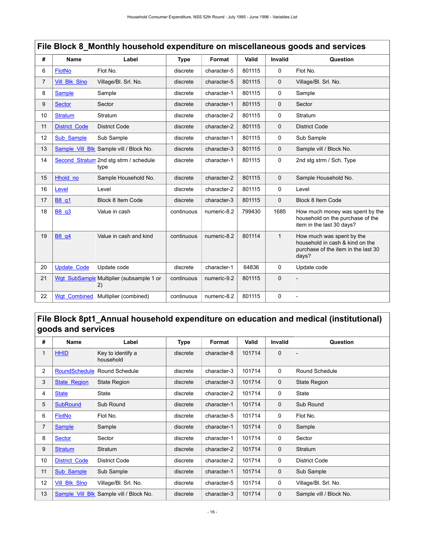|    | File Block 8_Monthly household expenditure on miscellaneous goods and services |                                                |             |             |        |                |                                                                                                              |  |  |  |  |
|----|--------------------------------------------------------------------------------|------------------------------------------------|-------------|-------------|--------|----------------|--------------------------------------------------------------------------------------------------------------|--|--|--|--|
| #  | <b>Name</b>                                                                    | Label                                          | <b>Type</b> | Format      | Valid  | <b>Invalid</b> | Question                                                                                                     |  |  |  |  |
| 6  | <b>FlotNo</b>                                                                  | Flot No.                                       | discrete    | character-5 | 801115 | 0              | Flot No.                                                                                                     |  |  |  |  |
| 7  | <b>Vill Blk Slno</b>                                                           | Village/Bl. Srl. No.                           | discrete    | character-5 | 801115 | $\mathbf 0$    | Village/Bl. Srl. No.                                                                                         |  |  |  |  |
| 8  | <b>Sample</b>                                                                  | Sample                                         | discrete    | character-1 | 801115 | $\Omega$       | Sample                                                                                                       |  |  |  |  |
| 9  | <b>Sector</b>                                                                  | Sector                                         | discrete    | character-1 | 801115 | $\mathbf 0$    | Sector                                                                                                       |  |  |  |  |
| 10 | <b>Stratum</b>                                                                 | Stratum                                        | discrete    | character-2 | 801115 | 0              | Stratum                                                                                                      |  |  |  |  |
| 11 | <b>District Code</b>                                                           | <b>District Code</b>                           | discrete    | character-2 | 801115 | $\mathbf 0$    | <b>District Code</b>                                                                                         |  |  |  |  |
| 12 | Sub Sample                                                                     | Sub Sample                                     | discrete    | character-1 | 801115 | 0              | Sub Sample                                                                                                   |  |  |  |  |
| 13 |                                                                                | Sample Vill Blk Sample vill / Block No.        | discrete    | character-3 | 801115 | $\Omega$       | Sample vill / Block No.                                                                                      |  |  |  |  |
| 14 |                                                                                | Second_Stratum 2nd stg strm / schedule<br>type | discrete    | character-1 | 801115 | 0              | 2nd stg strm / Sch. Type                                                                                     |  |  |  |  |
| 15 | Hhold no                                                                       | Sample Household No.                           | discrete    | character-2 | 801115 | $\mathbf 0$    | Sample Household No.                                                                                         |  |  |  |  |
| 16 | Level                                                                          | Level                                          | discrete    | character-2 | 801115 | 0              | Level                                                                                                        |  |  |  |  |
| 17 | B8 q1                                                                          | <b>Block 8 Item Code</b>                       | discrete    | character-3 | 801115 | $\mathbf 0$    | Block 8 Item Code                                                                                            |  |  |  |  |
| 18 | B8 q3                                                                          | Value in cash                                  | continuous  | numeric-8.2 | 799430 | 1685           | How much money was spent by the<br>household on the purchase of the<br>item in the last 30 days?             |  |  |  |  |
| 19 | B8 q4                                                                          | Value in cash and kind                         | continuous  | numeric-8.2 | 801114 | $\mathbf{1}$   | How much was spent by the<br>household in cash & kind on the<br>purchase of the item in the last 30<br>days? |  |  |  |  |
| 20 | <b>Update Code</b>                                                             | Update code                                    | discrete    | character-1 | 64836  | 0              | Update code                                                                                                  |  |  |  |  |
| 21 |                                                                                | Wgt SubSample Multiplier (subsample 1 or<br>2) | continuous  | numeric-9.2 | 801115 | $\mathbf 0$    |                                                                                                              |  |  |  |  |
| 22 | <b>Wgt Combined</b>                                                            | Multiplier (combined)                          | continuous  | numeric-8.2 | 801115 | 0              |                                                                                                              |  |  |  |  |

# <span id="page-19-0"></span>**File Block 8pt1\_Annual household expenditure on education and medical (institutional) goods and services**

| #  | Name                 | Label                          | Type     | Format      | Valid  | <b>Invalid</b> | Question                |
|----|----------------------|--------------------------------|----------|-------------|--------|----------------|-------------------------|
| 1  | <b>HHID</b>          | Key to identify a<br>household | discrete | character-8 | 101714 | $\mathbf 0$    |                         |
| 2  | RoundSchedule        | Round Schedule                 | discrete | character-3 | 101714 | 0              | Round Schedule          |
| 3  | <b>State Region</b>  | <b>State Region</b>            | discrete | character-3 | 101714 | $\mathbf 0$    | <b>State Region</b>     |
| 4  | <b>State</b>         | State                          | discrete | character-2 | 101714 | 0              | State                   |
| 5  | <b>SubRound</b>      | Sub Round                      | discrete | character-1 | 101714 | $\mathbf{0}$   | Sub Round               |
| 6  | <b>FlotNo</b>        | Flot No.                       | discrete | character-5 | 101714 | 0              | Flot No.                |
| 7  | <b>Sample</b>        | Sample                         | discrete | character-1 | 101714 | $\mathbf 0$    | Sample                  |
| 8  | <b>Sector</b>        | Sector                         | discrete | character-1 | 101714 | 0              | Sector                  |
| 9  | <b>Stratum</b>       | Stratum                        | discrete | character-2 | 101714 | $\mathbf 0$    | Stratum                 |
| 10 | <b>District Code</b> | <b>District Code</b>           | discrete | character-2 | 101714 | 0              | <b>District Code</b>    |
| 11 | <b>Sub Sample</b>    | Sub Sample                     | discrete | character-1 | 101714 | $\mathbf 0$    | Sub Sample              |
| 12 | <b>Vill Blk Sino</b> | Village/Bl. Srl. No.           | discrete | character-5 | 101714 | 0              | Village/Bl. Srl. No.    |
| 13 | Sample Vill Blk      | Sample vill / Block No.        | discrete | character-3 | 101714 | $\mathbf 0$    | Sample vill / Block No. |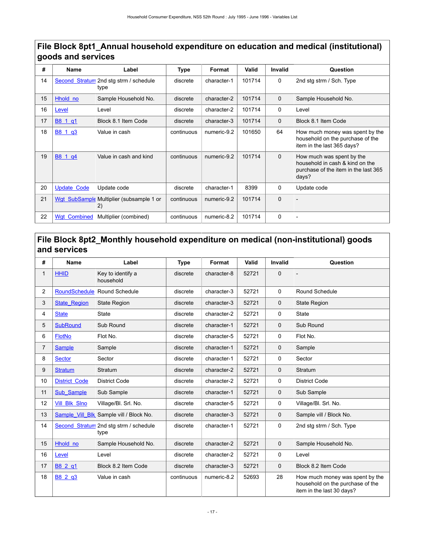# **File Block 8pt1\_Annual household expenditure on education and medical (institutional) goods and services**

| #  | Name                | Label                                          | Type       | Format      | Valid  | Invalid     | Question                                                                                                      |
|----|---------------------|------------------------------------------------|------------|-------------|--------|-------------|---------------------------------------------------------------------------------------------------------------|
| 14 |                     | Second Stratum 2nd stg strm / schedule<br>type | discrete   | character-1 | 101714 | 0           | 2nd stg strm / Sch. Type                                                                                      |
| 15 | Hhold no            | Sample Household No.                           | discrete   | character-2 | 101714 | $\mathbf 0$ | Sample Household No.                                                                                          |
| 16 | Level               | Level                                          | discrete   | character-2 | 101714 | $\mathbf 0$ | Level                                                                                                         |
| 17 | B8 1 q1             | Block 8.1 Item Code                            | discrete   | character-3 | 101714 | $\Omega$    | Block 8.1 Item Code                                                                                           |
| 18 | B8 1 g3             | Value in cash                                  | continuous | numeric-9.2 | 101650 | 64          | How much money was spent by the<br>household on the purchase of the<br>item in the last 365 days?             |
| 19 | B8 1 q4             | Value in cash and kind                         | continuous | numeric-9.2 | 101714 | $\mathbf 0$ | How much was spent by the<br>household in cash & kind on the<br>purchase of the item in the last 365<br>days? |
| 20 | <b>Update Code</b>  | Update code                                    | discrete   | character-1 | 8399   | 0           | Update code                                                                                                   |
| 21 |                     | Wgt SubSample Multiplier (subsample 1 or<br>2) | continuous | numeric-9.2 | 101714 | $\Omega$    |                                                                                                               |
| 22 | <b>Wat Combined</b> | Multiplier (combined)                          | continuous | numeric-8.2 | 101714 | 0           |                                                                                                               |

# <span id="page-20-0"></span>**File Block 8pt2\_Monthly household expenditure on medical (non-institutional) goods and services**

| #              | Name                 | Label                           | <b>Type</b> | Format      | Valid | <b>Invalid</b> | Question                                                                                         |
|----------------|----------------------|---------------------------------|-------------|-------------|-------|----------------|--------------------------------------------------------------------------------------------------|
| 1              | <b>HHID</b>          | Key to identify a<br>household  | discrete    | character-8 | 52721 | $\Omega$       |                                                                                                  |
| $\overline{2}$ | <b>RoundSchedule</b> | Round Schedule                  | discrete    | character-3 | 52721 | 0              | <b>Round Schedule</b>                                                                            |
| 3              | <b>State Region</b>  | <b>State Region</b>             | discrete    | character-3 | 52721 | $\Omega$       | <b>State Region</b>                                                                              |
| 4              | <b>State</b>         | <b>State</b>                    | discrete    | character-2 | 52721 | 0              | <b>State</b>                                                                                     |
| 5              | <b>SubRound</b>      | Sub Round                       | discrete    | character-1 | 52721 | $\mathbf 0$    | Sub Round                                                                                        |
| 6              | <b>FlotNo</b>        | Flot No.                        | discrete    | character-5 | 52721 | $\Omega$       | Flot No.                                                                                         |
| $\overline{7}$ | <b>Sample</b>        | Sample                          | discrete    | character-1 | 52721 | $\mathbf 0$    | Sample                                                                                           |
| 8              | <b>Sector</b>        | Sector                          | discrete    | character-1 | 52721 | 0              | Sector                                                                                           |
| 9              | <b>Stratum</b>       | Stratum                         | discrete    | character-2 | 52721 | $\mathbf 0$    | Stratum                                                                                          |
| 10             | <b>District Code</b> | <b>District Code</b>            | discrete    | character-2 | 52721 | 0              | <b>District Code</b>                                                                             |
| 11             | <b>Sub Sample</b>    | Sub Sample                      | discrete    | character-1 | 52721 | $\mathbf 0$    | Sub Sample                                                                                       |
| 12             | <b>Vill Blk Sino</b> | Village/Bl. Srl. No.            | discrete    | character-5 | 52721 | 0              | Village/Bl. Srl. No.                                                                             |
| 13             | Sample Vill Blk      | Sample vill / Block No.         | discrete    | character-3 | 52721 | $\mathbf 0$    | Sample vill / Block No.                                                                          |
| 14             | Second Stratum       | 2nd stg strm / schedule<br>type | discrete    | character-1 | 52721 | $\Omega$       | 2nd stg strm / Sch. Type                                                                         |
| 15             | Hhold no             | Sample Household No.            | discrete    | character-2 | 52721 | $\mathbf 0$    | Sample Household No.                                                                             |
| 16             | Level                | Level                           | discrete    | character-2 | 52721 | $\Omega$       | Level                                                                                            |
| 17             | B8 2 q1              | Block 8.2 Item Code             | discrete    | character-3 | 52721 | $\Omega$       | Block 8.2 Item Code                                                                              |
| 18             | B8 2 q3              | Value in cash                   | continuous  | numeric-8.2 | 52693 | 28             | How much money was spent by the<br>household on the purchase of the<br>item in the last 30 days? |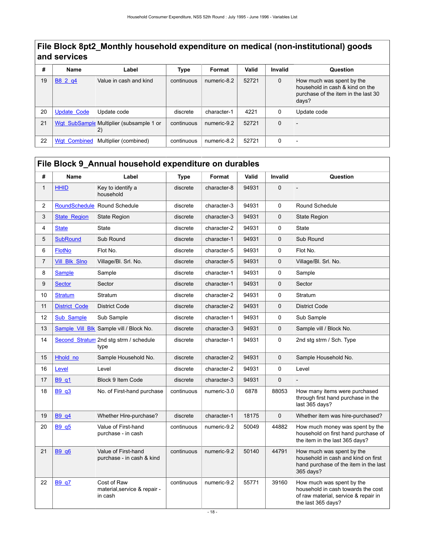# **File Block 8pt2\_Monthly household expenditure on medical (non-institutional) goods and services**

| #  | <b>Name</b>         | Label                                           | <b>Type</b> | Format      | Valid | <b>Invalid</b> | Question                                                                                                     |
|----|---------------------|-------------------------------------------------|-------------|-------------|-------|----------------|--------------------------------------------------------------------------------------------------------------|
| 19 | B8 2 g4             | Value in cash and kind                          | continuous  | numeric-8.2 | 52721 | $\mathbf 0$    | How much was spent by the<br>household in cash & kind on the<br>purchase of the item in the last 30<br>days? |
| 20 | <b>Update Code</b>  | Update code                                     | discrete    | character-1 | 4221  | 0              | Update code                                                                                                  |
| 21 |                     | Wgt SubSample Multiplier (subsample 1 or<br>(2) | continuous  | numeric-9.2 | 52721 | $\Omega$       |                                                                                                              |
| 22 | <b>Wat Combined</b> | Multiplier (combined)                           | continuous  | numeric-8.2 | 52721 | 0              |                                                                                                              |

# <span id="page-21-0"></span>**File Block 9\_Annual household expenditure on durables**

| #              | <b>Name</b>          | Label                                                  | <b>Type</b> | Format      | Valid | Invalid  | Question                                                                                                                      |
|----------------|----------------------|--------------------------------------------------------|-------------|-------------|-------|----------|-------------------------------------------------------------------------------------------------------------------------------|
| $\mathbf{1}$   | <b>HHID</b>          | Key to identify a<br>household                         | discrete    | character-8 | 94931 | 0        |                                                                                                                               |
| $\overline{c}$ | <b>RoundSchedule</b> | Round Schedule                                         | discrete    | character-3 | 94931 | 0        | Round Schedule                                                                                                                |
| 3              | <b>State Region</b>  | <b>State Region</b>                                    | discrete    | character-3 | 94931 | 0        | <b>State Region</b>                                                                                                           |
| 4              | <b>State</b>         | <b>State</b>                                           | discrete    | character-2 | 94931 | 0        | State                                                                                                                         |
| 5              | <b>SubRound</b>      | Sub Round                                              | discrete    | character-1 | 94931 | 0        | Sub Round                                                                                                                     |
| 6              | <b>FlotNo</b>        | Flot No.                                               | discrete    | character-5 | 94931 | 0        | Flot No.                                                                                                                      |
| $\overline{7}$ | <b>Vill Blk Sino</b> | Village/Bl. Srl. No.                                   | discrete    | character-5 | 94931 | 0        | Village/Bl. Srl. No.                                                                                                          |
| 8              | <b>Sample</b>        | Sample                                                 | discrete    | character-1 | 94931 | 0        | Sample                                                                                                                        |
| 9              | <b>Sector</b>        | Sector                                                 | discrete    | character-1 | 94931 | $\Omega$ | Sector                                                                                                                        |
| 10             | <b>Stratum</b>       | Stratum                                                | discrete    | character-2 | 94931 | 0        | Stratum                                                                                                                       |
| 11             | <b>District Code</b> | <b>District Code</b>                                   | discrete    | character-2 | 94931 | 0        | <b>District Code</b>                                                                                                          |
| 12             | <b>Sub Sample</b>    | Sub Sample                                             | discrete    | character-1 | 94931 | 0        | Sub Sample                                                                                                                    |
| 13             | Sample_Vill_Blk      | Sample vill / Block No.                                | discrete    | character-3 | 94931 | 0        | Sample vill / Block No.                                                                                                       |
| 14             |                      | Second Stratum 2nd stg strm / schedule<br>type         | discrete    | character-1 | 94931 | 0        | 2nd stg strm / Sch. Type                                                                                                      |
| 15             | Hhold no             | Sample Household No.                                   | discrete    | character-2 | 94931 | 0        | Sample Household No.                                                                                                          |
| 16             | Level                | Level                                                  | discrete    | character-2 | 94931 | 0        | Level                                                                                                                         |
| 17             | B9_q1                | Block 9 Item Code                                      | discrete    | character-3 | 94931 | 0        |                                                                                                                               |
| 18             | <b>B9 q3</b>         | No. of First-hand purchase                             | continuous  | numeric-3.0 | 6878  | 88053    | How many items were purchased<br>through first hand purchase in the<br>last 365 days?                                         |
| 19             | B9 q4                | Whether Hire-purchase?                                 | discrete    | character-1 | 18175 | 0        | Whether item was hire-purchased?                                                                                              |
| 20             | B9 q5                | Value of First-hand<br>purchase - in cash              | continuous  | numeric-9.2 | 50049 | 44882    | How much money was spent by the<br>household on first hand purchase of<br>the item in the last 365 days?                      |
| 21             | B9 q6                | Value of First-hand<br>purchase - in cash & kind       | continuous  | numeric-9.2 | 50140 | 44791    | How much was spent by the<br>household in cash and kind on first<br>hand purchase of the item in the last<br>365 days?        |
| 22             | <b>B9_q7</b>         | Cost of Raw<br>material, service & repair -<br>in cash | continuous  | numeric-9.2 | 55771 | 39160    | How much was spent by the<br>household in cash towards the cost<br>of raw material, service & repair in<br>the last 365 days? |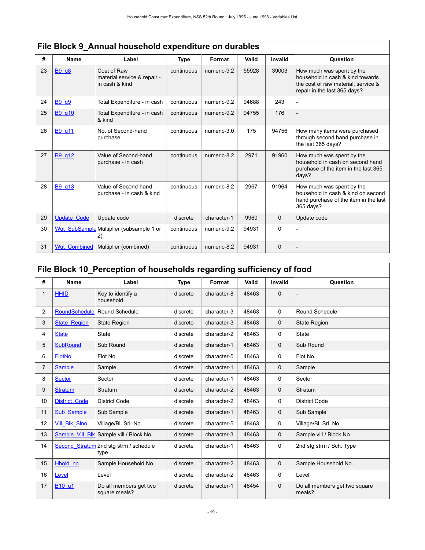|    | <u>.  Divon v Alliaal household capellanulo oli adrabics</u> |                                                               |             |             |       |          |                                                                                                                                      |  |  |  |  |
|----|--------------------------------------------------------------|---------------------------------------------------------------|-------------|-------------|-------|----------|--------------------------------------------------------------------------------------------------------------------------------------|--|--|--|--|
| #  | Name                                                         | Label                                                         | <b>Type</b> | Format      | Valid | Invalid  | Question                                                                                                                             |  |  |  |  |
| 23 | <b>B9 q8</b>                                                 | Cost of Raw<br>material, service & repair -<br>in cash & kind | continuous  | numeric-9.2 | 55928 | 39003    | How much was spent by the<br>household in cash & kind towards<br>the cost of raw material, service &<br>repair in the last 365 days? |  |  |  |  |
| 24 | B9 q9                                                        | Total Expenditure - in cash                                   | continuous  | numeric-9.2 | 94688 | 243      |                                                                                                                                      |  |  |  |  |
| 25 | B9_q10                                                       | Total Expenditure - in cash<br>& kind                         | continuous  | numeric-9.2 | 94755 | 176      |                                                                                                                                      |  |  |  |  |
| 26 | <b>B9 g11</b>                                                | No. of Second-hand<br>purchase                                | continuous  | numeric-3.0 | 175   | 94756    | How many items were purchased<br>through second hand purchase in<br>the last 365 days?                                               |  |  |  |  |
| 27 | B9 q12                                                       | Value of Second-hand<br>purchase - in cash                    | continuous  | numeric-8.2 | 2971  | 91960    | How much was spent by the<br>household in cash on second hand<br>purchase of the item in the last 365<br>days?                       |  |  |  |  |
| 28 | B9 q13                                                       | Value of Second-hand<br>purchase - in cash & kind             | continuous  | numeric-8.2 | 2967  | 91964    | How much was spent by the<br>household in cash & kind on second<br>hand purchase of the item in the last<br>365 days?                |  |  |  |  |
| 29 | <b>Update Code</b>                                           | Update code                                                   | discrete    | character-1 | 9960  | $\Omega$ | Update code                                                                                                                          |  |  |  |  |
| 30 | Wqt SubSample                                                | Multiplier (subsample 1 or<br>2)                              | continuous  | numeric-9.2 | 94931 | $\Omega$ |                                                                                                                                      |  |  |  |  |
| 31 | <b>Wat Combined</b>                                          | Multiplier (combined)                                         | continuous  | numeric-8.2 | 94931 | $\Omega$ |                                                                                                                                      |  |  |  |  |

# **File Block 9\_Annual household expenditure on durables**

# <span id="page-22-0"></span>**File Block 10\_Perception of households regarding sufficiency of food**

| #              | <b>Name</b>                    | Label                                          | <b>Type</b> | Format      | Valid | <b>Invalid</b> | Question                                |
|----------------|--------------------------------|------------------------------------------------|-------------|-------------|-------|----------------|-----------------------------------------|
| 1              | <b>HHID</b>                    | Key to identify a<br>household                 | discrete    | character-8 | 48463 | $\Omega$       | $\overline{\phantom{a}}$                |
| 2              | RoundSchedule                  | Round Schedule                                 | discrete    | character-3 | 48463 | $\Omega$       | Round Schedule                          |
| 3              | <b>State Region</b>            | <b>State Region</b>                            | discrete    | character-3 | 48463 | $\mathbf 0$    | <b>State Region</b>                     |
| 4              | <b>State</b>                   | <b>State</b>                                   | discrete    | character-2 | 48463 | 0              | <b>State</b>                            |
| 5              | <b>SubRound</b>                | Sub Round                                      | discrete    | character-1 | 48463 | $\Omega$       | Sub Round                               |
| 6              | <b>FlotNo</b>                  | Flot No.                                       | discrete    | character-5 | 48463 | 0              | Flot No.                                |
| $\overline{7}$ | <b>Sample</b>                  | Sample                                         | discrete    | character-1 | 48463 | $\mathbf 0$    | Sample                                  |
| 8              | <b>Sector</b>                  | Sector                                         | discrete    | character-1 | 48463 | 0              | Sector                                  |
| 9              | <b>Stratum</b>                 | Stratum                                        | discrete    | character-2 | 48463 | $\Omega$       | Stratum                                 |
| 10             | <b>District Code</b>           | District Code                                  | discrete    | character-2 | 48463 | 0              | District Code                           |
| 11             | Sub Sample                     | Sub Sample                                     | discrete    | character-1 | 48463 | $\mathbf 0$    | Sub Sample                              |
| 12             | <b>Vill Blk Slno</b>           | Village/Bl. Srl. No.                           | discrete    | character-5 | 48463 | 0              | Village/Bl. Srl. No.                    |
| 13             | Sample Vill Blk                | Sample vill / Block No.                        | discrete    | character-3 | 48463 | $\mathbf 0$    | Sample vill / Block No.                 |
| 14             |                                | Second Stratum 2nd stg strm / schedule<br>type | discrete    | character-1 | 48463 | 0              | 2nd stg strm / Sch. Type                |
| 15             | Hhold no                       | Sample Household No.                           | discrete    | character-2 | 48463 | $\mathbf 0$    | Sample Household No.                    |
| 16             | Level                          | Level                                          | discrete    | character-2 | 48463 | 0              | Level                                   |
| 17             | B <sub>10</sub> q <sub>1</sub> | Do all members get two<br>square meals?        | discrete    | character-1 | 48454 | $\Omega$       | Do all members get two square<br>meals? |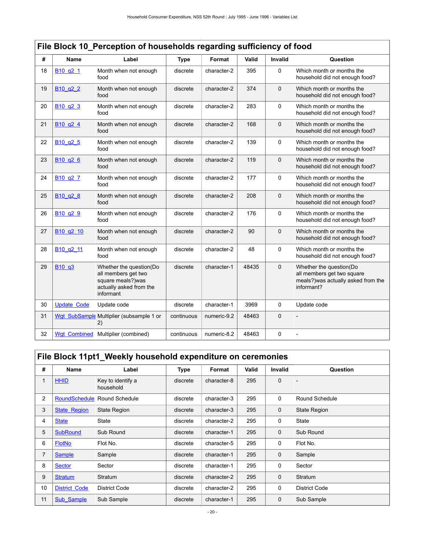| #  | Name                                         | Label                                                                                                       | <b>Type</b> | Format      | Valid | <b>Invalid</b> | Question                                                                                                   |
|----|----------------------------------------------|-------------------------------------------------------------------------------------------------------------|-------------|-------------|-------|----------------|------------------------------------------------------------------------------------------------------------|
| 18 | B <sub>10</sub> q <sub>2</sub> 1             | Month when not enough<br>food                                                                               | discrete    | character-2 | 395   | $\Omega$       | Which month or months the<br>household did not enough food?                                                |
| 19 | B <sub>10</sub> q <sub>2</sub> 2             | Month when not enough<br>food                                                                               | discrete    | character-2 | 374   | $\Omega$       | Which month or months the<br>household did not enough food?                                                |
| 20 | B <sub>10</sub> q <sub>2</sub> 3             | Month when not enough<br>food                                                                               | discrete    | character-2 | 283   | $\mathbf 0$    | Which month or months the<br>household did not enough food?                                                |
| 21 | B <sub>10</sub> q <sub>2</sub> 4             | Month when not enough<br>food                                                                               | discrete    | character-2 | 168   | $\Omega$       | Which month or months the<br>household did not enough food?                                                |
| 22 | B <sub>10</sub> q <sub>2</sub> 5             | Month when not enough<br>food                                                                               | discrete    | character-2 | 139   | $\Omega$       | Which month or months the<br>household did not enough food?                                                |
| 23 | B <sub>10</sub> q <sub>2</sub> 6             | Month when not enough<br>food                                                                               | discrete    | character-2 | 119   | $\mathbf 0$    | Which month or months the<br>household did not enough food?                                                |
| 24 | B <sub>10</sub> q <sub>2</sub> 7             | Month when not enough<br>food                                                                               | discrete    | character-2 | 177   | $\Omega$       | Which month or months the<br>household did not enough food?                                                |
| 25 | B <sub>10</sub> q <sub>2</sub> 8             | Month when not enough<br>food                                                                               | discrete    | character-2 | 208   | $\Omega$       | Which month or months the<br>household did not enough food?                                                |
| 26 | B <sub>10</sub> q <sub>2</sub> 9             | Month when not enough<br>food                                                                               | discrete    | character-2 | 176   | $\mathbf 0$    | Which month or months the<br>household did not enough food?                                                |
| 27 | B <sub>10</sub> q <sub>2</sub> 10            | Month when not enough<br>food                                                                               | discrete    | character-2 | 90    | $\Omega$       | Which month or months the<br>household did not enough food?                                                |
| 28 | B <sub>10</sub> q <sub>2</sub> <sub>11</sub> | Month when not enough<br>food                                                                               | discrete    | character-2 | 48    | $\Omega$       | Which month or months the<br>household did not enough food?                                                |
| 29 | B <sub>10</sub> q <sub>3</sub>               | Whether the question(Do<br>all members get two<br>square meals?)was<br>actually asked from the<br>informant | discrete    | character-1 | 48435 | $\mathbf 0$    | Whether the question(Do<br>all members get two square<br>meals?) was actually asked from the<br>informant? |
| 30 | <b>Update Code</b>                           | Update code                                                                                                 | discrete    | character-1 | 3969  | $\mathbf 0$    | Update code                                                                                                |
| 31 |                                              | Wgt_SubSample Multiplier (subsample 1 or<br>2)                                                              | continuous  | numeric-9.2 | 48463 | $\mathbf{0}$   |                                                                                                            |
| 32 | <b>Wgt Combined</b>                          | Multiplier (combined)                                                                                       | continuous  | numeric-8.2 | 48463 | 0              |                                                                                                            |

# **File Block 10\_Perception of households regarding sufficiency of food**

# <span id="page-23-0"></span>**File Block 11pt1\_Weekly household expenditure on ceremonies**

| #              | Name                 | Label                          | <b>Type</b> | Format      | Valid | <b>Invalid</b> | Question             |
|----------------|----------------------|--------------------------------|-------------|-------------|-------|----------------|----------------------|
| 1              | <b>HHID</b>          | Key to identify a<br>household | discrete    | character-8 | 295   | $\mathbf 0$    |                      |
| 2              | <b>RoundSchedule</b> | Round Schedule                 | discrete    | character-3 | 295   | $\mathbf 0$    | Round Schedule       |
| 3              | <b>State Region</b>  | State Region                   | discrete    | character-3 | 295   | $\mathbf 0$    | <b>State Region</b>  |
| 4              | <b>State</b>         | State                          | discrete    | character-2 | 295   | 0              | State                |
| 5              | <b>SubRound</b>      | Sub Round                      | discrete    | character-1 | 295   | $\mathbf 0$    | Sub Round            |
| 6              | <b>FlotNo</b>        | Flot No.                       | discrete    | character-5 | 295   | 0              | Flot No.             |
| $\overline{7}$ | <b>Sample</b>        | Sample                         | discrete    | character-1 | 295   | $\mathbf 0$    | Sample               |
| 8              | <b>Sector</b>        | Sector                         | discrete    | character-1 | 295   | 0              | Sector               |
| 9              | <b>Stratum</b>       | Stratum                        | discrete    | character-2 | 295   | $\mathbf 0$    | Stratum              |
| 10             | <b>District Code</b> | <b>District Code</b>           | discrete    | character-2 | 295   | $\mathbf 0$    | <b>District Code</b> |
| 11             | Sub Sample           | Sub Sample                     | discrete    | character-1 | 295   | $\mathbf 0$    | Sub Sample           |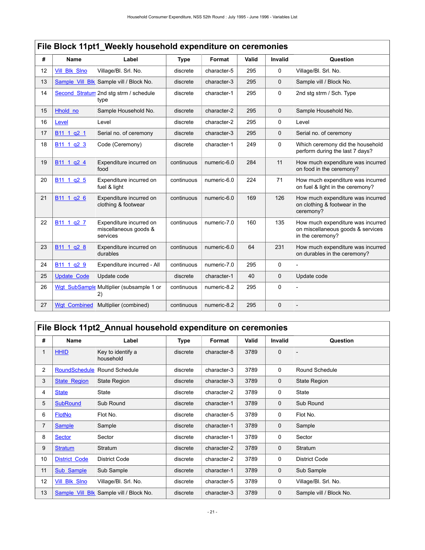|    | File Block 11pt1_Weekly household expenditure on ceremonies |                                                              |             |             |       |                |                                                                                            |  |  |  |  |
|----|-------------------------------------------------------------|--------------------------------------------------------------|-------------|-------------|-------|----------------|--------------------------------------------------------------------------------------------|--|--|--|--|
| #  | <b>Name</b>                                                 | Label                                                        | <b>Type</b> | Format      | Valid | <b>Invalid</b> | Question                                                                                   |  |  |  |  |
| 12 | <b>Vill Blk Slno</b>                                        | Village/Bl. Srl. No.                                         | discrete    | character-5 | 295   | $\mathbf 0$    | Village/Bl. Srl. No.                                                                       |  |  |  |  |
| 13 | Sample Vill Blk                                             | Sample vill / Block No.                                      | discrete    | character-3 | 295   | $\mathbf 0$    | Sample vill / Block No.                                                                    |  |  |  |  |
| 14 |                                                             | Second Stratum 2nd stg strm / schedule<br>type               | discrete    | character-1 | 295   | $\mathbf 0$    | 2nd stg strm / Sch. Type                                                                   |  |  |  |  |
| 15 | Hhold no                                                    | Sample Household No.                                         | discrete    | character-2 | 295   | $\mathbf 0$    | Sample Household No.                                                                       |  |  |  |  |
| 16 | Level                                                       | Level                                                        | discrete    | character-2 | 295   | $\mathbf 0$    | Level                                                                                      |  |  |  |  |
| 17 | B <sub>11</sub> 1 q <sub>2</sub> 1                          | Serial no. of ceremony                                       | discrete    | character-3 | 295   | $\mathbf 0$    | Serial no. of ceremony                                                                     |  |  |  |  |
| 18 | B <sub>11</sub> 1 q <sub>2</sub> 3                          | Code (Ceremony)                                              | discrete    | character-1 | 249   | $\mathbf 0$    | Which ceremony did the household<br>perform during the last 7 days?                        |  |  |  |  |
| 19 | B <sub>11</sub> 1 q <sub>2</sub> 4                          | Expenditure incurred on<br>food                              | continuous  | numeric-6.0 | 284   | 11             | How much expenditure was incurred<br>on food in the ceremony?                              |  |  |  |  |
| 20 | B <sub>11</sub> 1 q <sub>2</sub> 5                          | Expenditure incurred on<br>fuel & light                      | continuous  | numeric-6.0 | 224   | 71             | How much expenditure was incurred<br>on fuel & light in the ceremony?                      |  |  |  |  |
| 21 | B <sub>11</sub> 1 q <sub>2</sub> 6                          | Expenditure incurred on<br>clothing & footwear               | continuous  | numeric-6.0 | 169   | 126            | How much expenditure was incurred<br>on clothing & footwear in the<br>ceremony?            |  |  |  |  |
| 22 | B <sub>11</sub> 1 q <sub>2</sub> 7                          | Expenditure incurred on<br>miscellaneous goods &<br>services | continuous  | numeric-7.0 | 160   | 135            | How much expenditure was incurred<br>on miscellaneous goods & services<br>in the ceremony? |  |  |  |  |
| 23 | B <sub>11</sub> 1 q <sub>2</sub> 8                          | Expenditure incurred on<br>durables                          | continuous  | numeric-6.0 | 64    | 231            | How much expenditure was incurred<br>on durables in the ceremony?                          |  |  |  |  |
| 24 | B <sub>11</sub> 1 q <sub>2</sub> 9                          | Expenditure incurred - All                                   | continuous  | numeric-7.0 | 295   | 0              |                                                                                            |  |  |  |  |
| 25 | <b>Update Code</b>                                          | Update code                                                  | discrete    | character-1 | 40    | $\mathbf 0$    | Update code                                                                                |  |  |  |  |
| 26 | <b>Wgt SubSample</b>                                        | Multiplier (subsample 1 or<br>2)                             | continuous  | numeric-8.2 | 295   | $\mathbf 0$    |                                                                                            |  |  |  |  |
| 27 | <b>Wgt Combined</b>                                         | Multiplier (combined)                                        | continuous  | numeric-8.2 | 295   | $\mathbf 0$    |                                                                                            |  |  |  |  |

# <span id="page-24-0"></span>**File Block 11pt2\_Annual household expenditure on ceremonies**

| #            | Name                 | Label                          | Type     | Format      | Valid | <b>Invalid</b> | Question                |
|--------------|----------------------|--------------------------------|----------|-------------|-------|----------------|-------------------------|
| $\mathbf{1}$ | <b>HHID</b>          | Key to identify a<br>household | discrete | character-8 | 3789  | $\mathbf 0$    |                         |
| 2            | <b>RoundSchedule</b> | Round Schedule                 | discrete | character-3 | 3789  | 0              | Round Schedule          |
| 3            | <b>State Region</b>  | State Region                   | discrete | character-3 | 3789  | $\mathbf 0$    | <b>State Region</b>     |
| 4            | <b>State</b>         | State                          | discrete | character-2 | 3789  | 0              | <b>State</b>            |
| 5            | <b>SubRound</b>      | Sub Round                      | discrete | character-1 | 3789  | $\mathbf 0$    | Sub Round               |
| 6            | <b>FlotNo</b>        | Flot No.                       | discrete | character-5 | 3789  | 0              | Flot No.                |
| 7            | <b>Sample</b>        | Sample                         | discrete | character-1 | 3789  | 0              | Sample                  |
| 8            | <b>Sector</b>        | Sector                         | discrete | character-1 | 3789  | 0              | Sector                  |
| 9            | <b>Stratum</b>       | Stratum                        | discrete | character-2 | 3789  | $\mathbf 0$    | Stratum                 |
| 10           | <b>District Code</b> | <b>District Code</b>           | discrete | character-2 | 3789  | 0              | <b>District Code</b>    |
| 11           | Sub Sample           | Sub Sample                     | discrete | character-1 | 3789  | $\mathbf 0$    | Sub Sample              |
| 12           | <b>Vill Blk Slno</b> | Village/Bl. Srl. No.           | discrete | character-5 | 3789  | 0              | Village/Bl. Srl. No.    |
| 13           | Sample Vill Blk      | Sample vill / Block No.        | discrete | character-3 | 3789  | 0              | Sample vill / Block No. |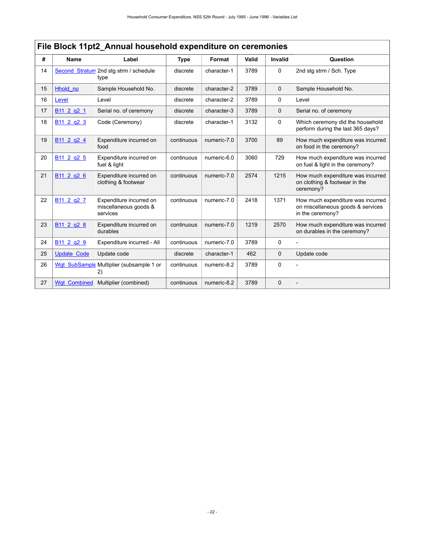|    | File Block 11pt2_Annual household expenditure on ceremonies |                                                              |             |             |       |                |                                                                                            |  |  |  |  |
|----|-------------------------------------------------------------|--------------------------------------------------------------|-------------|-------------|-------|----------------|--------------------------------------------------------------------------------------------|--|--|--|--|
| #  | <b>Name</b>                                                 | Label                                                        | <b>Type</b> | Format      | Valid | <b>Invalid</b> | Question                                                                                   |  |  |  |  |
| 14 |                                                             | Second Stratum 2nd stg strm / schedule<br>type               | discrete    | character-1 | 3789  | 0              | 2nd stg strm / Sch. Type                                                                   |  |  |  |  |
| 15 | Hhold no                                                    | Sample Household No.                                         | discrete    | character-2 | 3789  | $\mathbf 0$    | Sample Household No.                                                                       |  |  |  |  |
| 16 | Level                                                       | Level                                                        | discrete    | character-2 | 3789  | 0              | Level                                                                                      |  |  |  |  |
| 17 | B <sub>11</sub> 2 q <sub>2</sub> 1                          | Serial no. of ceremony                                       | discrete    | character-3 | 3789  | $\mathbf 0$    | Serial no. of ceremony                                                                     |  |  |  |  |
| 18 | B <sub>11</sub> 2 q <sub>2</sub> 3                          | Code (Ceremony)                                              | discrete    | character-1 | 3132  | $\Omega$       | Which ceremony did the household<br>perform during the last 365 days?                      |  |  |  |  |
| 19 | B <sub>11</sub> 2 q <sub>2</sub> 4                          | Expenditure incurred on<br>food                              | continuous  | numeric-7.0 | 3700  | 89             | How much expenditure was incurred<br>on food in the ceremony?                              |  |  |  |  |
| 20 | B <sub>11</sub> 2 q <sub>2</sub> 5                          | Expenditure incurred on<br>fuel & light                      | continuous  | numeric-6.0 | 3060  | 729            | How much expenditure was incurred<br>on fuel & light in the ceremony?                      |  |  |  |  |
| 21 | B <sub>11</sub> 2 q <sub>2</sub> 6                          | Expenditure incurred on<br>clothing & footwear               | continuous  | numeric-7.0 | 2574  | 1215           | How much expenditure was incurred<br>on clothing & footwear in the<br>ceremony?            |  |  |  |  |
| 22 | B <sub>11</sub> 2 q <sub>2</sub> 7                          | Expenditure incurred on<br>miscellaneous goods &<br>services | continuous  | numeric-7.0 | 2418  | 1371           | How much expenditure was incurred<br>on miscellaneous goods & services<br>in the ceremony? |  |  |  |  |
| 23 | B <sub>11</sub> 2 q <sub>2</sub> 8                          | Expenditure incurred on<br>durables                          | continuous  | numeric-7.0 | 1219  | 2570           | How much expenditure was incurred<br>on durables in the ceremony?                          |  |  |  |  |
| 24 | B <sub>11</sub> 2 q <sub>2</sub> 9                          | Expenditure incurred - All                                   | continuous  | numeric-7.0 | 3789  | $\Omega$       |                                                                                            |  |  |  |  |
| 25 | <b>Update Code</b>                                          | Update code                                                  | discrete    | character-1 | 462   | $\mathbf 0$    | Update code                                                                                |  |  |  |  |
| 26 |                                                             | Wgt SubSample Multiplier (subsample 1 or<br>2)               | continuous  | numeric-8.2 | 3789  | 0              |                                                                                            |  |  |  |  |
| 27 | <b>Wgt Combined</b>                                         | Multiplier (combined)                                        | continuous  | numeric-8.2 | 3789  | $\mathbf 0$    |                                                                                            |  |  |  |  |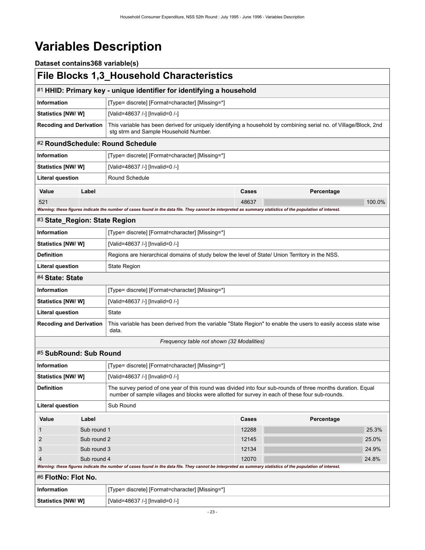# <span id="page-26-0"></span>**Variables Description**

**Dataset contains368 variable(s)**

<span id="page-26-7"></span><span id="page-26-6"></span><span id="page-26-5"></span><span id="page-26-4"></span><span id="page-26-3"></span><span id="page-26-2"></span><span id="page-26-1"></span>

|                                |             | <b>File Blocks 1,3_Household Characteristics</b>                                                                                                                                                                |       |            |        |  |  |  |  |
|--------------------------------|-------------|-----------------------------------------------------------------------------------------------------------------------------------------------------------------------------------------------------------------|-------|------------|--------|--|--|--|--|
|                                |             | #1 HHID: Primary key - unique identifier for identifying a household                                                                                                                                            |       |            |        |  |  |  |  |
| <b>Information</b>             |             | [Type= discrete] [Format=character] [Missing=*]                                                                                                                                                                 |       |            |        |  |  |  |  |
| <b>Statistics [NW/W]</b>       |             | [Valid=48637 /-] [Invalid=0 /-]                                                                                                                                                                                 |       |            |        |  |  |  |  |
| <b>Recoding and Derivation</b> |             | This variable has been derived for uniquely identifying a household by combining serial no. of Village/Block, 2nd<br>stg strm and Sample Household Number.                                                      |       |            |        |  |  |  |  |
|                                |             | #2 RoundSchedule: Round Schedule                                                                                                                                                                                |       |            |        |  |  |  |  |
| <b>Information</b>             |             | [Type= discrete] [Format=character] [Missing=*]                                                                                                                                                                 |       |            |        |  |  |  |  |
| Statistics [NW/W]              |             | [Valid=48637 /-] [Invalid=0 /-]                                                                                                                                                                                 |       |            |        |  |  |  |  |
| Literal question               |             | Round Schedule                                                                                                                                                                                                  |       |            |        |  |  |  |  |
| Value                          | Label       |                                                                                                                                                                                                                 | Cases | Percentage |        |  |  |  |  |
| 521                            |             |                                                                                                                                                                                                                 | 48637 |            | 100.0% |  |  |  |  |
|                                |             | Warning: these figures indicate the number of cases found in the data file. They cannot be interpreted as summary statistics of the population of interest.                                                     |       |            |        |  |  |  |  |
| #3 State_Region: State Region  |             |                                                                                                                                                                                                                 |       |            |        |  |  |  |  |
| <b>Information</b>             |             | [Type= discrete] [Format=character] [Missing=*]                                                                                                                                                                 |       |            |        |  |  |  |  |
| <b>Statistics [NW/W]</b>       |             | [Valid=48637 /-] [Invalid=0 /-]                                                                                                                                                                                 |       |            |        |  |  |  |  |
| <b>Definition</b>              |             | Regions are hierarchical domains of study below the level of State/ Union Territory in the NSS.                                                                                                                 |       |            |        |  |  |  |  |
| <b>Literal question</b>        |             | <b>State Region</b>                                                                                                                                                                                             |       |            |        |  |  |  |  |
| #4 State: State                |             |                                                                                                                                                                                                                 |       |            |        |  |  |  |  |
| <b>Information</b>             |             | [Type= discrete] [Format=character] [Missing=*]                                                                                                                                                                 |       |            |        |  |  |  |  |
| <b>Statistics [NW/W]</b>       |             | [Valid=48637 /-] [Invalid=0 /-]                                                                                                                                                                                 |       |            |        |  |  |  |  |
| <b>Literal question</b>        |             | State                                                                                                                                                                                                           |       |            |        |  |  |  |  |
| <b>Recoding and Derivation</b> |             | This variable has been derived from the variable "State Region" to enable the users to easily access state wise<br>data.                                                                                        |       |            |        |  |  |  |  |
|                                |             | Frequency table not shown (32 Modalities)                                                                                                                                                                       |       |            |        |  |  |  |  |
| #5 SubRound: Sub Round         |             |                                                                                                                                                                                                                 |       |            |        |  |  |  |  |
| <b>Information</b>             |             | [Type= discrete] [Format=character] [Missing=*]                                                                                                                                                                 |       |            |        |  |  |  |  |
| Statistics [NW/ W]             |             | [Valid=48637 /-] [Invalid=0 /-]                                                                                                                                                                                 |       |            |        |  |  |  |  |
| <b>Definition</b>              |             | The survey period of one year of this round was divided into four sub-rounds of three months duration. Equal<br>number of sample villages and blocks were allotted for survey in each of these four sub-rounds. |       |            |        |  |  |  |  |
| Literal question               |             | Sub Round                                                                                                                                                                                                       |       |            |        |  |  |  |  |
| Value                          | Label       |                                                                                                                                                                                                                 | Cases | Percentage |        |  |  |  |  |
| $\mathbf{1}$                   | Sub round 1 |                                                                                                                                                                                                                 | 12288 |            | 25.3%  |  |  |  |  |
| $\overline{2}$                 | Sub round 2 |                                                                                                                                                                                                                 | 12145 |            | 25.0%  |  |  |  |  |
| 3                              | Sub round 3 |                                                                                                                                                                                                                 | 12134 |            | 24.9%  |  |  |  |  |
| $\overline{4}$                 | Sub round 4 |                                                                                                                                                                                                                 | 12070 |            | 24.8%  |  |  |  |  |
|                                |             | Warning: these figures indicate the number of cases found in the data file. They cannot be interpreted as summary statistics of the population of interest.                                                     |       |            |        |  |  |  |  |
| #6 FlotNo: Flot No.            |             |                                                                                                                                                                                                                 |       |            |        |  |  |  |  |
| <b>Information</b>             |             | [Type= discrete] [Format=character] [Missing=*]                                                                                                                                                                 |       |            |        |  |  |  |  |
| Statistics [NW/W]              |             | [Valid=48637 /-] [Invalid=0 /-]                                                                                                                                                                                 |       |            |        |  |  |  |  |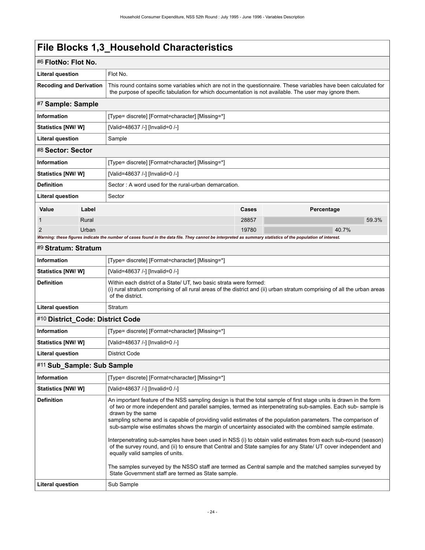<span id="page-27-4"></span><span id="page-27-3"></span><span id="page-27-2"></span><span id="page-27-1"></span><span id="page-27-0"></span>

| #6 FlotNo: Flot No.              |       |                                                                                                                                                                                                                                                                                                                                                                                                                                                                                                                                                                                                                                                                                                                                                                                                                                                                                                                         |       |            |       |
|----------------------------------|-------|-------------------------------------------------------------------------------------------------------------------------------------------------------------------------------------------------------------------------------------------------------------------------------------------------------------------------------------------------------------------------------------------------------------------------------------------------------------------------------------------------------------------------------------------------------------------------------------------------------------------------------------------------------------------------------------------------------------------------------------------------------------------------------------------------------------------------------------------------------------------------------------------------------------------------|-------|------------|-------|
| <b>Literal question</b>          |       | Flot No.                                                                                                                                                                                                                                                                                                                                                                                                                                                                                                                                                                                                                                                                                                                                                                                                                                                                                                                |       |            |       |
| <b>Recoding and Derivation</b>   |       | This round contains some variables which are not in the questionnaire. These variables have been calculated for<br>the purpose of specific tabulation for which documentation is not available. The user may ignore them.                                                                                                                                                                                                                                                                                                                                                                                                                                                                                                                                                                                                                                                                                               |       |            |       |
| #7 Sample: Sample                |       |                                                                                                                                                                                                                                                                                                                                                                                                                                                                                                                                                                                                                                                                                                                                                                                                                                                                                                                         |       |            |       |
| <b>Information</b>               |       | [Type= discrete] [Format=character] [Missing=*]                                                                                                                                                                                                                                                                                                                                                                                                                                                                                                                                                                                                                                                                                                                                                                                                                                                                         |       |            |       |
| Statistics [NW/W]                |       | [Valid=48637 /-] [Invalid=0 /-]                                                                                                                                                                                                                                                                                                                                                                                                                                                                                                                                                                                                                                                                                                                                                                                                                                                                                         |       |            |       |
| <b>Literal question</b>          |       | Sample                                                                                                                                                                                                                                                                                                                                                                                                                                                                                                                                                                                                                                                                                                                                                                                                                                                                                                                  |       |            |       |
| #8 Sector: Sector                |       |                                                                                                                                                                                                                                                                                                                                                                                                                                                                                                                                                                                                                                                                                                                                                                                                                                                                                                                         |       |            |       |
| Information                      |       | [Type= discrete] [Format=character] [Missing=*]                                                                                                                                                                                                                                                                                                                                                                                                                                                                                                                                                                                                                                                                                                                                                                                                                                                                         |       |            |       |
| Statistics [NW/W]                |       | [Valid=48637 /-] [Invalid=0 /-]                                                                                                                                                                                                                                                                                                                                                                                                                                                                                                                                                                                                                                                                                                                                                                                                                                                                                         |       |            |       |
| <b>Definition</b>                |       | Sector: A word used for the rural-urban demarcation.                                                                                                                                                                                                                                                                                                                                                                                                                                                                                                                                                                                                                                                                                                                                                                                                                                                                    |       |            |       |
| Literal question                 |       | Sector                                                                                                                                                                                                                                                                                                                                                                                                                                                                                                                                                                                                                                                                                                                                                                                                                                                                                                                  |       |            |       |
| Value                            | Label |                                                                                                                                                                                                                                                                                                                                                                                                                                                                                                                                                                                                                                                                                                                                                                                                                                                                                                                         | Cases | Percentage |       |
| 1                                | Rural |                                                                                                                                                                                                                                                                                                                                                                                                                                                                                                                                                                                                                                                                                                                                                                                                                                                                                                                         | 28857 |            | 59.3% |
| 2                                | Urban |                                                                                                                                                                                                                                                                                                                                                                                                                                                                                                                                                                                                                                                                                                                                                                                                                                                                                                                         | 19780 |            | 40.7% |
|                                  |       | Warning: these figures indicate the number of cases found in the data file. They cannot be interpreted as summary statistics of the population of interest.                                                                                                                                                                                                                                                                                                                                                                                                                                                                                                                                                                                                                                                                                                                                                             |       |            |       |
| #9 Stratum: Stratum              |       |                                                                                                                                                                                                                                                                                                                                                                                                                                                                                                                                                                                                                                                                                                                                                                                                                                                                                                                         |       |            |       |
| Information                      |       | [Type= discrete] [Format=character] [Missing=*]                                                                                                                                                                                                                                                                                                                                                                                                                                                                                                                                                                                                                                                                                                                                                                                                                                                                         |       |            |       |
| Statistics [NW/W]                |       | [Valid=48637 /-] [Invalid=0 /-]                                                                                                                                                                                                                                                                                                                                                                                                                                                                                                                                                                                                                                                                                                                                                                                                                                                                                         |       |            |       |
| <b>Definition</b>                |       | Within each district of a State/ UT, two basic strata were formed:<br>(i) rural stratum comprising of all rural areas of the district and (ii) urban stratum comprising of all the urban areas<br>of the district.                                                                                                                                                                                                                                                                                                                                                                                                                                                                                                                                                                                                                                                                                                      |       |            |       |
| Literal question                 |       | Stratum                                                                                                                                                                                                                                                                                                                                                                                                                                                                                                                                                                                                                                                                                                                                                                                                                                                                                                                 |       |            |       |
| #10 District_Code: District Code |       |                                                                                                                                                                                                                                                                                                                                                                                                                                                                                                                                                                                                                                                                                                                                                                                                                                                                                                                         |       |            |       |
| <b>Information</b>               |       | [Type= discrete] [Format=character] [Missing=*]                                                                                                                                                                                                                                                                                                                                                                                                                                                                                                                                                                                                                                                                                                                                                                                                                                                                         |       |            |       |
| <b>Statistics [NW/W]</b>         |       | [Valid=48637 /-] [Invalid=0 /-]                                                                                                                                                                                                                                                                                                                                                                                                                                                                                                                                                                                                                                                                                                                                                                                                                                                                                         |       |            |       |
| <b>Literal question</b>          |       | <b>District Code</b>                                                                                                                                                                                                                                                                                                                                                                                                                                                                                                                                                                                                                                                                                                                                                                                                                                                                                                    |       |            |       |
| #11 Sub_Sample: Sub Sample       |       |                                                                                                                                                                                                                                                                                                                                                                                                                                                                                                                                                                                                                                                                                                                                                                                                                                                                                                                         |       |            |       |
| Information                      |       | [Type= discrete] [Format=character] [Missing=*]                                                                                                                                                                                                                                                                                                                                                                                                                                                                                                                                                                                                                                                                                                                                                                                                                                                                         |       |            |       |
| <b>Statistics [NW/W]</b>         |       | [Valid=48637 /-] [Invalid=0 /-]                                                                                                                                                                                                                                                                                                                                                                                                                                                                                                                                                                                                                                                                                                                                                                                                                                                                                         |       |            |       |
| <b>Definition</b>                |       | An important feature of the NSS sampling design is that the total sample of first stage units is drawn in the form<br>of two or more independent and parallel samples, termed as interpenetrating sub-samples. Each sub-sample is<br>drawn by the same<br>sampling scheme and is capable of providing valid estimates of the population parameters. The comparison of<br>sub-sample wise estimates shows the margin of uncertainty associated with the combined sample estimate.<br>Interpenetrating sub-samples have been used in NSS (i) to obtain valid estimates from each sub-round (season)<br>of the survey round, and (ii) to ensure that Central and State samples for any State/ UT cover independent and<br>equally valid samples of units.<br>The samples surveyed by the NSSO staff are termed as Central sample and the matched samples surveyed by<br>State Government staff are termed as State sample. |       |            |       |
| <b>Literal question</b>          |       | Sub Sample                                                                                                                                                                                                                                                                                                                                                                                                                                                                                                                                                                                                                                                                                                                                                                                                                                                                                                              |       |            |       |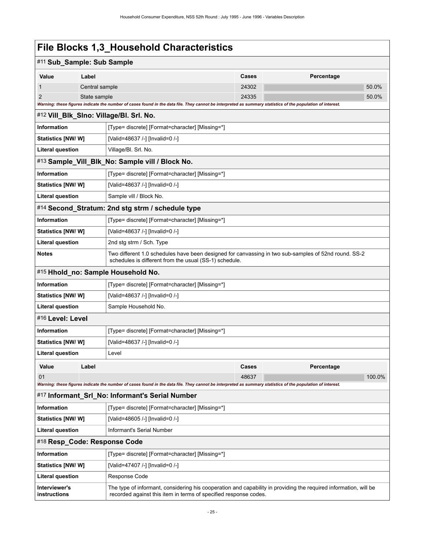<span id="page-28-6"></span><span id="page-28-5"></span><span id="page-28-4"></span><span id="page-28-3"></span><span id="page-28-2"></span><span id="page-28-1"></span><span id="page-28-0"></span>

| #11 Sub_Sample: Sub Sample    |                                                      |                                                                                                                                                                                      |                |            |                |
|-------------------------------|------------------------------------------------------|--------------------------------------------------------------------------------------------------------------------------------------------------------------------------------------|----------------|------------|----------------|
| Value                         | Label                                                |                                                                                                                                                                                      | <b>Cases</b>   | Percentage |                |
| 1<br>Central sample           |                                                      |                                                                                                                                                                                      | 24302<br>24335 |            | 50.0%<br>50.0% |
| $\overline{2}$                | State sample                                         | Warning: these figures indicate the number of cases found in the data file. They cannot be interpreted as summary statistics of the population of interest.                          |                |            |                |
|                               |                                                      | #12 Vill_Blk_SIno: Village/Bl. Srl. No.                                                                                                                                              |                |            |                |
| <b>Information</b>            |                                                      | [Type= discrete] [Format=character] [Missing=*]                                                                                                                                      |                |            |                |
| <b>Statistics [NW/ W]</b>     |                                                      | [Valid=48637 /-] [Invalid=0 /-]                                                                                                                                                      |                |            |                |
| <b>Literal question</b>       |                                                      | Village/Bl. Srl. No.                                                                                                                                                                 |                |            |                |
|                               |                                                      | #13 Sample_Vill_Blk_No: Sample vill / Block No.                                                                                                                                      |                |            |                |
| Information                   |                                                      | [Type= discrete] [Format=character] [Missing=*]                                                                                                                                      |                |            |                |
| Statistics [NW/ W]            |                                                      | [Valid=48637 /-] [Invalid=0 /-]                                                                                                                                                      |                |            |                |
| <b>Literal question</b>       |                                                      | Sample vill / Block No.                                                                                                                                                              |                |            |                |
|                               |                                                      | #14 Second_Stratum: 2nd stg strm / schedule type                                                                                                                                     |                |            |                |
| Information                   |                                                      | [Type= discrete] [Format=character] [Missing=*]                                                                                                                                      |                |            |                |
| <b>Statistics [NW/ W]</b>     |                                                      | [Valid=48637 /-] [Invalid=0 /-]                                                                                                                                                      |                |            |                |
| <b>Literal question</b>       |                                                      | 2nd stg strm / Sch. Type                                                                                                                                                             |                |            |                |
| <b>Notes</b>                  |                                                      | Two different 1.0 schedules have been designed for canvassing in two sub-samples of 52nd round. SS-2<br>schedules is different from the usual (SS-1) schedule.                       |                |            |                |
|                               | #15 Hhold_no: Sample Household No.                   |                                                                                                                                                                                      |                |            |                |
| Information                   |                                                      | [Type= discrete] [Format=character] [Missing=*]                                                                                                                                      |                |            |                |
| <b>Statistics [NW/ W]</b>     |                                                      | [Valid=48637 /-] [Invalid=0 /-]                                                                                                                                                      |                |            |                |
| <b>Literal question</b>       |                                                      | Sample Household No.                                                                                                                                                                 |                |            |                |
| #16 Level: Level              |                                                      |                                                                                                                                                                                      |                |            |                |
| Information                   |                                                      | [Type= discrete] [Format=character] [Missing=*]                                                                                                                                      |                |            |                |
| <b>Statistics [NW/ W]</b>     |                                                      | [Valid=48637 /-] [Invalid=0 /-]                                                                                                                                                      |                |            |                |
| <b>Literal question</b>       |                                                      | Level                                                                                                                                                                                |                |            |                |
| Value                         | Label                                                |                                                                                                                                                                                      | <b>Cases</b>   | Percentage |                |
| 01                            |                                                      |                                                                                                                                                                                      | 48637          |            | 100.0%         |
|                               |                                                      | Warning: these figures indicate the number of cases found in the data file. They cannot be interpreted as summary statistics of the population of interest.                          |                |            |                |
|                               |                                                      | #17 Informant Srl No: Informant's Serial Number                                                                                                                                      |                |            |                |
| <b>Information</b>            |                                                      | [Type= discrete] [Format=character] [Missing=*]                                                                                                                                      |                |            |                |
| <b>Statistics [NW/W]</b>      |                                                      | [Valid=48605 /-] [Invalid=0 /-]                                                                                                                                                      |                |            |                |
|                               | Informant's Serial Number<br><b>Literal question</b> |                                                                                                                                                                                      |                |            |                |
| #18 Resp_Code: Response Code  |                                                      |                                                                                                                                                                                      |                |            |                |
| Information                   |                                                      | [Type= discrete] [Format=character] [Missing=*]                                                                                                                                      |                |            |                |
| <b>Statistics [NW/ W]</b>     |                                                      | [Valid=47407 /-] [Invalid=0 /-]                                                                                                                                                      |                |            |                |
| Literal question              |                                                      | Response Code                                                                                                                                                                        |                |            |                |
| Interviewer's<br>instructions |                                                      | The type of informant, considering his cooperation and capability in providing the required information, will be<br>recorded against this item in terms of specified response codes. |                |            |                |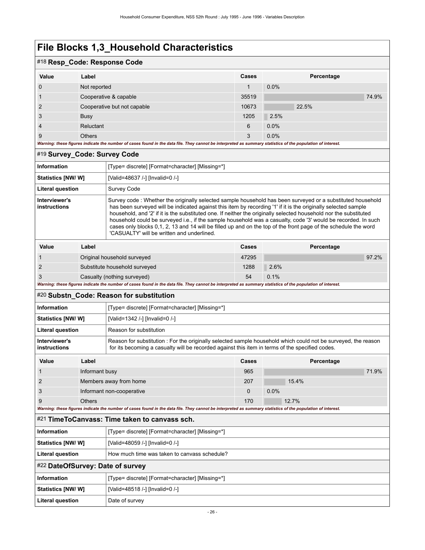# #18 **Resp\_Code: Response Code**

| . –            |                             |       |            |
|----------------|-----------------------------|-------|------------|
| Value          | Label                       | Cases | Percentage |
| $\mathbf 0$    | Not reported                |       | $0.0\%$    |
|                | Cooperative & capable       | 35519 | 74.9%      |
| 2              | Cooperative but not capable | 10673 | 22.5%      |
| 3              | <b>Busy</b>                 | 1205  | 2.5%       |
| $\overline{4}$ | Reluctant                   | 6     | 0.0%       |
| 9              | <b>Others</b>               | 3     | 0.0%       |

*Warning: these figures indicate the number of cases found in the data file. They cannot be interpreted as summary statistics of the population of interest.*

### <span id="page-29-0"></span>#19 **Survey\_Code: Survey Code**

| <b>Information</b>            |                             | [Type= discrete] [Format=character] [Missing=*]                                                                                                                                                                                                                                                                                                                                                                                                                                                                                                                                                                                    |       |            |       |
|-------------------------------|-----------------------------|------------------------------------------------------------------------------------------------------------------------------------------------------------------------------------------------------------------------------------------------------------------------------------------------------------------------------------------------------------------------------------------------------------------------------------------------------------------------------------------------------------------------------------------------------------------------------------------------------------------------------------|-------|------------|-------|
| Statistics [NW/W]             |                             | [Valid=48637 /-] [Invalid=0 /-]                                                                                                                                                                                                                                                                                                                                                                                                                                                                                                                                                                                                    |       |            |       |
| <b>Literal question</b>       |                             | Survey Code                                                                                                                                                                                                                                                                                                                                                                                                                                                                                                                                                                                                                        |       |            |       |
| Interviewer's<br>instructions |                             | Survey code: Whether the originally selected sample household has been surveyed or a substituted household<br>has been surveyed will be indicated against this item by recording '1' if it is the originally selected sample<br>household, and '2' if it is the substituted one. If neither the originally selected household nor the substituted<br>household could be surveyed i.e., if the sample household was a casualty, code '3' would be recorded. In such<br>cases only blocks 0,1, 2, 13 and 14 will be filled up and on the top of the front page of the schedule the word<br>'CASUALTY' will be written and underlined |       |            |       |
| Value                         | Label                       |                                                                                                                                                                                                                                                                                                                                                                                                                                                                                                                                                                                                                                    | Cases | Percentage |       |
|                               |                             | Original household surveyed                                                                                                                                                                                                                                                                                                                                                                                                                                                                                                                                                                                                        | 47295 |            | 97.2% |
| $\mathcal{P}$                 |                             | Substitute household surveyed                                                                                                                                                                                                                                                                                                                                                                                                                                                                                                                                                                                                      | 1288  | 2.6%       |       |
| 3                             | Casualty (nothing surveyed) |                                                                                                                                                                                                                                                                                                                                                                                                                                                                                                                                                                                                                                    | 54    | 0.1%       |       |

*Warning: these figures indicate the number of cases found in the data file. They cannot be interpreted as summary statistics of the population of interest.*

### <span id="page-29-1"></span>#20 **Substn\_Code: Reason for substitution**

| Information                   | [Type= discrete] [Format=character] [Missing=*]                                                                                                                                                                  |
|-------------------------------|------------------------------------------------------------------------------------------------------------------------------------------------------------------------------------------------------------------|
| <b>Statistics [NW/ W]</b>     | [Valid=1342 /-] [Invalid=0 /-]                                                                                                                                                                                   |
| Literal question              | Reason for substitution                                                                                                                                                                                          |
| Interviewer's<br>instructions | Reason for substitution: For the originally selected sample household which could not be surveyed, the reason<br>for its becoming a casualty will be recorded against this item in terms of the specified codes. |

| Value | Label                     | <b>Cases</b> | Percentage |
|-------|---------------------------|--------------|------------|
|       | Informant busy            | 965          | 71.9%      |
|       | Members away from home    | 207          | 15.4%      |
| -3    | Informant non-cooperative |              | 0.0%       |
| 9     | <b>Others</b>             | 170          | 12.7%      |

*Warning: these figures indicate the number of cases found in the data file. They cannot be interpreted as summary statistics of the population of interest.*

<span id="page-29-3"></span><span id="page-29-2"></span>

| #21 TimeToCanvass: Time taken to canvass sch. |                                                 |
|-----------------------------------------------|-------------------------------------------------|
| <b>Information</b>                            | [Type= discrete] [Format=character] [Missing=*] |
| Statistics [NW/ W]                            | [Valid=48059 /-] [Invalid=0 /-]                 |
| <b>Literal question</b>                       | How much time was taken to canvass schedule?    |
| #22 DateOfSurvey: Date of survey              |                                                 |
| <b>Information</b>                            | [Type= discrete] [Format=character] [Missing=*] |
| Statistics [NW/ W]                            | [Valid=48518 /-] [Invalid=0 /-]                 |
| Literal question                              | Date of survey                                  |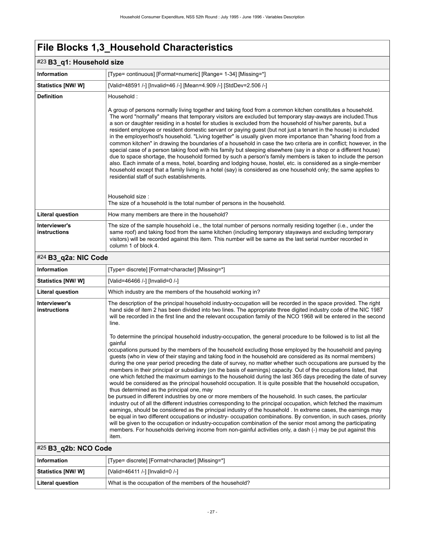# <span id="page-30-0"></span>#23 **B3\_q1: Household size**

| $\sim$ 80 G $\,$ . The assumed size  |                                                                                                                                                                                                                                                                                                                                                                                                                                                                                                                                                                                                                                                                                                                                                                                                                                                                              |  |
|--------------------------------------|------------------------------------------------------------------------------------------------------------------------------------------------------------------------------------------------------------------------------------------------------------------------------------------------------------------------------------------------------------------------------------------------------------------------------------------------------------------------------------------------------------------------------------------------------------------------------------------------------------------------------------------------------------------------------------------------------------------------------------------------------------------------------------------------------------------------------------------------------------------------------|--|
| <b>Information</b>                   | [Type= continuous] [Format=numeric] [Range= 1-34] [Missing=*]                                                                                                                                                                                                                                                                                                                                                                                                                                                                                                                                                                                                                                                                                                                                                                                                                |  |
| <b>Statistics [NW/W]</b>             | [Valid=48591 /-] [Invalid=46 /-] [Mean=4.909 /-] [StdDev=2.506 /-]                                                                                                                                                                                                                                                                                                                                                                                                                                                                                                                                                                                                                                                                                                                                                                                                           |  |
| <b>Definition</b>                    | Household:<br>A group of persons normally living together and taking food from a common kitchen constitutes a household.<br>The word "normally" means that temporary visitors are excluded but temporary stay-aways are included. Thus<br>a son or daughter residing in a hostel for studies is excluded from the household of his/her parents, but a                                                                                                                                                                                                                                                                                                                                                                                                                                                                                                                        |  |
|                                      | resident employee or resident domestic servant or paying guest (but not just a tenant in the house) is included<br>in the employer/host's household. "Living together" is usually given more importance than "sharing food from a<br>common kitchen" in drawing the boundaries of a household in case the two criteria are in conflict; however, in the<br>special case of a person taking food with his family but sleeping elsewhere (say in a shop or a different house)<br>due to space shortage, the household formed by such a person's family members is taken to include the person<br>also. Each inmate of a mess, hotel, boarding and lodging house, hostel, etc. is considered as a single-member<br>household except that a family living in a hotel (say) is considered as one household only; the same applies to<br>residential staff of such establishments. |  |
|                                      | Household size:<br>The size of a household is the total number of persons in the household.                                                                                                                                                                                                                                                                                                                                                                                                                                                                                                                                                                                                                                                                                                                                                                                  |  |
| <b>Literal question</b>              | How many members are there in the household?                                                                                                                                                                                                                                                                                                                                                                                                                                                                                                                                                                                                                                                                                                                                                                                                                                 |  |
| Interviewer's<br><b>instructions</b> | The size of the sample household i.e., the total number of persons normally residing together (i.e., under the<br>same roof) and taking food from the same kitchen (including temporary stayaways and excluding temporary<br>visitors) will be recorded against this item. This number will be same as the last serial number recorded in<br>column 1 of block 4.                                                                                                                                                                                                                                                                                                                                                                                                                                                                                                            |  |
| #24 B3_q2a: NIC Code                 |                                                                                                                                                                                                                                                                                                                                                                                                                                                                                                                                                                                                                                                                                                                                                                                                                                                                              |  |

<span id="page-30-1"></span>

| Information                          | [Type= discrete] [Format=character] [Missing=*]                                                                                                                                                                                                                                                                                                                                                                                                                                                                                                                                                                                                                                                                                                                                                                                                                                                                                                                                                                                                                                                                                                                                                                                                                                                                                                                                                                                                                                                                                                                                                                                                                                                                                                                                                                                                                                                                                                                  |
|--------------------------------------|------------------------------------------------------------------------------------------------------------------------------------------------------------------------------------------------------------------------------------------------------------------------------------------------------------------------------------------------------------------------------------------------------------------------------------------------------------------------------------------------------------------------------------------------------------------------------------------------------------------------------------------------------------------------------------------------------------------------------------------------------------------------------------------------------------------------------------------------------------------------------------------------------------------------------------------------------------------------------------------------------------------------------------------------------------------------------------------------------------------------------------------------------------------------------------------------------------------------------------------------------------------------------------------------------------------------------------------------------------------------------------------------------------------------------------------------------------------------------------------------------------------------------------------------------------------------------------------------------------------------------------------------------------------------------------------------------------------------------------------------------------------------------------------------------------------------------------------------------------------------------------------------------------------------------------------------------------------|
| Statistics [NW/W]                    | [Valid=46466 /-] [Invalid=0 /-]                                                                                                                                                                                                                                                                                                                                                                                                                                                                                                                                                                                                                                                                                                                                                                                                                                                                                                                                                                                                                                                                                                                                                                                                                                                                                                                                                                                                                                                                                                                                                                                                                                                                                                                                                                                                                                                                                                                                  |
| <b>Literal question</b>              | Which industry are the members of the household working in?                                                                                                                                                                                                                                                                                                                                                                                                                                                                                                                                                                                                                                                                                                                                                                                                                                                                                                                                                                                                                                                                                                                                                                                                                                                                                                                                                                                                                                                                                                                                                                                                                                                                                                                                                                                                                                                                                                      |
| Interviewer's<br><b>instructions</b> | The description of the principal household industry-occupation will be recorded in the space provided. The right<br>hand side of item 2 has been divided into two lines. The appropriate three digited industry code of the NIC 1987<br>will be recorded in the first line and the relevant occupation family of the NCO 1968 will be entered in the second<br>line.<br>To determine the principal household industry-occupation, the general procedure to be followed is to list all the<br>gainful<br>occupations pursued by the members of the household excluding those employed by the household and paying<br>guests (who in view of their staying and taking food in the household are considered as its normal members)<br>during the one year period preceding the date of survey, no matter whether such occupations are pursued by the<br>members in their principal or subsidiary (on the basis of earnings) capacity. Out of the occupations listed, that<br>one which fetched the maximum earnings to the household during the last 365 days preceding the date of survey<br>would be considered as the principal household occupation. It is quite possible that the household occupation,<br>thus determined as the principal one, may<br>be pursued in different industries by one or more members of the household. In such cases, the particular<br>industry out of all the different industries corresponding to the principal occupation, which fetched the maximum<br>earnings, should be considered as the principal industry of the household. In extreme cases, the earnings may<br>be equal in two different occupations or industry- occupation combinations. By convention, in such cases, priority<br>will be given to the occupation or industry-occupation combination of the senior most among the participating<br>members. For households deriving income from non-gainful activities only, a dash (-) may be put against this |
|                                      | item.                                                                                                                                                                                                                                                                                                                                                                                                                                                                                                                                                                                                                                                                                                                                                                                                                                                                                                                                                                                                                                                                                                                                                                                                                                                                                                                                                                                                                                                                                                                                                                                                                                                                                                                                                                                                                                                                                                                                                            |
| #25 B3_q2b: NCO Code                 |                                                                                                                                                                                                                                                                                                                                                                                                                                                                                                                                                                                                                                                                                                                                                                                                                                                                                                                                                                                                                                                                                                                                                                                                                                                                                                                                                                                                                                                                                                                                                                                                                                                                                                                                                                                                                                                                                                                                                                  |
| <b>Information</b>                   | [Type= discrete] [Format=character] [Missing=*]                                                                                                                                                                                                                                                                                                                                                                                                                                                                                                                                                                                                                                                                                                                                                                                                                                                                                                                                                                                                                                                                                                                                                                                                                                                                                                                                                                                                                                                                                                                                                                                                                                                                                                                                                                                                                                                                                                                  |

<span id="page-30-2"></span>

| Information               | [Type= discrete] [Format=character] [Missing=*]         |
|---------------------------|---------------------------------------------------------|
| <b>Statistics [NW/ W]</b> | [Valid=46411 /-] [Invalid=0 /-]                         |
| Literal question          | What is the occupation of the members of the household? |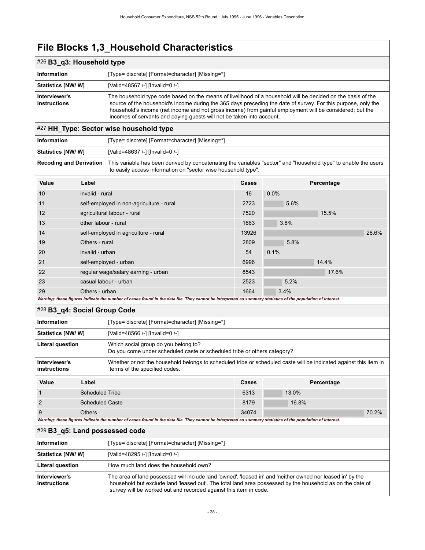# <span id="page-31-0"></span>#26 **B3\_q3: Household type**

| __                            |                                                                                                                                                                                                                                                                                                                                                                                                                   |
|-------------------------------|-------------------------------------------------------------------------------------------------------------------------------------------------------------------------------------------------------------------------------------------------------------------------------------------------------------------------------------------------------------------------------------------------------------------|
| Information                   | [Type= discrete] [Format=character] [Missing=*]                                                                                                                                                                                                                                                                                                                                                                   |
| <b>Statistics [NW/ W]</b>     | [Valid=48567 /-] [Invalid=0 /-]                                                                                                                                                                                                                                                                                                                                                                                   |
| Interviewer's<br>instructions | The household type code based on the means of livelihood of a household will be decided on the basis of the<br>source of the household's income during the 365 days preceding the date of survey. For this purpose, only the<br>household's income (net income and not gross income) from gainful employment will be considered; but the<br>incomes of servants and paying quests will not be taken into account. |

# <span id="page-31-1"></span>#27 **HH\_Type: Sector wise household type**

| Information        | [Type= discrete] [Format=character] [Missing=*]                                                                                                                                                            |
|--------------------|------------------------------------------------------------------------------------------------------------------------------------------------------------------------------------------------------------|
| Statistics [NW/ W] | [Valid=48637 /-] [Invalid=0 /-]                                                                                                                                                                            |
|                    | Recoding and Derivation   This variable has been derived by concatenating the variables "sector" and "household type" to enable the users<br>to easily access information on "sector wise household type". |

| Value                                                                                                                                                       | Label                                    | <b>Cases</b> | Percentage |  |
|-------------------------------------------------------------------------------------------------------------------------------------------------------------|------------------------------------------|--------------|------------|--|
| 10                                                                                                                                                          | invalid - rural                          | 16           | 0.0%       |  |
| 11                                                                                                                                                          | self-employed in non-agriculture - rural | 2723         | 5.6%       |  |
| 12                                                                                                                                                          | agricultural labour - rural              | 7520         | 15.5%      |  |
| 13                                                                                                                                                          | other labour - rural                     | 1863         | 3.8%       |  |
| 14                                                                                                                                                          | self-employed in agriculture - rural     | 13926        | 28.6%      |  |
| 19                                                                                                                                                          | Others - rural                           | 2809         | 5.8%       |  |
| 20                                                                                                                                                          | invalid - urban                          | 54           | 0.1%       |  |
| 21                                                                                                                                                          | self-employed - urban                    | 6996         | 14.4%      |  |
| 22                                                                                                                                                          | regular wage/salary earning - urban      | 8543         | 17.6%      |  |
| 23                                                                                                                                                          | casual labour - urban                    | 2523         | 5.2%       |  |
| 29                                                                                                                                                          | Others - urban                           | 1664         | 3.4%       |  |
| Warning: these figures indicate the number of cases found in the data file. They cannot be interpreted as summary statistics of the population of interest. |                                          |              |            |  |

### <span id="page-31-2"></span>#28 **B3\_q4: Social Group Code**

| Which social group do you belong to?<br><b>Literal question</b><br>Do you come under scheduled caste or scheduled tribe or others category?<br>Whether or not the household belongs to scheduled tribe or scheduled caste will be indicated against this item in<br>Interviewer's<br>terms of the specified codes.<br>instructions |  |
|------------------------------------------------------------------------------------------------------------------------------------------------------------------------------------------------------------------------------------------------------------------------------------------------------------------------------------|--|
|                                                                                                                                                                                                                                                                                                                                    |  |
|                                                                                                                                                                                                                                                                                                                                    |  |
| <b>Statistics [NW/W]</b><br>[Valid=48566 /-] [Invalid=0 /-]                                                                                                                                                                                                                                                                        |  |
| [Type= discrete] [Format=character] [Missing=*]<br><b>Information</b>                                                                                                                                                                                                                                                              |  |

| Value | Label                                                                                                                                       | Cases | Percentage |       |
|-------|---------------------------------------------------------------------------------------------------------------------------------------------|-------|------------|-------|
|       | Scheduled Tribe                                                                                                                             | 6313  | 13.0%      |       |
|       | <b>Scheduled Caste</b>                                                                                                                      | 8179  | 16.8%      |       |
| 9     | Others                                                                                                                                      | 34074 |            | 70.2% |
|       | The contract compared that can also concluded a constant and also the Microscopic Compared to compare capabate of also constants of barrook |       |            |       |

| Warning: these figures indicate the number of cases found in the data file. They cannot be interpreted as summary statistics of the population of interest. |  |  |
|-------------------------------------------------------------------------------------------------------------------------------------------------------------|--|--|
|                                                                                                                                                             |  |  |
|                                                                                                                                                             |  |  |

### <span id="page-31-3"></span>#29 **B3\_q5: Land possessed code**

| Information                   | [Type= discrete] [Format=character] [Missing=*]                                                                                                                                                                                                                                              |
|-------------------------------|----------------------------------------------------------------------------------------------------------------------------------------------------------------------------------------------------------------------------------------------------------------------------------------------|
| <b>Statistics [NW/ W]</b>     | [Valid=48295 /-] [Invalid=0 /-]                                                                                                                                                                                                                                                              |
| <b>Literal question</b>       | How much land does the household own?                                                                                                                                                                                                                                                        |
| Interviewer's<br>instructions | The area of land possessed will include land 'owned', 'leased in' and 'neither owned nor leased in' by the<br>household but exclude land 'leased out'. The total land area possessed by the household as on the date of<br>survey will be worked out and recorded against this item in code. |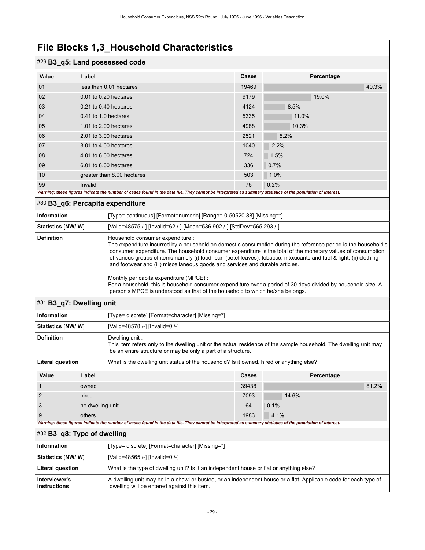### #29 **B3\_q5: Land possessed code**

| Value | Label                                                                                                                                                       | <b>Cases</b> | Percentage |       |  |
|-------|-------------------------------------------------------------------------------------------------------------------------------------------------------------|--------------|------------|-------|--|
| 01    | less than 0.01 hectares                                                                                                                                     | 19469        |            | 40.3% |  |
| 02    | 0.01 to 0.20 hectares                                                                                                                                       | 9179         | 19.0%      |       |  |
| 03    | 0.21 to 0.40 hectares                                                                                                                                       | 4124         | 8.5%       |       |  |
| 04    | 0.41 to 1.0 hectares                                                                                                                                        | 5335         | 11.0%      |       |  |
| 05    | 1.01 to 2.00 hectares                                                                                                                                       | 4988         | 10.3%      |       |  |
| 06    | 2.01 to 3.00 hectares                                                                                                                                       | 2521         | 5.2%       |       |  |
| 07    | 3.01 to 4.00 hectares                                                                                                                                       | 1040         | 2.2%       |       |  |
| 08    | 4.01 to 6.00 hectares                                                                                                                                       | 724          | 1.5%       |       |  |
| 09    | 6.01 to 8.00 hectares                                                                                                                                       | 336          | 0.7%       |       |  |
| 10    | greater than 8.00 hectares                                                                                                                                  | 503          | 1.0%       |       |  |
| 99    | Invalid                                                                                                                                                     | 76           | 0.2%       |       |  |
|       | Warning: these figures indicate the number of cases found in the data file. They cannot be interpreted as summary statistics of the population of interest. |              |            |       |  |

# <span id="page-32-0"></span>#30 **B3\_q6: Percapita expenditure**

| Information        | [Type= continuous] [Format=numeric] [Range= 0-50520.88] [Missing=*]                                                                                                                                                                                                                                                                                                                                                                                                                                                                                                                                                                                                                                                    |
|--------------------|------------------------------------------------------------------------------------------------------------------------------------------------------------------------------------------------------------------------------------------------------------------------------------------------------------------------------------------------------------------------------------------------------------------------------------------------------------------------------------------------------------------------------------------------------------------------------------------------------------------------------------------------------------------------------------------------------------------------|
| Statistics [NW/ W] | [Valid=48575 /-] [Invalid=62 /-] [Mean=536.902 /-] [StdDev=565.293 /-]                                                                                                                                                                                                                                                                                                                                                                                                                                                                                                                                                                                                                                                 |
| <b>Definition</b>  | Household consumer expenditure :<br>The expenditure incurred by a household on domestic consumption during the reference period is the household's<br>consumer expenditure. The household consumer expenditure is the total of the monetary values of consumption<br>of various groups of items namely (i) food, pan (betel leaves), tobacco, intoxicants and fuel & light, (ii) clothing<br>and footwear and (iii) miscellaneous goods and services and durable articles.<br>Monthly per capita expenditure (MPCE):<br>For a household, this is household consumer expenditure over a period of 30 days divided by household size. A<br>person's MPCE is understood as that of the household to which he/she belongs. |
|                    |                                                                                                                                                                                                                                                                                                                                                                                                                                                                                                                                                                                                                                                                                                                        |

# <span id="page-32-1"></span>#31 **B3\_q7: Dwelling unit**

| Information             |       | [Type= discrete] [Format=character] [Missing=*]                                                                                                                                                     |       |            |       |
|-------------------------|-------|-----------------------------------------------------------------------------------------------------------------------------------------------------------------------------------------------------|-------|------------|-------|
| Statistics [NW/W]       |       | [Valid=48578 /-] [Invalid=0 /-]                                                                                                                                                                     |       |            |       |
| <b>Definition</b>       |       | Dwelling unit:<br>This item refers only to the dwelling unit or the actual residence of the sample household. The dwelling unit may<br>be an entire structure or may be only a part of a structure. |       |            |       |
| <b>Literal question</b> |       | What is the dwelling unit status of the household? Is it owned, hired or anything else?                                                                                                             |       |            |       |
| Value                   | Label |                                                                                                                                                                                                     | Cases | Percentage |       |
|                         | owned |                                                                                                                                                                                                     | 39438 |            | 81.2% |
| $\overline{2}$<br>hired |       |                                                                                                                                                                                                     | 7093  | 14.6%      |       |
| 3<br>no dwelling unit   |       | 64                                                                                                                                                                                                  | 0.1%  |            |       |

<span id="page-32-2"></span>

| Warning: these figures indicate the number of cases found in the data file. They cannot be interpreted as summary statistics of the population of interest. |                                                                                                                                                                 |  |
|-------------------------------------------------------------------------------------------------------------------------------------------------------------|-----------------------------------------------------------------------------------------------------------------------------------------------------------------|--|
| $\#32$ B3_q8: Type of dwelling                                                                                                                              |                                                                                                                                                                 |  |
| Information                                                                                                                                                 | [Type= discrete] [Format=character] [Missing=*]                                                                                                                 |  |
| <b>Statistics [NW/ W]</b>                                                                                                                                   | [Valid=48565 /-] [Invalid=0 /-]                                                                                                                                 |  |
| <b>Literal question</b>                                                                                                                                     | What is the type of dwelling unit? Is it an independent house or flat or anything else?                                                                         |  |
| Interviewer's<br>instructions                                                                                                                               | A dwelling unit may be in a chawl or bustee, or an independent house or a flat. Applicable code for each type of<br>dwelling will be entered against this item. |  |

9 others 1983 4.1%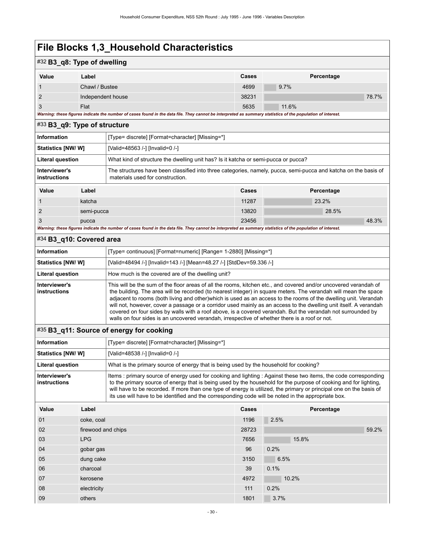# #32 **B3\_q8: Type of dwelling**

| _ _   | .                                                                                                                                                           |              |            |       |  |
|-------|-------------------------------------------------------------------------------------------------------------------------------------------------------------|--------------|------------|-------|--|
| Value | Label                                                                                                                                                       | <b>Cases</b> | Percentage |       |  |
|       | Chawl / Bustee                                                                                                                                              | 4699         | $9.7\%$    |       |  |
|       | Independent house                                                                                                                                           | 38231        |            | 78.7% |  |
| 3     | Flat                                                                                                                                                        | 5635         | 11.6%      |       |  |
|       | Warning: these figures indicate the number of cases found in the data file. They cannot be interpreted as summary statistics of the population of interest. |              |            |       |  |

### <span id="page-33-0"></span>#33 **B3\_q9: Type of structure**

| <b>Information</b>                                                                                            |            | [Type= discrete] [Format=character] [Missing=*]                                                                                                     |       |            |  |
|---------------------------------------------------------------------------------------------------------------|------------|-----------------------------------------------------------------------------------------------------------------------------------------------------|-------|------------|--|
| Statistics [NW/ W]                                                                                            |            | [Valid=48563 /-] [Invalid=0 /-]                                                                                                                     |       |            |  |
| What kind of structure the dwelling unit has? Is it katcha or semi-pucca or pucca?<br><b>Literal question</b> |            |                                                                                                                                                     |       |            |  |
| Interviewer's<br>instructions                                                                                 |            | The structures have been classified into three categories, namely, pucca, semi-pucca and katcha on the basis of<br>materials used for construction. |       |            |  |
| Value                                                                                                         | Label      |                                                                                                                                                     | Cases | Percentage |  |
|                                                                                                               | katcha     |                                                                                                                                                     | 11287 | 23.2%      |  |
| $\overline{2}$                                                                                                | semi-pucca |                                                                                                                                                     | 13820 | 28.5%      |  |
| 3                                                                                                             | pucca      |                                                                                                                                                     | 23456 | 48.3%      |  |

*Warning: these figures indicate the number of cases found in the data file. They cannot be interpreted as summary statistics of the population of interest.*

### <span id="page-33-1"></span>#34 **B3\_q10: Covered area**

| Information                   | [Type= continuous] [Format=numeric] [Range= 1-2880] [Missing=*]                                                                                                                                                                                                                                                                                                                                                                                                                                                                                                                                                                                                                              |
|-------------------------------|----------------------------------------------------------------------------------------------------------------------------------------------------------------------------------------------------------------------------------------------------------------------------------------------------------------------------------------------------------------------------------------------------------------------------------------------------------------------------------------------------------------------------------------------------------------------------------------------------------------------------------------------------------------------------------------------|
| Statistics [NW/W]             | [Valid=48494 /-] [Invalid=143 /-] [Mean=48.27 /-] [StdDev=59.336 /-]                                                                                                                                                                                                                                                                                                                                                                                                                                                                                                                                                                                                                         |
| <b>Literal question</b>       | How much is the covered are of the dwelling unit?                                                                                                                                                                                                                                                                                                                                                                                                                                                                                                                                                                                                                                            |
| Interviewer's<br>instructions | This will be the sum of the floor areas of all the rooms, kitchen etc., and covered and/or uncovered verandah of<br>the building. The area will be recorded (to nearest integer) in square meters. The verandah will mean the space<br>adjacent to rooms (both living and other) which is used as an access to the rooms of the dwelling unit. Verandah<br>will not, however, cover a passage or a corridor used mainly as an access to the dwelling unit itself. A verandah<br>covered on four sides by walls with a roof above, is a covered verandah. But the verandah not surrounded by<br>walls on four sides is an uncovered verandah, irrespective of whether there is a roof or not. |

# <span id="page-33-2"></span>#35 **B3\_q11: Source of energy for cooking**

| <b>Information</b>            | [Type= discrete] [Format=character] [Missing=*]                                                                                                                                                                                                                                                                                                                                                                                                                  |
|-------------------------------|------------------------------------------------------------------------------------------------------------------------------------------------------------------------------------------------------------------------------------------------------------------------------------------------------------------------------------------------------------------------------------------------------------------------------------------------------------------|
| <b>Statistics [NW/ W]</b>     | [Valid=48538 /-] [Invalid=0 /-]                                                                                                                                                                                                                                                                                                                                                                                                                                  |
| <b>Literal question</b>       | What is the primary source of energy that is being used by the household for cooking?                                                                                                                                                                                                                                                                                                                                                                            |
| Interviewer's<br>instructions | Items: primary source of energy used for cooking and lighting: Against these two items, the code corresponding<br>to the primary source of energy that is being used by the household for the purpose of cooking and for lighting.<br>will have to be recorded. If more than one type of energy is utilized, the primary or principal one on the basis of<br>its use will have to be identified and the corresponding code will be noted in the appropriate box. |

| Value | Label              | Cases | Percentage |
|-------|--------------------|-------|------------|
| 01    | coke, coal         | 1196  | 2.5%       |
| 02    | firewood and chips | 28723 | 59.2%      |
| 03    | <b>LPG</b>         | 7656  | 15.8%      |
| 04    | gobar gas          | 96    | 0.2%       |
| 05    | dung cake          | 3150  | 6.5%       |
| 06    | charcoal           | 39    | 0.1%       |
| 07    | kerosene           | 4972  | 10.2%      |
| 08    | electricity        | 111   | 0.2%       |
| 09    | others             | 1801  | 3.7%       |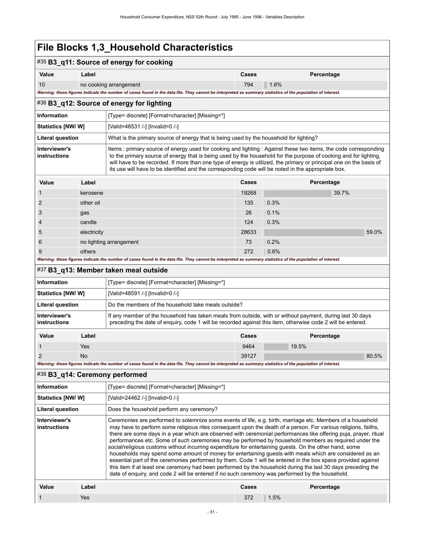<span id="page-34-2"></span><span id="page-34-1"></span><span id="page-34-0"></span>

|                                                                                                                                                                                                                                                                                                                                                                                                                                                                                                                                                                                                                                                                                                                                                                                                                                                                                                                                                                                                                                                      | . <del>.</del>                                                                                                                                                        |                                                                                                                                                                                                                                                                                                                                                                                                                                                                    |       |             |  |  |  |
|------------------------------------------------------------------------------------------------------------------------------------------------------------------------------------------------------------------------------------------------------------------------------------------------------------------------------------------------------------------------------------------------------------------------------------------------------------------------------------------------------------------------------------------------------------------------------------------------------------------------------------------------------------------------------------------------------------------------------------------------------------------------------------------------------------------------------------------------------------------------------------------------------------------------------------------------------------------------------------------------------------------------------------------------------|-----------------------------------------------------------------------------------------------------------------------------------------------------------------------|--------------------------------------------------------------------------------------------------------------------------------------------------------------------------------------------------------------------------------------------------------------------------------------------------------------------------------------------------------------------------------------------------------------------------------------------------------------------|-------|-------------|--|--|--|
|                                                                                                                                                                                                                                                                                                                                                                                                                                                                                                                                                                                                                                                                                                                                                                                                                                                                                                                                                                                                                                                      |                                                                                                                                                                       | #35 B3_q11: Source of energy for cooking                                                                                                                                                                                                                                                                                                                                                                                                                           |       |             |  |  |  |
| Value                                                                                                                                                                                                                                                                                                                                                                                                                                                                                                                                                                                                                                                                                                                                                                                                                                                                                                                                                                                                                                                | Label                                                                                                                                                                 |                                                                                                                                                                                                                                                                                                                                                                                                                                                                    | Cases | Percentage  |  |  |  |
| 10                                                                                                                                                                                                                                                                                                                                                                                                                                                                                                                                                                                                                                                                                                                                                                                                                                                                                                                                                                                                                                                   | no cooking arrangement                                                                                                                                                |                                                                                                                                                                                                                                                                                                                                                                                                                                                                    |       | 794<br>1.6% |  |  |  |
|                                                                                                                                                                                                                                                                                                                                                                                                                                                                                                                                                                                                                                                                                                                                                                                                                                                                                                                                                                                                                                                      |                                                                                                                                                                       | Warning: these figures indicate the number of cases found in the data file. They cannot be interpreted as summary statistics of the population of interest.                                                                                                                                                                                                                                                                                                        |       |             |  |  |  |
|                                                                                                                                                                                                                                                                                                                                                                                                                                                                                                                                                                                                                                                                                                                                                                                                                                                                                                                                                                                                                                                      |                                                                                                                                                                       | #36 B3_q12: Source of energy for lighting                                                                                                                                                                                                                                                                                                                                                                                                                          |       |             |  |  |  |
| Information                                                                                                                                                                                                                                                                                                                                                                                                                                                                                                                                                                                                                                                                                                                                                                                                                                                                                                                                                                                                                                          |                                                                                                                                                                       | [Type= discrete] [Format=character] [Missing=*]                                                                                                                                                                                                                                                                                                                                                                                                                    |       |             |  |  |  |
| <b>Statistics [NW/W]</b>                                                                                                                                                                                                                                                                                                                                                                                                                                                                                                                                                                                                                                                                                                                                                                                                                                                                                                                                                                                                                             |                                                                                                                                                                       | [Valid=48531 /-] [Invalid=0 /-]                                                                                                                                                                                                                                                                                                                                                                                                                                    |       |             |  |  |  |
| <b>Literal question</b>                                                                                                                                                                                                                                                                                                                                                                                                                                                                                                                                                                                                                                                                                                                                                                                                                                                                                                                                                                                                                              |                                                                                                                                                                       | What is the primary source of energy that is being used by the household for lighting?                                                                                                                                                                                                                                                                                                                                                                             |       |             |  |  |  |
| Interviewer's<br>instructions                                                                                                                                                                                                                                                                                                                                                                                                                                                                                                                                                                                                                                                                                                                                                                                                                                                                                                                                                                                                                        |                                                                                                                                                                       | Items : primary source of energy used for cooking and lighting : Against these two items, the code corresponding<br>to the primary source of energy that is being used by the household for the purpose of cooking and for lighting,<br>will have to be recorded. If more than one type of energy is utilized, the primary or principal one on the basis of<br>its use will have to be identified and the corresponding code will be noted in the appropriate box. |       |             |  |  |  |
| Value                                                                                                                                                                                                                                                                                                                                                                                                                                                                                                                                                                                                                                                                                                                                                                                                                                                                                                                                                                                                                                                | Label                                                                                                                                                                 |                                                                                                                                                                                                                                                                                                                                                                                                                                                                    | Cases | Percentage  |  |  |  |
| 1                                                                                                                                                                                                                                                                                                                                                                                                                                                                                                                                                                                                                                                                                                                                                                                                                                                                                                                                                                                                                                                    | kerosene                                                                                                                                                              |                                                                                                                                                                                                                                                                                                                                                                                                                                                                    | 19268 | 39.7%       |  |  |  |
| 2                                                                                                                                                                                                                                                                                                                                                                                                                                                                                                                                                                                                                                                                                                                                                                                                                                                                                                                                                                                                                                                    | other oil                                                                                                                                                             |                                                                                                                                                                                                                                                                                                                                                                                                                                                                    | 135   | 0.3%        |  |  |  |
| 3                                                                                                                                                                                                                                                                                                                                                                                                                                                                                                                                                                                                                                                                                                                                                                                                                                                                                                                                                                                                                                                    | gas                                                                                                                                                                   |                                                                                                                                                                                                                                                                                                                                                                                                                                                                    | 26    | 0.1%        |  |  |  |
|                                                                                                                                                                                                                                                                                                                                                                                                                                                                                                                                                                                                                                                                                                                                                                                                                                                                                                                                                                                                                                                      | candle                                                                                                                                                                |                                                                                                                                                                                                                                                                                                                                                                                                                                                                    | 124   | 0.3%        |  |  |  |
| 5                                                                                                                                                                                                                                                                                                                                                                                                                                                                                                                                                                                                                                                                                                                                                                                                                                                                                                                                                                                                                                                    | electricity                                                                                                                                                           |                                                                                                                                                                                                                                                                                                                                                                                                                                                                    | 28633 | 59.0%       |  |  |  |
| 6                                                                                                                                                                                                                                                                                                                                                                                                                                                                                                                                                                                                                                                                                                                                                                                                                                                                                                                                                                                                                                                    | no lighting arrangement                                                                                                                                               |                                                                                                                                                                                                                                                                                                                                                                                                                                                                    |       | 0.2%        |  |  |  |
| 9                                                                                                                                                                                                                                                                                                                                                                                                                                                                                                                                                                                                                                                                                                                                                                                                                                                                                                                                                                                                                                                    | others<br>Warning: these figures indicate the number of cases found in the data file. They cannot be interpreted as summary statistics of the population of interest. |                                                                                                                                                                                                                                                                                                                                                                                                                                                                    |       | 0.6%        |  |  |  |
|                                                                                                                                                                                                                                                                                                                                                                                                                                                                                                                                                                                                                                                                                                                                                                                                                                                                                                                                                                                                                                                      |                                                                                                                                                                       | #37 B3_q13: Member taken meal outside                                                                                                                                                                                                                                                                                                                                                                                                                              |       |             |  |  |  |
|                                                                                                                                                                                                                                                                                                                                                                                                                                                                                                                                                                                                                                                                                                                                                                                                                                                                                                                                                                                                                                                      |                                                                                                                                                                       |                                                                                                                                                                                                                                                                                                                                                                                                                                                                    |       |             |  |  |  |
| Information                                                                                                                                                                                                                                                                                                                                                                                                                                                                                                                                                                                                                                                                                                                                                                                                                                                                                                                                                                                                                                          |                                                                                                                                                                       | [Type= discrete] [Format=character] [Missing=*]                                                                                                                                                                                                                                                                                                                                                                                                                    |       |             |  |  |  |
| Statistics [NW/W]                                                                                                                                                                                                                                                                                                                                                                                                                                                                                                                                                                                                                                                                                                                                                                                                                                                                                                                                                                                                                                    |                                                                                                                                                                       | [Valid=48591 /-] [Invalid=0 /-]                                                                                                                                                                                                                                                                                                                                                                                                                                    |       |             |  |  |  |
| <b>Literal question</b>                                                                                                                                                                                                                                                                                                                                                                                                                                                                                                                                                                                                                                                                                                                                                                                                                                                                                                                                                                                                                              |                                                                                                                                                                       | Do the members of the household take meals outside?                                                                                                                                                                                                                                                                                                                                                                                                                |       |             |  |  |  |
| Interviewer's<br>instructions                                                                                                                                                                                                                                                                                                                                                                                                                                                                                                                                                                                                                                                                                                                                                                                                                                                                                                                                                                                                                        |                                                                                                                                                                       | If any member of the household has taken meals from outside, with or without payment, during last 30 days<br>preceding the date of enquiry, code 1 will be recorded against this item, otherwise code 2 will be entered.                                                                                                                                                                                                                                           |       |             |  |  |  |
| Value                                                                                                                                                                                                                                                                                                                                                                                                                                                                                                                                                                                                                                                                                                                                                                                                                                                                                                                                                                                                                                                | Label                                                                                                                                                                 |                                                                                                                                                                                                                                                                                                                                                                                                                                                                    | Cases | Percentage  |  |  |  |
| 1                                                                                                                                                                                                                                                                                                                                                                                                                                                                                                                                                                                                                                                                                                                                                                                                                                                                                                                                                                                                                                                    | Yes                                                                                                                                                                   |                                                                                                                                                                                                                                                                                                                                                                                                                                                                    | 9464  | 19.5%       |  |  |  |
| 2                                                                                                                                                                                                                                                                                                                                                                                                                                                                                                                                                                                                                                                                                                                                                                                                                                                                                                                                                                                                                                                    | No                                                                                                                                                                    |                                                                                                                                                                                                                                                                                                                                                                                                                                                                    | 39127 | 80.5%       |  |  |  |
|                                                                                                                                                                                                                                                                                                                                                                                                                                                                                                                                                                                                                                                                                                                                                                                                                                                                                                                                                                                                                                                      |                                                                                                                                                                       | Warning: these figures indicate the number of cases found in the data file. They cannot be interpreted as summary statistics of the population of interest.                                                                                                                                                                                                                                                                                                        |       |             |  |  |  |
|                                                                                                                                                                                                                                                                                                                                                                                                                                                                                                                                                                                                                                                                                                                                                                                                                                                                                                                                                                                                                                                      |                                                                                                                                                                       | #38 B3_q14: Ceremony performed                                                                                                                                                                                                                                                                                                                                                                                                                                     |       |             |  |  |  |
| Information                                                                                                                                                                                                                                                                                                                                                                                                                                                                                                                                                                                                                                                                                                                                                                                                                                                                                                                                                                                                                                          |                                                                                                                                                                       | [Type= discrete] [Format=character] [Missing=*]                                                                                                                                                                                                                                                                                                                                                                                                                    |       |             |  |  |  |
| Statistics [NW/W]                                                                                                                                                                                                                                                                                                                                                                                                                                                                                                                                                                                                                                                                                                                                                                                                                                                                                                                                                                                                                                    |                                                                                                                                                                       | [Valid=24462 /-] [Invalid=0 /-]                                                                                                                                                                                                                                                                                                                                                                                                                                    |       |             |  |  |  |
| <b>Literal question</b>                                                                                                                                                                                                                                                                                                                                                                                                                                                                                                                                                                                                                                                                                                                                                                                                                                                                                                                                                                                                                              | Does the household perform any ceremony?                                                                                                                              |                                                                                                                                                                                                                                                                                                                                                                                                                                                                    |       |             |  |  |  |
| Ceremonies are performed to solemnize some events of life, e.g. birth, marriage etc. Members of a household<br>Interviewer's<br>may have to perform some religious rites consequent upon the death of a person. For various religions, faiths,<br>instructions<br>there are some days in a year which are observed with ceremonial performances like offering puja, prayer, ritual<br>performances etc. Some of such ceremonies may be performed by household members as required under the<br>social/religious customs without incurring expenditure for entertaining guests. On the other hand, some<br>households may spend some amount of money for entertaining guests with meals which are considered as an<br>essential part of the ceremonies performed by them. Code 1 will be entered in the box space provided against<br>this item if at least one ceremony had been performed by the household during the last 30 days preceding the<br>date of enquiry, and code 2 will be entered if no such ceremony was performed by the household. |                                                                                                                                                                       |                                                                                                                                                                                                                                                                                                                                                                                                                                                                    |       |             |  |  |  |
| Value                                                                                                                                                                                                                                                                                                                                                                                                                                                                                                                                                                                                                                                                                                                                                                                                                                                                                                                                                                                                                                                | Label                                                                                                                                                                 |                                                                                                                                                                                                                                                                                                                                                                                                                                                                    | Cases | Percentage  |  |  |  |
| 1                                                                                                                                                                                                                                                                                                                                                                                                                                                                                                                                                                                                                                                                                                                                                                                                                                                                                                                                                                                                                                                    | Yes                                                                                                                                                                   |                                                                                                                                                                                                                                                                                                                                                                                                                                                                    | 372   | 1.5%        |  |  |  |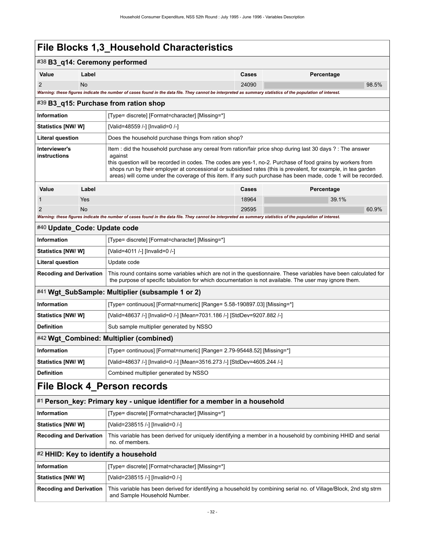<span id="page-35-6"></span><span id="page-35-5"></span><span id="page-35-4"></span><span id="page-35-3"></span><span id="page-35-2"></span><span id="page-35-1"></span><span id="page-35-0"></span>

| #38 B3_q14: Ceremony performed                                                                                                           |                                       |                                                                                                                                                                                                                                                                                                                                                                                                                                                                           |                     |            |       |  |  |
|------------------------------------------------------------------------------------------------------------------------------------------|---------------------------------------|---------------------------------------------------------------------------------------------------------------------------------------------------------------------------------------------------------------------------------------------------------------------------------------------------------------------------------------------------------------------------------------------------------------------------------------------------------------------------|---------------------|------------|-------|--|--|
| Value                                                                                                                                    | Label                                 |                                                                                                                                                                                                                                                                                                                                                                                                                                                                           | Cases<br>Percentage |            |       |  |  |
| $\overline{2}$                                                                                                                           | <b>No</b>                             |                                                                                                                                                                                                                                                                                                                                                                                                                                                                           | 24090               |            | 98.5% |  |  |
|                                                                                                                                          |                                       | Warning: these figures indicate the number of cases found in the data file. They cannot be interpreted as summary statistics of the population of interest.                                                                                                                                                                                                                                                                                                               |                     |            |       |  |  |
|                                                                                                                                          |                                       | #39 B3_q15: Purchase from ration shop                                                                                                                                                                                                                                                                                                                                                                                                                                     |                     |            |       |  |  |
| <b>Information</b>                                                                                                                       |                                       | [Type= discrete] [Format=character] [Missing=*]                                                                                                                                                                                                                                                                                                                                                                                                                           |                     |            |       |  |  |
| Statistics [NW/W]                                                                                                                        |                                       | [Valid=48559 /-] [Invalid=0 /-]                                                                                                                                                                                                                                                                                                                                                                                                                                           |                     |            |       |  |  |
| <b>Literal question</b>                                                                                                                  |                                       | Does the household purchase things from ration shop?                                                                                                                                                                                                                                                                                                                                                                                                                      |                     |            |       |  |  |
| Interviewer's<br>instructions                                                                                                            |                                       | Item : did the household purchase any cereal from ration/fair price shop during last 30 days ? : The answer<br>against<br>this question will be recorded in codes. The codes are yes-1, no-2. Purchase of food grains by workers from<br>shops run by their employer at concessional or subsidised rates (this is prevalent, for example, in tea garden<br>areas) will come under the coverage of this item. If any such purchase has been made, code 1 will be recorded. |                     |            |       |  |  |
| Value                                                                                                                                    | Label                                 |                                                                                                                                                                                                                                                                                                                                                                                                                                                                           | Cases               | Percentage |       |  |  |
| $\mathbf 1$                                                                                                                              | Yes                                   |                                                                                                                                                                                                                                                                                                                                                                                                                                                                           | 18964               | 39.1%      |       |  |  |
| $\overline{2}$                                                                                                                           | <b>No</b>                             |                                                                                                                                                                                                                                                                                                                                                                                                                                                                           | 29595               |            | 60.9% |  |  |
|                                                                                                                                          |                                       | Warning: these figures indicate the number of cases found in the data file. They cannot be interpreted as summary statistics of the population of interest.                                                                                                                                                                                                                                                                                                               |                     |            |       |  |  |
| #40 Update_Code: Update code<br>Information                                                                                              |                                       |                                                                                                                                                                                                                                                                                                                                                                                                                                                                           |                     |            |       |  |  |
| <b>Statistics [NW/ W]</b>                                                                                                                |                                       | [Type= discrete] [Format=character] [Missing=*]<br>[Valid=4011 /-] [Invalid=0 /-]                                                                                                                                                                                                                                                                                                                                                                                         |                     |            |       |  |  |
| <b>Literal question</b>                                                                                                                  |                                       | Update code                                                                                                                                                                                                                                                                                                                                                                                                                                                               |                     |            |       |  |  |
|                                                                                                                                          |                                       | This round contains some variables which are not in the questionnaire. These variables have been calculated for                                                                                                                                                                                                                                                                                                                                                           |                     |            |       |  |  |
| <b>Recoding and Derivation</b><br>the purpose of specific tabulation for which documentation is not available. The user may ignore them. |                                       |                                                                                                                                                                                                                                                                                                                                                                                                                                                                           |                     |            |       |  |  |
|                                                                                                                                          |                                       | #41 Wgt_SubSample: Multiplier (subsample 1 or 2)                                                                                                                                                                                                                                                                                                                                                                                                                          |                     |            |       |  |  |
| <b>Information</b>                                                                                                                       |                                       | [Type= continuous] [Format=numeric] [Range= 5.58-190897.03] [Missing=*]                                                                                                                                                                                                                                                                                                                                                                                                   |                     |            |       |  |  |
| <b>Statistics [NW/ W]</b>                                                                                                                |                                       | [Valid=48637 /-] [Invalid=0 /-] [Mean=7031.186 /-] [StdDev=9207.882 /-]                                                                                                                                                                                                                                                                                                                                                                                                   |                     |            |       |  |  |
| <b>Definition</b>                                                                                                                        |                                       | Sub sample multiplier generated by NSSO                                                                                                                                                                                                                                                                                                                                                                                                                                   |                     |            |       |  |  |
| #42 Wgt_Combined: Multiplier (combined)                                                                                                  |                                       |                                                                                                                                                                                                                                                                                                                                                                                                                                                                           |                     |            |       |  |  |
| Information                                                                                                                              |                                       | [Type= continuous] [Format=numeric] [Range= 2.79-95448.52] [Missing=*]                                                                                                                                                                                                                                                                                                                                                                                                    |                     |            |       |  |  |
| <b>Statistics [NW/ W]</b>                                                                                                                |                                       | [Valid=48637 /-] [Invalid=0 /-] [Mean=3516.273 /-] [StdDev=4605.244 /-]                                                                                                                                                                                                                                                                                                                                                                                                   |                     |            |       |  |  |
| <b>Definition</b>                                                                                                                        | Combined multiplier generated by NSSO |                                                                                                                                                                                                                                                                                                                                                                                                                                                                           |                     |            |       |  |  |
| File Block 4_Person records                                                                                                              |                                       |                                                                                                                                                                                                                                                                                                                                                                                                                                                                           |                     |            |       |  |  |
| #1 Person_key: Primary key - unique identifier for a member in a household                                                               |                                       |                                                                                                                                                                                                                                                                                                                                                                                                                                                                           |                     |            |       |  |  |
| Information                                                                                                                              |                                       | [Type= discrete] [Format=character] [Missing=*]                                                                                                                                                                                                                                                                                                                                                                                                                           |                     |            |       |  |  |
| <b>Statistics [NW/ W]</b>                                                                                                                |                                       | [Valid=238515 /-] [Invalid=0 /-]                                                                                                                                                                                                                                                                                                                                                                                                                                          |                     |            |       |  |  |
| <b>Recoding and Derivation</b>                                                                                                           |                                       | This variable has been derived for uniquely identifying a member in a household by combining HHID and serial<br>no. of members.                                                                                                                                                                                                                                                                                                                                           |                     |            |       |  |  |
|                                                                                                                                          |                                       | #2 HHID: Key to identify a household                                                                                                                                                                                                                                                                                                                                                                                                                                      |                     |            |       |  |  |
| Information                                                                                                                              |                                       | [Type= discrete] [Format=character] [Missing=*]                                                                                                                                                                                                                                                                                                                                                                                                                           |                     |            |       |  |  |
| <b>Statistics [NW/W]</b>                                                                                                                 |                                       | [Valid=238515 /-] [Invalid=0 /-]                                                                                                                                                                                                                                                                                                                                                                                                                                          |                     |            |       |  |  |
| <b>Recoding and Derivation</b>                                                                                                           |                                       | This variable has been derived for identifying a household by combining serial no. of Village/Block, 2nd stg strm<br>and Sample Household Number.                                                                                                                                                                                                                                                                                                                         |                     |            |       |  |  |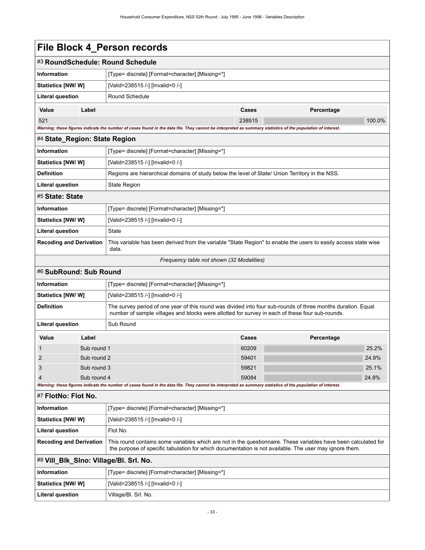| File Block 4_Person records |  |  |
|-----------------------------|--|--|
|-----------------------------|--|--|

| File Block 4_Person records                                                                                                                                                                                                                                 |                     |                                                                                                                                                                                                                 |        |            |        |
|-------------------------------------------------------------------------------------------------------------------------------------------------------------------------------------------------------------------------------------------------------------|---------------------|-----------------------------------------------------------------------------------------------------------------------------------------------------------------------------------------------------------------|--------|------------|--------|
|                                                                                                                                                                                                                                                             |                     | #3 RoundSchedule: Round Schedule                                                                                                                                                                                |        |            |        |
| <b>Information</b>                                                                                                                                                                                                                                          |                     | [Type= discrete] [Format=character] [Missing=*]                                                                                                                                                                 |        |            |        |
| Statistics [NW/W]                                                                                                                                                                                                                                           |                     | [Valid=238515 /-] [Invalid=0 /-]                                                                                                                                                                                |        |            |        |
| <b>Literal question</b>                                                                                                                                                                                                                                     |                     | Round Schedule                                                                                                                                                                                                  |        |            |        |
| Value                                                                                                                                                                                                                                                       | Label               |                                                                                                                                                                                                                 | Cases  | Percentage |        |
| 521<br>Warning: these figures indicate the number of cases found in the data file. They cannot be interpreted as summary statistics of the population of interest.                                                                                          |                     |                                                                                                                                                                                                                 | 238515 |            | 100.0% |
| #4 State_Region: State Region                                                                                                                                                                                                                               |                     |                                                                                                                                                                                                                 |        |            |        |
| <b>Information</b><br>[Type= discrete] [Format=character] [Missing=*]                                                                                                                                                                                       |                     |                                                                                                                                                                                                                 |        |            |        |
| Statistics [NW/ W]                                                                                                                                                                                                                                          |                     | [Valid=238515 /-] [Invalid=0 /-]                                                                                                                                                                                |        |            |        |
| <b>Definition</b>                                                                                                                                                                                                                                           |                     | Regions are hierarchical domains of study below the level of State/ Union Territory in the NSS.                                                                                                                 |        |            |        |
| <b>Literal question</b>                                                                                                                                                                                                                                     | <b>State Region</b> |                                                                                                                                                                                                                 |        |            |        |
| #5 State: State                                                                                                                                                                                                                                             |                     |                                                                                                                                                                                                                 |        |            |        |
| <b>Information</b><br>[Type= discrete] [Format=character] [Missing=*]                                                                                                                                                                                       |                     |                                                                                                                                                                                                                 |        |            |        |
| Statistics [NW/W]                                                                                                                                                                                                                                           |                     | [Valid=238515 /-] [Invalid=0 /-]                                                                                                                                                                                |        |            |        |
| <b>Literal question</b><br><b>State</b>                                                                                                                                                                                                                     |                     |                                                                                                                                                                                                                 |        |            |        |
| <b>Recoding and Derivation</b>                                                                                                                                                                                                                              |                     | This variable has been derived from the variable "State Region" to enable the users to easily access state wise<br>data.                                                                                        |        |            |        |
|                                                                                                                                                                                                                                                             |                     | Frequency table not shown (32 Modalities)                                                                                                                                                                       |        |            |        |
| #6 SubRound: Sub Round                                                                                                                                                                                                                                      |                     |                                                                                                                                                                                                                 |        |            |        |
| <b>Information</b>                                                                                                                                                                                                                                          |                     | [Type= discrete] [Format=character] [Missing=*]                                                                                                                                                                 |        |            |        |
| Statistics [NW/ W]                                                                                                                                                                                                                                          |                     | [Valid=238515 /-] [Invalid=0 /-]                                                                                                                                                                                |        |            |        |
| <b>Definition</b>                                                                                                                                                                                                                                           |                     | The survey period of one year of this round was divided into four sub-rounds of three months duration. Equal<br>number of sample villages and blocks were allotted for survey in each of these four sub-rounds. |        |            |        |
| Literal question                                                                                                                                                                                                                                            |                     | Sub Round                                                                                                                                                                                                       |        |            |        |
| Value                                                                                                                                                                                                                                                       | Label               |                                                                                                                                                                                                                 | Cases  | Percentage |        |
|                                                                                                                                                                                                                                                             | Sub round 1         |                                                                                                                                                                                                                 | 60209  |            | 25.2%  |
| Sub round 2<br>2                                                                                                                                                                                                                                            |                     |                                                                                                                                                                                                                 | 59401  |            | 24.9%  |
| 3<br>Sub round 3                                                                                                                                                                                                                                            |                     |                                                                                                                                                                                                                 | 59821  |            | 25.1%  |
| $\overline{4}$<br>Sub round 4<br>Warning: these figures indicate the number of cases found in the data file. They cannot be interpreted as summary statistics of the population of interest.                                                                |                     |                                                                                                                                                                                                                 | 59084  |            | 24.8%  |
| #7 FlotNo: Flot No.                                                                                                                                                                                                                                         |                     |                                                                                                                                                                                                                 |        |            |        |
| Information                                                                                                                                                                                                                                                 |                     | [Type= discrete] [Format=character] [Missing=*]                                                                                                                                                                 |        |            |        |
| Statistics [NW/ W]<br>[Valid=238515 /-] [Invalid=0 /-]                                                                                                                                                                                                      |                     |                                                                                                                                                                                                                 |        |            |        |
| <b>Literal question</b>                                                                                                                                                                                                                                     |                     | Flot No.                                                                                                                                                                                                        |        |            |        |
| This round contains some variables which are not in the questionnaire. These variables have been calculated for<br><b>Recoding and Derivation</b><br>the purpose of specific tabulation for which documentation is not available. The user may ignore them. |                     |                                                                                                                                                                                                                 |        |            |        |

# #8 **Vill\_Blk\_Slno: Village/Bl. Srl. No.**

| Information               | [Type= discrete] [Format=character] [Missing=*] |
|---------------------------|-------------------------------------------------|
| <b>Statistics [NW/ W]</b> | [Valid=238515 /-] [Invalid=0 /-]                |
| Literal question          | Village/Bl. Srl. No.                            |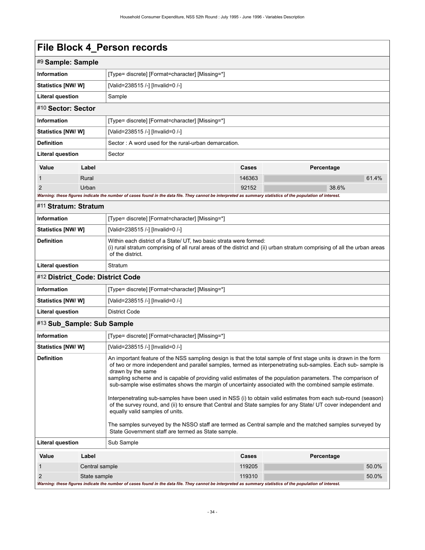|                                                                                                                                                                                                                                                                                                                                                                                                                                                                                                                                                                                                                                                                                                                                                                                                                                                                                                                                              |                                                                                                                                                                                       | LIIA DINCU 4 LAISAII IACAINS                                                                                                                                                                                       |        |            |
|----------------------------------------------------------------------------------------------------------------------------------------------------------------------------------------------------------------------------------------------------------------------------------------------------------------------------------------------------------------------------------------------------------------------------------------------------------------------------------------------------------------------------------------------------------------------------------------------------------------------------------------------------------------------------------------------------------------------------------------------------------------------------------------------------------------------------------------------------------------------------------------------------------------------------------------------|---------------------------------------------------------------------------------------------------------------------------------------------------------------------------------------|--------------------------------------------------------------------------------------------------------------------------------------------------------------------------------------------------------------------|--------|------------|
| #9 Sample: Sample                                                                                                                                                                                                                                                                                                                                                                                                                                                                                                                                                                                                                                                                                                                                                                                                                                                                                                                            |                                                                                                                                                                                       |                                                                                                                                                                                                                    |        |            |
| <b>Information</b>                                                                                                                                                                                                                                                                                                                                                                                                                                                                                                                                                                                                                                                                                                                                                                                                                                                                                                                           |                                                                                                                                                                                       | [Type= discrete] [Format=character] [Missing=*]                                                                                                                                                                    |        |            |
| <b>Statistics [NW/W]</b>                                                                                                                                                                                                                                                                                                                                                                                                                                                                                                                                                                                                                                                                                                                                                                                                                                                                                                                     |                                                                                                                                                                                       | [Valid=238515 /-] [Invalid=0 /-]                                                                                                                                                                                   |        |            |
| <b>Literal question</b>                                                                                                                                                                                                                                                                                                                                                                                                                                                                                                                                                                                                                                                                                                                                                                                                                                                                                                                      |                                                                                                                                                                                       | Sample                                                                                                                                                                                                             |        |            |
| #10 Sector: Sector                                                                                                                                                                                                                                                                                                                                                                                                                                                                                                                                                                                                                                                                                                                                                                                                                                                                                                                           |                                                                                                                                                                                       |                                                                                                                                                                                                                    |        |            |
| <b>Information</b>                                                                                                                                                                                                                                                                                                                                                                                                                                                                                                                                                                                                                                                                                                                                                                                                                                                                                                                           |                                                                                                                                                                                       | [Type= discrete] [Format=character] [Missing=*]                                                                                                                                                                    |        |            |
| Statistics [NW/ W]                                                                                                                                                                                                                                                                                                                                                                                                                                                                                                                                                                                                                                                                                                                                                                                                                                                                                                                           |                                                                                                                                                                                       | [Valid=238515 /-] [Invalid=0 /-]                                                                                                                                                                                   |        |            |
| <b>Definition</b>                                                                                                                                                                                                                                                                                                                                                                                                                                                                                                                                                                                                                                                                                                                                                                                                                                                                                                                            |                                                                                                                                                                                       | Sector: A word used for the rural-urban demarcation.                                                                                                                                                               |        |            |
| <b>Literal question</b>                                                                                                                                                                                                                                                                                                                                                                                                                                                                                                                                                                                                                                                                                                                                                                                                                                                                                                                      |                                                                                                                                                                                       | Sector                                                                                                                                                                                                             |        |            |
| Value                                                                                                                                                                                                                                                                                                                                                                                                                                                                                                                                                                                                                                                                                                                                                                                                                                                                                                                                        | Label                                                                                                                                                                                 |                                                                                                                                                                                                                    | Cases  | Percentage |
| 1                                                                                                                                                                                                                                                                                                                                                                                                                                                                                                                                                                                                                                                                                                                                                                                                                                                                                                                                            | Rural                                                                                                                                                                                 |                                                                                                                                                                                                                    | 146363 | 61.4%      |
| $\overline{2}$                                                                                                                                                                                                                                                                                                                                                                                                                                                                                                                                                                                                                                                                                                                                                                                                                                                                                                                               | Urban                                                                                                                                                                                 |                                                                                                                                                                                                                    | 92152  | 38.6%      |
|                                                                                                                                                                                                                                                                                                                                                                                                                                                                                                                                                                                                                                                                                                                                                                                                                                                                                                                                              |                                                                                                                                                                                       | Warning: these figures indicate the number of cases found in the data file. They cannot be interpreted as summary statistics of the population of interest.                                                        |        |            |
| #11 Stratum: Stratum                                                                                                                                                                                                                                                                                                                                                                                                                                                                                                                                                                                                                                                                                                                                                                                                                                                                                                                         |                                                                                                                                                                                       |                                                                                                                                                                                                                    |        |            |
| <b>Information</b>                                                                                                                                                                                                                                                                                                                                                                                                                                                                                                                                                                                                                                                                                                                                                                                                                                                                                                                           |                                                                                                                                                                                       | [Type= discrete] [Format=character] [Missing=*]                                                                                                                                                                    |        |            |
| Statistics [NW/W]                                                                                                                                                                                                                                                                                                                                                                                                                                                                                                                                                                                                                                                                                                                                                                                                                                                                                                                            |                                                                                                                                                                                       | [Valid=238515 /-] [Invalid=0 /-]                                                                                                                                                                                   |        |            |
| <b>Definition</b>                                                                                                                                                                                                                                                                                                                                                                                                                                                                                                                                                                                                                                                                                                                                                                                                                                                                                                                            |                                                                                                                                                                                       | Within each district of a State/ UT, two basic strata were formed:<br>(i) rural stratum comprising of all rural areas of the district and (ii) urban stratum comprising of all the urban areas<br>of the district. |        |            |
| <b>Literal question</b>                                                                                                                                                                                                                                                                                                                                                                                                                                                                                                                                                                                                                                                                                                                                                                                                                                                                                                                      | Stratum                                                                                                                                                                               |                                                                                                                                                                                                                    |        |            |
| #12 District_Code: District Code                                                                                                                                                                                                                                                                                                                                                                                                                                                                                                                                                                                                                                                                                                                                                                                                                                                                                                             |                                                                                                                                                                                       |                                                                                                                                                                                                                    |        |            |
| Information                                                                                                                                                                                                                                                                                                                                                                                                                                                                                                                                                                                                                                                                                                                                                                                                                                                                                                                                  |                                                                                                                                                                                       | [Type= discrete] [Format=character] [Missing=*]                                                                                                                                                                    |        |            |
| <b>Statistics [NW/W]</b>                                                                                                                                                                                                                                                                                                                                                                                                                                                                                                                                                                                                                                                                                                                                                                                                                                                                                                                     |                                                                                                                                                                                       | [Valid=238515 /-] [Invalid=0 /-]                                                                                                                                                                                   |        |            |
| <b>Literal question</b>                                                                                                                                                                                                                                                                                                                                                                                                                                                                                                                                                                                                                                                                                                                                                                                                                                                                                                                      |                                                                                                                                                                                       | <b>District Code</b>                                                                                                                                                                                               |        |            |
| #13 Sub_Sample: Sub Sample                                                                                                                                                                                                                                                                                                                                                                                                                                                                                                                                                                                                                                                                                                                                                                                                                                                                                                                   |                                                                                                                                                                                       |                                                                                                                                                                                                                    |        |            |
| <b>Information</b>                                                                                                                                                                                                                                                                                                                                                                                                                                                                                                                                                                                                                                                                                                                                                                                                                                                                                                                           |                                                                                                                                                                                       | [Type= discrete] [Format=character] [Missing=*]                                                                                                                                                                    |        |            |
| <b>Statistics [NW/W]</b>                                                                                                                                                                                                                                                                                                                                                                                                                                                                                                                                                                                                                                                                                                                                                                                                                                                                                                                     |                                                                                                                                                                                       | [Valid=238515 /-] [Invalid=0 /-]                                                                                                                                                                                   |        |            |
| <b>Definition</b><br>An important feature of the NSS sampling design is that the total sample of first stage units is drawn in the form<br>of two or more independent and parallel samples, termed as interpenetrating sub-samples. Each sub-sample is<br>drawn by the same<br>sampling scheme and is capable of providing valid estimates of the population parameters. The comparison of<br>sub-sample wise estimates shows the margin of uncertainty associated with the combined sample estimate.<br>Interpenetrating sub-samples have been used in NSS (i) to obtain valid estimates from each sub-round (season)<br>of the survey round, and (ii) to ensure that Central and State samples for any State/ UT cover independent and<br>equally valid samples of units.<br>The samples surveyed by the NSSO staff are termed as Central sample and the matched samples surveyed by<br>State Government staff are termed as State sample. |                                                                                                                                                                                       |                                                                                                                                                                                                                    |        |            |
| <b>Literal question</b>                                                                                                                                                                                                                                                                                                                                                                                                                                                                                                                                                                                                                                                                                                                                                                                                                                                                                                                      |                                                                                                                                                                                       | Sub Sample                                                                                                                                                                                                         |        |            |
| Value                                                                                                                                                                                                                                                                                                                                                                                                                                                                                                                                                                                                                                                                                                                                                                                                                                                                                                                                        | Label                                                                                                                                                                                 |                                                                                                                                                                                                                    | Cases  | Percentage |
| 1                                                                                                                                                                                                                                                                                                                                                                                                                                                                                                                                                                                                                                                                                                                                                                                                                                                                                                                                            | Central sample<br>119205                                                                                                                                                              |                                                                                                                                                                                                                    |        | 50.0%      |
| $\overline{2}$                                                                                                                                                                                                                                                                                                                                                                                                                                                                                                                                                                                                                                                                                                                                                                                                                                                                                                                               | 119310<br>State sample<br>Warning: these figures indicate the number of cases found in the data file. They cannot be interpreted as summary statistics of the population of interest. |                                                                                                                                                                                                                    |        | 50.0%      |
|                                                                                                                                                                                                                                                                                                                                                                                                                                                                                                                                                                                                                                                                                                                                                                                                                                                                                                                                              |                                                                                                                                                                                       |                                                                                                                                                                                                                    |        |            |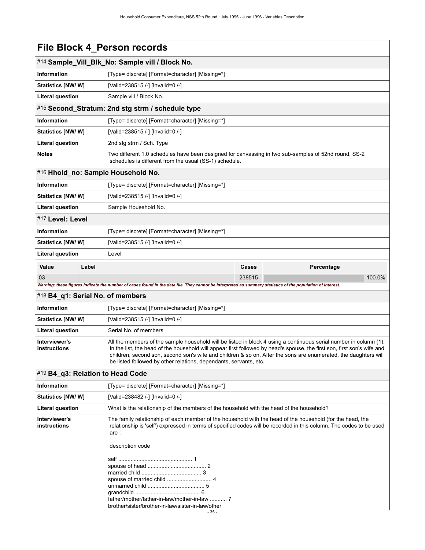|                                                                                                                                                                                                                                                                                                                                                                                                                                                                       | File Block 4_Person records                                                                                                                                 |                                                                                                                                                                |            |  |  |
|-----------------------------------------------------------------------------------------------------------------------------------------------------------------------------------------------------------------------------------------------------------------------------------------------------------------------------------------------------------------------------------------------------------------------------------------------------------------------|-------------------------------------------------------------------------------------------------------------------------------------------------------------|----------------------------------------------------------------------------------------------------------------------------------------------------------------|------------|--|--|
|                                                                                                                                                                                                                                                                                                                                                                                                                                                                       | #14 Sample_Vill_Blk_No: Sample vill / Block No.                                                                                                             |                                                                                                                                                                |            |  |  |
| <b>Information</b>                                                                                                                                                                                                                                                                                                                                                                                                                                                    | [Type= discrete] [Format=character] [Missing=*]                                                                                                             |                                                                                                                                                                |            |  |  |
| Statistics [NW/W]                                                                                                                                                                                                                                                                                                                                                                                                                                                     | [Valid=238515 /-] [Invalid=0 /-]                                                                                                                            |                                                                                                                                                                |            |  |  |
| <b>Literal question</b>                                                                                                                                                                                                                                                                                                                                                                                                                                               | Sample vill / Block No.                                                                                                                                     |                                                                                                                                                                |            |  |  |
|                                                                                                                                                                                                                                                                                                                                                                                                                                                                       | #15 Second Stratum: 2nd stg strm / schedule type                                                                                                            |                                                                                                                                                                |            |  |  |
| <b>Information</b>                                                                                                                                                                                                                                                                                                                                                                                                                                                    | [Type= discrete] [Format=character] [Missing=*]                                                                                                             |                                                                                                                                                                |            |  |  |
| Statistics [NW/W]                                                                                                                                                                                                                                                                                                                                                                                                                                                     | [Valid=238515 /-] [Invalid=0 /-]                                                                                                                            |                                                                                                                                                                |            |  |  |
| <b>Literal question</b>                                                                                                                                                                                                                                                                                                                                                                                                                                               | 2nd stg strm / Sch. Type                                                                                                                                    |                                                                                                                                                                |            |  |  |
| <b>Notes</b>                                                                                                                                                                                                                                                                                                                                                                                                                                                          |                                                                                                                                                             | Two different 1.0 schedules have been designed for canvassing in two sub-samples of 52nd round. SS-2<br>schedules is different from the usual (SS-1) schedule. |            |  |  |
| #16 Hhold_no: Sample Household No.                                                                                                                                                                                                                                                                                                                                                                                                                                    |                                                                                                                                                             |                                                                                                                                                                |            |  |  |
| <b>Information</b>                                                                                                                                                                                                                                                                                                                                                                                                                                                    | [Type= discrete] [Format=character] [Missing=*]                                                                                                             |                                                                                                                                                                |            |  |  |
| Statistics [NW/W]                                                                                                                                                                                                                                                                                                                                                                                                                                                     | [Valid=238515 /-] [Invalid=0 /-]                                                                                                                            |                                                                                                                                                                |            |  |  |
| <b>Literal question</b>                                                                                                                                                                                                                                                                                                                                                                                                                                               | Sample Household No.                                                                                                                                        |                                                                                                                                                                |            |  |  |
| #17 Level: Level                                                                                                                                                                                                                                                                                                                                                                                                                                                      |                                                                                                                                                             |                                                                                                                                                                |            |  |  |
| <b>Information</b>                                                                                                                                                                                                                                                                                                                                                                                                                                                    | [Type= discrete] [Format=character] [Missing=*]                                                                                                             |                                                                                                                                                                |            |  |  |
| Statistics [NW/W]                                                                                                                                                                                                                                                                                                                                                                                                                                                     | [Valid=238515 /-] [Invalid=0 /-]                                                                                                                            |                                                                                                                                                                |            |  |  |
| Literal question                                                                                                                                                                                                                                                                                                                                                                                                                                                      | Level                                                                                                                                                       |                                                                                                                                                                |            |  |  |
| Label<br>Value                                                                                                                                                                                                                                                                                                                                                                                                                                                        |                                                                                                                                                             | Cases                                                                                                                                                          | Percentage |  |  |
| 03                                                                                                                                                                                                                                                                                                                                                                                                                                                                    |                                                                                                                                                             | 238515                                                                                                                                                         | 100.0%     |  |  |
|                                                                                                                                                                                                                                                                                                                                                                                                                                                                       | Warning: these figures indicate the number of cases found in the data file. They cannot be interpreted as summary statistics of the population of interest. |                                                                                                                                                                |            |  |  |
| #18 B4_q1: Serial No. of members                                                                                                                                                                                                                                                                                                                                                                                                                                      |                                                                                                                                                             |                                                                                                                                                                |            |  |  |
| <b>Information</b>                                                                                                                                                                                                                                                                                                                                                                                                                                                    | [Type= discrete] [Format=character] [Missing=*]                                                                                                             |                                                                                                                                                                |            |  |  |
| Statistics [NW/W]                                                                                                                                                                                                                                                                                                                                                                                                                                                     | [Valid=238515 /-] [Invalid=0 /-]                                                                                                                            |                                                                                                                                                                |            |  |  |
| Literal question                                                                                                                                                                                                                                                                                                                                                                                                                                                      | Serial No. of members                                                                                                                                       |                                                                                                                                                                |            |  |  |
| Interviewer's<br>All the members of the sample household will be listed in block 4 using a continuous serial number in column (1).<br>In the list, the head of the household will appear first followed by head's spouse, the first son, first son's wife and<br>instructions<br>children, second son, second son's wife and children & so on. After the sons are enumerated, the daughters will<br>be listed followed by other relations, dependants, servants, etc. |                                                                                                                                                             |                                                                                                                                                                |            |  |  |
| #19 B4 q3: Relation to Head Code                                                                                                                                                                                                                                                                                                                                                                                                                                      |                                                                                                                                                             |                                                                                                                                                                |            |  |  |
| Information                                                                                                                                                                                                                                                                                                                                                                                                                                                           | [Type= discrete] [Format=character] [Missing=*]                                                                                                             |                                                                                                                                                                |            |  |  |
| Statistics [NW/W]                                                                                                                                                                                                                                                                                                                                                                                                                                                     | [Valid=238482 /-] [Invalid=0 /-]                                                                                                                            |                                                                                                                                                                |            |  |  |

| <b>Statistics [NW/W]</b>             | [Valid=238482 /-] [Invalid=0 /-]                                                                                                                                                                                                                             |
|--------------------------------------|--------------------------------------------------------------------------------------------------------------------------------------------------------------------------------------------------------------------------------------------------------------|
| <b>Literal question</b>              | What is the relationship of the members of the household with the head of the household?                                                                                                                                                                     |
| Interviewer's<br><b>instructions</b> | The family relationship of each member of the household with the head of the household (for the head, the<br>relationship is 'self') expressed in terms of specified codes will be recorded in this column. The codes to be used<br>are:<br>description code |
|                                      |                                                                                                                                                                                                                                                              |
|                                      | brother/sister/brother-in-law/sister-in-law/other                                                                                                                                                                                                            |
|                                      | - 35 -                                                                                                                                                                                                                                                       |
|                                      |                                                                                                                                                                                                                                                              |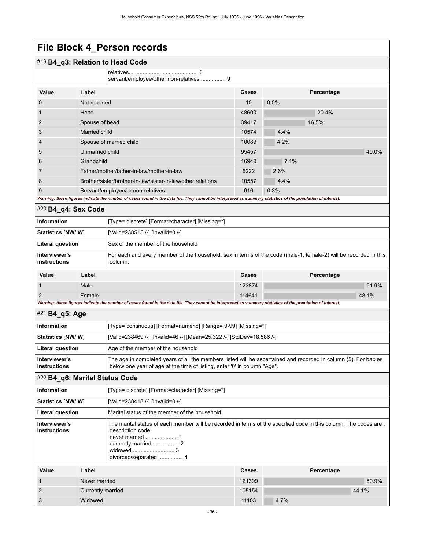| #19 B4_q3: Relation to Head Code |  |
|----------------------------------|--|
|----------------------------------|--|

|                                                                                                                                                             | servant/employee/other non-relatives  9                     |       |            |       |
|-------------------------------------------------------------------------------------------------------------------------------------------------------------|-------------------------------------------------------------|-------|------------|-------|
| Value                                                                                                                                                       | Label                                                       | Cases | Percentage |       |
| $\mathbf 0$                                                                                                                                                 | Not reported                                                | 10    | $0.0\%$    |       |
| $\mathbf{1}$                                                                                                                                                | Head                                                        | 48600 | 20.4%      |       |
| $\overline{2}$                                                                                                                                              | Spouse of head                                              | 39417 | 16.5%      |       |
| 3                                                                                                                                                           | Married child                                               | 10574 | 4.4%       |       |
| $\overline{4}$                                                                                                                                              | Spouse of married child                                     | 10089 | 4.2%       |       |
| 5                                                                                                                                                           | Unmarried child                                             | 95457 |            | 40.0% |
| 6                                                                                                                                                           | Grandchild                                                  | 16940 | 7.1%       |       |
| $\overline{7}$                                                                                                                                              | Father/mother/father-in-law/mother-in-law                   | 6222  | 2.6%       |       |
| 8                                                                                                                                                           | Brother/sister/brother-in-law/sister-in-law/other relations | 10557 | 4.4%       |       |
| 9                                                                                                                                                           | Servant/employee/or non-relatives                           | 616   | 0.3%       |       |
| Warning: these figures indicate the number of cases found in the data file. They cannot be interpreted as summary statistics of the population of interest. |                                                             |       |            |       |

#### #20 **B4\_q4: Sex Code**

| <b>Information</b>            |       | [Type= discrete] [Format=character] [Missing=*]                                                                             |        |            |
|-------------------------------|-------|-----------------------------------------------------------------------------------------------------------------------------|--------|------------|
| <b>Statistics [NW/W]</b>      |       | [Valid=238515 /-] [Invalid=0 /-]                                                                                            |        |            |
| Literal question              |       | Sex of the member of the household                                                                                          |        |            |
| Interviewer's<br>instructions |       | For each and every member of the household, sex in terms of the code (male-1, female-2) will be recorded in this<br>column. |        |            |
| Value                         | Label |                                                                                                                             | Cases  | Percentage |
|                               | Male  |                                                                                                                             | 123874 | 51.9%      |

2 Female 114641 48.1%

#### *Warning: these figures indicate the number of cases found in the data file. They cannot be interpreted as summary statistics of the population of interest.*

#### #21 **B4\_q5: Age**

| <b>Information</b>                   | [Type= continuous] [Format=numeric] [Range= 0-99] [Missing=*]                                                                                                                               |
|--------------------------------------|---------------------------------------------------------------------------------------------------------------------------------------------------------------------------------------------|
| <b>Statistics [NW/ W]</b>            | [Valid=238469 /-] [Invalid=46 /-] [Mean=25.322 /-] [StdDev=18.586 /-]                                                                                                                       |
| Literal question                     | Age of the member of the household                                                                                                                                                          |
| Interviewer's<br><b>instructions</b> | The age in completed years of all the members listed will be ascertained and recorded in column (5). For babies<br>below one year of age at the time of listing, enter '0' in column "Age". |

#### #22 **B4\_q6: Marital Status Code**

| <b>Information</b>            |      | [Type= discrete] [Format=character] [Missing=*]                                                                                      |       |                   |  |  |
|-------------------------------|------|--------------------------------------------------------------------------------------------------------------------------------------|-------|-------------------|--|--|
| <b>Statistics [NW/ W]</b>     |      | [Valid=238418 /-] [Invalid=0 /-]                                                                                                     |       |                   |  |  |
| <b>Literal question</b>       |      | Marital status of the member of the household                                                                                        |       |                   |  |  |
| Interviewer's<br>instructions |      | The marital status of each member will be recorded in terms of the specified code in this column. The codes are:<br>description code |       |                   |  |  |
| $\frac{1}{2}$                 | ohol |                                                                                                                                      | 0.000 | <b>Dovoontogo</b> |  |  |

| Value | Label             | <b>Cases</b> | Percentage |
|-------|-------------------|--------------|------------|
|       | Never married     | 121399       | 50.9%      |
|       | Currently married | 105154       | 44.1%      |
|       | Widowed           | 11103        | 4.7%       |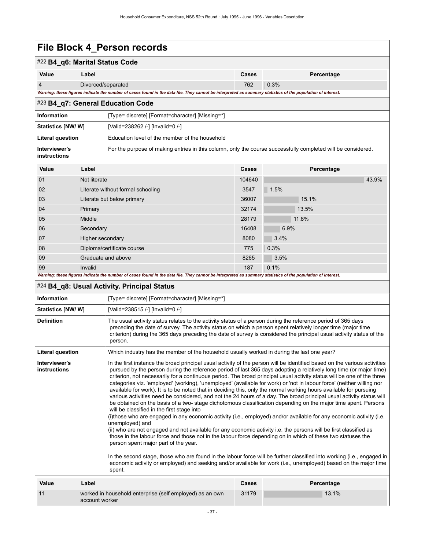#### #22 **B4\_q6: Marital Status Code**

| Value                                                                                                                                                       | Label.             | Cases | Percentage |
|-------------------------------------------------------------------------------------------------------------------------------------------------------------|--------------------|-------|------------|
|                                                                                                                                                             | Divorced/separated | 762   | 0.3%       |
| Warning: these figures indicate the number of cases found in the data file. They cannot be interpreted as summary statistics of the population of interest. |                    |       |            |

#### #23 **B4\_q7: General Education Code**

| <b>Information</b>            | [Type= discrete] [Format=character] [Missing=*]                                                              |
|-------------------------------|--------------------------------------------------------------------------------------------------------------|
| <b>Statistics [NW/ W]</b>     | [Valid=238262 /-] [Invalid=0 /-]                                                                             |
| Literal question              | Education level of the member of the household                                                               |
| Interviewer's<br>instructions | For the purpose of making entries in this column, only the course successfully completed will be considered. |

| Value | Label                                                                                                                                                       | <b>Cases</b> | Percentage |
|-------|-------------------------------------------------------------------------------------------------------------------------------------------------------------|--------------|------------|
| 01    | Not literate                                                                                                                                                | 104640       | 43.9%      |
| 02    | Literate without formal schooling                                                                                                                           | 3547         | 1.5%       |
| 03    | Literate but below primary                                                                                                                                  | 36007        | 15.1%      |
| 04    | Primary                                                                                                                                                     | 32174        | 13.5%      |
| 05    | Middle                                                                                                                                                      | 28179        | 11.8%      |
| 06    | Secondary                                                                                                                                                   | 16408        | 6.9%       |
| 07    | Higher secondary                                                                                                                                            | 8080         | 3.4%       |
| 08    | Diploma/certificate course                                                                                                                                  | 775          | 0.3%       |
| 09    | Graduate and above                                                                                                                                          | 8265         | 3.5%       |
| 99    | Invalid                                                                                                                                                     | 187          | 0.1%       |
|       | Warning: these figures indicate the number of cases found in the data file. They cannot be interpreted as summary statistics of the population of interest. |              |            |

#### #24 **B4\_q8: Usual Activity. Principal Status**

| Information                   |                                                                                                                                                                                                                                                                                                                                                                 | [Type= discrete] [Format=character] [Missing=*]                                                                                                                                                                                                                                                                                                                                                                                                                                                                                                                                                                                                                                                                                                                                                                                                                                                                                                                                                                                                                                                                                                                                                                                                                                                                                                      |              |                                                                                                                                                                                                                                       |  |  |
|-------------------------------|-----------------------------------------------------------------------------------------------------------------------------------------------------------------------------------------------------------------------------------------------------------------------------------------------------------------------------------------------------------------|------------------------------------------------------------------------------------------------------------------------------------------------------------------------------------------------------------------------------------------------------------------------------------------------------------------------------------------------------------------------------------------------------------------------------------------------------------------------------------------------------------------------------------------------------------------------------------------------------------------------------------------------------------------------------------------------------------------------------------------------------------------------------------------------------------------------------------------------------------------------------------------------------------------------------------------------------------------------------------------------------------------------------------------------------------------------------------------------------------------------------------------------------------------------------------------------------------------------------------------------------------------------------------------------------------------------------------------------------|--------------|---------------------------------------------------------------------------------------------------------------------------------------------------------------------------------------------------------------------------------------|--|--|
| <b>Statistics [NW/ W]</b>     |                                                                                                                                                                                                                                                                                                                                                                 | [Valid=238515 /-] [Invalid=0 /-]                                                                                                                                                                                                                                                                                                                                                                                                                                                                                                                                                                                                                                                                                                                                                                                                                                                                                                                                                                                                                                                                                                                                                                                                                                                                                                                     |              |                                                                                                                                                                                                                                       |  |  |
| <b>Definition</b>             | The usual activity status relates to the activity status of a person during the reference period of 365 days<br>preceding the date of survey. The activity status on which a person spent relatively longer time (major time<br>criterion) during the 365 days preceding the date of survey is considered the principal usual activity status of the<br>person. |                                                                                                                                                                                                                                                                                                                                                                                                                                                                                                                                                                                                                                                                                                                                                                                                                                                                                                                                                                                                                                                                                                                                                                                                                                                                                                                                                      |              |                                                                                                                                                                                                                                       |  |  |
| Literal question              |                                                                                                                                                                                                                                                                                                                                                                 | Which industry has the member of the household usually worked in during the last one year?                                                                                                                                                                                                                                                                                                                                                                                                                                                                                                                                                                                                                                                                                                                                                                                                                                                                                                                                                                                                                                                                                                                                                                                                                                                           |              |                                                                                                                                                                                                                                       |  |  |
| Interviewer's<br>instructions |                                                                                                                                                                                                                                                                                                                                                                 | In the first instance the broad principal usual activity of the person will be identified based on the various activities<br>criterion, not necessarily for a continuous period. The broad principal usual activity status will be one of the three<br>categories viz. 'employed' (working), 'unemployed' (available for work) or 'not in labour force' (neither willing nor<br>available for work). It is to be noted that in deciding this, only the normal working hours available for pursuing<br>various activities need be considered, and not the 24 hours of a day. The broad principal usual activity status will<br>be obtained on the basis of a two- stage dichotomous classification depending on the major time spent. Persons<br>will be classified in the first stage into<br>(i)those who are engaged in any economic activity (i.e., employed) and/or available for any economic activity (i.e.<br>unemployed) and<br>(ii) who are not engaged and not available for any economic activity i.e. the persons will be first classified as<br>those in the labour force and those not in the labour force depending on in which of these two statuses the<br>person spent major part of the year.<br>In the second stage, those who are found in the labour force will be further classified into working (i.e., engaged in<br>spent. |              | pursued by the person during the reference period of last 365 days adopting a relatively long time (or major time)<br>economic activity or employed) and seeking and/or available for work (i.e., unemployed) based on the major time |  |  |
| Value                         | Label                                                                                                                                                                                                                                                                                                                                                           |                                                                                                                                                                                                                                                                                                                                                                                                                                                                                                                                                                                                                                                                                                                                                                                                                                                                                                                                                                                                                                                                                                                                                                                                                                                                                                                                                      | <b>Cases</b> | Percentage                                                                                                                                                                                                                            |  |  |
| 11                            | account worker                                                                                                                                                                                                                                                                                                                                                  | worked in household enterprise (self employed) as an own                                                                                                                                                                                                                                                                                                                                                                                                                                                                                                                                                                                                                                                                                                                                                                                                                                                                                                                                                                                                                                                                                                                                                                                                                                                                                             | 31179        | 13.1%                                                                                                                                                                                                                                 |  |  |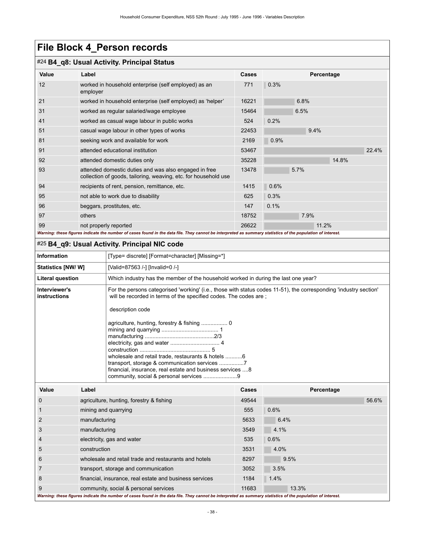#### #24 **B4\_q8: Usual Activity. Principal Status**

| Value | Label                                                                                                                    | <b>Cases</b> |      | Percentage |       |
|-------|--------------------------------------------------------------------------------------------------------------------------|--------------|------|------------|-------|
| 12    | worked in household enterprise (self employed) as an<br>employer                                                         | 771          | 0.3% |            |       |
| 21    | worked in household enterprise (self employed) as 'helper'                                                               | 16221        | 6.8% |            |       |
| 31    | worked as regular salaried/wage employee                                                                                 | 15464        | 6.5% |            |       |
| 41    | worked as casual wage labour in public works                                                                             | 524          | 0.2% |            |       |
| 51    | casual wage labour in other types of works                                                                               | 22453        |      | 9.4%       |       |
| 81    | seeking work and available for work                                                                                      | 2169         | 0.9% |            |       |
| 91    | attended educational institution                                                                                         | 53467        |      |            | 22.4% |
| 92    | attended domestic duties only                                                                                            | 35228        |      | 14.8%      |       |
| 93    | attended domestic duties and was also engaged in free<br>collection of goods, tailoring, weaving, etc. for household use | 13478        | 5.7% |            |       |
| 94    | recipients of rent, pension, remittance, etc.                                                                            | 1415         | 0.6% |            |       |
| 95    | not able to work due to disability                                                                                       | 625          | 0.3% |            |       |
| 96    | beggars, prostitutes, etc.                                                                                               | 147          | 0.1% |            |       |
| 97    | others                                                                                                                   | 18752        |      | 7.9%       |       |
| 99    | not properly reported                                                                                                    | 26622        |      | 11.2%      |       |

#### #25 **B4\_q9: Usual Activity. Principal NIC code**

|                                                                                                                                                                                                                                                                                                                                                                                                            |                                                       | . 90. 9000.700.710,8.1.1110.pdf .1.9 000                |       |            |  |  |  |
|------------------------------------------------------------------------------------------------------------------------------------------------------------------------------------------------------------------------------------------------------------------------------------------------------------------------------------------------------------------------------------------------------------|-------------------------------------------------------|---------------------------------------------------------|-------|------------|--|--|--|
| <b>Information</b>                                                                                                                                                                                                                                                                                                                                                                                         |                                                       | [Type= discrete] [Format=character] [Missing=*]         |       |            |  |  |  |
| <b>Statistics [NW/W]</b>                                                                                                                                                                                                                                                                                                                                                                                   |                                                       | [Valid=87563 /-] [Invalid=0 /-]                         |       |            |  |  |  |
| Which industry has the member of the household worked in during the last one year?<br><b>Literal question</b>                                                                                                                                                                                                                                                                                              |                                                       |                                                         |       |            |  |  |  |
| For the persons categorised 'working' (i.e., those with status codes 11-51), the corresponding 'industry section'<br>Interviewer's<br>will be recorded in terms of the specified codes. The codes are ;<br>instructions<br>description code<br>wholesale and retail trade, restaurants & hotels 6<br>financial, insurance, real estate and business services  8<br>community, social & personal services 9 |                                                       |                                                         |       |            |  |  |  |
| Value                                                                                                                                                                                                                                                                                                                                                                                                      | Label                                                 |                                                         | Cases | Percentage |  |  |  |
| $\mathbf 0$                                                                                                                                                                                                                                                                                                                                                                                                |                                                       | agriculture, hunting, forestry & fishing                | 49544 | 56.6%      |  |  |  |
| 1                                                                                                                                                                                                                                                                                                                                                                                                          |                                                       | mining and quarrying                                    | 555   | 0.6%       |  |  |  |
| $\overline{2}$                                                                                                                                                                                                                                                                                                                                                                                             | manufacturing                                         |                                                         | 5633  | 6.4%       |  |  |  |
| 3                                                                                                                                                                                                                                                                                                                                                                                                          | manufacturing                                         |                                                         | 3549  | 4.1%       |  |  |  |
| electricity, gas and water<br>4                                                                                                                                                                                                                                                                                                                                                                            |                                                       |                                                         | 535   | 0.6%       |  |  |  |
| 5                                                                                                                                                                                                                                                                                                                                                                                                          | construction                                          |                                                         | 3531  | 4.0%       |  |  |  |
| 6                                                                                                                                                                                                                                                                                                                                                                                                          | wholesale and retail trade and restaurants and hotels |                                                         | 8297  | 9.5%       |  |  |  |
| 7                                                                                                                                                                                                                                                                                                                                                                                                          |                                                       | transport, storage and communication                    | 3052  | 3.5%       |  |  |  |
| 8                                                                                                                                                                                                                                                                                                                                                                                                          |                                                       | financial, insurance, real estate and business services | 1184  | 1.4%       |  |  |  |
| 9                                                                                                                                                                                                                                                                                                                                                                                                          |                                                       | community, social & personal services                   | 11683 | 13.3%      |  |  |  |

*Warning: these figures indicate the number of cases found in the data file. They cannot be interpreted as summary statistics of the population of interest.*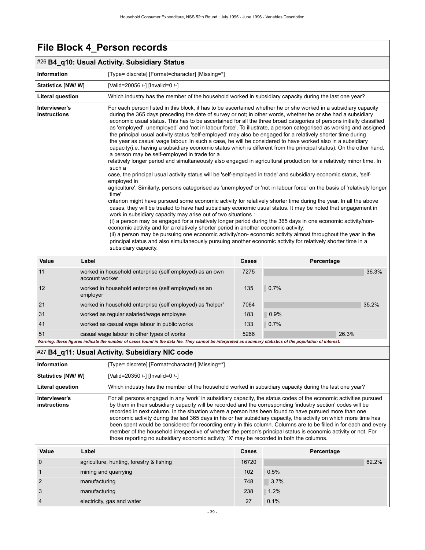|                               |                                                            | #26 B4_q10: Usual Activity. Subsidiary Status                                                                                                                                                                                                                                                                                                                                                                                                                                                                                                                                                                                                                                                                                                                                                                                                                                                                                                                                                                                                                                                                                                                                                                                                                                                                                                                                                                                                                                                                                                                                                                                                                                                                                                                                                                                                                                                                                                                                                                                                                   |       |      |            |       |  |
|-------------------------------|------------------------------------------------------------|-----------------------------------------------------------------------------------------------------------------------------------------------------------------------------------------------------------------------------------------------------------------------------------------------------------------------------------------------------------------------------------------------------------------------------------------------------------------------------------------------------------------------------------------------------------------------------------------------------------------------------------------------------------------------------------------------------------------------------------------------------------------------------------------------------------------------------------------------------------------------------------------------------------------------------------------------------------------------------------------------------------------------------------------------------------------------------------------------------------------------------------------------------------------------------------------------------------------------------------------------------------------------------------------------------------------------------------------------------------------------------------------------------------------------------------------------------------------------------------------------------------------------------------------------------------------------------------------------------------------------------------------------------------------------------------------------------------------------------------------------------------------------------------------------------------------------------------------------------------------------------------------------------------------------------------------------------------------------------------------------------------------------------------------------------------------|-------|------|------------|-------|--|
| <b>Information</b>            |                                                            | [Type= discrete] [Format=character] [Missing=*]                                                                                                                                                                                                                                                                                                                                                                                                                                                                                                                                                                                                                                                                                                                                                                                                                                                                                                                                                                                                                                                                                                                                                                                                                                                                                                                                                                                                                                                                                                                                                                                                                                                                                                                                                                                                                                                                                                                                                                                                                 |       |      |            |       |  |
| <b>Statistics [NW/ W]</b>     |                                                            | [Valid=20056 /-] [Invalid=0 /-]                                                                                                                                                                                                                                                                                                                                                                                                                                                                                                                                                                                                                                                                                                                                                                                                                                                                                                                                                                                                                                                                                                                                                                                                                                                                                                                                                                                                                                                                                                                                                                                                                                                                                                                                                                                                                                                                                                                                                                                                                                 |       |      |            |       |  |
| <b>Literal question</b>       |                                                            | Which industry has the member of the household worked in subsidiary capacity during the last one year?                                                                                                                                                                                                                                                                                                                                                                                                                                                                                                                                                                                                                                                                                                                                                                                                                                                                                                                                                                                                                                                                                                                                                                                                                                                                                                                                                                                                                                                                                                                                                                                                                                                                                                                                                                                                                                                                                                                                                          |       |      |            |       |  |
| Interviewer's<br>instructions |                                                            | For each person listed in this block, it has to be ascertained whether he or she worked in a subsidiary capacity<br>during the 365 days preceding the date of survey or not; in other words, whether he or she had a subsidiary<br>economic usual status. This has to be ascertained for all the three broad categories of persons initially classified<br>as 'employed', unemployed' and 'not in labour force'. To illustrate, a person categorised as working and assigned<br>the principal usual activity status 'self-employed' may also be engaged for a relatively shorter time during<br>the year as casual wage labour. In such a case, he will be considered to have worked also in a subsidiary<br>capacity(i.e., having a subsidiary economic status which is different from the principal status). On the other hand,<br>a person may be self-employed in trade for a<br>relatively longer period and simultaneously also engaged in agricultural production for a relatively minor time. In<br>such a<br>case, the principal usual activity status will be 'self-employed in trade' and subsidiary economic status, 'self-<br>employed in<br>agriculture'. Similarly, persons categorised as 'unemployed' or 'not in labour force' on the basis of 'relatively longer<br>time'<br>criterion might have pursued some economic activity for relatively shorter time during the year. In all the above<br>cases, they will be treated to have had subsidiary economic usual status. It may be noted that engagement in<br>work in subsidiary capacity may arise out of two situations :<br>(i) a person may be engaged for a relatively longer period during the 365 days in one economic activity/non-<br>economic activity and for a relatively shorter period in another economic activity;<br>(ii) a person may be pursuing one economic activity/non-economic activity almost throughout the year in the<br>principal status and also simultaneously pursuing another economic activity for relatively shorter time in a<br>subsidiary capacity. |       |      |            |       |  |
| Value                         | Label                                                      |                                                                                                                                                                                                                                                                                                                                                                                                                                                                                                                                                                                                                                                                                                                                                                                                                                                                                                                                                                                                                                                                                                                                                                                                                                                                                                                                                                                                                                                                                                                                                                                                                                                                                                                                                                                                                                                                                                                                                                                                                                                                 | Cases |      | Percentage |       |  |
| 11                            | account worker                                             | worked in household enterprise (self employed) as an own                                                                                                                                                                                                                                                                                                                                                                                                                                                                                                                                                                                                                                                                                                                                                                                                                                                                                                                                                                                                                                                                                                                                                                                                                                                                                                                                                                                                                                                                                                                                                                                                                                                                                                                                                                                                                                                                                                                                                                                                        | 7275  |      |            | 36.3% |  |
| 12                            | employer                                                   | worked in household enterprise (self employed) as an                                                                                                                                                                                                                                                                                                                                                                                                                                                                                                                                                                                                                                                                                                                                                                                                                                                                                                                                                                                                                                                                                                                                                                                                                                                                                                                                                                                                                                                                                                                                                                                                                                                                                                                                                                                                                                                                                                                                                                                                            | 135   | 0.7% |            |       |  |
| 21                            | worked in household enterprise (self employed) as 'helper' |                                                                                                                                                                                                                                                                                                                                                                                                                                                                                                                                                                                                                                                                                                                                                                                                                                                                                                                                                                                                                                                                                                                                                                                                                                                                                                                                                                                                                                                                                                                                                                                                                                                                                                                                                                                                                                                                                                                                                                                                                                                                 | 7064  |      |            | 35.2% |  |
| 31                            | worked as regular salaried/wage employee                   |                                                                                                                                                                                                                                                                                                                                                                                                                                                                                                                                                                                                                                                                                                                                                                                                                                                                                                                                                                                                                                                                                                                                                                                                                                                                                                                                                                                                                                                                                                                                                                                                                                                                                                                                                                                                                                                                                                                                                                                                                                                                 | 183   | 0.9% |            |       |  |
| 41                            | worked as casual wage labour in public works               |                                                                                                                                                                                                                                                                                                                                                                                                                                                                                                                                                                                                                                                                                                                                                                                                                                                                                                                                                                                                                                                                                                                                                                                                                                                                                                                                                                                                                                                                                                                                                                                                                                                                                                                                                                                                                                                                                                                                                                                                                                                                 | 133   | 0.7% |            |       |  |
| 51                            |                                                            | casual wage labour in other types of works                                                                                                                                                                                                                                                                                                                                                                                                                                                                                                                                                                                                                                                                                                                                                                                                                                                                                                                                                                                                                                                                                                                                                                                                                                                                                                                                                                                                                                                                                                                                                                                                                                                                                                                                                                                                                                                                                                                                                                                                                      | 5266  |      | 26.3%      |       |  |
|                               |                                                            | Warning: these figures indicate the number of cases found in the data file. They cannot be interpreted as summary statistics of the population of interest.                                                                                                                                                                                                                                                                                                                                                                                                                                                                                                                                                                                                                                                                                                                                                                                                                                                                                                                                                                                                                                                                                                                                                                                                                                                                                                                                                                                                                                                                                                                                                                                                                                                                                                                                                                                                                                                                                                     |       |      |            |       |  |
|                               |                                                            | #27 B4_q11: Usual Activity. Subsidiary NIC code                                                                                                                                                                                                                                                                                                                                                                                                                                                                                                                                                                                                                                                                                                                                                                                                                                                                                                                                                                                                                                                                                                                                                                                                                                                                                                                                                                                                                                                                                                                                                                                                                                                                                                                                                                                                                                                                                                                                                                                                                 |       |      |            |       |  |
| <b>Information</b>            |                                                            | [Type= discrete] [Format=character] [Missing=*]                                                                                                                                                                                                                                                                                                                                                                                                                                                                                                                                                                                                                                                                                                                                                                                                                                                                                                                                                                                                                                                                                                                                                                                                                                                                                                                                                                                                                                                                                                                                                                                                                                                                                                                                                                                                                                                                                                                                                                                                                 |       |      |            |       |  |

| <b>Information</b>                   |                      | [Type= discrete] [Format=character] [Missing=*]                                                                                                                                                                                                                                                                                                                                                                                                                                                                                                                                                                                                                                                                                                                                                     |       |            |       |  |
|--------------------------------------|----------------------|-----------------------------------------------------------------------------------------------------------------------------------------------------------------------------------------------------------------------------------------------------------------------------------------------------------------------------------------------------------------------------------------------------------------------------------------------------------------------------------------------------------------------------------------------------------------------------------------------------------------------------------------------------------------------------------------------------------------------------------------------------------------------------------------------------|-------|------------|-------|--|
| Statistics [NW/W]                    |                      | [Valid=20350 /-] [Invalid=0 /-]                                                                                                                                                                                                                                                                                                                                                                                                                                                                                                                                                                                                                                                                                                                                                                     |       |            |       |  |
| Literal question                     |                      | Which industry has the member of the household worked in subsidiary capacity during the last one year?                                                                                                                                                                                                                                                                                                                                                                                                                                                                                                                                                                                                                                                                                              |       |            |       |  |
| Interviewer's<br><b>instructions</b> |                      | For all persons engaged in any 'work' in subsidiary capacity, the status codes of the economic activities pursued<br>by them in their subsidiary capacity will be recorded and the corresponding 'industry section' codes will be<br>recorded in next column. In the situation where a person has been found to have pursued more than one<br>economic activity during the last 365 days in his or her subsidiary capacity, the activity on which more time has<br>been spent would be considered for recording entry in this column. Columns are to be filled in for each and every<br>member of the household irrespective of whether the person's principal status is economic activity or not. For<br>those reporting no subsidiary economic activity, 'X' may be recorded in both the columns. |       |            |       |  |
| Value                                | Label                |                                                                                                                                                                                                                                                                                                                                                                                                                                                                                                                                                                                                                                                                                                                                                                                                     | Cases | Percentage |       |  |
| O                                    |                      | agriculture, hunting, forestry & fishing                                                                                                                                                                                                                                                                                                                                                                                                                                                                                                                                                                                                                                                                                                                                                            | 16720 |            | 82.2% |  |
|                                      | mining and quarrying |                                                                                                                                                                                                                                                                                                                                                                                                                                                                                                                                                                                                                                                                                                                                                                                                     | 102   | 0.5%       |       |  |
| 2<br>manufacturing                   |                      | 748                                                                                                                                                                                                                                                                                                                                                                                                                                                                                                                                                                                                                                                                                                                                                                                                 | 3.7%  |            |       |  |
| 3                                    | manufacturing        |                                                                                                                                                                                                                                                                                                                                                                                                                                                                                                                                                                                                                                                                                                                                                                                                     | 238   | 1.2%       |       |  |
| 4                                    |                      | electricity, gas and water                                                                                                                                                                                                                                                                                                                                                                                                                                                                                                                                                                                                                                                                                                                                                                          | 27    | 0.1%       |       |  |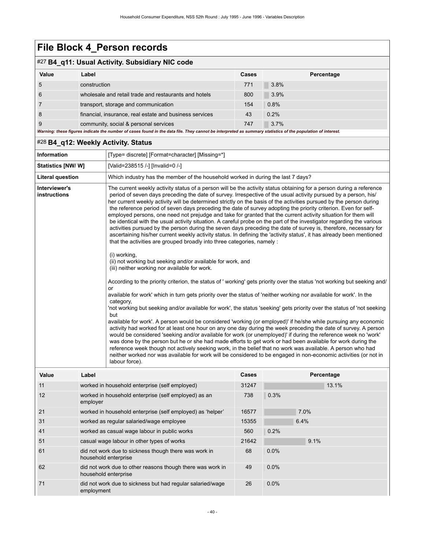#### #27 **B4\_q11: Usual Activity. Subsidiary NIC code**

| Value | Label                                                                                                                                                       | <b>Cases</b> | Percentage |
|-------|-------------------------------------------------------------------------------------------------------------------------------------------------------------|--------------|------------|
| 5     | construction                                                                                                                                                | 771          | $3.8\%$    |
| 6     | wholesale and retail trade and restaurants and hotels                                                                                                       | 800          | $3.9\%$    |
|       | transport, storage and communication                                                                                                                        | 154          | 0.8%       |
| 8     | financial, insurance, real estate and business services                                                                                                     | 43           | 0.2%       |
| 9     | community, social & personal services                                                                                                                       | 747          | 3.7%       |
|       | Warning: these figures indicate the number of cases found in the data file. They cannot be interpreted as summary statistics of the population of interest. |              |            |

#### #28 **B4\_q12: Weekly Activity. Status**

| <b>Information</b>            |                                              | [Type= discrete] [Format=character] [Missing=*]                                                                                                                                                                                                                                                                                                                                                                                                                                                                                                                                                                                                                                                                                                                                                                                                                                                                                                                                                                                                                                                                                                         |       |      |       |  |
|-------------------------------|----------------------------------------------|---------------------------------------------------------------------------------------------------------------------------------------------------------------------------------------------------------------------------------------------------------------------------------------------------------------------------------------------------------------------------------------------------------------------------------------------------------------------------------------------------------------------------------------------------------------------------------------------------------------------------------------------------------------------------------------------------------------------------------------------------------------------------------------------------------------------------------------------------------------------------------------------------------------------------------------------------------------------------------------------------------------------------------------------------------------------------------------------------------------------------------------------------------|-------|------|-------|--|
| Statistics [NW/W]             |                                              | [Valid=238515 /-] [Invalid=0 /-]                                                                                                                                                                                                                                                                                                                                                                                                                                                                                                                                                                                                                                                                                                                                                                                                                                                                                                                                                                                                                                                                                                                        |       |      |       |  |
| <b>Literal question</b>       |                                              | Which industry has the member of the household worked in during the last 7 days?                                                                                                                                                                                                                                                                                                                                                                                                                                                                                                                                                                                                                                                                                                                                                                                                                                                                                                                                                                                                                                                                        |       |      |       |  |
| Interviewer's<br>instructions |                                              | The current weekly activity status of a person will be the activity status obtaining for a person during a reference<br>period of seven days preceding the date of survey. Irrespective of the usual activity pursued by a person, his/<br>her current weekly activity will be determined strictly on the basis of the activities pursued by the person during<br>the reference period of seven days preceding the date of survey adopting the priority criterion. Even for self-<br>employed persons, one need not prejudge and take for granted that the current activity situation for them will<br>be identical with the usual activity situation. A careful probe on the part of the investigator regarding the various<br>activities pursued by the person during the seven days preceding the date of survey is, therefore, necessary for<br>ascertaining his/her current weekly activity status. In defining the 'activity status', it has already been mentioned<br>that the activities are grouped broadly into three categories, namely :                                                                                                    |       |      |       |  |
|                               |                                              | (i) working,<br>(ii) not working but seeking and/or available for work, and<br>(iii) neither working nor available for work.                                                                                                                                                                                                                                                                                                                                                                                                                                                                                                                                                                                                                                                                                                                                                                                                                                                                                                                                                                                                                            |       |      |       |  |
| Value<br>Label                |                                              | According to the priority criterion, the status of 'working' gets priority over the status 'not working but seeking and/<br>or<br>available for work' which in turn gets priority over the status of 'neither working nor available for work'. In the<br>category,<br>'not working but seeking and/or available for work', the status 'seeking' gets priority over the status of 'not seeking<br>but<br>available for work'. A person would be considered 'working (or employed)' if he/she while pursuing any economic<br>activity had worked for at least one hour on any one day during the week preceding the date of survey. A person<br>would be considered 'seeking and/or available for work (or unemployed)' if during the reference week no 'work'<br>was done by the person but he or she had made efforts to get work or had been available for work during the<br>reference week though not actively seeking work, in the belief that no work was available. A person who had<br>neither worked nor was available for work will be considered to be engaged in non-economic activities (or not in<br>labour force).<br>Percentage<br>Cases |       |      |       |  |
| 11                            |                                              | worked in household enterprise (self employed)                                                                                                                                                                                                                                                                                                                                                                                                                                                                                                                                                                                                                                                                                                                                                                                                                                                                                                                                                                                                                                                                                                          | 31247 |      | 13.1% |  |
| 12                            | employer                                     | worked in household enterprise (self employed) as an                                                                                                                                                                                                                                                                                                                                                                                                                                                                                                                                                                                                                                                                                                                                                                                                                                                                                                                                                                                                                                                                                                    | 738   | 0.3% |       |  |
| 21                            |                                              | worked in household enterprise (self employed) as 'helper'                                                                                                                                                                                                                                                                                                                                                                                                                                                                                                                                                                                                                                                                                                                                                                                                                                                                                                                                                                                                                                                                                              | 16577 | 7.0% |       |  |
| 31                            |                                              | worked as regular salaried/wage employee                                                                                                                                                                                                                                                                                                                                                                                                                                                                                                                                                                                                                                                                                                                                                                                                                                                                                                                                                                                                                                                                                                                | 15355 | 6.4% |       |  |
| 41                            | worked as casual wage labour in public works |                                                                                                                                                                                                                                                                                                                                                                                                                                                                                                                                                                                                                                                                                                                                                                                                                                                                                                                                                                                                                                                                                                                                                         | 560   | 0.2% |       |  |
| 51                            | casual wage labour in other types of works   |                                                                                                                                                                                                                                                                                                                                                                                                                                                                                                                                                                                                                                                                                                                                                                                                                                                                                                                                                                                                                                                                                                                                                         | 21642 | 9.1% |       |  |
| 61                            |                                              | did not work due to sickness though there was work in<br>household enterprise                                                                                                                                                                                                                                                                                                                                                                                                                                                                                                                                                                                                                                                                                                                                                                                                                                                                                                                                                                                                                                                                           | 68    | 0.0% |       |  |
| 62                            |                                              | did not work due to other reasons though there was work in<br>household enterprise                                                                                                                                                                                                                                                                                                                                                                                                                                                                                                                                                                                                                                                                                                                                                                                                                                                                                                                                                                                                                                                                      | 49    | 0.0% |       |  |
| 71                            | employment                                   | did not work due to sickness but had regular salaried/wage                                                                                                                                                                                                                                                                                                                                                                                                                                                                                                                                                                                                                                                                                                                                                                                                                                                                                                                                                                                                                                                                                              | 26    | 0.0% |       |  |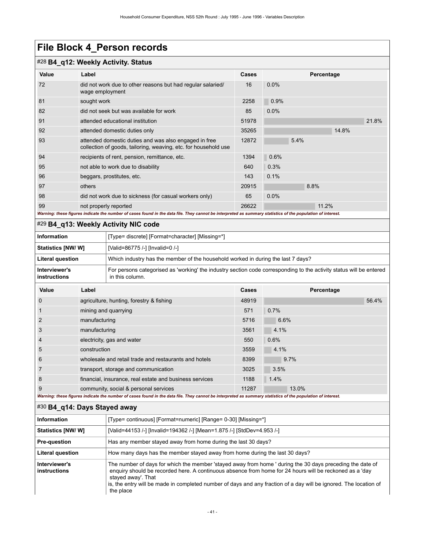#### #28 **B4\_q12: Weekly Activity. Status**

| $\sim$ D+ q i2. Treenly Activity. Oldius |                                                                                                                                                             |       |            |  |
|------------------------------------------|-------------------------------------------------------------------------------------------------------------------------------------------------------------|-------|------------|--|
| Value                                    | Label                                                                                                                                                       | Cases | Percentage |  |
| 72                                       | did not work due to other reasons but had regular salaried/<br>wage employment                                                                              | 16    | 0.0%       |  |
| 81                                       | sought work                                                                                                                                                 | 2258  | 0.9%       |  |
| 82                                       | did not seek but was available for work                                                                                                                     | 85    | $0.0\%$    |  |
| 91                                       | attended educational institution                                                                                                                            | 51978 | 21.8%      |  |
| 92                                       | attended domestic duties only                                                                                                                               | 35265 | 14.8%      |  |
| 93                                       | attended domestic duties and was also engaged in free<br>collection of goods, tailoring, weaving, etc. for household use                                    | 12872 | 5.4%       |  |
| 94                                       | recipients of rent, pension, remittance, etc.                                                                                                               | 1394  | 0.6%       |  |
| 95                                       | not able to work due to disability                                                                                                                          | 640   | 0.3%       |  |
| 96                                       | beggars, prostitutes, etc.                                                                                                                                  | 143   | 0.1%       |  |
| 97                                       | others                                                                                                                                                      | 20915 | 8.8%       |  |
| 98                                       | did not work due to sickness (for casual workers only)                                                                                                      | 65    | 0.0%       |  |
| 99                                       | not properly reported                                                                                                                                       | 26622 | 11.2%      |  |
|                                          | Warning: these figures indicate the number of cases found in the data file. They cannot be interpreted as summary statistics of the population of interest. |       |            |  |

#### #29 **B4\_q13: Weekly Activity NIC code**

| <b>Information</b>            | [Type= discrete] [Format=character] [Missing=*]                                                                                        |
|-------------------------------|----------------------------------------------------------------------------------------------------------------------------------------|
| Statistics [NW/ W]            | [Valid=86775 /-] [Invalid=0 /-]                                                                                                        |
| Literal question              | Which industry has the member of the household worked in during the last 7 days?                                                       |
| Interviewer's<br>instructions | For persons categorised as 'working' the industry section code corresponding to the activity status will be entered<br>in this column. |

| Value          | Label                                                   | Cases | Percentage |
|----------------|---------------------------------------------------------|-------|------------|
| $\Omega$       | agriculture, hunting, forestry & fishing                | 48919 | 56.4%      |
|                | mining and quarrying                                    | 571   | 0.7%       |
| $\overline{2}$ | manufacturing                                           | 5716  | 6.6%       |
| 3              | manufacturing                                           | 3561  | 4.1%       |
| $\overline{4}$ | electricity, gas and water                              | 550   | 0.6%       |
| 5              | construction                                            | 3559  | 4.1%       |
| 6              | wholesale and retail trade and restaurants and hotels   | 8399  | 9.7%       |
|                | transport, storage and communication                    | 3025  | 3.5%       |
| 8              | financial, insurance, real estate and business services | 1188  | 1.4%       |
| 9              | community, social & personal services                   | 11287 | 13.0%      |

#### *Warning: these figures indicate the number of cases found in the data file. They cannot be interpreted as summary statistics of the population of interest.*

#### #30 **B4\_q14: Days Stayed away**

| <b>Information</b>                   | [Type= continuous] [Format=numeric] [Range= 0-30] [Missing=*]                                                                                                                                                                                                                                                                                                                |
|--------------------------------------|------------------------------------------------------------------------------------------------------------------------------------------------------------------------------------------------------------------------------------------------------------------------------------------------------------------------------------------------------------------------------|
| <b>Statistics [NW/ W]</b>            | [Valid=44153 /-] [Invalid=194362 /-] [Mean=1.875 /-] [StdDev=4.953 /-]                                                                                                                                                                                                                                                                                                       |
| <b>Pre-question</b>                  | Has any member stayed away from home during the last 30 days?                                                                                                                                                                                                                                                                                                                |
| Literal question                     | How many days has the member stayed away from home during the last 30 days?                                                                                                                                                                                                                                                                                                  |
| Interviewer's<br><b>instructions</b> | The number of days for which the member 'stayed away from home ' during the 30 days preceding the date of<br>enquiry should be recorded here. A continuous absence from home for 24 hours will be reckoned as a 'day<br>stayed away'. That<br>is, the entry will be made in completed number of days and any fraction of a day will be ignored. The location of<br>the place |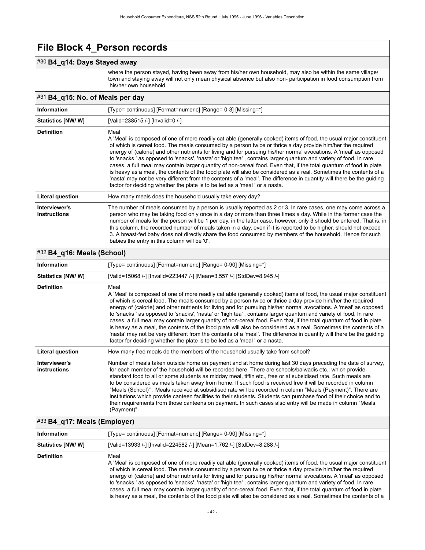#### #30 **B4\_q14: Days Stayed away**

where the person stayed, having been away from his/her own household, may also be within the same village/ town and staying away will not only mean physical absence but also non- participation in food consumption from his/her own household.

#### #31 **B4\_q15: No. of Meals per day**

| <b>Information</b>            | [Type= continuous] [Format=numeric] [Range= 0-3] [Missing=*]                                                                                                                                                                                                                                                                                                                                                                                                                                                                                                                                                                                                                                                                                                                                                                                                                                                                         |
|-------------------------------|--------------------------------------------------------------------------------------------------------------------------------------------------------------------------------------------------------------------------------------------------------------------------------------------------------------------------------------------------------------------------------------------------------------------------------------------------------------------------------------------------------------------------------------------------------------------------------------------------------------------------------------------------------------------------------------------------------------------------------------------------------------------------------------------------------------------------------------------------------------------------------------------------------------------------------------|
| <b>Statistics [NW/W]</b>      | [Valid=238515 /-] [Invalid=0 /-]                                                                                                                                                                                                                                                                                                                                                                                                                                                                                                                                                                                                                                                                                                                                                                                                                                                                                                     |
| <b>Definition</b>             | Meal<br>A 'Meal' is composed of one of more readily cat able (generally cooked) items of food, the usual major constituent<br>of which is cereal food. The meals consumed by a person twice or thrice a day provide him/her the required<br>energy of (calorie) and other nutrients for living and for pursuing his/her normal avocations. A 'meal' as opposed<br>to 'snacks' as opposed to 'snacks', 'nasta' or 'high tea', contains larger quantum and variety of food. In rare<br>cases, a full meal may contain larger quantity of non-cereal food. Even that, if the total quantum of food in plate<br>is heavy as a meal, the contents of the food plate will also be considered as a real. Sometimes the contents of a<br>'nasta' may not be very different from the contents of a 'meal'. The difference in quantity will there be the quiding<br>factor for deciding whether the plate is to be led as a 'meal' or a nasta. |
| Literal question              | How many meals does the household usually take every day?                                                                                                                                                                                                                                                                                                                                                                                                                                                                                                                                                                                                                                                                                                                                                                                                                                                                            |
| Interviewer's<br>instructions | The number of meals consumed by a person is usually reported as 2 or 3. In rare cases, one may come across a<br>person who may be taking food only once in a day or more than three times a day. While in the former case the<br>number of meals for the person will be 1 per day, in the latter case, however, only 3 should be entered. That is, in<br>this column, the recorded number of meals taken in a day, even if it is reported to be higher, should not exceed<br>3. A breast-fed baby does not directly share the food consumed by members of the household. Hence for such<br>babies the entry in this column will be '0'.                                                                                                                                                                                                                                                                                              |

#### #32 **B4\_q16: Meals (School)**

| <b>Information</b>                   | [Type= continuous] [Format=numeric] [Range= 0-90] [Missing=*]                                                                                                                                                                                                                                                                                                                                                                                                                                                                                                                                                                                                                                                                                                                                                                                                                                                                        |
|--------------------------------------|--------------------------------------------------------------------------------------------------------------------------------------------------------------------------------------------------------------------------------------------------------------------------------------------------------------------------------------------------------------------------------------------------------------------------------------------------------------------------------------------------------------------------------------------------------------------------------------------------------------------------------------------------------------------------------------------------------------------------------------------------------------------------------------------------------------------------------------------------------------------------------------------------------------------------------------|
| Statistics [NW/W]                    | [Valid=15068 /-] [Invalid=223447 /-] [Mean=3.557 /-] [StdDev=8.945 /-]                                                                                                                                                                                                                                                                                                                                                                                                                                                                                                                                                                                                                                                                                                                                                                                                                                                               |
| <b>Definition</b>                    | Meal<br>A 'Meal' is composed of one of more readily cat able (generally cooked) items of food, the usual major constituent<br>of which is cereal food. The meals consumed by a person twice or thrice a day provide him/her the required<br>energy of (calorie) and other nutrients for living and for pursuing his/her normal avocations. A 'meal' as opposed<br>to 'snacks' as opposed to 'snacks', 'nasta' or 'high tea', contains larger quantum and variety of food. In rare<br>cases, a full meal may contain larger quantity of non-cereal food. Even that, if the total quantum of food in plate<br>is heavy as a meal, the contents of the food plate will also be considered as a real. Sometimes the contents of a<br>'nasta' may not be very different from the contents of a 'meal'. The difference in quantity will there be the guiding<br>factor for deciding whether the plate is to be led as a 'meal' or a nasta. |
| Literal question                     | How many free meals do the members of the household usually take from school?                                                                                                                                                                                                                                                                                                                                                                                                                                                                                                                                                                                                                                                                                                                                                                                                                                                        |
| Interviewer's<br><b>instructions</b> | Number of meals taken outside home on payment and at home during last 30 days preceding the date of survey,<br>for each member of the household will be recorded here. There are schools/balwadis etc., which provide<br>standard food to all or some students as midday meal, tiffin etc., free or at subsidised rate. Such meals are<br>to be considered as meals taken away from home. If such food is received free it will be recorded in column<br>"Meals (School)". Meals received at subsidised rate will be recorded in column "Meals (Payment)". There are<br>institutions which provide canteen facilities to their students. Students can purchase food of their choice and to<br>their requirements from those canteens on payment. In such cases also entry will be made in column "Meals<br>(Payment)".                                                                                                               |

#### #33 **B4\_q17: Meals (Employer)**

| Information               | [Type= continuous] [Format=numeric] [Range= 0-90] [Missing=*]                                                                                                                                                                                                                                                                                                                                                                                                                                                                                                                                                                                                                                                                 |
|---------------------------|-------------------------------------------------------------------------------------------------------------------------------------------------------------------------------------------------------------------------------------------------------------------------------------------------------------------------------------------------------------------------------------------------------------------------------------------------------------------------------------------------------------------------------------------------------------------------------------------------------------------------------------------------------------------------------------------------------------------------------|
| <b>Statistics [NW/ W]</b> | [Valid=13933 /-] [Invalid=224582 /-] [Mean=1.762 /-] [StdDev=8.288 /-]                                                                                                                                                                                                                                                                                                                                                                                                                                                                                                                                                                                                                                                        |
| <b>Definition</b>         | Meal<br>A 'Meal' is composed of one of more readily cat able (generally cooked) items of food, the usual major constituent<br>of which is cereal food. The meals consumed by a person twice or thrice a day provide him/her the required<br>energy of (calorie) and other nutrients for living and for pursuing his/her normal avocations. A 'meal' as opposed<br>to 'snacks' as opposed to 'snacks', 'nasta' or 'high tea', contains larger guantum and variety of food. In rare<br>cases, a full meal may contain larger quantity of non-cereal food. Even that, if the total quantum of food in plate<br>is heavy as a meal, the contents of the food plate will also be considered as a real. Sometimes the contents of a |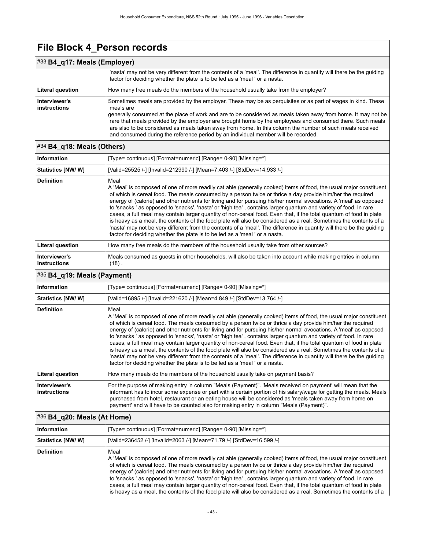| $\#33$ B4_q17: Meals (Employer) |                                                                                                                                                                                                                                                                                                                                                                                                                                                                                                                                                            |  |  |
|---------------------------------|------------------------------------------------------------------------------------------------------------------------------------------------------------------------------------------------------------------------------------------------------------------------------------------------------------------------------------------------------------------------------------------------------------------------------------------------------------------------------------------------------------------------------------------------------------|--|--|
|                                 | 'nasta' may not be very different from the contents of a 'meal'. The difference in quantity will there be the quiding<br>factor for deciding whether the plate is to be led as a 'meal' or a nasta.                                                                                                                                                                                                                                                                                                                                                        |  |  |
| <b>Literal question</b>         | How many free meals do the members of the household usually take from the employer?                                                                                                                                                                                                                                                                                                                                                                                                                                                                        |  |  |
| Interviewer's<br>instructions   | Sometimes meals are provided by the employer. These may be as perquisites or as part of wages in kind. These<br>meals are<br>generally consumed at the place of work and are to be considered as meals taken away from home. It may not be<br>rare that meals provided by the employer are brought home by the employees and consumed there. Such meals<br>are also to be considered as meals taken away from home. In this column the number of such meals received<br>and consumed during the reference period by an individual member will be recorded. |  |  |

#### #34 **B4\_q18: Meals (Others)**

| <b>Information</b>            | [Type= continuous] [Format=numeric] [Range= 0-90] [Missing=*]                                                                                                                                                                                                                                                                                                                                                                                                                                                                                                                                                                                                                                                                                                                                                                                                                                                                        |  |
|-------------------------------|--------------------------------------------------------------------------------------------------------------------------------------------------------------------------------------------------------------------------------------------------------------------------------------------------------------------------------------------------------------------------------------------------------------------------------------------------------------------------------------------------------------------------------------------------------------------------------------------------------------------------------------------------------------------------------------------------------------------------------------------------------------------------------------------------------------------------------------------------------------------------------------------------------------------------------------|--|
| Statistics [NW/W]             | [Valid=25525 /-] [Invalid=212990 /-] [Mean=7.403 /-] [StdDev=14.933 /-]                                                                                                                                                                                                                                                                                                                                                                                                                                                                                                                                                                                                                                                                                                                                                                                                                                                              |  |
| <b>Definition</b>             | Meal<br>A 'Meal' is composed of one of more readily cat able (generally cooked) items of food, the usual major constituent<br>of which is cereal food. The meals consumed by a person twice or thrice a day provide him/her the required<br>energy of (calorie) and other nutrients for living and for pursuing his/her normal avocations. A 'meal' as opposed<br>to 'snacks' as opposed to 'snacks', 'nasta' or 'high tea', contains larger quantum and variety of food. In rare<br>cases, a full meal may contain larger quantity of non-cereal food. Even that, if the total quantum of food in plate<br>is heavy as a meal, the contents of the food plate will also be considered as a real. Sometimes the contents of a<br>'nasta' may not be very different from the contents of a 'meal'. The difference in quantity will there be the quiding<br>factor for deciding whether the plate is to be led as a 'meal' or a nasta. |  |
| <b>Literal question</b>       | How many free meals do the members of the household usually take from other sources?                                                                                                                                                                                                                                                                                                                                                                                                                                                                                                                                                                                                                                                                                                                                                                                                                                                 |  |
| Interviewer's<br>instructions | Meals consumed as quests in other households, will also be taken into account while making entries in column<br>$(18)$ .                                                                                                                                                                                                                                                                                                                                                                                                                                                                                                                                                                                                                                                                                                                                                                                                             |  |

#### #35 **B4\_q19: Meals (Payment)**

| <b>Information</b>                   | [Type= continuous] [Format=numeric] [Range= 0-90] [Missing=*]                                                                                                                                                                                                                                                                                                                                                                                                                                                                                                                                                                                                                                                                                                                                                                                                                                                                        |
|--------------------------------------|--------------------------------------------------------------------------------------------------------------------------------------------------------------------------------------------------------------------------------------------------------------------------------------------------------------------------------------------------------------------------------------------------------------------------------------------------------------------------------------------------------------------------------------------------------------------------------------------------------------------------------------------------------------------------------------------------------------------------------------------------------------------------------------------------------------------------------------------------------------------------------------------------------------------------------------|
| <b>Statistics [NW/ W]</b>            | [Valid=16895 /-] [Invalid=221620 /-] [Mean=4.849 /-] [StdDev=13.764 /-]                                                                                                                                                                                                                                                                                                                                                                                                                                                                                                                                                                                                                                                                                                                                                                                                                                                              |
| <b>Definition</b>                    | Meal<br>A 'Meal' is composed of one of more readily cat able (generally cooked) items of food, the usual major constituent<br>of which is cereal food. The meals consumed by a person twice or thrice a day provide him/her the required<br>energy of (calorie) and other nutrients for living and for pursuing his/her normal avocations. A 'meal' as opposed<br>to 'snacks' as opposed to 'snacks', 'nasta' or 'high tea', contains larger quantum and variety of food. In rare<br>cases, a full meal may contain larger quantity of non-cereal food. Even that, if the total quantum of food in plate<br>is heavy as a meal, the contents of the food plate will also be considered as a real. Sometimes the contents of a<br>'nasta' may not be very different from the contents of a 'meal'. The difference in quantity will there be the quiding<br>factor for deciding whether the plate is to be led as a 'meal' or a nasta. |
| <b>Literal question</b>              | How many meals do the members of the household usually take on payment basis?                                                                                                                                                                                                                                                                                                                                                                                                                                                                                                                                                                                                                                                                                                                                                                                                                                                        |
| Interviewer's<br><b>instructions</b> | For the purpose of making entry in column "Meals (Payment)". 'Meals received on payment' will mean that the<br>informant has to incur some expense or part with a certain portion of his salary/wage for getting the meals. Meals<br>purchased from hotel, restaurant or an eating house will be considered as 'meals taken away from home on<br>payment' and will have to be counted also for making entry in column "Meals (Payment)".                                                                                                                                                                                                                                                                                                                                                                                                                                                                                             |

#### #36 **B4\_q20: Meals (At Home)**

| Information        | [Type= continuous] [Format=numeric] [Range= 0-90] [Missing=*]                                                                                                                                                                                                                                                                                                                                                                                                                                                                                                                                                                                                                                                                 |
|--------------------|-------------------------------------------------------------------------------------------------------------------------------------------------------------------------------------------------------------------------------------------------------------------------------------------------------------------------------------------------------------------------------------------------------------------------------------------------------------------------------------------------------------------------------------------------------------------------------------------------------------------------------------------------------------------------------------------------------------------------------|
| Statistics [NW/ W] | [Valid=236452 /-] [Invalid=2063 /-] [Mean=71.79 /-] [StdDev=16.599 /-]                                                                                                                                                                                                                                                                                                                                                                                                                                                                                                                                                                                                                                                        |
| <b>Definition</b>  | Meal<br>A 'Meal' is composed of one of more readily cat able (generally cooked) items of food, the usual major constituent<br>of which is cereal food. The meals consumed by a person twice or thrice a day provide him/her the required<br>energy of (calorie) and other nutrients for living and for pursuing his/her normal avocations. A 'meal' as opposed<br>to 'snacks' as opposed to 'snacks', 'nasta' or 'high tea', contains larger quantum and variety of food. In rare<br>cases, a full meal may contain larger quantity of non-cereal food. Even that, if the total quantum of food in plate<br>is heavy as a meal, the contents of the food plate will also be considered as a real. Sometimes the contents of a |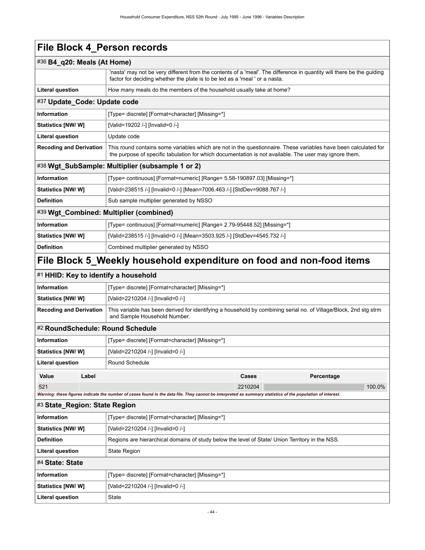Literal question **State** 

| #36 B4_q20: Meals (At Home)                                    |                                                                                                                                                                                                                           |  |  |  |  |  |
|----------------------------------------------------------------|---------------------------------------------------------------------------------------------------------------------------------------------------------------------------------------------------------------------------|--|--|--|--|--|
|                                                                | 'nasta' may not be very different from the contents of a 'meal'. The difference in quantity will there be the guiding<br>factor for deciding whether the plate is to be led as a 'meal' or a nasta.                       |  |  |  |  |  |
| <b>Literal question</b>                                        | How many meals do the members of the household usually take at home?                                                                                                                                                      |  |  |  |  |  |
|                                                                | #37 Update_Code: Update code                                                                                                                                                                                              |  |  |  |  |  |
| <b>Information</b>                                             | [Type= discrete] [Format=character] [Missing=*]                                                                                                                                                                           |  |  |  |  |  |
| Statistics [NW/W]                                              | [Valid=19202 /-] [Invalid=0 /-]                                                                                                                                                                                           |  |  |  |  |  |
| <b>Literal question</b>                                        | Update code                                                                                                                                                                                                               |  |  |  |  |  |
| <b>Recoding and Derivation</b>                                 | This round contains some variables which are not in the questionnaire. These variables have been calculated for<br>the purpose of specific tabulation for which documentation is not available. The user may ignore them. |  |  |  |  |  |
|                                                                | #38 Wgt_SubSample: Multiplier (subsample 1 or 2)                                                                                                                                                                          |  |  |  |  |  |
| <b>Information</b>                                             | [Type= continuous] [Format=numeric] [Range= 5.58-190897.03] [Missing=*]                                                                                                                                                   |  |  |  |  |  |
| Statistics [NW/W]                                              | [Valid=238515 /-] [Invalid=0 /-] [Mean=7006.463 /-] [StdDev=9088.767 /-]                                                                                                                                                  |  |  |  |  |  |
| <b>Definition</b>                                              | Sub sample multiplier generated by NSSO                                                                                                                                                                                   |  |  |  |  |  |
| #39 Wgt_Combined: Multiplier (combined)                        |                                                                                                                                                                                                                           |  |  |  |  |  |
| Information                                                    | [Type= continuous] [Format=numeric] [Range= 2.79-95448.52] [Missing=*]                                                                                                                                                    |  |  |  |  |  |
| Statistics [NW/ W]                                             | [Valid=238515 /-] [Invalid=0 /-] [Mean=3503.925 /-] [StdDev=4545.732 /-]                                                                                                                                                  |  |  |  |  |  |
| <b>Definition</b>                                              | Combined multiplier generated by NSSO                                                                                                                                                                                     |  |  |  |  |  |
|                                                                | File Block 5_Weekly household expenditure on food and non-food items                                                                                                                                                      |  |  |  |  |  |
| #1 HHID: Key to identify a household                           |                                                                                                                                                                                                                           |  |  |  |  |  |
| <b>Information</b>                                             | [Type= discrete] [Format=character] [Missing=*]                                                                                                                                                                           |  |  |  |  |  |
| Statistics [NW/W]                                              | [Valid=2210204 /-] [Invalid=0 /-]                                                                                                                                                                                         |  |  |  |  |  |
| <b>Recoding and Derivation</b>                                 | This variable has been derived for identifying a household by combining serial no. of Village/Block, 2nd stg strm<br>and Sample Household Number.                                                                         |  |  |  |  |  |
| #2 RoundSchedule: Round Schedule                               |                                                                                                                                                                                                                           |  |  |  |  |  |
| <b>Information</b>                                             | [Type= discrete] [Format=character] [Missing=*]                                                                                                                                                                           |  |  |  |  |  |
| <b>Statistics [NW/ W]</b>                                      | [Valid=2210204 /-] [Invalid=0 /-]                                                                                                                                                                                         |  |  |  |  |  |
| <b>Literal question</b>                                        | Round Schedule                                                                                                                                                                                                            |  |  |  |  |  |
| Label<br>Value                                                 | Cases<br>Percentage                                                                                                                                                                                                       |  |  |  |  |  |
| 521                                                            | 2210204<br>100.0%                                                                                                                                                                                                         |  |  |  |  |  |
|                                                                | Warning: these figures indicate the number of cases found in the data file. They cannot be interpreted as summary statistics of the population of interest.                                                               |  |  |  |  |  |
| #3 State_Region: State Region                                  |                                                                                                                                                                                                                           |  |  |  |  |  |
| <b>Information</b>                                             | [Type= discrete] [Format=character] [Missing=*]                                                                                                                                                                           |  |  |  |  |  |
| Statistics [NW/W]                                              | [Valid=2210204 /-] [Invalid=0 /-]                                                                                                                                                                                         |  |  |  |  |  |
| <b>Definition</b>                                              | Regions are hierarchical domains of study below the level of State/ Union Territory in the NSS.                                                                                                                           |  |  |  |  |  |
| Literal question                                               | <b>State Region</b>                                                                                                                                                                                                       |  |  |  |  |  |
| #4 State: State                                                |                                                                                                                                                                                                                           |  |  |  |  |  |
| Information<br>[Type= discrete] [Format=character] [Missing=*] |                                                                                                                                                                                                                           |  |  |  |  |  |
| Statistics [NW/W]                                              | [Valid=2210204 /-] [Invalid=0 /-]                                                                                                                                                                                         |  |  |  |  |  |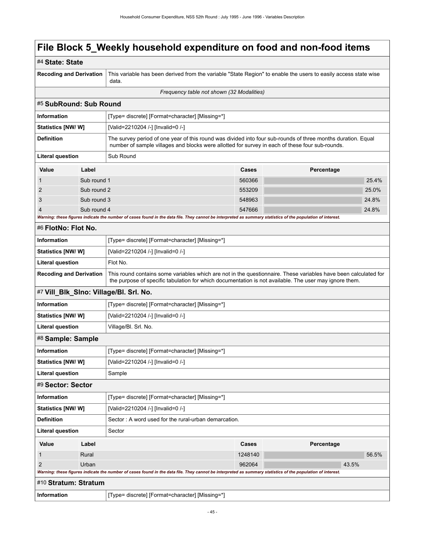| #4 State: State                |             |                                                                                                                                                                                                                           |         |            |       |       |  |
|--------------------------------|-------------|---------------------------------------------------------------------------------------------------------------------------------------------------------------------------------------------------------------------------|---------|------------|-------|-------|--|
| <b>Recoding and Derivation</b> |             | This variable has been derived from the variable "State Region" to enable the users to easily access state wise<br>data.                                                                                                  |         |            |       |       |  |
|                                |             | Frequency table not shown (32 Modalities)                                                                                                                                                                                 |         |            |       |       |  |
| #5 SubRound: Sub Round         |             |                                                                                                                                                                                                                           |         |            |       |       |  |
| <b>Information</b>             |             | [Type= discrete] [Format=character] [Missing=*]                                                                                                                                                                           |         |            |       |       |  |
| Statistics [NW/ W]             |             | [Valid=2210204 /-] [Invalid=0 /-]                                                                                                                                                                                         |         |            |       |       |  |
| <b>Definition</b>              |             | The survey period of one year of this round was divided into four sub-rounds of three months duration. Equal<br>number of sample villages and blocks were allotted for survey in each of these four sub-rounds.           |         |            |       |       |  |
| Literal question               |             | Sub Round                                                                                                                                                                                                                 |         |            |       |       |  |
| Value                          | Label       |                                                                                                                                                                                                                           | Cases   | Percentage |       |       |  |
| 1                              | Sub round 1 |                                                                                                                                                                                                                           | 560366  |            |       | 25.4% |  |
| 2                              | Sub round 2 |                                                                                                                                                                                                                           | 553209  |            |       | 25.0% |  |
| 3                              | Sub round 3 |                                                                                                                                                                                                                           | 548963  |            |       | 24.8% |  |
|                                | Sub round 4 |                                                                                                                                                                                                                           | 547666  |            |       | 24.8% |  |
| #6 FlotNo: Flot No.            |             | Warning: these figures indicate the number of cases found in the data file. They cannot be interpreted as summary statistics of the population of interest.                                                               |         |            |       |       |  |
| <b>Information</b>             |             | [Type= discrete] [Format=character] [Missing=*]                                                                                                                                                                           |         |            |       |       |  |
| Statistics [NW/ W]             |             | [Valid=2210204 /-] [Invalid=0 /-]                                                                                                                                                                                         |         |            |       |       |  |
| <b>Literal question</b>        |             | Flot No.                                                                                                                                                                                                                  |         |            |       |       |  |
| <b>Recoding and Derivation</b> |             | This round contains some variables which are not in the questionnaire. These variables have been calculated for<br>the purpose of specific tabulation for which documentation is not available. The user may ignore them. |         |            |       |       |  |
|                                |             | #7 Vill_Blk_SIno: Village/Bl. Srl. No.                                                                                                                                                                                    |         |            |       |       |  |
| <b>Information</b>             |             | [Type= discrete] [Format=character] [Missing=*]                                                                                                                                                                           |         |            |       |       |  |
| <b>Statistics [NW/ W]</b>      |             | [Valid=2210204 /-] [Invalid=0 /-]                                                                                                                                                                                         |         |            |       |       |  |
| <b>Literal question</b>        |             | Village/Bl. Srl. No.                                                                                                                                                                                                      |         |            |       |       |  |
| #8 Sample: Sample              |             |                                                                                                                                                                                                                           |         |            |       |       |  |
| <b>Information</b>             |             | [Type= discrete] [Format=character] [Missing=*]                                                                                                                                                                           |         |            |       |       |  |
| <b>Statistics [NW/ W]</b>      |             | [Valid=2210204 /-] [Invalid=0 /-]                                                                                                                                                                                         |         |            |       |       |  |
| <b>Literal question</b>        |             | Sample                                                                                                                                                                                                                    |         |            |       |       |  |
| #9 Sector: Sector              |             |                                                                                                                                                                                                                           |         |            |       |       |  |
| <b>Information</b>             |             | [Type= discrete] [Format=character] [Missing=*]                                                                                                                                                                           |         |            |       |       |  |
| Statistics [NW/W]              |             | [Valid=2210204 /-] [Invalid=0 /-]                                                                                                                                                                                         |         |            |       |       |  |
| <b>Definition</b>              |             | Sector: A word used for the rural-urban demarcation.                                                                                                                                                                      |         |            |       |       |  |
| <b>Literal question</b>        |             | Sector                                                                                                                                                                                                                    |         |            |       |       |  |
| Value                          | Label       |                                                                                                                                                                                                                           | Cases   | Percentage |       |       |  |
| 1                              | Rural       |                                                                                                                                                                                                                           | 1248140 |            |       | 56.5% |  |
| $\overline{2}$<br>Urban        |             |                                                                                                                                                                                                                           | 962064  |            | 43.5% |       |  |
|                                |             | Warning: these figures indicate the number of cases found in the data file. They cannot be interpreted as summary statistics of the population of interest.                                                               |         |            |       |       |  |
| #10 Stratum: Stratum           |             |                                                                                                                                                                                                                           |         |            |       |       |  |
| <b>Information</b>             |             | [Type= discrete] [Format=character] [Missing=*]                                                                                                                                                                           |         |            |       |       |  |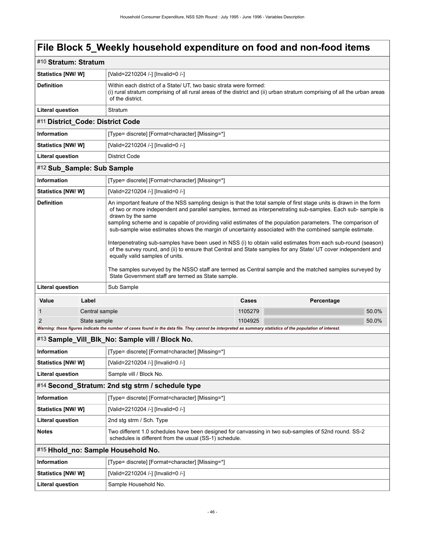| #10 Stratum: Stratum               |                                                                                                                                                             |                                                                                                                                                                                                                                                                                                                                                                                                                                                                                                                                                                                                                                                                                                                                                                                                                                                                                                                         |         |            |       |  |
|------------------------------------|-------------------------------------------------------------------------------------------------------------------------------------------------------------|-------------------------------------------------------------------------------------------------------------------------------------------------------------------------------------------------------------------------------------------------------------------------------------------------------------------------------------------------------------------------------------------------------------------------------------------------------------------------------------------------------------------------------------------------------------------------------------------------------------------------------------------------------------------------------------------------------------------------------------------------------------------------------------------------------------------------------------------------------------------------------------------------------------------------|---------|------------|-------|--|
| <b>Statistics [NW/ W]</b>          |                                                                                                                                                             | [Valid=2210204 /-] [Invalid=0 /-]                                                                                                                                                                                                                                                                                                                                                                                                                                                                                                                                                                                                                                                                                                                                                                                                                                                                                       |         |            |       |  |
| <b>Definition</b>                  |                                                                                                                                                             | Within each district of a State/ UT, two basic strata were formed:<br>(i) rural stratum comprising of all rural areas of the district and (ii) urban stratum comprising of all the urban areas<br>of the district.                                                                                                                                                                                                                                                                                                                                                                                                                                                                                                                                                                                                                                                                                                      |         |            |       |  |
| <b>Literal question</b>            |                                                                                                                                                             | Stratum                                                                                                                                                                                                                                                                                                                                                                                                                                                                                                                                                                                                                                                                                                                                                                                                                                                                                                                 |         |            |       |  |
| #11 District_Code: District Code   |                                                                                                                                                             |                                                                                                                                                                                                                                                                                                                                                                                                                                                                                                                                                                                                                                                                                                                                                                                                                                                                                                                         |         |            |       |  |
| <b>Information</b>                 |                                                                                                                                                             | [Type= discrete] [Format=character] [Missing=*]                                                                                                                                                                                                                                                                                                                                                                                                                                                                                                                                                                                                                                                                                                                                                                                                                                                                         |         |            |       |  |
| <b>Statistics [NW/ W]</b>          |                                                                                                                                                             | [Valid=2210204 /-] [Invalid=0 /-]                                                                                                                                                                                                                                                                                                                                                                                                                                                                                                                                                                                                                                                                                                                                                                                                                                                                                       |         |            |       |  |
| <b>Literal question</b>            |                                                                                                                                                             | <b>District Code</b>                                                                                                                                                                                                                                                                                                                                                                                                                                                                                                                                                                                                                                                                                                                                                                                                                                                                                                    |         |            |       |  |
| #12 Sub_Sample: Sub Sample         |                                                                                                                                                             |                                                                                                                                                                                                                                                                                                                                                                                                                                                                                                                                                                                                                                                                                                                                                                                                                                                                                                                         |         |            |       |  |
| Information                        |                                                                                                                                                             | [Type= discrete] [Format=character] [Missing=*]                                                                                                                                                                                                                                                                                                                                                                                                                                                                                                                                                                                                                                                                                                                                                                                                                                                                         |         |            |       |  |
| <b>Statistics [NW/W]</b>           |                                                                                                                                                             | [Valid=2210204 /-] [Invalid=0 /-]                                                                                                                                                                                                                                                                                                                                                                                                                                                                                                                                                                                                                                                                                                                                                                                                                                                                                       |         |            |       |  |
| <b>Definition</b>                  |                                                                                                                                                             | An important feature of the NSS sampling design is that the total sample of first stage units is drawn in the form<br>of two or more independent and parallel samples, termed as interpenetrating sub-samples. Each sub-sample is<br>drawn by the same<br>sampling scheme and is capable of providing valid estimates of the population parameters. The comparison of<br>sub-sample wise estimates shows the margin of uncertainty associated with the combined sample estimate.<br>Interpenetrating sub-samples have been used in NSS (i) to obtain valid estimates from each sub-round (season)<br>of the survey round, and (ii) to ensure that Central and State samples for any State/ UT cover independent and<br>equally valid samples of units.<br>The samples surveyed by the NSSO staff are termed as Central sample and the matched samples surveyed by<br>State Government staff are termed as State sample. |         |            |       |  |
| <b>Literal question</b>            |                                                                                                                                                             | Sub Sample                                                                                                                                                                                                                                                                                                                                                                                                                                                                                                                                                                                                                                                                                                                                                                                                                                                                                                              |         |            |       |  |
| Value                              | Label                                                                                                                                                       |                                                                                                                                                                                                                                                                                                                                                                                                                                                                                                                                                                                                                                                                                                                                                                                                                                                                                                                         | Cases   | Percentage |       |  |
| 1                                  | Central sample                                                                                                                                              |                                                                                                                                                                                                                                                                                                                                                                                                                                                                                                                                                                                                                                                                                                                                                                                                                                                                                                                         | 1105279 |            | 50.0% |  |
| 2                                  | State sample                                                                                                                                                |                                                                                                                                                                                                                                                                                                                                                                                                                                                                                                                                                                                                                                                                                                                                                                                                                                                                                                                         | 1104925 |            | 50.0% |  |
|                                    | Warning: these figures indicate the number of cases found in the data file. They cannot be interpreted as summary statistics of the population of interest. |                                                                                                                                                                                                                                                                                                                                                                                                                                                                                                                                                                                                                                                                                                                                                                                                                                                                                                                         |         |            |       |  |
|                                    |                                                                                                                                                             | #13 Sample_Vill_Blk_No: Sample vill / Block No.                                                                                                                                                                                                                                                                                                                                                                                                                                                                                                                                                                                                                                                                                                                                                                                                                                                                         |         |            |       |  |
| Information                        |                                                                                                                                                             | [Type= discrete] [Format=character] [Missing=*]                                                                                                                                                                                                                                                                                                                                                                                                                                                                                                                                                                                                                                                                                                                                                                                                                                                                         |         |            |       |  |
| Statistics [NW/ W]                 |                                                                                                                                                             | [Valid=2210204 /-] [Invalid=0 /-]                                                                                                                                                                                                                                                                                                                                                                                                                                                                                                                                                                                                                                                                                                                                                                                                                                                                                       |         |            |       |  |
| <b>Literal question</b>            |                                                                                                                                                             | Sample vill / Block No.                                                                                                                                                                                                                                                                                                                                                                                                                                                                                                                                                                                                                                                                                                                                                                                                                                                                                                 |         |            |       |  |
|                                    |                                                                                                                                                             | #14 Second_Stratum: 2nd stg strm / schedule type                                                                                                                                                                                                                                                                                                                                                                                                                                                                                                                                                                                                                                                                                                                                                                                                                                                                        |         |            |       |  |
| <b>Information</b>                 |                                                                                                                                                             | [Type= discrete] [Format=character] [Missing=*]                                                                                                                                                                                                                                                                                                                                                                                                                                                                                                                                                                                                                                                                                                                                                                                                                                                                         |         |            |       |  |
| Statistics [NW/W]                  |                                                                                                                                                             | [Valid=2210204 /-] [Invalid=0 /-]                                                                                                                                                                                                                                                                                                                                                                                                                                                                                                                                                                                                                                                                                                                                                                                                                                                                                       |         |            |       |  |
| <b>Literal question</b>            |                                                                                                                                                             | 2nd stg strm / Sch. Type                                                                                                                                                                                                                                                                                                                                                                                                                                                                                                                                                                                                                                                                                                                                                                                                                                                                                                |         |            |       |  |
| <b>Notes</b>                       |                                                                                                                                                             | Two different 1.0 schedules have been designed for canvassing in two sub-samples of 52nd round. SS-2<br>schedules is different from the usual (SS-1) schedule.                                                                                                                                                                                                                                                                                                                                                                                                                                                                                                                                                                                                                                                                                                                                                          |         |            |       |  |
| #15 Hhold_no: Sample Household No. |                                                                                                                                                             |                                                                                                                                                                                                                                                                                                                                                                                                                                                                                                                                                                                                                                                                                                                                                                                                                                                                                                                         |         |            |       |  |
| <b>Information</b>                 |                                                                                                                                                             | [Type= discrete] [Format=character] [Missing=*]                                                                                                                                                                                                                                                                                                                                                                                                                                                                                                                                                                                                                                                                                                                                                                                                                                                                         |         |            |       |  |
| <b>Statistics [NW/W]</b>           |                                                                                                                                                             | [Valid=2210204 /-] [Invalid=0 /-]                                                                                                                                                                                                                                                                                                                                                                                                                                                                                                                                                                                                                                                                                                                                                                                                                                                                                       |         |            |       |  |
| <b>Literal question</b>            |                                                                                                                                                             | Sample Household No.                                                                                                                                                                                                                                                                                                                                                                                                                                                                                                                                                                                                                                                                                                                                                                                                                                                                                                    |         |            |       |  |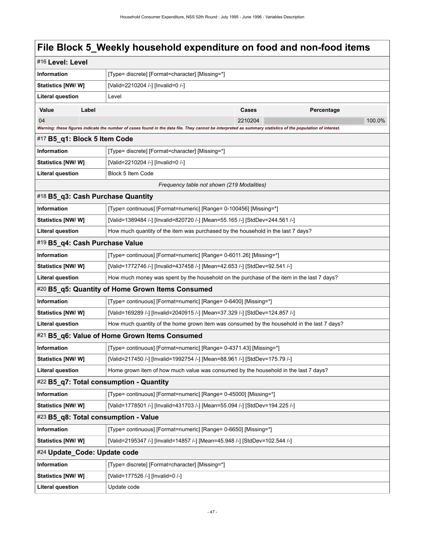|                                                  | #16 Level: Level |                                                                                                                                                             |         |            |        |  |
|--------------------------------------------------|------------------|-------------------------------------------------------------------------------------------------------------------------------------------------------------|---------|------------|--------|--|
| Information                                      |                  | [Type= discrete] [Format=character] [Missing=*]                                                                                                             |         |            |        |  |
| <b>Statistics [NW/ W]</b>                        |                  | [Valid=2210204 /-] [Invalid=0 /-]                                                                                                                           |         |            |        |  |
| <b>Literal question</b>                          | Level            |                                                                                                                                                             |         |            |        |  |
| Value                                            | Label            |                                                                                                                                                             | Cases   | Percentage |        |  |
| 04                                               |                  |                                                                                                                                                             | 2210204 |            | 100.0% |  |
|                                                  |                  | Warning: these figures indicate the number of cases found in the data file. They cannot be interpreted as summary statistics of the population of interest. |         |            |        |  |
| #17 B5_q1: Block 5 Item Code                     |                  |                                                                                                                                                             |         |            |        |  |
| Information                                      |                  | [Type= discrete] [Format=character] [Missing=*]                                                                                                             |         |            |        |  |
| Statistics [NW/ W]                               |                  | [Valid=2210204 /-] [Invalid=0 /-]                                                                                                                           |         |            |        |  |
| <b>Literal question</b>                          |                  | Block 5 Item Code                                                                                                                                           |         |            |        |  |
|                                                  |                  | Frequency table not shown (219 Modalities)                                                                                                                  |         |            |        |  |
|                                                  |                  | #18 B5_q3: Cash Purchase Quantity                                                                                                                           |         |            |        |  |
| Information                                      |                  | [Type= continuous] [Format=numeric] [Range= 0-100456] [Missing=*]                                                                                           |         |            |        |  |
| <b>Statistics [NW/ W]</b>                        |                  | [Valid=1389484 /-] [Invalid=820720 /-] [Mean=55.165 /-] [StdDev=244.561 /-]                                                                                 |         |            |        |  |
| <b>Literal question</b>                          |                  | How much quantity of the item was purchased by the household in the last 7 days?                                                                            |         |            |        |  |
| #19 B5_q4: Cash Purchase Value                   |                  |                                                                                                                                                             |         |            |        |  |
| Information                                      |                  | [Type= continuous] [Format=numeric] [Range= 0-6011.26] [Missing=*]                                                                                          |         |            |        |  |
| <b>Statistics [NW/W]</b>                         |                  | [Valid=1772746 /-] [Invalid=437458 /-] [Mean=42.653 /-] [StdDev=92.541 /-]                                                                                  |         |            |        |  |
| <b>Literal question</b>                          |                  | How much money was spent by the household on the purchase of the item in the last 7 days?                                                                   |         |            |        |  |
| #20 B5_q5: Quantity of Home Grown Items Consumed |                  |                                                                                                                                                             |         |            |        |  |
| Information                                      |                  | [Type= continuous] [Format=numeric] [Range= 0-6400] [Missing=*]                                                                                             |         |            |        |  |
| Statistics [NW/W]                                |                  | [Valid=169289 /-] [Invalid=2040915 /-] [Mean=37.329 /-] [StdDev=124.857 /-]                                                                                 |         |            |        |  |
| <b>Literal question</b>                          |                  | How much quantity of the home grown item was consumed by the household in the last 7 days?                                                                  |         |            |        |  |
|                                                  |                  | #21 B5_q6: Value of Home Grown Items Consumed                                                                                                               |         |            |        |  |
| <b>Information</b>                               |                  | [Type= continuous] [Format=numeric] [Range= 0-4371.43] [Missing=*]                                                                                          |         |            |        |  |
| Statistics [NW/W]                                |                  | [Valid=217450 /-] [Invalid=1992754 /-] [Mean=88.961 /-] [StdDev=175.79 /-]                                                                                  |         |            |        |  |
| <b>Literal question</b>                          |                  | Home grown item of how much value was consumed by the household in the last 7 days?                                                                         |         |            |        |  |
|                                                  |                  | #22 B5_q7: Total consumption - Quantity                                                                                                                     |         |            |        |  |
| Information                                      |                  | [Type= continuous] [Format=numeric] [Range= 0-45000] [Missing=*]                                                                                            |         |            |        |  |
| <b>Statistics [NW/ W]</b>                        |                  | [Valid=1778501 /-] [Invalid=431703 /-] [Mean=55.094 /-] [StdDev=194.225 /-]                                                                                 |         |            |        |  |
|                                                  |                  | #23 B5 q8: Total consumption - Value                                                                                                                        |         |            |        |  |
| Information                                      |                  | [Type= continuous] [Format=numeric] [Range= 0-6650] [Missing=*]                                                                                             |         |            |        |  |
| <b>Statistics [NW/W]</b>                         |                  | [Valid=2195347 /-] [Invalid=14857 /-] [Mean=45.948 /-] [StdDev=102.544 /-]                                                                                  |         |            |        |  |
| #24 Update Code: Update code                     |                  |                                                                                                                                                             |         |            |        |  |
| <b>Information</b>                               |                  | [Type= discrete] [Format=character] [Missing=*]                                                                                                             |         |            |        |  |
| Statistics [NW/W]                                |                  | [Valid=177526 /-] [Invalid=0 /-]                                                                                                                            |         |            |        |  |
| <b>Literal question</b>                          |                  | Update code                                                                                                                                                 |         |            |        |  |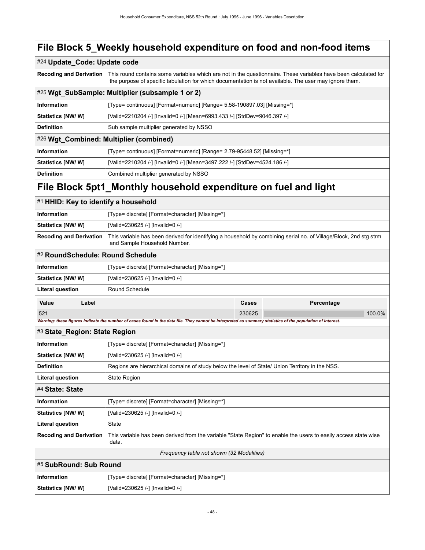|                                                    | #24 Update_Code: Update code                                                                                                                                                                                              |  |  |
|----------------------------------------------------|---------------------------------------------------------------------------------------------------------------------------------------------------------------------------------------------------------------------------|--|--|
| <b>Recoding and Derivation</b>                     | This round contains some variables which are not in the questionnaire. These variables have been calculated for<br>the purpose of specific tabulation for which documentation is not available. The user may ignore them. |  |  |
| #25 Wgt_SubSample: Multiplier (subsample 1 or 2)   |                                                                                                                                                                                                                           |  |  |
| <b>Information</b>                                 | [Type= continuous] [Format=numeric] [Range= 5.58-190897.03] [Missing=*]                                                                                                                                                   |  |  |
| <b>Statistics [NW/ W]</b>                          | [Valid=2210204 /-] [Invalid=0 /-] [Mean=6993.433 /-] [StdDev=9046.397 /-]                                                                                                                                                 |  |  |
| <b>Definition</b>                                  | Sub sample multiplier generated by NSSO                                                                                                                                                                                   |  |  |
| #26 Wgt Combined: Multiplier (combined)            |                                                                                                                                                                                                                           |  |  |
| <b>Information</b>                                 | [Type= continuous] [Format=numeric] [Range= 2.79-95448.52] [Missing=*]                                                                                                                                                    |  |  |
| <b>Statistics [NW/ W]</b>                          | [Valid=2210204 /-] [Invalid=0 /-] [Mean=3497.222 /-] [StdDev=4524.186 /-]                                                                                                                                                 |  |  |
| <b>Definition</b>                                  | Combined multiplier generated by NSSO                                                                                                                                                                                     |  |  |
| 医肝炎 医上皮炎 医心体上 机自动化 化二乙基乙基乙基乙基乙二乙基乙基乙二乙基乙基乙基乙基 化乙基乙 |                                                                                                                                                                                                                           |  |  |

| #1 HHID: Key to identify a household |       |                                                                                                                                                             |        |            |        |  |  |
|--------------------------------------|-------|-------------------------------------------------------------------------------------------------------------------------------------------------------------|--------|------------|--------|--|--|
| <b>Information</b>                   |       | [Type= discrete] [Format=character] [Missing=*]                                                                                                             |        |            |        |  |  |
| Statistics [NW/W]                    |       | [Valid=230625 /-] [Invalid=0 /-]                                                                                                                            |        |            |        |  |  |
| <b>Recoding and Derivation</b>       |       | This variable has been derived for identifying a household by combining serial no. of Village/Block, 2nd stg strm<br>and Sample Household Number.           |        |            |        |  |  |
|                                      |       | #2 RoundSchedule: Round Schedule                                                                                                                            |        |            |        |  |  |
| Information                          |       | [Type= discrete] [Format=character] [Missing=*]                                                                                                             |        |            |        |  |  |
| <b>Statistics [NW/ W]</b>            |       | [Valid=230625 /-] [Invalid=0 /-]                                                                                                                            |        |            |        |  |  |
| <b>Literal question</b>              |       | Round Schedule                                                                                                                                              |        |            |        |  |  |
| Value                                | Label |                                                                                                                                                             | Cases  | Percentage |        |  |  |
| 521                                  |       |                                                                                                                                                             | 230625 |            | 100.0% |  |  |
|                                      |       | Warning: these figures indicate the number of cases found in the data file. They cannot be interpreted as summary statistics of the population of interest. |        |            |        |  |  |
| #3 State_Region: State Region        |       |                                                                                                                                                             |        |            |        |  |  |
| Information                          |       | [Type= discrete] [Format=character] [Missing=*]                                                                                                             |        |            |        |  |  |
| Statistics [NW/W]                    |       | [Valid=230625 /-] [Invalid=0 /-]                                                                                                                            |        |            |        |  |  |
| <b>Definition</b>                    |       | Regions are hierarchical domains of study below the level of State/ Union Territory in the NSS.                                                             |        |            |        |  |  |
| <b>Literal question</b>              |       | <b>State Region</b>                                                                                                                                         |        |            |        |  |  |
| #4 State: State                      |       |                                                                                                                                                             |        |            |        |  |  |
| <b>Information</b>                   |       | [Type= discrete] [Format=character] [Missing=*]                                                                                                             |        |            |        |  |  |
| Statistics [NW/W]                    |       | [Valid=230625 /-] [Invalid=0 /-]                                                                                                                            |        |            |        |  |  |
| <b>Literal question</b>              |       | State                                                                                                                                                       |        |            |        |  |  |
| <b>Recoding and Derivation</b>       |       | This variable has been derived from the variable "State Region" to enable the users to easily access state wise<br>data.                                    |        |            |        |  |  |
|                                      |       | Frequency table not shown (32 Modalities)                                                                                                                   |        |            |        |  |  |
| #5 SubRound: Sub Round               |       |                                                                                                                                                             |        |            |        |  |  |
| <b>Information</b>                   |       | [Type= discrete] [Format=character] [Missing=*]                                                                                                             |        |            |        |  |  |
| Statistics [NW/W]                    |       | [Valid=230625 /-] [Invalid=0 /-]                                                                                                                            |        |            |        |  |  |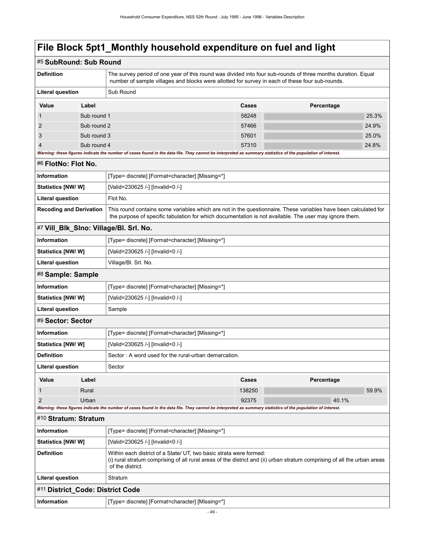| #5 SubRound: Sub Round           |             |                                                                                                                                                                                                                           |        |            |       |  |  |
|----------------------------------|-------------|---------------------------------------------------------------------------------------------------------------------------------------------------------------------------------------------------------------------------|--------|------------|-------|--|--|
| <b>Definition</b>                |             | The survey period of one year of this round was divided into four sub-rounds of three months duration. Equal<br>number of sample villages and blocks were allotted for survey in each of these four sub-rounds.           |        |            |       |  |  |
| <b>Literal question</b>          |             | Sub Round                                                                                                                                                                                                                 |        |            |       |  |  |
| Value                            | Label       |                                                                                                                                                                                                                           | Cases  | Percentage |       |  |  |
| 1                                | Sub round 1 |                                                                                                                                                                                                                           | 58248  |            | 25.3% |  |  |
| 2                                | Sub round 2 |                                                                                                                                                                                                                           | 57466  |            | 24.9% |  |  |
| 3                                | Sub round 3 |                                                                                                                                                                                                                           | 57601  |            | 25.0% |  |  |
| $\overline{4}$                   | Sub round 4 | Warning: these figures indicate the number of cases found in the data file. They cannot be interpreted as summary statistics of the population of interest.                                                               | 57310  |            | 24.8% |  |  |
| #6 FlotNo: Flot No.              |             |                                                                                                                                                                                                                           |        |            |       |  |  |
| <b>Information</b>               |             | [Type= discrete] [Format=character] [Missing=*]                                                                                                                                                                           |        |            |       |  |  |
| <b>Statistics [NW/ W]</b>        |             | [Valid=230625 /-] [Invalid=0 /-]                                                                                                                                                                                          |        |            |       |  |  |
| <b>Literal question</b>          |             | Flot No.                                                                                                                                                                                                                  |        |            |       |  |  |
| <b>Recoding and Derivation</b>   |             | This round contains some variables which are not in the questionnaire. These variables have been calculated for<br>the purpose of specific tabulation for which documentation is not available. The user may ignore them. |        |            |       |  |  |
|                                  |             | #7 Vill_Blk_SIno: Village/Bl. Srl. No.                                                                                                                                                                                    |        |            |       |  |  |
| <b>Information</b>               |             | [Type= discrete] [Format=character] [Missing=*]                                                                                                                                                                           |        |            |       |  |  |
| <b>Statistics [NW/W]</b>         |             | [Valid=230625 /-] [Invalid=0 /-]                                                                                                                                                                                          |        |            |       |  |  |
| <b>Literal question</b>          |             | Village/Bl. Srl. No.                                                                                                                                                                                                      |        |            |       |  |  |
| #8 Sample: Sample                |             |                                                                                                                                                                                                                           |        |            |       |  |  |
| <b>Information</b>               |             | [Type= discrete] [Format=character] [Missing=*]                                                                                                                                                                           |        |            |       |  |  |
| Statistics [NW/W]                |             | [Valid=230625 /-] [Invalid=0 /-]                                                                                                                                                                                          |        |            |       |  |  |
| <b>Literal question</b>          |             | Sample                                                                                                                                                                                                                    |        |            |       |  |  |
| #9 Sector: Sector                |             |                                                                                                                                                                                                                           |        |            |       |  |  |
| <b>Information</b>               |             | [Type= discrete] [Format=character] [Missing=*]                                                                                                                                                                           |        |            |       |  |  |
| <b>Statistics [NW/W]</b>         |             | [Valid=230625 /-] [Invalid=0 /-]                                                                                                                                                                                          |        |            |       |  |  |
| <b>Definition</b>                |             | Sector: A word used for the rural-urban demarcation.                                                                                                                                                                      |        |            |       |  |  |
| Literal question                 |             | Sector                                                                                                                                                                                                                    |        |            |       |  |  |
| Value                            | Label       |                                                                                                                                                                                                                           | Cases  | Percentage |       |  |  |
| 1                                | Rural       |                                                                                                                                                                                                                           | 138250 |            | 59.9% |  |  |
| $\overline{2}$                   | Urban       |                                                                                                                                                                                                                           | 92375  | 40.1%      |       |  |  |
| #10 Stratum: Stratum             |             | Warning: these figures indicate the number of cases found in the data file. They cannot be interpreted as summary statistics of the population of interest.                                                               |        |            |       |  |  |
| Information                      |             | [Type= discrete] [Format=character] [Missing=*]                                                                                                                                                                           |        |            |       |  |  |
| <b>Statistics [NW/ W]</b>        |             | [Valid=230625 /-] [Invalid=0 /-]                                                                                                                                                                                          |        |            |       |  |  |
| <b>Definition</b>                |             | Within each district of a State/ UT, two basic strata were formed:<br>(i) rural stratum comprising of all rural areas of the district and (ii) urban stratum comprising of all the urban areas<br>of the district.        |        |            |       |  |  |
| <b>Literal question</b>          |             | Stratum                                                                                                                                                                                                                   |        |            |       |  |  |
| #11 District_Code: District Code |             |                                                                                                                                                                                                                           |        |            |       |  |  |
| Information                      |             | [Type= discrete] [Format=character] [Missing=*]                                                                                                                                                                           |        |            |       |  |  |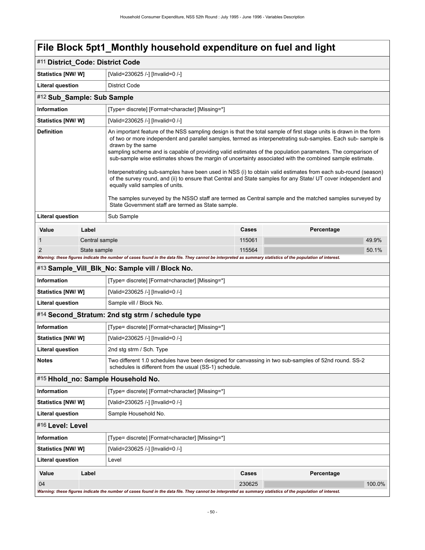| #11 District_Code: District Code         |                |                                                                                                                                                                                                                                                                                                                                                                                                                                                                                                                                                                                                                                                                                                                                                                                                                                                                                                                         |        |            |        |  |
|------------------------------------------|----------------|-------------------------------------------------------------------------------------------------------------------------------------------------------------------------------------------------------------------------------------------------------------------------------------------------------------------------------------------------------------------------------------------------------------------------------------------------------------------------------------------------------------------------------------------------------------------------------------------------------------------------------------------------------------------------------------------------------------------------------------------------------------------------------------------------------------------------------------------------------------------------------------------------------------------------|--------|------------|--------|--|
| Statistics [NW/ W]                       |                | [Valid=230625 /-] [Invalid=0 /-]                                                                                                                                                                                                                                                                                                                                                                                                                                                                                                                                                                                                                                                                                                                                                                                                                                                                                        |        |            |        |  |
| <b>Literal question</b><br>District Code |                |                                                                                                                                                                                                                                                                                                                                                                                                                                                                                                                                                                                                                                                                                                                                                                                                                                                                                                                         |        |            |        |  |
| #12 Sub_Sample: Sub Sample               |                |                                                                                                                                                                                                                                                                                                                                                                                                                                                                                                                                                                                                                                                                                                                                                                                                                                                                                                                         |        |            |        |  |
| <b>Information</b>                       |                | [Type= discrete] [Format=character] [Missing=*]                                                                                                                                                                                                                                                                                                                                                                                                                                                                                                                                                                                                                                                                                                                                                                                                                                                                         |        |            |        |  |
| Statistics [NW/W]                        |                | [Valid=230625 /-] [Invalid=0 /-]                                                                                                                                                                                                                                                                                                                                                                                                                                                                                                                                                                                                                                                                                                                                                                                                                                                                                        |        |            |        |  |
| <b>Definition</b>                        |                | An important feature of the NSS sampling design is that the total sample of first stage units is drawn in the form<br>of two or more independent and parallel samples, termed as interpenetrating sub-samples. Each sub-sample is<br>drawn by the same<br>sampling scheme and is capable of providing valid estimates of the population parameters. The comparison of<br>sub-sample wise estimates shows the margin of uncertainty associated with the combined sample estimate.<br>Interpenetrating sub-samples have been used in NSS (i) to obtain valid estimates from each sub-round (season)<br>of the survey round, and (ii) to ensure that Central and State samples for any State/ UT cover independent and<br>equally valid samples of units.<br>The samples surveyed by the NSSO staff are termed as Central sample and the matched samples surveyed by<br>State Government staff are termed as State sample. |        |            |        |  |
| <b>Literal question</b>                  |                | Sub Sample                                                                                                                                                                                                                                                                                                                                                                                                                                                                                                                                                                                                                                                                                                                                                                                                                                                                                                              |        |            |        |  |
| Value                                    | Label          |                                                                                                                                                                                                                                                                                                                                                                                                                                                                                                                                                                                                                                                                                                                                                                                                                                                                                                                         | Cases  | Percentage |        |  |
| 1                                        | Central sample |                                                                                                                                                                                                                                                                                                                                                                                                                                                                                                                                                                                                                                                                                                                                                                                                                                                                                                                         | 115061 |            | 49.9%  |  |
| 2                                        | State sample   |                                                                                                                                                                                                                                                                                                                                                                                                                                                                                                                                                                                                                                                                                                                                                                                                                                                                                                                         | 115564 |            | 50.1%  |  |
|                                          |                | Warning: these figures indicate the number of cases found in the data file. They cannot be interpreted as summary statistics of the population of interest.                                                                                                                                                                                                                                                                                                                                                                                                                                                                                                                                                                                                                                                                                                                                                             |        |            |        |  |
|                                          |                | #13 Sample_Vill_Blk_No: Sample vill / Block No.                                                                                                                                                                                                                                                                                                                                                                                                                                                                                                                                                                                                                                                                                                                                                                                                                                                                         |        |            |        |  |
| <b>Information</b>                       |                | [Type= discrete] [Format=character] [Missing=*]                                                                                                                                                                                                                                                                                                                                                                                                                                                                                                                                                                                                                                                                                                                                                                                                                                                                         |        |            |        |  |
| Statistics [NW/W]                        |                | [Valid=230625 /-] [Invalid=0 /-]                                                                                                                                                                                                                                                                                                                                                                                                                                                                                                                                                                                                                                                                                                                                                                                                                                                                                        |        |            |        |  |
| <b>Literal question</b>                  |                | Sample vill / Block No.                                                                                                                                                                                                                                                                                                                                                                                                                                                                                                                                                                                                                                                                                                                                                                                                                                                                                                 |        |            |        |  |
|                                          |                | #14 Second_Stratum: 2nd stg strm / schedule type                                                                                                                                                                                                                                                                                                                                                                                                                                                                                                                                                                                                                                                                                                                                                                                                                                                                        |        |            |        |  |
| Information                              |                | [Type= discrete] [Format=character] [Missing=*]                                                                                                                                                                                                                                                                                                                                                                                                                                                                                                                                                                                                                                                                                                                                                                                                                                                                         |        |            |        |  |
| <b>Statistics [NW/W]</b>                 |                | [Valid=230625 /-] [Invalid=0 /-]                                                                                                                                                                                                                                                                                                                                                                                                                                                                                                                                                                                                                                                                                                                                                                                                                                                                                        |        |            |        |  |
| <b>Literal question</b>                  |                | 2nd stg strm / Sch. Type                                                                                                                                                                                                                                                                                                                                                                                                                                                                                                                                                                                                                                                                                                                                                                                                                                                                                                |        |            |        |  |
| <b>Notes</b>                             |                | Two different 1.0 schedules have been designed for canvassing in two sub-samples of 52nd round. SS-2<br>schedules is different from the usual (SS-1) schedule.                                                                                                                                                                                                                                                                                                                                                                                                                                                                                                                                                                                                                                                                                                                                                          |        |            |        |  |
|                                          |                | #15 Hhold_no: Sample Household No.                                                                                                                                                                                                                                                                                                                                                                                                                                                                                                                                                                                                                                                                                                                                                                                                                                                                                      |        |            |        |  |
| Information                              |                | [Type= discrete] [Format=character] [Missing=*]                                                                                                                                                                                                                                                                                                                                                                                                                                                                                                                                                                                                                                                                                                                                                                                                                                                                         |        |            |        |  |
| Statistics [NW/ W]                       |                | [Valid=230625 /-] [Invalid=0 /-]                                                                                                                                                                                                                                                                                                                                                                                                                                                                                                                                                                                                                                                                                                                                                                                                                                                                                        |        |            |        |  |
| <b>Literal question</b>                  |                | Sample Household No.                                                                                                                                                                                                                                                                                                                                                                                                                                                                                                                                                                                                                                                                                                                                                                                                                                                                                                    |        |            |        |  |
| #16 Level: Level                         |                |                                                                                                                                                                                                                                                                                                                                                                                                                                                                                                                                                                                                                                                                                                                                                                                                                                                                                                                         |        |            |        |  |
| Information                              |                | [Type= discrete] [Format=character] [Missing=*]                                                                                                                                                                                                                                                                                                                                                                                                                                                                                                                                                                                                                                                                                                                                                                                                                                                                         |        |            |        |  |
| Statistics [NW/W]                        |                | [Valid=230625 /-] [Invalid=0 /-]                                                                                                                                                                                                                                                                                                                                                                                                                                                                                                                                                                                                                                                                                                                                                                                                                                                                                        |        |            |        |  |
| <b>Literal question</b>                  |                | Level                                                                                                                                                                                                                                                                                                                                                                                                                                                                                                                                                                                                                                                                                                                                                                                                                                                                                                                   |        |            |        |  |
| Value                                    | Label          |                                                                                                                                                                                                                                                                                                                                                                                                                                                                                                                                                                                                                                                                                                                                                                                                                                                                                                                         | Cases  | Percentage |        |  |
| 04                                       |                |                                                                                                                                                                                                                                                                                                                                                                                                                                                                                                                                                                                                                                                                                                                                                                                                                                                                                                                         | 230625 |            | 100.0% |  |
|                                          |                | Warning: these figures indicate the number of cases found in the data file. They cannot be interpreted as summary statistics of the population of interest.                                                                                                                                                                                                                                                                                                                                                                                                                                                                                                                                                                                                                                                                                                                                                             |        |            |        |  |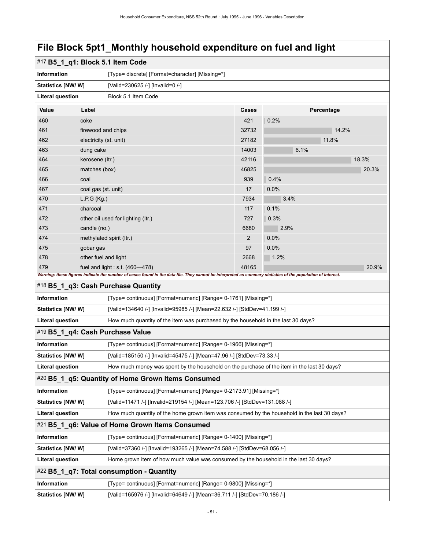| #17 B5_1_q1: Block 5.1 Item Code |                                                                                      |                                                                                                                                                                                                    |                |            |       |  |  |
|----------------------------------|--------------------------------------------------------------------------------------|----------------------------------------------------------------------------------------------------------------------------------------------------------------------------------------------------|----------------|------------|-------|--|--|
| <b>Information</b>               |                                                                                      | [Type= discrete] [Format=character] [Missing=*]                                                                                                                                                    |                |            |       |  |  |
| <b>Statistics [NW/W]</b>         |                                                                                      | [Valid=230625 /-] [Invalid=0 /-]                                                                                                                                                                   |                |            |       |  |  |
| <b>Literal question</b>          |                                                                                      | Block 5.1 Item Code                                                                                                                                                                                |                |            |       |  |  |
| Value                            | Label                                                                                |                                                                                                                                                                                                    | Cases          | Percentage |       |  |  |
| 460                              | coke                                                                                 |                                                                                                                                                                                                    | 421            | 0.2%       |       |  |  |
| 461                              | firewood and chips                                                                   |                                                                                                                                                                                                    | 32732          | 14.2%      |       |  |  |
| 462                              | electricity (st. unit)                                                               |                                                                                                                                                                                                    | 27182          | 11.8%      |       |  |  |
| 463                              | dung cake                                                                            |                                                                                                                                                                                                    | 14003          | 6.1%       |       |  |  |
| 464                              | kerosene (Itr.)                                                                      |                                                                                                                                                                                                    | 42116          |            | 18.3% |  |  |
| 465                              | matches (box)                                                                        |                                                                                                                                                                                                    | 46825          |            | 20.3% |  |  |
| 466                              | coal                                                                                 |                                                                                                                                                                                                    | 939            | 0.4%       |       |  |  |
| 467                              | coal gas (st. unit)                                                                  |                                                                                                                                                                                                    | 17             | 0.0%       |       |  |  |
| 470                              | L.P.G(Kg.)                                                                           |                                                                                                                                                                                                    | 7934           | 3.4%       |       |  |  |
| 471                              | charcoal                                                                             |                                                                                                                                                                                                    | 117            | 0.1%       |       |  |  |
| 472                              |                                                                                      | other oil used for lighting (Itr.)                                                                                                                                                                 | 727            | 0.3%       |       |  |  |
| 473                              | candle (no.)                                                                         |                                                                                                                                                                                                    | 6680           | 2.9%       |       |  |  |
| 474                              |                                                                                      | methylated spirit (Itr.)                                                                                                                                                                           | $\overline{2}$ | 0.0%       |       |  |  |
| 475                              | gobar gas                                                                            |                                                                                                                                                                                                    | 97             | 0.0%       |       |  |  |
| 478                              | other fuel and light                                                                 |                                                                                                                                                                                                    | 2668           | 1.2%       |       |  |  |
| 479                              |                                                                                      | fuel and light : s.t. $(460-478)$                                                                                                                                                                  | 48165          |            | 20.9% |  |  |
|                                  |                                                                                      | Warning: these figures indicate the number of cases found in the data file. They cannot be interpreted as summary statistics of the population of interest.<br>#18 B5_1_q3: Cash Purchase Quantity |                |            |       |  |  |
| <b>Information</b>               |                                                                                      | [Type= continuous] [Format=numeric] [Range= 0-1761] [Missing=*]                                                                                                                                    |                |            |       |  |  |
| <b>Statistics [NW/ W]</b>        |                                                                                      | [Valid=134640 /-] [Invalid=95985 /-] [Mean=22.632 /-] [StdDev=41.199 /-]                                                                                                                           |                |            |       |  |  |
| <b>Literal question</b>          |                                                                                      | How much quantity of the item was purchased by the household in the last 30 days?                                                                                                                  |                |            |       |  |  |
|                                  |                                                                                      | #19 B5 1 q4: Cash Purchase Value                                                                                                                                                                   |                |            |       |  |  |
| Information                      |                                                                                      | [Type= continuous] [Format=numeric] [Range= 0-1966] [Missing=*]                                                                                                                                    |                |            |       |  |  |
| Statistics [NW/W]                |                                                                                      | [Valid=185150 /-] [Invalid=45475 /-] [Mean=47.96 /-] [StdDev=73.33 /-]                                                                                                                             |                |            |       |  |  |
| <b>Literal question</b>          |                                                                                      | How much money was spent by the household on the purchase of the item in the last 30 days?                                                                                                         |                |            |       |  |  |
|                                  |                                                                                      | #20 B5_1_q5: Quantity of Home Grown Items Consumed                                                                                                                                                 |                |            |       |  |  |
| Information                      |                                                                                      | [Type= continuous] [Format=numeric] [Range= 0-2173.91] [Missing=*]                                                                                                                                 |                |            |       |  |  |
| <b>Statistics [NW/W]</b>         |                                                                                      | [Valid=11471 /-] [Invalid=219154 /-] [Mean=123.706 /-] [StdDev=131.088 /-]                                                                                                                         |                |            |       |  |  |
| <b>Literal question</b>          |                                                                                      | How much quantity of the home grown item was consumed by the household in the last 30 days?                                                                                                        |                |            |       |  |  |
|                                  |                                                                                      | #21 B5_1_q6: Value of Home Grown Items Consumed                                                                                                                                                    |                |            |       |  |  |
| Information                      |                                                                                      | [Type= continuous] [Format=numeric] [Range= 0-1400] [Missing=*]                                                                                                                                    |                |            |       |  |  |
| Statistics [NW/W]                |                                                                                      | [Valid=37360 /-] [Invalid=193265 /-] [Mean=74.588 /-] [StdDev=68.056 /-]                                                                                                                           |                |            |       |  |  |
| <b>Literal question</b>          | Home grown item of how much value was consumed by the household in the last 30 days? |                                                                                                                                                                                                    |                |            |       |  |  |
|                                  |                                                                                      | #22 B5_1_q7: Total consumption - Quantity                                                                                                                                                          |                |            |       |  |  |
| Information                      |                                                                                      | [Type= continuous] [Format=numeric] [Range= 0-9800] [Missing=*]                                                                                                                                    |                |            |       |  |  |
| Statistics [NW/W]                |                                                                                      | [Valid=165976 /-] [Invalid=64649 /-] [Mean=36.711 /-] [StdDev=70.186 /-]                                                                                                                           |                |            |       |  |  |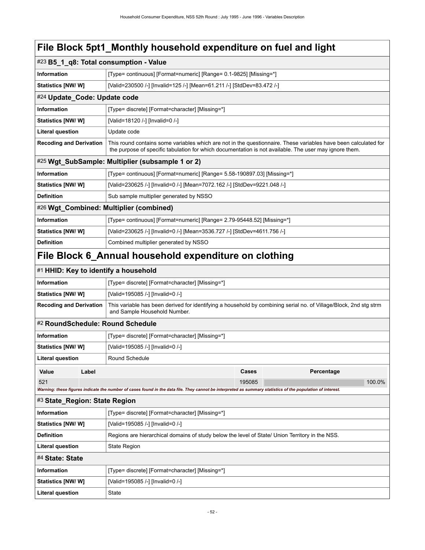|                                |                                                                          | #23 B5_1_q8: Total consumption - Value                                                                                                                                                                                    |        |            |        |  |
|--------------------------------|--------------------------------------------------------------------------|---------------------------------------------------------------------------------------------------------------------------------------------------------------------------------------------------------------------------|--------|------------|--------|--|
| Information                    |                                                                          | [Type= continuous] [Format=numeric] [Range= 0.1-9825] [Missing=*]                                                                                                                                                         |        |            |        |  |
| Statistics [NW/W]              |                                                                          | [Valid=230500 /-] [Invalid=125 /-] [Mean=61.211 /-] [StdDev=83.472 /-]                                                                                                                                                    |        |            |        |  |
|                                | #24 Update_Code: Update code                                             |                                                                                                                                                                                                                           |        |            |        |  |
| <b>Information</b>             |                                                                          | [Type= discrete] [Format=character] [Missing=*]                                                                                                                                                                           |        |            |        |  |
| Statistics [NW/ W]             |                                                                          | [Valid=18120 /-] [Invalid=0 /-]                                                                                                                                                                                           |        |            |        |  |
| <b>Literal question</b>        |                                                                          | Update code                                                                                                                                                                                                               |        |            |        |  |
| <b>Recoding and Derivation</b> |                                                                          | This round contains some variables which are not in the questionnaire. These variables have been calculated for<br>the purpose of specific tabulation for which documentation is not available. The user may ignore them. |        |            |        |  |
|                                |                                                                          | #25 Wgt SubSample: Multiplier (subsample 1 or 2)                                                                                                                                                                          |        |            |        |  |
| <b>Information</b>             |                                                                          | [Type= continuous] [Format=numeric] [Range= 5.58-190897.03] [Missing=*]                                                                                                                                                   |        |            |        |  |
| Statistics [NW/W]              | [Valid=230625 /-] [Invalid=0 /-] [Mean=7072.162 /-] [StdDev=9221.048 /-] |                                                                                                                                                                                                                           |        |            |        |  |
| <b>Definition</b>              |                                                                          | Sub sample multiplier generated by NSSO                                                                                                                                                                                   |        |            |        |  |
|                                | #26 Wgt_Combined: Multiplier (combined)                                  |                                                                                                                                                                                                                           |        |            |        |  |
| <b>Information</b>             |                                                                          | [Type= continuous] [Format=numeric] [Range= 2.79-95448.52] [Missing=*]                                                                                                                                                    |        |            |        |  |
| Statistics [NW/ W]             |                                                                          | [Valid=230625 /-] [Invalid=0 /-] [Mean=3536.727 /-] [StdDev=4611.756 /-]                                                                                                                                                  |        |            |        |  |
| <b>Definition</b>              |                                                                          | Combined multiplier generated by NSSO                                                                                                                                                                                     |        |            |        |  |
|                                |                                                                          | File Block 6_Annual household expenditure on clothing                                                                                                                                                                     |        |            |        |  |
|                                |                                                                          | #1 HHID: Key to identify a household                                                                                                                                                                                      |        |            |        |  |
| <b>Information</b>             |                                                                          | [Type= discrete] [Format=character] [Missing=*]                                                                                                                                                                           |        |            |        |  |
| Statistics [NW/W]              |                                                                          | [Valid=195085 /-] [Invalid=0 /-]                                                                                                                                                                                          |        |            |        |  |
| <b>Recoding and Derivation</b> |                                                                          | This variable has been derived for identifying a household by combining serial no. of Village/Block, 2nd stg strm<br>and Sample Household Number.                                                                         |        |            |        |  |
|                                |                                                                          | #2 RoundSchedule: Round Schedule                                                                                                                                                                                          |        |            |        |  |
| <b>Information</b>             |                                                                          | [Type= discrete] [Format=character] [Missing=*]                                                                                                                                                                           |        |            |        |  |
| Statistics [NW/W]              |                                                                          | [Valid=195085 /-] [Invalid=0 /-]                                                                                                                                                                                          |        |            |        |  |
| <b>Literal question</b>        |                                                                          | Round Schedule                                                                                                                                                                                                            |        |            |        |  |
| Value                          | Label                                                                    |                                                                                                                                                                                                                           | Cases  | Percentage |        |  |
| 521                            |                                                                          |                                                                                                                                                                                                                           | 195085 |            | 100.0% |  |

*Warning: these figures indicate the number of cases found in the data file. They cannot be interpreted as summary statistics of the population of interest.*

#### #3 **State\_Region: State Region**

| Information       | [Type= discrete] [Format=character] [Missing=*]                                                 |  |
|-------------------|-------------------------------------------------------------------------------------------------|--|
| Statistics [NW/W] | [Valid=195085 /-] [Invalid=0 /-]                                                                |  |
| <b>Definition</b> | Regions are hierarchical domains of study below the level of State/ Union Territory in the NSS. |  |
| Literal question  | State Region                                                                                    |  |
| #4 State: State   |                                                                                                 |  |
| Information       | [Type= discrete] [Format=character] [Missing=*]                                                 |  |
| Statistics [NW/W] | [Valid=195085 /-] [Invalid=0 /-]                                                                |  |
| Literal question  | State                                                                                           |  |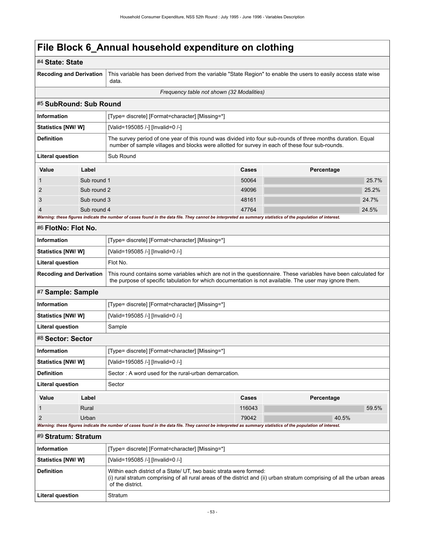### **File Block 6\_Annual household expenditure on clothing**

| #4 State: State                |             |                                                                                                                                                                                                                           |        |            |       |  |
|--------------------------------|-------------|---------------------------------------------------------------------------------------------------------------------------------------------------------------------------------------------------------------------------|--------|------------|-------|--|
| <b>Recoding and Derivation</b> |             | This variable has been derived from the variable "State Region" to enable the users to easily access state wise<br>data.                                                                                                  |        |            |       |  |
|                                |             | Frequency table not shown (32 Modalities)                                                                                                                                                                                 |        |            |       |  |
| #5 SubRound: Sub Round         |             |                                                                                                                                                                                                                           |        |            |       |  |
| <b>Information</b>             |             | [Type= discrete] [Format=character] [Missing=*]                                                                                                                                                                           |        |            |       |  |
| Statistics [NW/W]              |             | [Valid=195085 /-] [Invalid=0 /-]                                                                                                                                                                                          |        |            |       |  |
| <b>Definition</b>              |             | The survey period of one year of this round was divided into four sub-rounds of three months duration. Equal<br>number of sample villages and blocks were allotted for survey in each of these four sub-rounds.           |        |            |       |  |
| <b>Literal question</b>        |             | Sub Round                                                                                                                                                                                                                 |        |            |       |  |
| Value                          | Label       |                                                                                                                                                                                                                           | Cases  | Percentage |       |  |
| 1                              | Sub round 1 |                                                                                                                                                                                                                           | 50064  |            | 25.7% |  |
| 2                              | Sub round 2 |                                                                                                                                                                                                                           | 49096  |            | 25.2% |  |
| 3                              | Sub round 3 |                                                                                                                                                                                                                           | 48161  |            | 24.7% |  |
| 4                              | Sub round 4 |                                                                                                                                                                                                                           | 47764  |            | 24.5% |  |
|                                |             | Warning: these figures indicate the number of cases found in the data file. They cannot be interpreted as summary statistics of the population of interest.                                                               |        |            |       |  |
| #6 FlotNo: Flot No.            |             |                                                                                                                                                                                                                           |        |            |       |  |
| Information                    |             | [Type= discrete] [Format=character] [Missing=*]                                                                                                                                                                           |        |            |       |  |
| <b>Statistics [NW/W]</b>       |             | [Valid=195085 /-] [Invalid=0 /-]                                                                                                                                                                                          |        |            |       |  |
| <b>Literal question</b>        |             | Flot No.                                                                                                                                                                                                                  |        |            |       |  |
| <b>Recoding and Derivation</b> |             | This round contains some variables which are not in the questionnaire. These variables have been calculated for<br>the purpose of specific tabulation for which documentation is not available. The user may ignore them. |        |            |       |  |
| #7 Sample: Sample              |             |                                                                                                                                                                                                                           |        |            |       |  |
| <b>Information</b>             |             | [Type= discrete] [Format=character] [Missing=*]                                                                                                                                                                           |        |            |       |  |
| <b>Statistics [NW/ W]</b>      |             | [Valid=195085 /-] [Invalid=0 /-]                                                                                                                                                                                          |        |            |       |  |
| <b>Literal question</b>        |             | Sample                                                                                                                                                                                                                    |        |            |       |  |
| #8 Sector: Sector              |             |                                                                                                                                                                                                                           |        |            |       |  |
| Information                    |             | [Type= discrete] [Format=character] [Missing=*]                                                                                                                                                                           |        |            |       |  |
| <b>Statistics [NW/ W]</b>      |             | [Valid=195085 /-] [Invalid=0 /-]                                                                                                                                                                                          |        |            |       |  |
| <b>Definition</b>              |             | Sector: A word used for the rural-urban demarcation.                                                                                                                                                                      |        |            |       |  |
| <b>Literal question</b>        |             | Sector                                                                                                                                                                                                                    |        |            |       |  |
| Value                          | Label       |                                                                                                                                                                                                                           | Cases  | Percentage |       |  |
| 1                              | Rural       |                                                                                                                                                                                                                           | 116043 |            | 59.5% |  |
| $\overline{2}$                 | Urban       |                                                                                                                                                                                                                           | 79042  | 40.5%      |       |  |
|                                |             | Warning: these figures indicate the number of cases found in the data file. They cannot be interpreted as summary statistics of the population of interest.                                                               |        |            |       |  |
| #9 Stratum: Stratum            |             |                                                                                                                                                                                                                           |        |            |       |  |
| Information                    |             | [Type= discrete] [Format=character] [Missing=*]                                                                                                                                                                           |        |            |       |  |
| Statistics [NW/W]              |             | [Valid=195085 /-] [Invalid=0 /-]                                                                                                                                                                                          |        |            |       |  |
| <b>Definition</b>              |             | Within each district of a State/ UT, two basic strata were formed:<br>(i) rural stratum comprising of all rural areas of the district and (ii) urban stratum comprising of all the urban areas<br>of the district.        |        |            |       |  |
| <b>Literal question</b>        |             | Stratum                                                                                                                                                                                                                   |        |            |       |  |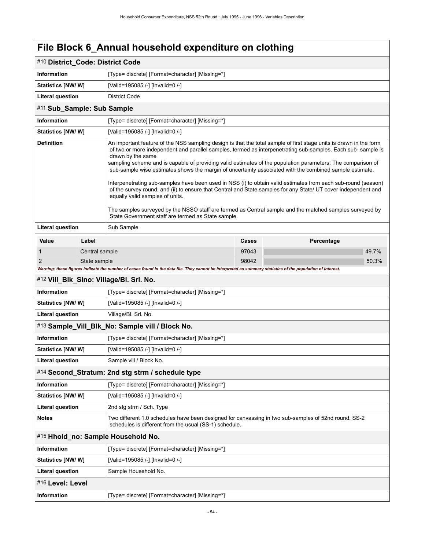### **File Block 6\_Annual household expenditure on clothing**

| #10 District_Code: District Code |                |                                                                                                                                                                                                                                                                                                                                                                                                                                                                                                                                                                                                                                                                                                                                                                                                                                                                                                                         |              |            |  |  |  |
|----------------------------------|----------------|-------------------------------------------------------------------------------------------------------------------------------------------------------------------------------------------------------------------------------------------------------------------------------------------------------------------------------------------------------------------------------------------------------------------------------------------------------------------------------------------------------------------------------------------------------------------------------------------------------------------------------------------------------------------------------------------------------------------------------------------------------------------------------------------------------------------------------------------------------------------------------------------------------------------------|--------------|------------|--|--|--|
| <b>Information</b>               |                | [Type= discrete] [Format=character] [Missing=*]                                                                                                                                                                                                                                                                                                                                                                                                                                                                                                                                                                                                                                                                                                                                                                                                                                                                         |              |            |  |  |  |
| <b>Statistics [NW/W]</b>         |                | [Valid=195085 /-] [Invalid=0 /-]                                                                                                                                                                                                                                                                                                                                                                                                                                                                                                                                                                                                                                                                                                                                                                                                                                                                                        |              |            |  |  |  |
| <b>Literal question</b>          |                | <b>District Code</b>                                                                                                                                                                                                                                                                                                                                                                                                                                                                                                                                                                                                                                                                                                                                                                                                                                                                                                    |              |            |  |  |  |
| #11 Sub Sample: Sub Sample       |                |                                                                                                                                                                                                                                                                                                                                                                                                                                                                                                                                                                                                                                                                                                                                                                                                                                                                                                                         |              |            |  |  |  |
| <b>Information</b>               |                | [Type= discrete] [Format=character] [Missing=*]                                                                                                                                                                                                                                                                                                                                                                                                                                                                                                                                                                                                                                                                                                                                                                                                                                                                         |              |            |  |  |  |
| <b>Statistics [NW/ W]</b>        |                | [Valid=195085 /-] [Invalid=0 /-]                                                                                                                                                                                                                                                                                                                                                                                                                                                                                                                                                                                                                                                                                                                                                                                                                                                                                        |              |            |  |  |  |
| <b>Definition</b>                |                | An important feature of the NSS sampling design is that the total sample of first stage units is drawn in the form<br>of two or more independent and parallel samples, termed as interpenetrating sub-samples. Each sub-sample is<br>drawn by the same<br>sampling scheme and is capable of providing valid estimates of the population parameters. The comparison of<br>sub-sample wise estimates shows the margin of uncertainty associated with the combined sample estimate.<br>Interpenetrating sub-samples have been used in NSS (i) to obtain valid estimates from each sub-round (season)<br>of the survey round, and (ii) to ensure that Central and State samples for any State/ UT cover independent and<br>equally valid samples of units.<br>The samples surveyed by the NSSO staff are termed as Central sample and the matched samples surveyed by<br>State Government staff are termed as State sample. |              |            |  |  |  |
| <b>Literal question</b>          |                | Sub Sample                                                                                                                                                                                                                                                                                                                                                                                                                                                                                                                                                                                                                                                                                                                                                                                                                                                                                                              |              |            |  |  |  |
| Value                            | Label          |                                                                                                                                                                                                                                                                                                                                                                                                                                                                                                                                                                                                                                                                                                                                                                                                                                                                                                                         | <b>Cases</b> | Percentage |  |  |  |
| 1                                | Central sample |                                                                                                                                                                                                                                                                                                                                                                                                                                                                                                                                                                                                                                                                                                                                                                                                                                                                                                                         | 97043        | 49.7%      |  |  |  |
| $\overline{2}$                   | State sample   |                                                                                                                                                                                                                                                                                                                                                                                                                                                                                                                                                                                                                                                                                                                                                                                                                                                                                                                         | 98042        | 50.3%      |  |  |  |
|                                  |                | Warning: these figures indicate the number of cases found in the data file. They cannot be interpreted as summary statistics of the population of interest.                                                                                                                                                                                                                                                                                                                                                                                                                                                                                                                                                                                                                                                                                                                                                             |              |            |  |  |  |
|                                  |                | #12 Vill_Blk_Slno: Village/Bl. Srl. No.                                                                                                                                                                                                                                                                                                                                                                                                                                                                                                                                                                                                                                                                                                                                                                                                                                                                                 |              |            |  |  |  |
| <b>Information</b>               |                | [Type= discrete] [Format=character] [Missing=*]                                                                                                                                                                                                                                                                                                                                                                                                                                                                                                                                                                                                                                                                                                                                                                                                                                                                         |              |            |  |  |  |
| <b>Statistics [NW/ W]</b>        |                | [Valid=195085 /-] [Invalid=0 /-]                                                                                                                                                                                                                                                                                                                                                                                                                                                                                                                                                                                                                                                                                                                                                                                                                                                                                        |              |            |  |  |  |
| <b>Literal question</b>          |                | Village/Bl. Srl. No.                                                                                                                                                                                                                                                                                                                                                                                                                                                                                                                                                                                                                                                                                                                                                                                                                                                                                                    |              |            |  |  |  |
|                                  |                | #13 Sample_Vill_Blk_No: Sample vill / Block No.                                                                                                                                                                                                                                                                                                                                                                                                                                                                                                                                                                                                                                                                                                                                                                                                                                                                         |              |            |  |  |  |
| <b>Information</b>               |                | [Type= discrete] [Format=character] [Missing=*]                                                                                                                                                                                                                                                                                                                                                                                                                                                                                                                                                                                                                                                                                                                                                                                                                                                                         |              |            |  |  |  |
| <b>Statistics [NW/ W]</b>        |                | [Valid=195085 /-] [Invalid=0 /-]                                                                                                                                                                                                                                                                                                                                                                                                                                                                                                                                                                                                                                                                                                                                                                                                                                                                                        |              |            |  |  |  |
| <b>Literal question</b>          |                | Sample vill / Block No.                                                                                                                                                                                                                                                                                                                                                                                                                                                                                                                                                                                                                                                                                                                                                                                                                                                                                                 |              |            |  |  |  |
|                                  |                | #14 Second_Stratum: 2nd stg strm / schedule type                                                                                                                                                                                                                                                                                                                                                                                                                                                                                                                                                                                                                                                                                                                                                                                                                                                                        |              |            |  |  |  |
| Information                      |                | [Type= discrete] [Format=character] [Missing=*]                                                                                                                                                                                                                                                                                                                                                                                                                                                                                                                                                                                                                                                                                                                                                                                                                                                                         |              |            |  |  |  |
| Statistics [NW/W]                |                | [Valid=195085 /-] [Invalid=0 /-]                                                                                                                                                                                                                                                                                                                                                                                                                                                                                                                                                                                                                                                                                                                                                                                                                                                                                        |              |            |  |  |  |
| <b>Literal question</b>          |                | 2nd stg strm / Sch. Type                                                                                                                                                                                                                                                                                                                                                                                                                                                                                                                                                                                                                                                                                                                                                                                                                                                                                                |              |            |  |  |  |
| <b>Notes</b>                     |                | Two different 1.0 schedules have been designed for canvassing in two sub-samples of 52nd round. SS-2<br>schedules is different from the usual (SS-1) schedule.                                                                                                                                                                                                                                                                                                                                                                                                                                                                                                                                                                                                                                                                                                                                                          |              |            |  |  |  |
|                                  |                | #15 Hhold_no: Sample Household No.                                                                                                                                                                                                                                                                                                                                                                                                                                                                                                                                                                                                                                                                                                                                                                                                                                                                                      |              |            |  |  |  |
| <b>Information</b>               |                | [Type= discrete] [Format=character] [Missing=*]                                                                                                                                                                                                                                                                                                                                                                                                                                                                                                                                                                                                                                                                                                                                                                                                                                                                         |              |            |  |  |  |
| Statistics [NW/W]                |                | [Valid=195085 /-] [Invalid=0 /-]                                                                                                                                                                                                                                                                                                                                                                                                                                                                                                                                                                                                                                                                                                                                                                                                                                                                                        |              |            |  |  |  |
| <b>Literal question</b>          |                | Sample Household No.                                                                                                                                                                                                                                                                                                                                                                                                                                                                                                                                                                                                                                                                                                                                                                                                                                                                                                    |              |            |  |  |  |
| #16 Level: Level                 |                |                                                                                                                                                                                                                                                                                                                                                                                                                                                                                                                                                                                                                                                                                                                                                                                                                                                                                                                         |              |            |  |  |  |
| Information                      |                | [Type= discrete] [Format=character] [Missing=*]                                                                                                                                                                                                                                                                                                                                                                                                                                                                                                                                                                                                                                                                                                                                                                                                                                                                         |              |            |  |  |  |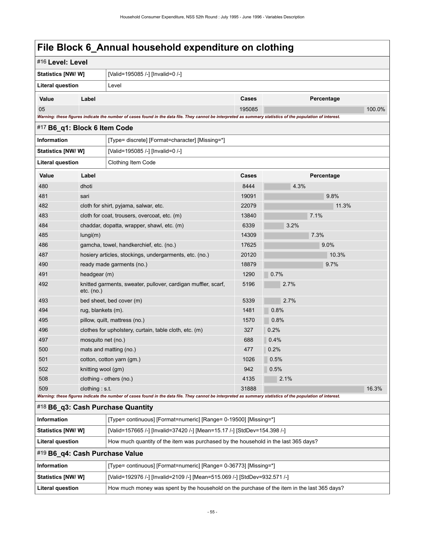### **File Block 6\_Annual household expenditure on clothing**

| #16 Level: Level               |                                                              |                                                                                                                                                             |        |      |            |        |
|--------------------------------|--------------------------------------------------------------|-------------------------------------------------------------------------------------------------------------------------------------------------------------|--------|------|------------|--------|
|                                | <b>Statistics [NW/W]</b><br>[Valid=195085 /-] [Invalid=0 /-] |                                                                                                                                                             |        |      |            |        |
| <b>Literal question</b>        |                                                              | Level                                                                                                                                                       |        |      |            |        |
| Value                          | Label                                                        |                                                                                                                                                             | Cases  |      | Percentage |        |
| 05                             |                                                              |                                                                                                                                                             | 195085 |      |            | 100.0% |
|                                |                                                              | Warning: these figures indicate the number of cases found in the data file. They cannot be interpreted as summary statistics of the population of interest. |        |      |            |        |
| #17 B6_q1: Block 6 Item Code   |                                                              |                                                                                                                                                             |        |      |            |        |
| <b>Information</b>             |                                                              | [Type= discrete] [Format=character] [Missing=*]                                                                                                             |        |      |            |        |
| <b>Statistics [NW/W]</b>       |                                                              | [Valid=195085 /-] [Invalid=0 /-]                                                                                                                            |        |      |            |        |
| Literal question               |                                                              | Clothing Item Code                                                                                                                                          |        |      |            |        |
| Value                          | Label                                                        |                                                                                                                                                             | Cases  |      | Percentage |        |
| 480                            | dhoti                                                        |                                                                                                                                                             | 8444   | 4.3% |            |        |
| 481                            | sari                                                         |                                                                                                                                                             | 19091  |      | 9.8%       |        |
| 482                            |                                                              | cloth for shirt, pyjama, salwar, etc.                                                                                                                       | 22079  |      | 11.3%      |        |
| 483                            |                                                              | cloth for coat, trousers, overcoat, etc. (m)                                                                                                                | 13840  |      | 7.1%       |        |
| 484                            |                                                              | chaddar, dopatta, wrapper, shawl, etc. (m)                                                                                                                  | 6339   | 3.2% |            |        |
| 485                            | lungi(m)                                                     |                                                                                                                                                             | 14309  |      | 7.3%       |        |
| 486                            |                                                              | gamcha, towel, handkerchief, etc. (no.)                                                                                                                     | 17625  |      | 9.0%       |        |
| 487                            | hosiery articles, stockings, undergarments, etc. (no.)       |                                                                                                                                                             | 20120  |      | 10.3%      |        |
| 490                            |                                                              | ready made garments (no.)                                                                                                                                   | 18879  |      | 9.7%       |        |
| 491                            | headgear (m)                                                 |                                                                                                                                                             | 1290   | 0.7% |            |        |
| 492                            | etc. (no.)                                                   | knitted garments, sweater, pullover, cardigan muffler, scarf,                                                                                               | 5196   | 2.7% |            |        |
| 493                            |                                                              | bed sheet, bed cover (m)                                                                                                                                    | 5339   | 2.7% |            |        |
| 494                            | rug, blankets (m).                                           |                                                                                                                                                             | 1481   | 0.8% |            |        |
| 495                            |                                                              | pillow, quilt, mattress (no.)                                                                                                                               | 1570   | 0.8% |            |        |
| 496                            |                                                              | clothes for upholstery, curtain, table cloth, etc. (m)                                                                                                      | 327    | 0.2% |            |        |
| 497                            | mosquito net (no.)                                           |                                                                                                                                                             | 688    | 0.4% |            |        |
| 500                            |                                                              | mats and matting (no.)                                                                                                                                      | 477    | 0.2% |            |        |
| 501                            |                                                              | cotton, cotton yarn (gm.)                                                                                                                                   | 1026   | 0.5% |            |        |
| 502                            | knitting wool (gm)                                           |                                                                                                                                                             | 942    | 0.5% |            |        |
| 508                            |                                                              | clothing - others (no.)                                                                                                                                     | 4135   | 2.1% |            |        |
| 509                            | clothing $: s.t.$                                            |                                                                                                                                                             | 31888  |      |            | 16.3%  |
|                                |                                                              | Warning: these figures indicate the number of cases found in the data file. They cannot be interpreted as summary statistics of the population of interest. |        |      |            |        |
|                                |                                                              | #18 B6_q3: Cash Purchase Quantity                                                                                                                           |        |      |            |        |
| Information                    |                                                              | [Type= continuous] [Format=numeric] [Range= 0-19500] [Missing=*]                                                                                            |        |      |            |        |
| <b>Statistics [NW/W]</b>       |                                                              | [Valid=157665 /-] [Invalid=37420 /-] [Mean=15.17 /-] [StdDev=154.398 /-]                                                                                    |        |      |            |        |
| <b>Literal question</b>        |                                                              | How much quantity of the item was purchased by the household in the last 365 days?                                                                          |        |      |            |        |
| #19 B6_q4: Cash Purchase Value |                                                              |                                                                                                                                                             |        |      |            |        |
| Information                    |                                                              | [Type= continuous] [Format=numeric] [Range= 0-36773] [Missing=*]                                                                                            |        |      |            |        |
| <b>Statistics [NW/W]</b>       |                                                              | [Valid=192976 /-] [Invalid=2109 /-] [Mean=515.069 /-] [StdDev=932.571 /-]                                                                                   |        |      |            |        |
| <b>Literal question</b>        |                                                              | How much money was spent by the household on the purchase of the item in the last 365 days?                                                                 |        |      |            |        |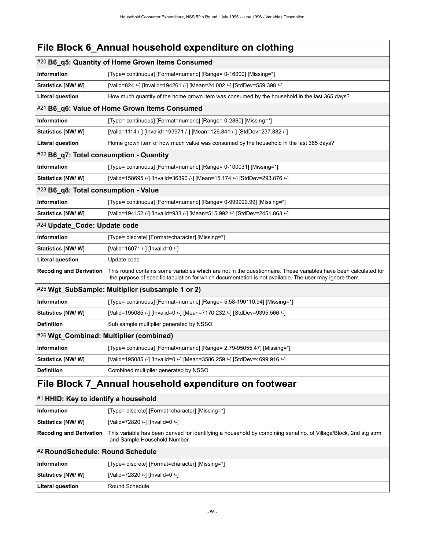|                                         | File Block 6_Annual household expenditure on clothing                                                                                                                                                                     |  |  |
|-----------------------------------------|---------------------------------------------------------------------------------------------------------------------------------------------------------------------------------------------------------------------------|--|--|
|                                         | #20 B6_q5: Quantity of Home Grown Items Consumed                                                                                                                                                                          |  |  |
| <b>Information</b>                      | [Type= continuous] [Format=numeric] [Range= 0-16000] [Missing=*]                                                                                                                                                          |  |  |
| <b>Statistics [NW/W]</b>                | [Valid=824 /-] [Invalid=194261 /-] [Mean=24.002 /-] [StdDev=559.398 /-]                                                                                                                                                   |  |  |
| <b>Literal question</b>                 | How much quantity of the home grown item was consumed by the household in the last 365 days?                                                                                                                              |  |  |
|                                         | #21 B6_q6: Value of Home Grown Items Consumed                                                                                                                                                                             |  |  |
| <b>Information</b>                      | [Type= continuous] [Format=numeric] [Range= 0-2860] [Missing=*]                                                                                                                                                           |  |  |
| <b>Statistics [NW/W]</b>                | [Valid=1114 /-] [Invalid=193971 /-] [Mean=126.841 /-] [StdDev=237.882 /-]                                                                                                                                                 |  |  |
| <b>Literal question</b>                 | Home grown item of how much value was consumed by the household in the last 365 days?                                                                                                                                     |  |  |
| #22 B6_q7: Total consumption - Quantity |                                                                                                                                                                                                                           |  |  |
| Information                             | [Type= continuous] [Format=numeric] [Range= 0-100031] [Missing=*]                                                                                                                                                         |  |  |
| Statistics [NW/ W]                      | [Valid=158695 /-] [Invalid=36390 /-] [Mean=15.174 /-] [StdDev=293.876 /-]                                                                                                                                                 |  |  |
| #23 B6_q8: Total consumption - Value    |                                                                                                                                                                                                                           |  |  |
| Information                             | [Type= continuous] [Format=numeric] [Range= 0-999999.99] [Missing=*]                                                                                                                                                      |  |  |
| <b>Statistics [NW/W]</b>                | [Valid=194152 /-] [Invalid=933 /-] [Mean=515.992 /-] [StdDev=2451.863 /-]                                                                                                                                                 |  |  |
| #24 Update_Code: Update code            |                                                                                                                                                                                                                           |  |  |
| Information                             | [Type= discrete] [Format=character] [Missing=*]                                                                                                                                                                           |  |  |
| <b>Statistics [NW/W]</b>                | [Valid=16071 /-] [Invalid=0 /-]                                                                                                                                                                                           |  |  |
| <b>Literal question</b>                 | Update code                                                                                                                                                                                                               |  |  |
| <b>Recoding and Derivation</b>          | This round contains some variables which are not in the questionnaire. These variables have been calculated for<br>the purpose of specific tabulation for which documentation is not available. The user may ignore them. |  |  |
|                                         | #25 Wgt_SubSample: Multiplier (subsample 1 or 2)                                                                                                                                                                          |  |  |
| Information                             | [Type= continuous] [Format=numeric] [Range= 5.58-190110.94] [Missing=*]                                                                                                                                                   |  |  |
| <b>Statistics [NW/W]</b>                | [Valid=195085 /-] [Invalid=0 /-] [Mean=7170.232 /-] [StdDev=9395.566 /-]                                                                                                                                                  |  |  |
| <b>Definition</b>                       | Sub sample multiplier generated by NSSO                                                                                                                                                                                   |  |  |
| #26 Wgt_Combined: Multiplier (combined) |                                                                                                                                                                                                                           |  |  |
| Information                             | [Type= continuous] [Format=numeric] [Range= 2.79-95055.47] [Missing=*]                                                                                                                                                    |  |  |
| <b>Statistics [NW/W]</b>                | [Valid=195085 /-] [Invalid=0 /-] [Mean=3586.259 /-] [StdDev=4699.916 /-]                                                                                                                                                  |  |  |
| <b>Definition</b>                       | Combined multiplier generated by NSSO                                                                                                                                                                                     |  |  |
|                                         | File Block 7_Annual household expenditure on footwear                                                                                                                                                                     |  |  |
| #1 HHID: Key to identify a household    |                                                                                                                                                                                                                           |  |  |

| Information               | [Type= discrete] [Format=character] [Missing=*]                                                                                                   |
|---------------------------|---------------------------------------------------------------------------------------------------------------------------------------------------|
| <b>Statistics [NW/ W]</b> | [Valid=72820 /-] [Invalid=0 /-]                                                                                                                   |
| Recoding and Derivation   | This variable has been derived for identifying a household by combining serial no. of Village/Block, 2nd stg strm<br>and Sample Household Number. |
|                           |                                                                                                                                                   |

#### #2 **RoundSchedule: Round Schedule**

| Information             | [Type= discrete] [Format=character] [Missing=*] |
|-------------------------|-------------------------------------------------|
| Statistics [NW/ W]      | [Valid=72820 /-] [Invalid=0 /-]                 |
| <b>Literal question</b> | Round Schedule                                  |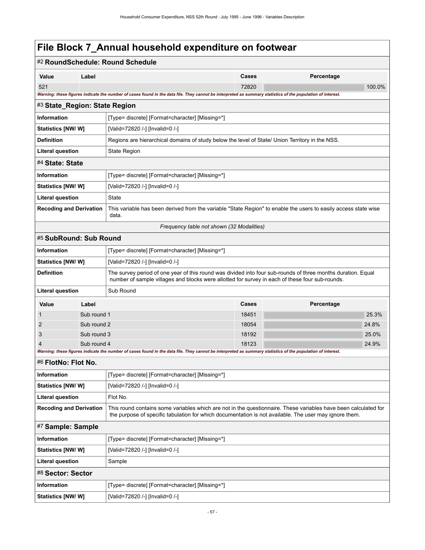### **File Block 7\_Annual household expenditure on footwear**

|                                |                                                                                                                                                                                                                                                             | #2 RoundSchedule: Round Schedule                                                                                                                                                                                |                                                                                                 |            |        |  |
|--------------------------------|-------------------------------------------------------------------------------------------------------------------------------------------------------------------------------------------------------------------------------------------------------------|-----------------------------------------------------------------------------------------------------------------------------------------------------------------------------------------------------------------|-------------------------------------------------------------------------------------------------|------------|--------|--|
| Value                          | Label                                                                                                                                                                                                                                                       |                                                                                                                                                                                                                 | Cases                                                                                           | Percentage |        |  |
| 521                            |                                                                                                                                                                                                                                                             |                                                                                                                                                                                                                 | 72820                                                                                           |            | 100.0% |  |
|                                |                                                                                                                                                                                                                                                             | Warning: these figures indicate the number of cases found in the data file. They cannot be interpreted as summary statistics of the population of interest.                                                     |                                                                                                 |            |        |  |
| #3 State_Region: State Region  |                                                                                                                                                                                                                                                             |                                                                                                                                                                                                                 |                                                                                                 |            |        |  |
| <b>Information</b>             |                                                                                                                                                                                                                                                             | [Type= discrete] [Format=character] [Missing=*]                                                                                                                                                                 |                                                                                                 |            |        |  |
| Statistics [NW/W]              |                                                                                                                                                                                                                                                             | [Valid=72820 /-] [Invalid=0 /-]                                                                                                                                                                                 |                                                                                                 |            |        |  |
| <b>Definition</b>              |                                                                                                                                                                                                                                                             |                                                                                                                                                                                                                 | Regions are hierarchical domains of study below the level of State/ Union Territory in the NSS. |            |        |  |
| <b>Literal question</b>        |                                                                                                                                                                                                                                                             | <b>State Region</b>                                                                                                                                                                                             |                                                                                                 |            |        |  |
| #4 State: State                |                                                                                                                                                                                                                                                             |                                                                                                                                                                                                                 |                                                                                                 |            |        |  |
| <b>Information</b>             |                                                                                                                                                                                                                                                             | [Type= discrete] [Format=character] [Missing=*]                                                                                                                                                                 |                                                                                                 |            |        |  |
| Statistics [NW/W]              |                                                                                                                                                                                                                                                             | [Valid=72820 /-] [Invalid=0 /-]                                                                                                                                                                                 |                                                                                                 |            |        |  |
| <b>Literal question</b>        |                                                                                                                                                                                                                                                             | <b>State</b>                                                                                                                                                                                                    |                                                                                                 |            |        |  |
| <b>Recoding and Derivation</b> |                                                                                                                                                                                                                                                             | This variable has been derived from the variable "State Region" to enable the users to easily access state wise<br>data.                                                                                        |                                                                                                 |            |        |  |
|                                |                                                                                                                                                                                                                                                             | Frequency table not shown (32 Modalities)                                                                                                                                                                       |                                                                                                 |            |        |  |
| #5 SubRound: Sub Round         |                                                                                                                                                                                                                                                             |                                                                                                                                                                                                                 |                                                                                                 |            |        |  |
| <b>Information</b>             |                                                                                                                                                                                                                                                             | [Type= discrete] [Format=character] [Missing=*]                                                                                                                                                                 |                                                                                                 |            |        |  |
| Statistics [NW/W]              |                                                                                                                                                                                                                                                             | [Valid=72820 /-] [Invalid=0 /-]                                                                                                                                                                                 |                                                                                                 |            |        |  |
| <b>Definition</b>              |                                                                                                                                                                                                                                                             | The survey period of one year of this round was divided into four sub-rounds of three months duration. Equal<br>number of sample villages and blocks were allotted for survey in each of these four sub-rounds. |                                                                                                 |            |        |  |
| <b>Literal question</b>        |                                                                                                                                                                                                                                                             | Sub Round                                                                                                                                                                                                       |                                                                                                 |            |        |  |
| Value                          | Label                                                                                                                                                                                                                                                       |                                                                                                                                                                                                                 | Cases                                                                                           | Percentage |        |  |
| 1                              | Sub round 1                                                                                                                                                                                                                                                 |                                                                                                                                                                                                                 | 18451                                                                                           |            | 25.3%  |  |
| 2                              | Sub round 2                                                                                                                                                                                                                                                 |                                                                                                                                                                                                                 | 18054                                                                                           |            | 24.8%  |  |
| 3                              | Sub round 3                                                                                                                                                                                                                                                 |                                                                                                                                                                                                                 | 18192                                                                                           |            | 25.0%  |  |
| 4                              | Sub round 4                                                                                                                                                                                                                                                 | Warning: these figures indicate the number of cases found in the data file. They cannot be interpreted as summary statistics of the population of interest.                                                     | 18123                                                                                           |            | 24.9%  |  |
| #6 FlotNo: Flot No.            |                                                                                                                                                                                                                                                             |                                                                                                                                                                                                                 |                                                                                                 |            |        |  |
| <b>Information</b>             |                                                                                                                                                                                                                                                             | [Type= discrete] [Format=character] [Missing=*]                                                                                                                                                                 |                                                                                                 |            |        |  |
| <b>Statistics [NW/W]</b>       |                                                                                                                                                                                                                                                             | [Valid=72820 /-] [Invalid=0 /-]                                                                                                                                                                                 |                                                                                                 |            |        |  |
| <b>Literal question</b>        |                                                                                                                                                                                                                                                             | Flot No.                                                                                                                                                                                                        |                                                                                                 |            |        |  |
|                                | This round contains some variables which are not in the questionnaire. These variables have been calculated for<br><b>Recoding and Derivation</b><br>the purpose of specific tabulation for which documentation is not available. The user may ignore them. |                                                                                                                                                                                                                 |                                                                                                 |            |        |  |
| #7 Sample: Sample              |                                                                                                                                                                                                                                                             |                                                                                                                                                                                                                 |                                                                                                 |            |        |  |
| <b>Information</b>             |                                                                                                                                                                                                                                                             | [Type= discrete] [Format=character] [Missing=*]                                                                                                                                                                 |                                                                                                 |            |        |  |
| <b>Statistics [NW/W]</b>       |                                                                                                                                                                                                                                                             | [Valid=72820 /-] [Invalid=0 /-]                                                                                                                                                                                 |                                                                                                 |            |        |  |
| <b>Literal question</b>        |                                                                                                                                                                                                                                                             | Sample                                                                                                                                                                                                          |                                                                                                 |            |        |  |
| #8 Sector: Sector              |                                                                                                                                                                                                                                                             |                                                                                                                                                                                                                 |                                                                                                 |            |        |  |
| <b>Information</b>             |                                                                                                                                                                                                                                                             | [Type= discrete] [Format=character] [Missing=*]                                                                                                                                                                 |                                                                                                 |            |        |  |
| Statistics [NW/W]              |                                                                                                                                                                                                                                                             | [Valid=72820 /-] [Invalid=0 /-]                                                                                                                                                                                 |                                                                                                 |            |        |  |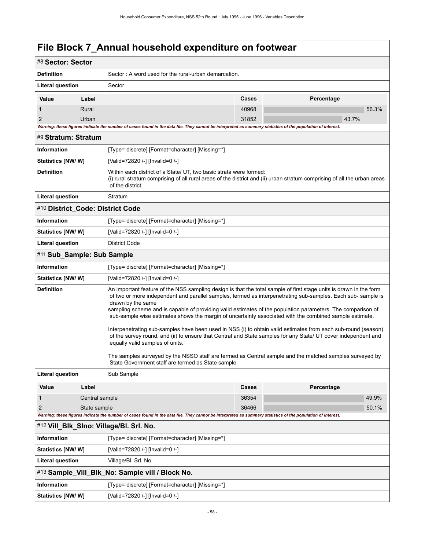### **File Block 7\_Annual household expenditure on footwear**

| #8 Sector: Sector                |                |                                                                                                                                                                                                                                                                                                                                                                                                                                                                                                                                                                                                                                                                                                                                                        |       |            |  |
|----------------------------------|----------------|--------------------------------------------------------------------------------------------------------------------------------------------------------------------------------------------------------------------------------------------------------------------------------------------------------------------------------------------------------------------------------------------------------------------------------------------------------------------------------------------------------------------------------------------------------------------------------------------------------------------------------------------------------------------------------------------------------------------------------------------------------|-------|------------|--|
| <b>Definition</b>                |                | Sector: A word used for the rural-urban demarcation.                                                                                                                                                                                                                                                                                                                                                                                                                                                                                                                                                                                                                                                                                                   |       |            |  |
| <b>Literal question</b>          |                | Sector                                                                                                                                                                                                                                                                                                                                                                                                                                                                                                                                                                                                                                                                                                                                                 |       |            |  |
| Value                            | Label          |                                                                                                                                                                                                                                                                                                                                                                                                                                                                                                                                                                                                                                                                                                                                                        | Cases | Percentage |  |
|                                  | Rural          |                                                                                                                                                                                                                                                                                                                                                                                                                                                                                                                                                                                                                                                                                                                                                        | 40968 | 56.3%      |  |
| 2                                | Urban          |                                                                                                                                                                                                                                                                                                                                                                                                                                                                                                                                                                                                                                                                                                                                                        | 31852 | 43.7%      |  |
| #9 Stratum: Stratum              |                | Warning: these figures indicate the number of cases found in the data file. They cannot be interpreted as summary statistics of the population of interest.                                                                                                                                                                                                                                                                                                                                                                                                                                                                                                                                                                                            |       |            |  |
| <b>Information</b>               |                | [Type= discrete] [Format=character] [Missing=*]                                                                                                                                                                                                                                                                                                                                                                                                                                                                                                                                                                                                                                                                                                        |       |            |  |
| Statistics [NW/ W]               |                | [Valid=72820 /-] [Invalid=0 /-]                                                                                                                                                                                                                                                                                                                                                                                                                                                                                                                                                                                                                                                                                                                        |       |            |  |
| <b>Definition</b>                |                | Within each district of a State/ UT, two basic strata were formed:                                                                                                                                                                                                                                                                                                                                                                                                                                                                                                                                                                                                                                                                                     |       |            |  |
|                                  |                | (i) rural stratum comprising of all rural areas of the district and (ii) urban stratum comprising of all the urban areas<br>of the district.                                                                                                                                                                                                                                                                                                                                                                                                                                                                                                                                                                                                           |       |            |  |
| Literal question                 |                | Stratum                                                                                                                                                                                                                                                                                                                                                                                                                                                                                                                                                                                                                                                                                                                                                |       |            |  |
| #10 District_Code: District Code |                |                                                                                                                                                                                                                                                                                                                                                                                                                                                                                                                                                                                                                                                                                                                                                        |       |            |  |
| <b>Information</b>               |                | [Type= discrete] [Format=character] [Missing=*]                                                                                                                                                                                                                                                                                                                                                                                                                                                                                                                                                                                                                                                                                                        |       |            |  |
| Statistics [NW/W]                |                | [Valid=72820 /-] [Invalid=0 /-]                                                                                                                                                                                                                                                                                                                                                                                                                                                                                                                                                                                                                                                                                                                        |       |            |  |
| <b>Literal question</b>          |                | <b>District Code</b>                                                                                                                                                                                                                                                                                                                                                                                                                                                                                                                                                                                                                                                                                                                                   |       |            |  |
| #11 Sub_Sample: Sub Sample       |                |                                                                                                                                                                                                                                                                                                                                                                                                                                                                                                                                                                                                                                                                                                                                                        |       |            |  |
| <b>Information</b>               |                | [Type= discrete] [Format=character] [Missing=*]                                                                                                                                                                                                                                                                                                                                                                                                                                                                                                                                                                                                                                                                                                        |       |            |  |
| Statistics [NW/W]                |                | [Valid=72820 /-] [Invalid=0 /-]                                                                                                                                                                                                                                                                                                                                                                                                                                                                                                                                                                                                                                                                                                                        |       |            |  |
| <b>Definition</b>                |                | An important feature of the NSS sampling design is that the total sample of first stage units is drawn in the form<br>of two or more independent and parallel samples, termed as interpenetrating sub-samples. Each sub-sample is<br>drawn by the same<br>sampling scheme and is capable of providing valid estimates of the population parameters. The comparison of<br>sub-sample wise estimates shows the margin of uncertainty associated with the combined sample estimate.<br>Interpenetrating sub-samples have been used in NSS (i) to obtain valid estimates from each sub-round (season)<br>of the survey round, and (ii) to ensure that Central and State samples for any State/ UT cover independent and<br>equally valid samples of units. |       |            |  |
|                                  |                | The samples surveyed by the NSSO staff are termed as Central sample and the matched samples surveyed by<br>State Government staff are termed as State sample.                                                                                                                                                                                                                                                                                                                                                                                                                                                                                                                                                                                          |       |            |  |
| Literal question                 |                | Sub Sample                                                                                                                                                                                                                                                                                                                                                                                                                                                                                                                                                                                                                                                                                                                                             |       |            |  |
| Value                            | Label          |                                                                                                                                                                                                                                                                                                                                                                                                                                                                                                                                                                                                                                                                                                                                                        | Cases | Percentage |  |
| 1                                | Central sample |                                                                                                                                                                                                                                                                                                                                                                                                                                                                                                                                                                                                                                                                                                                                                        | 36354 | 49.9%      |  |
| $\overline{2}$                   | State sample   | Warning: these figures indicate the number of cases found in the data file. They cannot be interpreted as summary statistics of the population of interest.                                                                                                                                                                                                                                                                                                                                                                                                                                                                                                                                                                                            | 36466 | 50.1%      |  |
|                                  |                | #12 Vill_BIk_SIno: Village/BI. Srl. No.                                                                                                                                                                                                                                                                                                                                                                                                                                                                                                                                                                                                                                                                                                                |       |            |  |
| <b>Information</b>               |                | [Type= discrete] [Format=character] [Missing=*]                                                                                                                                                                                                                                                                                                                                                                                                                                                                                                                                                                                                                                                                                                        |       |            |  |
| Statistics [NW/ W]               |                | [Valid=72820 /-] [Invalid=0 /-]                                                                                                                                                                                                                                                                                                                                                                                                                                                                                                                                                                                                                                                                                                                        |       |            |  |
| Literal question                 |                | Village/Bl. Srl. No.                                                                                                                                                                                                                                                                                                                                                                                                                                                                                                                                                                                                                                                                                                                                   |       |            |  |
|                                  |                | #13 Sample_Vill_Blk_No: Sample vill / Block No.                                                                                                                                                                                                                                                                                                                                                                                                                                                                                                                                                                                                                                                                                                        |       |            |  |
| Information                      |                | [Type= discrete] [Format=character] [Missing=*]                                                                                                                                                                                                                                                                                                                                                                                                                                                                                                                                                                                                                                                                                                        |       |            |  |
| Statistics [NW/W]                |                | [Valid=72820 /-] [Invalid=0 /-]                                                                                                                                                                                                                                                                                                                                                                                                                                                                                                                                                                                                                                                                                                                        |       |            |  |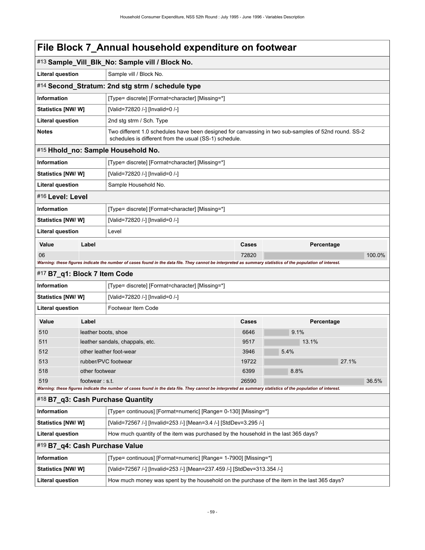### **File Block 7\_Annual household expenditure on footwear**

|                                |                                                                                    | #13 Sample_Vill_Blk_No: Sample vill / Block No.                                                                                                                |       |            |        |  |
|--------------------------------|------------------------------------------------------------------------------------|----------------------------------------------------------------------------------------------------------------------------------------------------------------|-------|------------|--------|--|
| <b>Literal question</b>        |                                                                                    | Sample vill / Block No.                                                                                                                                        |       |            |        |  |
|                                |                                                                                    | #14 Second_Stratum: 2nd stg strm / schedule type                                                                                                               |       |            |        |  |
| <b>Information</b>             |                                                                                    | [Type= discrete] [Format=character] [Missing=*]                                                                                                                |       |            |        |  |
| <b>Statistics [NW/W]</b>       |                                                                                    | [Valid=72820 /-] [Invalid=0 /-]                                                                                                                                |       |            |        |  |
| <b>Literal question</b>        |                                                                                    | 2nd stg strm / Sch. Type                                                                                                                                       |       |            |        |  |
| <b>Notes</b>                   |                                                                                    | Two different 1.0 schedules have been designed for canvassing in two sub-samples of 52nd round. SS-2<br>schedules is different from the usual (SS-1) schedule. |       |            |        |  |
|                                |                                                                                    | #15 Hhold_no: Sample Household No.                                                                                                                             |       |            |        |  |
| <b>Information</b>             |                                                                                    | [Type= discrete] [Format=character] [Missing=*]                                                                                                                |       |            |        |  |
| <b>Statistics [NW/W]</b>       |                                                                                    | [Valid=72820 /-] [Invalid=0 /-]                                                                                                                                |       |            |        |  |
| <b>Literal question</b>        |                                                                                    | Sample Household No.                                                                                                                                           |       |            |        |  |
| #16 Level: Level               |                                                                                    |                                                                                                                                                                |       |            |        |  |
| <b>Information</b>             |                                                                                    | [Type= discrete] [Format=character] [Missing=*]                                                                                                                |       |            |        |  |
| <b>Statistics [NW/W]</b>       |                                                                                    | [Valid=72820 /-] [Invalid=0 /-]                                                                                                                                |       |            |        |  |
| <b>Literal question</b>        |                                                                                    | Level                                                                                                                                                          |       |            |        |  |
| Value                          | Label                                                                              |                                                                                                                                                                | Cases | Percentage |        |  |
| 06                             |                                                                                    |                                                                                                                                                                | 72820 |            | 100.0% |  |
|                                |                                                                                    | Warning: these figures indicate the number of cases found in the data file. They cannot be interpreted as summary statistics of the population of interest.    |       |            |        |  |
| #17 B7_q1: Block 7 Item Code   |                                                                                    |                                                                                                                                                                |       |            |        |  |
| <b>Information</b>             |                                                                                    | [Type= discrete] [Format=character] [Missing=*]                                                                                                                |       |            |        |  |
| <b>Statistics [NW/W]</b>       |                                                                                    | [Valid=72820 /-] [Invalid=0 /-]                                                                                                                                |       |            |        |  |
| <b>Literal question</b>        |                                                                                    | Footwear Item Code                                                                                                                                             |       |            |        |  |
| Value                          | Label                                                                              |                                                                                                                                                                | Cases | Percentage |        |  |
| 510                            | leather boots, shoe                                                                |                                                                                                                                                                | 6646  | 9.1%       |        |  |
| 511                            |                                                                                    | leather sandals, chappals, etc.                                                                                                                                | 9517  | 13.1%      |        |  |
| 512                            |                                                                                    | other leather foot-wear                                                                                                                                        | 3946  | 5.4%       |        |  |
| 513                            |                                                                                    | rubber/PVC footwear                                                                                                                                            | 19722 |            | 27.1%  |  |
| 518                            | other footwear                                                                     |                                                                                                                                                                | 6399  | 8.8%       |        |  |
| 519                            | footwear: $st$ .                                                                   | Warning: these figures indicate the number of cases found in the data file. They cannot be interpreted as summary statistics of the population of interest.    | 26590 |            | 36.5%  |  |
|                                |                                                                                    | #18 B7_q3: Cash Purchase Quantity                                                                                                                              |       |            |        |  |
| Information                    |                                                                                    | [Type= continuous] [Format=numeric] [Range= 0-130] [Missing=*]                                                                                                 |       |            |        |  |
| <b>Statistics [NW/W]</b>       |                                                                                    | [Valid=72567 /-] [Invalid=253 /-] [Mean=3.4 /-] [StdDev=3.295 /-]                                                                                              |       |            |        |  |
| <b>Literal question</b>        | How much quantity of the item was purchased by the household in the last 365 days? |                                                                                                                                                                |       |            |        |  |
| #19 B7_q4: Cash Purchase Value |                                                                                    |                                                                                                                                                                |       |            |        |  |
|                                |                                                                                    |                                                                                                                                                                |       |            |        |  |
| Information                    |                                                                                    | [Type= continuous] [Format=numeric] [Range= 1-7900] [Missing=*]                                                                                                |       |            |        |  |
| <b>Statistics [NW/W]</b>       |                                                                                    | [Valid=72567 /-] [Invalid=253 /-] [Mean=237.459 /-] [StdDev=313.354 /-]                                                                                        |       |            |        |  |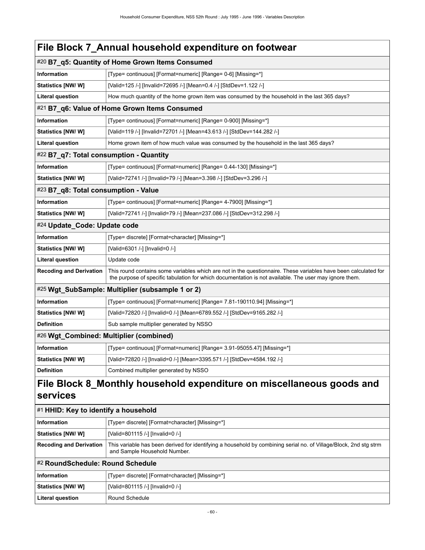|                                         | File Block 7_Annual household expenditure on footwear                                                                                                                                                                     |  |  |  |
|-----------------------------------------|---------------------------------------------------------------------------------------------------------------------------------------------------------------------------------------------------------------------------|--|--|--|
|                                         | #20 B7_q5: Quantity of Home Grown Items Consumed                                                                                                                                                                          |  |  |  |
| <b>Information</b>                      | [Type= continuous] [Format=numeric] [Range= 0-6] [Missing=*]                                                                                                                                                              |  |  |  |
| <b>Statistics [NW/W]</b>                | [Valid=125 /-] [Invalid=72695 /-] [Mean=0.4 /-] [StdDev=1.122 /-]                                                                                                                                                         |  |  |  |
| <b>Literal question</b>                 | How much quantity of the home grown item was consumed by the household in the last 365 days?                                                                                                                              |  |  |  |
|                                         | #21 B7_q6: Value of Home Grown Items Consumed                                                                                                                                                                             |  |  |  |
| Information                             | [Type= continuous] [Format=numeric] [Range= 0-900] [Missing=*]                                                                                                                                                            |  |  |  |
| Statistics [NW/W]                       | [Valid=119 /-] [Invalid=72701 /-] [Mean=43.613 /-] [StdDev=144.282 /-]                                                                                                                                                    |  |  |  |
| Literal question                        | Home grown item of how much value was consumed by the household in the last 365 days?                                                                                                                                     |  |  |  |
| #22 B7_q7: Total consumption - Quantity |                                                                                                                                                                                                                           |  |  |  |
| Information                             | [Type= continuous] [Format=numeric] [Range= 0.44-130] [Missing=*]                                                                                                                                                         |  |  |  |
| <b>Statistics [NW/W]</b>                | [Valid=72741 /-] [Invalid=79 /-] [Mean=3.398 /-] [StdDev=3.296 /-]                                                                                                                                                        |  |  |  |
| #23 B7_q8: Total consumption - Value    |                                                                                                                                                                                                                           |  |  |  |
| Information                             | [Type= continuous] [Format=numeric] [Range= 4-7900] [Missing=*]                                                                                                                                                           |  |  |  |
| <b>Statistics [NW/W]</b>                | [Valid=72741 /-] [Invalid=79 /-] [Mean=237.086 /-] [StdDev=312.298 /-]                                                                                                                                                    |  |  |  |
| #24 Update_Code: Update code            |                                                                                                                                                                                                                           |  |  |  |
| Information                             | [Type= discrete] [Format=character] [Missing=*]                                                                                                                                                                           |  |  |  |
| <b>Statistics [NW/ W]</b>               | [Valid=6301 /-] [Invalid=0 /-]                                                                                                                                                                                            |  |  |  |
| Literal question                        | Update code                                                                                                                                                                                                               |  |  |  |
| <b>Recoding and Derivation</b>          | This round contains some variables which are not in the questionnaire. These variables have been calculated for<br>the purpose of specific tabulation for which documentation is not available. The user may ignore them. |  |  |  |
|                                         | #25 Wgt_SubSample: Multiplier (subsample 1 or 2)                                                                                                                                                                          |  |  |  |
| Information                             | [Type= continuous] [Format=numeric] [Range= 7.81-190110.94] [Missing=*]                                                                                                                                                   |  |  |  |
| <b>Statistics [NW/W]</b>                | [Valid=72820 /-] [Invalid=0 /-] [Mean=6789.552 /-] [StdDev=9165.282 /-]                                                                                                                                                   |  |  |  |
| <b>Definition</b>                       | Sub sample multiplier generated by NSSO                                                                                                                                                                                   |  |  |  |
| #26 Wgt_Combined: Multiplier (combined) |                                                                                                                                                                                                                           |  |  |  |
| Information                             | [Type= continuous] [Format=numeric] [Range= 3.91-95055.47] [Missing=*]                                                                                                                                                    |  |  |  |
| Statistics [NW/W]                       | [Valid=72820 /-] [Invalid=0 /-] [Mean=3395.571 /-] [StdDev=4584.192 /-]                                                                                                                                                   |  |  |  |
| <b>Definition</b>                       | Combined multiplier generated by NSSO                                                                                                                                                                                     |  |  |  |

| $\left  \frac{\text{#1}}{\text{HHD}} \right $ Key to identify a household |                                                                                                                                                   |  |  |
|---------------------------------------------------------------------------|---------------------------------------------------------------------------------------------------------------------------------------------------|--|--|
| Information                                                               | [Type= discrete] [Format=character] [Missing=*]                                                                                                   |  |  |
| Statistics [NW/W]                                                         | [Valid=801115 /-] [Invalid=0 /-]                                                                                                                  |  |  |
| <b>Recoding and Derivation</b>                                            | This variable has been derived for identifying a household by combining serial no. of Village/Block, 2nd stg strm<br>and Sample Household Number. |  |  |
| #2 RoundSchedule: Round Schedule                                          |                                                                                                                                                   |  |  |
| Information                                                               | [Type= discrete] [Format=character] [Missing=*]                                                                                                   |  |  |
| Statistics [NW/W]                                                         | [Valid=801115 /-] [Invalid=0 /-]                                                                                                                  |  |  |
| Literal question                                                          | Round Schedule                                                                                                                                    |  |  |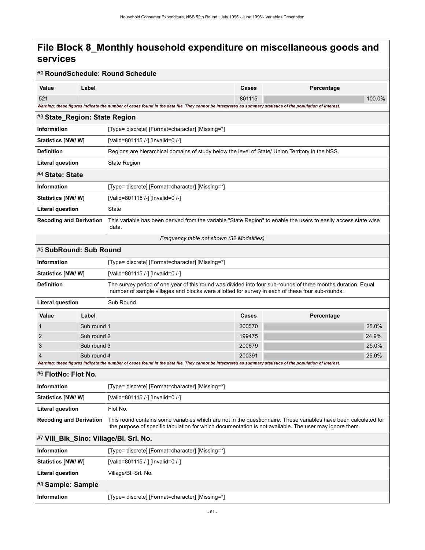|                                |                                                       | #2 RoundSchedule: Round Schedule                                                                                                                                                                                |              |            |        |  |
|--------------------------------|-------------------------------------------------------|-----------------------------------------------------------------------------------------------------------------------------------------------------------------------------------------------------------------|--------------|------------|--------|--|
| Value                          | Label                                                 |                                                                                                                                                                                                                 | Cases        | Percentage |        |  |
| 521                            |                                                       |                                                                                                                                                                                                                 | 801115       |            | 100.0% |  |
|                                |                                                       | Warning: these figures indicate the number of cases found in the data file. They cannot be interpreted as summary statistics of the population of interest.                                                     |              |            |        |  |
| #3 State_Region: State Region  |                                                       |                                                                                                                                                                                                                 |              |            |        |  |
| <b>Information</b>             |                                                       | [Type= discrete] [Format=character] [Missing=*]                                                                                                                                                                 |              |            |        |  |
| Statistics [NW/W]              |                                                       | [Valid=801115 /-] [Invalid=0 /-]                                                                                                                                                                                |              |            |        |  |
| <b>Definition</b>              |                                                       | Regions are hierarchical domains of study below the level of State/ Union Territory in the NSS.                                                                                                                 |              |            |        |  |
| <b>Literal question</b>        |                                                       | State Region                                                                                                                                                                                                    |              |            |        |  |
| #4 State: State                |                                                       |                                                                                                                                                                                                                 |              |            |        |  |
| <b>Information</b>             |                                                       | [Type= discrete] [Format=character] [Missing=*]                                                                                                                                                                 |              |            |        |  |
| Statistics [NW/W]              |                                                       | [Valid=801115 /-] [Invalid=0 /-]                                                                                                                                                                                |              |            |        |  |
| Literal question               |                                                       | State                                                                                                                                                                                                           |              |            |        |  |
| <b>Recoding and Derivation</b> |                                                       | This variable has been derived from the variable "State Region" to enable the users to easily access state wise<br>data.                                                                                        |              |            |        |  |
|                                |                                                       | Frequency table not shown (32 Modalities)                                                                                                                                                                       |              |            |        |  |
| #5 SubRound: Sub Round         |                                                       |                                                                                                                                                                                                                 |              |            |        |  |
| <b>Information</b>             |                                                       | [Type= discrete] [Format=character] [Missing=*]                                                                                                                                                                 |              |            |        |  |
|                                | Statistics [NW/W]<br>[Valid=801115 /-] [Invalid=0 /-] |                                                                                                                                                                                                                 |              |            |        |  |
| <b>Definition</b>              |                                                       | The survey period of one year of this round was divided into four sub-rounds of three months duration. Equal<br>number of sample villages and blocks were allotted for survey in each of these four sub-rounds. |              |            |        |  |
| Literal question               |                                                       | Sub Round                                                                                                                                                                                                       |              |            |        |  |
| Value                          | Label                                                 |                                                                                                                                                                                                                 | <b>Cases</b> | Percentage |        |  |
|                                | Sub round 1                                           |                                                                                                                                                                                                                 | 200570       |            | 25.0%  |  |
| 2                              | Sub round 2                                           |                                                                                                                                                                                                                 | 199475       |            | 24.9%  |  |
| 3                              | Sub round 3                                           |                                                                                                                                                                                                                 | 200679       |            | 25.0%  |  |
| 4                              | Sub round 4                                           | Warning: these figures indicate the number of cases found in the data file. They cannot be interpreted as summary statistics of the population of interest.                                                     | 200391       |            | 25.0%  |  |
| #6 FlotNo: Flot No.            |                                                       |                                                                                                                                                                                                                 |              |            |        |  |
| Information                    |                                                       | [Type= discrete] [Format=character] [Missing=*]                                                                                                                                                                 |              |            |        |  |
| <b>Statistics [NW/W]</b>       |                                                       | [Valid=801115 /-] [Invalid=0 /-]                                                                                                                                                                                |              |            |        |  |
| <b>Literal question</b>        |                                                       | Flot No.                                                                                                                                                                                                        |              |            |        |  |
| <b>Recoding and Derivation</b> |                                                       | This round contains some variables which are not in the questionnaire. These variables have been calculated for                                                                                                 |              |            |        |  |
|                                |                                                       | the purpose of specific tabulation for which documentation is not available. The user may ignore them.                                                                                                          |              |            |        |  |
|                                |                                                       | #7 Vill_Blk_SIno: Village/Bl. Srl. No.                                                                                                                                                                          |              |            |        |  |
| <b>Information</b>             |                                                       | [Type= discrete] [Format=character] [Missing=*]                                                                                                                                                                 |              |            |        |  |
| <b>Statistics [NW/W]</b>       |                                                       | [Valid=801115 /-] [Invalid=0 /-]                                                                                                                                                                                |              |            |        |  |
| <b>Literal question</b>        |                                                       | Village/Bl. Srl. No.                                                                                                                                                                                            |              |            |        |  |
| #8 Sample: Sample              |                                                       |                                                                                                                                                                                                                 |              |            |        |  |
| Information                    |                                                       | [Type= discrete] [Format=character] [Missing=*]                                                                                                                                                                 |              |            |        |  |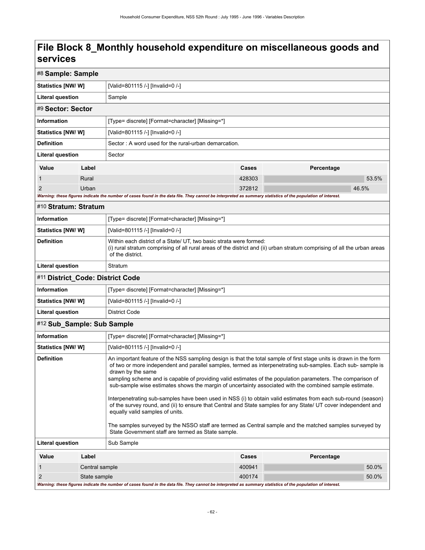| #8 Sample: Sample                                                                                                                                                                                                                                                                                                                                                                                                                                                                                                                                                                                                                                                                                                                                                                                                                                                                                                                            |                |                                                                                                                                                                                                                    |        |            |
|----------------------------------------------------------------------------------------------------------------------------------------------------------------------------------------------------------------------------------------------------------------------------------------------------------------------------------------------------------------------------------------------------------------------------------------------------------------------------------------------------------------------------------------------------------------------------------------------------------------------------------------------------------------------------------------------------------------------------------------------------------------------------------------------------------------------------------------------------------------------------------------------------------------------------------------------|----------------|--------------------------------------------------------------------------------------------------------------------------------------------------------------------------------------------------------------------|--------|------------|
| Statistics [NW/W]                                                                                                                                                                                                                                                                                                                                                                                                                                                                                                                                                                                                                                                                                                                                                                                                                                                                                                                            |                | [Valid=801115 /-] [Invalid=0 /-]                                                                                                                                                                                   |        |            |
| <b>Literal question</b>                                                                                                                                                                                                                                                                                                                                                                                                                                                                                                                                                                                                                                                                                                                                                                                                                                                                                                                      |                | Sample                                                                                                                                                                                                             |        |            |
| #9 Sector: Sector                                                                                                                                                                                                                                                                                                                                                                                                                                                                                                                                                                                                                                                                                                                                                                                                                                                                                                                            |                |                                                                                                                                                                                                                    |        |            |
| <b>Information</b>                                                                                                                                                                                                                                                                                                                                                                                                                                                                                                                                                                                                                                                                                                                                                                                                                                                                                                                           |                | [Type= discrete] [Format=character] [Missing=*]                                                                                                                                                                    |        |            |
| Statistics [NW/W]                                                                                                                                                                                                                                                                                                                                                                                                                                                                                                                                                                                                                                                                                                                                                                                                                                                                                                                            |                | [Valid=801115 /-] [Invalid=0 /-]                                                                                                                                                                                   |        |            |
| <b>Definition</b>                                                                                                                                                                                                                                                                                                                                                                                                                                                                                                                                                                                                                                                                                                                                                                                                                                                                                                                            |                | Sector: A word used for the rural-urban demarcation.                                                                                                                                                               |        |            |
| <b>Literal question</b>                                                                                                                                                                                                                                                                                                                                                                                                                                                                                                                                                                                                                                                                                                                                                                                                                                                                                                                      |                | Sector                                                                                                                                                                                                             |        |            |
| Value                                                                                                                                                                                                                                                                                                                                                                                                                                                                                                                                                                                                                                                                                                                                                                                                                                                                                                                                        | Label          |                                                                                                                                                                                                                    | Cases  | Percentage |
| $\mathbf 1$                                                                                                                                                                                                                                                                                                                                                                                                                                                                                                                                                                                                                                                                                                                                                                                                                                                                                                                                  | Rural          |                                                                                                                                                                                                                    | 428303 | 53.5%      |
| $\overline{2}$                                                                                                                                                                                                                                                                                                                                                                                                                                                                                                                                                                                                                                                                                                                                                                                                                                                                                                                               | Urban          |                                                                                                                                                                                                                    | 372812 | 46.5%      |
|                                                                                                                                                                                                                                                                                                                                                                                                                                                                                                                                                                                                                                                                                                                                                                                                                                                                                                                                              |                | Warning: these figures indicate the number of cases found in the data file. They cannot be interpreted as summary statistics of the population of interest.                                                        |        |            |
| #10 Stratum: Stratum                                                                                                                                                                                                                                                                                                                                                                                                                                                                                                                                                                                                                                                                                                                                                                                                                                                                                                                         |                |                                                                                                                                                                                                                    |        |            |
| <b>Information</b>                                                                                                                                                                                                                                                                                                                                                                                                                                                                                                                                                                                                                                                                                                                                                                                                                                                                                                                           |                | [Type= discrete] [Format=character] [Missing=*]                                                                                                                                                                    |        |            |
| <b>Statistics [NW/ W]</b>                                                                                                                                                                                                                                                                                                                                                                                                                                                                                                                                                                                                                                                                                                                                                                                                                                                                                                                    |                | [Valid=801115 /-] [Invalid=0 /-]                                                                                                                                                                                   |        |            |
| <b>Definition</b>                                                                                                                                                                                                                                                                                                                                                                                                                                                                                                                                                                                                                                                                                                                                                                                                                                                                                                                            |                | Within each district of a State/ UT, two basic strata were formed:<br>(i) rural stratum comprising of all rural areas of the district and (ii) urban stratum comprising of all the urban areas<br>of the district. |        |            |
| Literal question                                                                                                                                                                                                                                                                                                                                                                                                                                                                                                                                                                                                                                                                                                                                                                                                                                                                                                                             |                | Stratum                                                                                                                                                                                                            |        |            |
| #11 District_Code: District Code                                                                                                                                                                                                                                                                                                                                                                                                                                                                                                                                                                                                                                                                                                                                                                                                                                                                                                             |                |                                                                                                                                                                                                                    |        |            |
| <b>Information</b>                                                                                                                                                                                                                                                                                                                                                                                                                                                                                                                                                                                                                                                                                                                                                                                                                                                                                                                           |                | [Type= discrete] [Format=character] [Missing=*]                                                                                                                                                                    |        |            |
| Statistics [NW/W]                                                                                                                                                                                                                                                                                                                                                                                                                                                                                                                                                                                                                                                                                                                                                                                                                                                                                                                            |                | [Valid=801115 /-] [Invalid=0 /-]                                                                                                                                                                                   |        |            |
| <b>Literal question</b>                                                                                                                                                                                                                                                                                                                                                                                                                                                                                                                                                                                                                                                                                                                                                                                                                                                                                                                      |                | District Code                                                                                                                                                                                                      |        |            |
| #12 Sub_Sample: Sub Sample                                                                                                                                                                                                                                                                                                                                                                                                                                                                                                                                                                                                                                                                                                                                                                                                                                                                                                                   |                |                                                                                                                                                                                                                    |        |            |
| <b>Information</b>                                                                                                                                                                                                                                                                                                                                                                                                                                                                                                                                                                                                                                                                                                                                                                                                                                                                                                                           |                | [Type= discrete] [Format=character] [Missing=*]                                                                                                                                                                    |        |            |
| <b>Statistics [NW/ W]</b>                                                                                                                                                                                                                                                                                                                                                                                                                                                                                                                                                                                                                                                                                                                                                                                                                                                                                                                    |                | [Valid=801115 /-] [Invalid=0 /-]                                                                                                                                                                                   |        |            |
| <b>Definition</b><br>An important feature of the NSS sampling design is that the total sample of first stage units is drawn in the form<br>of two or more independent and parallel samples, termed as interpenetrating sub-samples. Each sub-sample is<br>drawn by the same<br>sampling scheme and is capable of providing valid estimates of the population parameters. The comparison of<br>sub-sample wise estimates shows the margin of uncertainty associated with the combined sample estimate.<br>Interpenetrating sub-samples have been used in NSS (i) to obtain valid estimates from each sub-round (season)<br>of the survey round, and (ii) to ensure that Central and State samples for any State/ UT cover independent and<br>equally valid samples of units.<br>The samples surveyed by the NSSO staff are termed as Central sample and the matched samples surveyed by<br>State Government staff are termed as State sample. |                |                                                                                                                                                                                                                    |        |            |
| <b>Literal question</b>                                                                                                                                                                                                                                                                                                                                                                                                                                                                                                                                                                                                                                                                                                                                                                                                                                                                                                                      |                | Sub Sample                                                                                                                                                                                                         |        |            |
| Value                                                                                                                                                                                                                                                                                                                                                                                                                                                                                                                                                                                                                                                                                                                                                                                                                                                                                                                                        | Label          |                                                                                                                                                                                                                    | Cases  | Percentage |
| $\mathbf{1}$                                                                                                                                                                                                                                                                                                                                                                                                                                                                                                                                                                                                                                                                                                                                                                                                                                                                                                                                 | Central sample |                                                                                                                                                                                                                    | 400941 | 50.0%      |
| $\overline{2}$                                                                                                                                                                                                                                                                                                                                                                                                                                                                                                                                                                                                                                                                                                                                                                                                                                                                                                                               | State sample   |                                                                                                                                                                                                                    | 400174 | 50.0%      |
|                                                                                                                                                                                                                                                                                                                                                                                                                                                                                                                                                                                                                                                                                                                                                                                                                                                                                                                                              |                | Warning: these figures indicate the number of cases found in the data file. They cannot be interpreted as summary statistics of the population of interest.                                                        |        |            |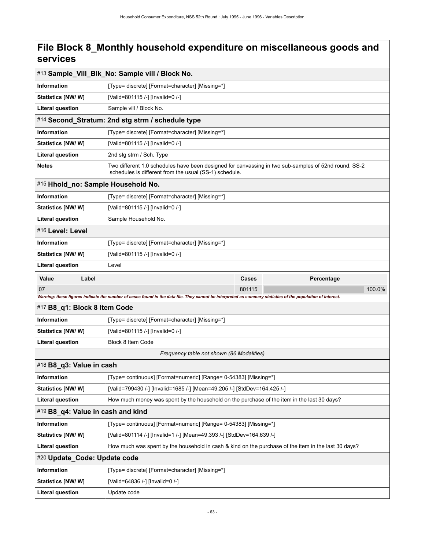| #13 Sample_Vill_Blk_No: Sample vill / Block No. |                                                                                                                                                                |                     |  |  |
|-------------------------------------------------|----------------------------------------------------------------------------------------------------------------------------------------------------------------|---------------------|--|--|
| <b>Information</b>                              | [Type= discrete] [Format=character] [Missing=*]                                                                                                                |                     |  |  |
| <b>Statistics [NW/ W]</b>                       | [Valid=801115 /-] [Invalid=0 /-]                                                                                                                               |                     |  |  |
| <b>Literal question</b>                         | Sample vill / Block No.                                                                                                                                        |                     |  |  |
|                                                 | #14 Second_Stratum: 2nd stg strm / schedule type                                                                                                               |                     |  |  |
| <b>Information</b>                              | [Type= discrete] [Format=character] [Missing=*]                                                                                                                |                     |  |  |
| Statistics [NW/ W]                              | [Valid=801115 /-] [Invalid=0 /-]                                                                                                                               |                     |  |  |
| <b>Literal question</b>                         | 2nd stg strm / Sch. Type                                                                                                                                       |                     |  |  |
| <b>Notes</b>                                    | Two different 1.0 schedules have been designed for canvassing in two sub-samples of 52nd round. SS-2<br>schedules is different from the usual (SS-1) schedule. |                     |  |  |
| #15 Hhold_no: Sample Household No.              |                                                                                                                                                                |                     |  |  |
| <b>Information</b>                              | [Type= discrete] [Format=character] [Missing=*]                                                                                                                |                     |  |  |
| <b>Statistics [NW/W]</b>                        | [Valid=801115 /-] [Invalid=0 /-]                                                                                                                               |                     |  |  |
| <b>Literal question</b>                         | Sample Household No.                                                                                                                                           |                     |  |  |
| #16 Level: Level                                |                                                                                                                                                                |                     |  |  |
| <b>Information</b>                              | [Type= discrete] [Format=character] [Missing=*]                                                                                                                |                     |  |  |
| Statistics [NW/W]                               | [Valid=801115 /-] [Invalid=0 /-]                                                                                                                               |                     |  |  |
| <b>Literal question</b>                         | Level                                                                                                                                                          |                     |  |  |
| Label<br>Value                                  |                                                                                                                                                                | Cases<br>Percentage |  |  |
| 07                                              |                                                                                                                                                                | 801115<br>100.0%    |  |  |
|                                                 | Warning: these figures indicate the number of cases found in the data file. They cannot be interpreted as summary statistics of the population of interest.    |                     |  |  |
| #17 B8_q1: Block 8 Item Code                    |                                                                                                                                                                |                     |  |  |
| Information                                     | [Type= discrete] [Format=character] [Missing=*]                                                                                                                |                     |  |  |
| <b>Statistics [NW/ W]</b>                       | [Valid=801115 /-] [Invalid=0 /-]                                                                                                                               |                     |  |  |
| <b>Literal question</b>                         | <b>Block 8 Item Code</b>                                                                                                                                       |                     |  |  |
|                                                 | Frequency table not shown (86 Modalities)                                                                                                                      |                     |  |  |
| #18 B8_q3: Value in cash                        |                                                                                                                                                                |                     |  |  |
| <b>Information</b>                              | [Type= continuous] [Format=numeric] [Range= 0-54383] [Missing=*]                                                                                               |                     |  |  |
| Statistics [NW/ W]                              | [Valid=799430 /-] [Invalid=1685 /-] [Mean=49.205 /-] [StdDev=164.425 /-]                                                                                       |                     |  |  |
| <b>Literal question</b>                         | How much money was spent by the household on the purchase of the item in the last 30 days?                                                                     |                     |  |  |
| #19 B8_q4: Value in cash and kind               |                                                                                                                                                                |                     |  |  |
| Information                                     | [Type= continuous] [Format=numeric] [Range= 0-54383] [Missing=*]                                                                                               |                     |  |  |
| Statistics [NW/W]                               | [Valid=801114 /-] [Invalid=1 /-] [Mean=49.393 /-] [StdDev=164.639 /-]                                                                                          |                     |  |  |
| <b>Literal question</b>                         | How much was spent by the household in cash & kind on the purchase of the item in the last 30 days?                                                            |                     |  |  |
| #20 Update_Code: Update code                    |                                                                                                                                                                |                     |  |  |
| Information                                     | [Type= discrete] [Format=character] [Missing=*]                                                                                                                |                     |  |  |
| Statistics [NW/W]                               | [Valid=64836 /-] [Invalid=0 /-]                                                                                                                                |                     |  |  |
|                                                 |                                                                                                                                                                |                     |  |  |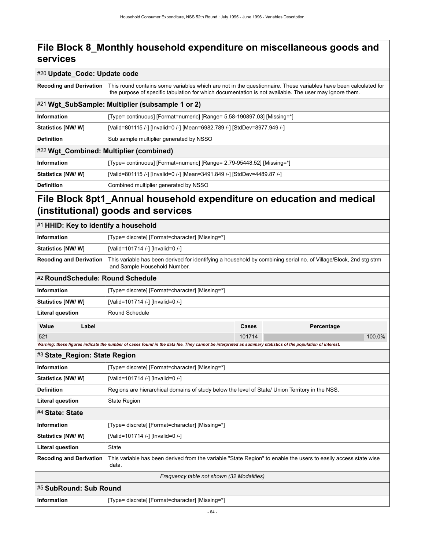#### #20 **Update\_Code: Update code**

| <b>Recoding and Derivation</b> | This round contains some variables which are not in the questionnaire. These variables have been calculated for<br>the purpose of specific tabulation for which documentation is not available. The user may ignore them. |  |  |  |
|--------------------------------|---------------------------------------------------------------------------------------------------------------------------------------------------------------------------------------------------------------------------|--|--|--|
|                                | #21 Wgt_SubSample: Multiplier (subsample 1 or 2)                                                                                                                                                                          |  |  |  |
| Information                    | [Type= continuous] [Format=numeric] [Range= 5.58-190897.03] [Missing=*]                                                                                                                                                   |  |  |  |
| <b>Statistics [NW/W]</b>       | [Valid=801115 /-] [Invalid=0 /-] [Mean=6982.789 /-] [StdDev=8977.949 /-]                                                                                                                                                  |  |  |  |
| <b>Definition</b>              | Sub sample multiplier generated by NSSO                                                                                                                                                                                   |  |  |  |
|                                | #22 Wgt_Combined: Multiplier (combined)                                                                                                                                                                                   |  |  |  |
| Information                    | [Type= continuous] [Format=numeric] [Range= 2.79-95448.52] [Missing=*]                                                                                                                                                    |  |  |  |
| Statistics [NW/ W]             | [Valid=801115 /-] [Invalid=0 /-] [Mean=3491.849 /-] [StdDev=4489.87 /-]                                                                                                                                                   |  |  |  |
| <b>Definition</b>              | Combined multiplier generated by NSSO                                                                                                                                                                                     |  |  |  |

#### **File Block 8pt1\_Annual household expenditure on education and medical (institutional) goods and services**

| #1 HHID: Key to identify a household |       |                                                                                                                                                             |        |            |  |  |
|--------------------------------------|-------|-------------------------------------------------------------------------------------------------------------------------------------------------------------|--------|------------|--|--|
| <b>Information</b>                   |       | [Type= discrete] [Format=character] [Missing=*]                                                                                                             |        |            |  |  |
| Statistics [NW/ W]                   |       | [Valid=101714 /-] [Invalid=0 /-]                                                                                                                            |        |            |  |  |
| <b>Recoding and Derivation</b>       |       | This variable has been derived for identifying a household by combining serial no. of Village/Block, 2nd stg strm<br>and Sample Household Number.           |        |            |  |  |
|                                      |       | #2 RoundSchedule: Round Schedule                                                                                                                            |        |            |  |  |
| <b>Information</b>                   |       | [Type= discrete] [Format=character] [Missing=*]                                                                                                             |        |            |  |  |
| Statistics [NW/ W]                   |       | [Valid=101714 /-] [Invalid=0 /-]                                                                                                                            |        |            |  |  |
| <b>Literal question</b>              |       | Round Schedule                                                                                                                                              |        |            |  |  |
| Value                                | Label |                                                                                                                                                             | Cases  | Percentage |  |  |
| 521                                  |       |                                                                                                                                                             | 101714 | 100.0%     |  |  |
|                                      |       | Warning: these figures indicate the number of cases found in the data file. They cannot be interpreted as summary statistics of the population of interest. |        |            |  |  |
| #3 State_Region: State Region        |       |                                                                                                                                                             |        |            |  |  |
| <b>Information</b>                   |       | [Type= discrete] [Format=character] [Missing=*]                                                                                                             |        |            |  |  |
| Statistics [NW/ W]                   |       | [Valid=101714 /-] [Invalid=0 /-]                                                                                                                            |        |            |  |  |
| <b>Definition</b>                    |       | Regions are hierarchical domains of study below the level of State/ Union Territory in the NSS.                                                             |        |            |  |  |
| <b>Literal question</b>              |       | State Region                                                                                                                                                |        |            |  |  |
| #4 State: State                      |       |                                                                                                                                                             |        |            |  |  |
| <b>Information</b>                   |       | [Type= discrete] [Format=character] [Missing=*]                                                                                                             |        |            |  |  |
| Statistics [NW/ W]                   |       | [Valid=101714 /-] [Invalid=0 /-]                                                                                                                            |        |            |  |  |
| <b>Literal question</b>              |       | <b>State</b>                                                                                                                                                |        |            |  |  |
| <b>Recoding and Derivation</b>       |       | This variable has been derived from the variable "State Region" to enable the users to easily access state wise<br>data.                                    |        |            |  |  |
|                                      |       | Frequency table not shown (32 Modalities)                                                                                                                   |        |            |  |  |
| #5 SubRound: Sub Round               |       |                                                                                                                                                             |        |            |  |  |
| <b>Information</b>                   |       | [Type= discrete] [Format=character] [Missing=*]                                                                                                             |        |            |  |  |
|                                      |       |                                                                                                                                                             |        |            |  |  |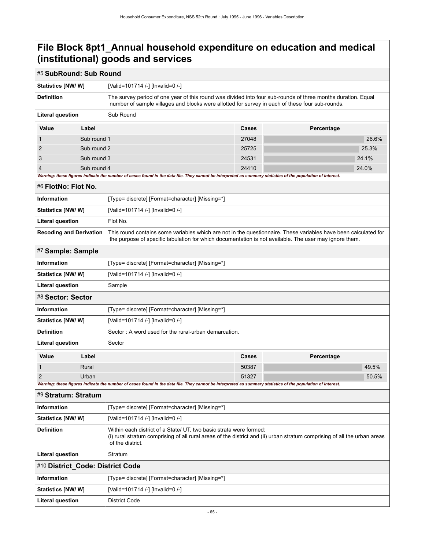#### #5 **SubRound: Sub Round**

| <b>Statistics [NW/ W]</b>                                                                                                                                                          |             | [Valid=101714 /-] [Invalid=0 /-]                                                                                                                                                                                          |       |  |       |  |  |
|------------------------------------------------------------------------------------------------------------------------------------------------------------------------------------|-------------|---------------------------------------------------------------------------------------------------------------------------------------------------------------------------------------------------------------------------|-------|--|-------|--|--|
| <b>Definition</b>                                                                                                                                                                  |             | The survey period of one year of this round was divided into four sub-rounds of three months duration. Equal<br>number of sample villages and blocks were allotted for survey in each of these four sub-rounds.           |       |  |       |  |  |
| <b>Literal question</b><br>Sub Round                                                                                                                                               |             |                                                                                                                                                                                                                           |       |  |       |  |  |
| Value                                                                                                                                                                              | Label       | Cases<br>Percentage                                                                                                                                                                                                       |       |  |       |  |  |
| 1                                                                                                                                                                                  | Sub round 1 | 27048                                                                                                                                                                                                                     |       |  | 26.6% |  |  |
| 2                                                                                                                                                                                  | Sub round 2 | 25725                                                                                                                                                                                                                     |       |  | 25.3% |  |  |
| 3                                                                                                                                                                                  | Sub round 3 |                                                                                                                                                                                                                           | 24531 |  | 24.1% |  |  |
| $\overline{4}$                                                                                                                                                                     | Sub round 4 | Warning: these figures indicate the number of cases found in the data file. They cannot be interpreted as summary statistics of the population of interest.                                                               | 24410 |  | 24.0% |  |  |
| #6 FlotNo: Flot No.                                                                                                                                                                |             |                                                                                                                                                                                                                           |       |  |       |  |  |
| <b>Information</b>                                                                                                                                                                 |             | [Type= discrete] [Format=character] [Missing=*]                                                                                                                                                                           |       |  |       |  |  |
| Statistics [NW/W]                                                                                                                                                                  |             | [Valid=101714 /-] [Invalid=0 /-]                                                                                                                                                                                          |       |  |       |  |  |
| <b>Literal question</b>                                                                                                                                                            |             | Flot No.                                                                                                                                                                                                                  |       |  |       |  |  |
| <b>Recoding and Derivation</b>                                                                                                                                                     |             | This round contains some variables which are not in the questionnaire. These variables have been calculated for<br>the purpose of specific tabulation for which documentation is not available. The user may ignore them. |       |  |       |  |  |
| #7 Sample: Sample                                                                                                                                                                  |             |                                                                                                                                                                                                                           |       |  |       |  |  |
| <b>Information</b>                                                                                                                                                                 |             | [Type= discrete] [Format=character] [Missing=*]                                                                                                                                                                           |       |  |       |  |  |
| Statistics [NW/W]                                                                                                                                                                  |             | [Valid=101714 /-] [Invalid=0 /-]                                                                                                                                                                                          |       |  |       |  |  |
| <b>Literal question</b>                                                                                                                                                            |             | Sample                                                                                                                                                                                                                    |       |  |       |  |  |
| #8 Sector: Sector                                                                                                                                                                  |             |                                                                                                                                                                                                                           |       |  |       |  |  |
| Information                                                                                                                                                                        |             | [Type= discrete] [Format=character] [Missing=*]                                                                                                                                                                           |       |  |       |  |  |
| Statistics [NW/ W]                                                                                                                                                                 |             | [Valid=101714 /-] [Invalid=0 /-]                                                                                                                                                                                          |       |  |       |  |  |
| <b>Definition</b>                                                                                                                                                                  |             | Sector: A word used for the rural-urban demarcation.                                                                                                                                                                      |       |  |       |  |  |
| <b>Literal question</b>                                                                                                                                                            |             | Sector                                                                                                                                                                                                                    |       |  |       |  |  |
| Value                                                                                                                                                                              | Label       | <b>Cases</b><br>Percentage                                                                                                                                                                                                |       |  |       |  |  |
| 1                                                                                                                                                                                  | Rural       |                                                                                                                                                                                                                           | 50387 |  | 49.5% |  |  |
| $\overline{2}$                                                                                                                                                                     | Urban       |                                                                                                                                                                                                                           | 51327 |  | 50.5% |  |  |
| Warning: these figures indicate the number of cases found in the data file. They cannot be interpreted as summary statistics of the population of interest.<br>#9 Stratum: Stratum |             |                                                                                                                                                                                                                           |       |  |       |  |  |
|                                                                                                                                                                                    |             |                                                                                                                                                                                                                           |       |  |       |  |  |
| <b>Information</b>                                                                                                                                                                 |             | [Type= discrete] [Format=character] [Missing=*]                                                                                                                                                                           |       |  |       |  |  |
| <b>Statistics [NW/ W]</b>                                                                                                                                                          |             | [Valid=101714 /-] [Invalid=0 /-]                                                                                                                                                                                          |       |  |       |  |  |
| <b>Definition</b>                                                                                                                                                                  |             | Within each district of a State/ UT, two basic strata were formed:<br>(i) rural stratum comprising of all rural areas of the district and (ii) urban stratum comprising of all the urban areas<br>of the district.        |       |  |       |  |  |
| <b>Literal question</b>                                                                                                                                                            |             | Stratum                                                                                                                                                                                                                   |       |  |       |  |  |
| #10 District_Code: District Code                                                                                                                                                   |             |                                                                                                                                                                                                                           |       |  |       |  |  |
| Information                                                                                                                                                                        |             | [Type= discrete] [Format=character] [Missing=*]                                                                                                                                                                           |       |  |       |  |  |
| Statistics [NW/W]                                                                                                                                                                  |             | [Valid=101714 /-] [Invalid=0 /-]                                                                                                                                                                                          |       |  |       |  |  |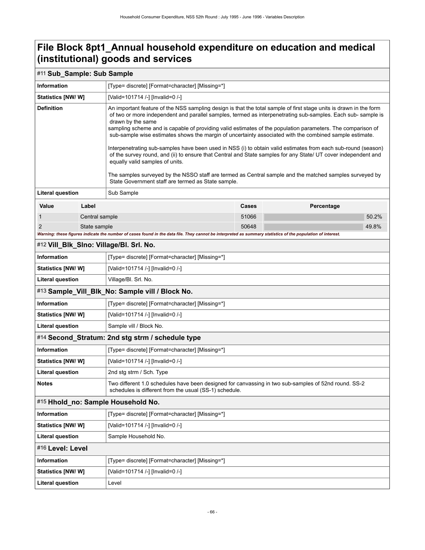#### #11 **Sub\_Sample: Sub Sample**

| <b>Information</b>                               |                                         | [Type= discrete] [Format=character] [Missing=*]                                                                                                                                                                                                                                                                                                                                                                                                                                                                                                                                                                                                                                                                                                                                                                                                                                                                          |              |            |       |  |  |
|--------------------------------------------------|-----------------------------------------|--------------------------------------------------------------------------------------------------------------------------------------------------------------------------------------------------------------------------------------------------------------------------------------------------------------------------------------------------------------------------------------------------------------------------------------------------------------------------------------------------------------------------------------------------------------------------------------------------------------------------------------------------------------------------------------------------------------------------------------------------------------------------------------------------------------------------------------------------------------------------------------------------------------------------|--------------|------------|-------|--|--|
| <b>Statistics [NW/W]</b>                         |                                         | [Valid=101714 /-] [Invalid=0 /-]                                                                                                                                                                                                                                                                                                                                                                                                                                                                                                                                                                                                                                                                                                                                                                                                                                                                                         |              |            |       |  |  |
| <b>Definition</b>                                |                                         | An important feature of the NSS sampling design is that the total sample of first stage units is drawn in the form<br>of two or more independent and parallel samples, termed as interpenetrating sub-samples. Each sub- sample is<br>drawn by the same<br>sampling scheme and is capable of providing valid estimates of the population parameters. The comparison of<br>sub-sample wise estimates shows the margin of uncertainty associated with the combined sample estimate.<br>Interpenetrating sub-samples have been used in NSS (i) to obtain valid estimates from each sub-round (season)<br>of the survey round, and (ii) to ensure that Central and State samples for any State/ UT cover independent and<br>equally valid samples of units.<br>The samples surveyed by the NSSO staff are termed as Central sample and the matched samples surveyed by<br>State Government staff are termed as State sample. |              |            |       |  |  |
| <b>Literal question</b>                          |                                         | Sub Sample                                                                                                                                                                                                                                                                                                                                                                                                                                                                                                                                                                                                                                                                                                                                                                                                                                                                                                               |              |            |       |  |  |
| Value                                            | Label                                   |                                                                                                                                                                                                                                                                                                                                                                                                                                                                                                                                                                                                                                                                                                                                                                                                                                                                                                                          | <b>Cases</b> | Percentage |       |  |  |
| 1                                                | Central sample                          |                                                                                                                                                                                                                                                                                                                                                                                                                                                                                                                                                                                                                                                                                                                                                                                                                                                                                                                          | 51066        |            | 50.2% |  |  |
| $\overline{2}$<br>State sample                   |                                         | Warning: these figures indicate the number of cases found in the data file. They cannot be interpreted as summary statistics of the population of interest.                                                                                                                                                                                                                                                                                                                                                                                                                                                                                                                                                                                                                                                                                                                                                              | 50648        |            | 49.8% |  |  |
|                                                  |                                         |                                                                                                                                                                                                                                                                                                                                                                                                                                                                                                                                                                                                                                                                                                                                                                                                                                                                                                                          |              |            |       |  |  |
| Information                                      | #12 Vill_Blk_Slno: Village/Bl. Srl. No. |                                                                                                                                                                                                                                                                                                                                                                                                                                                                                                                                                                                                                                                                                                                                                                                                                                                                                                                          |              |            |       |  |  |
|                                                  |                                         | [Type= discrete] [Format=character] [Missing=*]                                                                                                                                                                                                                                                                                                                                                                                                                                                                                                                                                                                                                                                                                                                                                                                                                                                                          |              |            |       |  |  |
| <b>Statistics [NW/ W]</b>                        |                                         | [Valid=101714 /-] [Invalid=0 /-]<br>Village/Bl. Srl. No.                                                                                                                                                                                                                                                                                                                                                                                                                                                                                                                                                                                                                                                                                                                                                                                                                                                                 |              |            |       |  |  |
| <b>Literal question</b>                          |                                         | #13 Sample_Vill_Blk_No: Sample vill / Block No.                                                                                                                                                                                                                                                                                                                                                                                                                                                                                                                                                                                                                                                                                                                                                                                                                                                                          |              |            |       |  |  |
| <b>Information</b>                               |                                         | [Type= discrete] [Format=character] [Missing=*]                                                                                                                                                                                                                                                                                                                                                                                                                                                                                                                                                                                                                                                                                                                                                                                                                                                                          |              |            |       |  |  |
| <b>Statistics [NW/ W]</b>                        |                                         | [Valid=101714 /-] [Invalid=0 /-]                                                                                                                                                                                                                                                                                                                                                                                                                                                                                                                                                                                                                                                                                                                                                                                                                                                                                         |              |            |       |  |  |
| <b>Literal question</b>                          |                                         | Sample vill / Block No.                                                                                                                                                                                                                                                                                                                                                                                                                                                                                                                                                                                                                                                                                                                                                                                                                                                                                                  |              |            |       |  |  |
| #14 Second_Stratum: 2nd stg strm / schedule type |                                         |                                                                                                                                                                                                                                                                                                                                                                                                                                                                                                                                                                                                                                                                                                                                                                                                                                                                                                                          |              |            |       |  |  |
| Information                                      |                                         | [Type= discrete] [Format=character] [Missing=*]                                                                                                                                                                                                                                                                                                                                                                                                                                                                                                                                                                                                                                                                                                                                                                                                                                                                          |              |            |       |  |  |
| <b>Statistics [NW/ W]</b>                        |                                         | [Valid=101714 /-] [Invalid=0 /-]                                                                                                                                                                                                                                                                                                                                                                                                                                                                                                                                                                                                                                                                                                                                                                                                                                                                                         |              |            |       |  |  |
| <b>Literal question</b>                          |                                         | 2nd stg strm / Sch. Type                                                                                                                                                                                                                                                                                                                                                                                                                                                                                                                                                                                                                                                                                                                                                                                                                                                                                                 |              |            |       |  |  |
| <b>Notes</b>                                     |                                         | Two different 1.0 schedules have been designed for canvassing in two sub-samples of 52nd round. SS-2<br>schedules is different from the usual (SS-1) schedule.                                                                                                                                                                                                                                                                                                                                                                                                                                                                                                                                                                                                                                                                                                                                                           |              |            |       |  |  |
| #15 Hhold_no: Sample Household No.               |                                         |                                                                                                                                                                                                                                                                                                                                                                                                                                                                                                                                                                                                                                                                                                                                                                                                                                                                                                                          |              |            |       |  |  |
| Information                                      |                                         | [Type= discrete] [Format=character] [Missing=*]                                                                                                                                                                                                                                                                                                                                                                                                                                                                                                                                                                                                                                                                                                                                                                                                                                                                          |              |            |       |  |  |
| <b>Statistics [NW/ W]</b>                        |                                         | [Valid=101714 /-] [Invalid=0 /-]                                                                                                                                                                                                                                                                                                                                                                                                                                                                                                                                                                                                                                                                                                                                                                                                                                                                                         |              |            |       |  |  |
| <b>Literal question</b>                          |                                         | Sample Household No.                                                                                                                                                                                                                                                                                                                                                                                                                                                                                                                                                                                                                                                                                                                                                                                                                                                                                                     |              |            |       |  |  |
|                                                  | #16 Level: Level                        |                                                                                                                                                                                                                                                                                                                                                                                                                                                                                                                                                                                                                                                                                                                                                                                                                                                                                                                          |              |            |       |  |  |
| Information                                      |                                         | [Type= discrete] [Format=character] [Missing=*]                                                                                                                                                                                                                                                                                                                                                                                                                                                                                                                                                                                                                                                                                                                                                                                                                                                                          |              |            |       |  |  |
| Statistics [NW/W]                                |                                         | [Valid=101714 /-] [Invalid=0 /-]                                                                                                                                                                                                                                                                                                                                                                                                                                                                                                                                                                                                                                                                                                                                                                                                                                                                                         |              |            |       |  |  |
| <b>Literal question</b>                          |                                         | Level                                                                                                                                                                                                                                                                                                                                                                                                                                                                                                                                                                                                                                                                                                                                                                                                                                                                                                                    |              |            |       |  |  |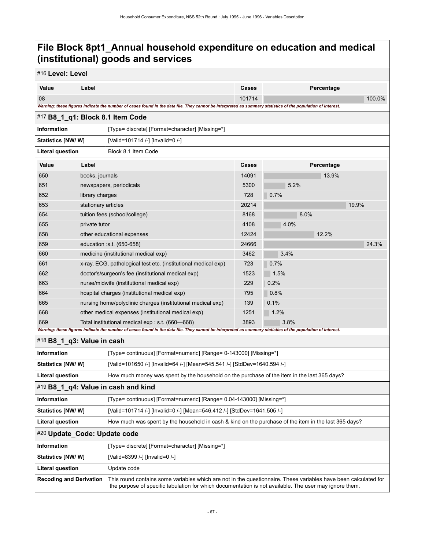| #16 Level: Level                                                                                                                                            |                                                                                                                                                             |                                                                                                                                                                                                                           |                     |       |            |        |  |
|-------------------------------------------------------------------------------------------------------------------------------------------------------------|-------------------------------------------------------------------------------------------------------------------------------------------------------------|---------------------------------------------------------------------------------------------------------------------------------------------------------------------------------------------------------------------------|---------------------|-------|------------|--------|--|
| Value                                                                                                                                                       | Label                                                                                                                                                       |                                                                                                                                                                                                                           | Cases               |       | Percentage |        |  |
| 08                                                                                                                                                          |                                                                                                                                                             |                                                                                                                                                                                                                           | 101714              |       |            | 100.0% |  |
|                                                                                                                                                             | Warning: these figures indicate the number of cases found in the data file. They cannot be interpreted as summary statistics of the population of interest. |                                                                                                                                                                                                                           |                     |       |            |        |  |
| #17 B8_1_q1: Block 8.1 Item Code                                                                                                                            |                                                                                                                                                             |                                                                                                                                                                                                                           |                     |       |            |        |  |
| Information                                                                                                                                                 |                                                                                                                                                             | [Type= discrete] [Format=character] [Missing=*]                                                                                                                                                                           |                     |       |            |        |  |
| Statistics [NW/ W]<br>[Valid=101714 /-] [Invalid=0 /-]                                                                                                      |                                                                                                                                                             |                                                                                                                                                                                                                           |                     |       |            |        |  |
| Block 8.1 Item Code<br><b>Literal question</b>                                                                                                              |                                                                                                                                                             |                                                                                                                                                                                                                           |                     |       |            |        |  |
| Value                                                                                                                                                       | Label                                                                                                                                                       |                                                                                                                                                                                                                           | Percentage<br>Cases |       |            |        |  |
| 650                                                                                                                                                         | books, journals                                                                                                                                             | 14091                                                                                                                                                                                                                     |                     | 13.9% |            |        |  |
| 651                                                                                                                                                         |                                                                                                                                                             | newspapers, periodicals                                                                                                                                                                                                   | 5300                | 5.2%  |            |        |  |
| 652                                                                                                                                                         | library charges                                                                                                                                             |                                                                                                                                                                                                                           | 728                 | 0.7%  |            |        |  |
| 653                                                                                                                                                         | stationary articles                                                                                                                                         |                                                                                                                                                                                                                           | 20214               | 19.9% |            |        |  |
| 654                                                                                                                                                         |                                                                                                                                                             | tuition fees (school/college)                                                                                                                                                                                             | 8168                | 8.0%  |            |        |  |
| 655                                                                                                                                                         | private tutor                                                                                                                                               |                                                                                                                                                                                                                           | 4108                | 4.0%  |            |        |  |
| 658                                                                                                                                                         |                                                                                                                                                             | other educational expenses                                                                                                                                                                                                | 12424               |       | 12.2%      |        |  |
| 659                                                                                                                                                         |                                                                                                                                                             | education :s.t. (650-658)                                                                                                                                                                                                 | 24666               |       |            | 24.3%  |  |
| 660                                                                                                                                                         |                                                                                                                                                             | medicine (institutional medical exp)                                                                                                                                                                                      | 3462                | 3.4%  |            |        |  |
| 661                                                                                                                                                         |                                                                                                                                                             | x-ray, ECG, pathological test etc. (institutional medical exp)                                                                                                                                                            | 723                 | 0.7%  |            |        |  |
| 662                                                                                                                                                         |                                                                                                                                                             | doctor's/surgeon's fee (institutional medical exp)                                                                                                                                                                        | 1523                | 1.5%  |            |        |  |
| 663                                                                                                                                                         |                                                                                                                                                             | nurse/midwife (institutional medical exp)                                                                                                                                                                                 | 229                 | 0.2%  |            |        |  |
| 664                                                                                                                                                         |                                                                                                                                                             | hospital charges (institutional medical exp)                                                                                                                                                                              | 795                 | 0.8%  |            |        |  |
| 665                                                                                                                                                         |                                                                                                                                                             | nursing home/polyclinic charges (institutional medical exp)                                                                                                                                                               | 139                 | 0.1%  |            |        |  |
| 668                                                                                                                                                         |                                                                                                                                                             | other medical expenses (institutional medical exp)                                                                                                                                                                        | 1251                | 1.2%  |            |        |  |
| 669                                                                                                                                                         | Total institutional medical exp : s.t. (660-668)                                                                                                            |                                                                                                                                                                                                                           | 3893                | 3.8%  |            |        |  |
| Warning: these figures indicate the number of cases found in the data file. They cannot be interpreted as summary statistics of the population of interest. |                                                                                                                                                             |                                                                                                                                                                                                                           |                     |       |            |        |  |
| #18 B8_1_q3: Value in cash                                                                                                                                  |                                                                                                                                                             |                                                                                                                                                                                                                           |                     |       |            |        |  |
| <b>Information</b>                                                                                                                                          |                                                                                                                                                             | [Type= continuous] [Format=numeric] [Range= 0-143000] [Missing=*]                                                                                                                                                         |                     |       |            |        |  |
| Statistics [NW/W]                                                                                                                                           |                                                                                                                                                             | [Valid=101650 /-] [Invalid=64 /-] [Mean=545.541 /-] [StdDev=1640.594 /-]                                                                                                                                                  |                     |       |            |        |  |
| <b>Literal question</b>                                                                                                                                     |                                                                                                                                                             | How much money was spent by the household on the purchase of the item in the last 365 days?                                                                                                                               |                     |       |            |        |  |
|                                                                                                                                                             |                                                                                                                                                             | #19 B8_1_q4: Value in cash and kind                                                                                                                                                                                       |                     |       |            |        |  |
| Information                                                                                                                                                 |                                                                                                                                                             | [Type= continuous] [Format=numeric] [Range= 0.04-143000] [Missing=*]                                                                                                                                                      |                     |       |            |        |  |
| Statistics [NW/W]                                                                                                                                           |                                                                                                                                                             | [Valid=101714 /-] [Invalid=0 /-] [Mean=546.412 /-] [StdDev=1641.505 /-]                                                                                                                                                   |                     |       |            |        |  |
| <b>Literal question</b>                                                                                                                                     |                                                                                                                                                             | How much was spent by the household in cash & kind on the purchase of the item in the last 365 days?                                                                                                                      |                     |       |            |        |  |
| #20 Update Code: Update code                                                                                                                                |                                                                                                                                                             |                                                                                                                                                                                                                           |                     |       |            |        |  |
| Information                                                                                                                                                 |                                                                                                                                                             | [Type= discrete] [Format=character] [Missing=*]                                                                                                                                                                           |                     |       |            |        |  |
| <b>Statistics [NW/ W]</b>                                                                                                                                   |                                                                                                                                                             | [Valid=8399 /-] [Invalid=0 /-]                                                                                                                                                                                            |                     |       |            |        |  |
| <b>Literal question</b>                                                                                                                                     |                                                                                                                                                             | Update code                                                                                                                                                                                                               |                     |       |            |        |  |
| <b>Recoding and Derivation</b>                                                                                                                              |                                                                                                                                                             | This round contains some variables which are not in the questionnaire. These variables have been calculated for<br>the purpose of specific tabulation for which documentation is not available. The user may ignore them. |                     |       |            |        |  |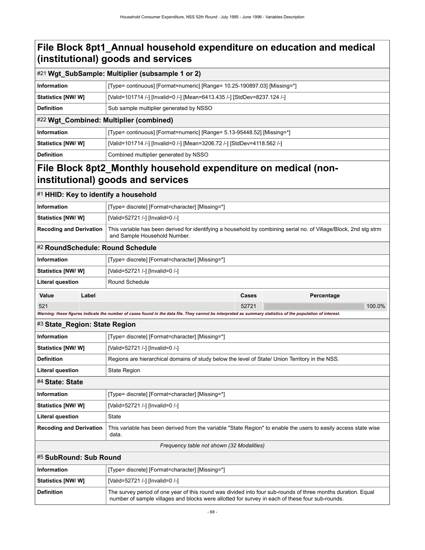|                                                      | #21 Wgt_SubSample: Multiplier (subsample 1 or 2)                                                                                                                                                                |  |  |  |
|------------------------------------------------------|-----------------------------------------------------------------------------------------------------------------------------------------------------------------------------------------------------------------|--|--|--|
| <b>Information</b>                                   | [Type= continuous] [Format=numeric] [Range= 10.25-190897.03] [Missing=*]                                                                                                                                        |  |  |  |
| Statistics [NW/W]                                    | [Valid=101714 /-] [Invalid=0 /-] [Mean=6413.435 /-] [StdDev=8237.124 /-]                                                                                                                                        |  |  |  |
| <b>Definition</b>                                    | Sub sample multiplier generated by NSSO                                                                                                                                                                         |  |  |  |
|                                                      | #22 Wgt_Combined: Multiplier (combined)                                                                                                                                                                         |  |  |  |
| <b>Information</b>                                   | [Type= continuous] [Format=numeric] [Range= 5.13-95448.52] [Missing=*]                                                                                                                                          |  |  |  |
| <b>Statistics [NW/W]</b>                             | [Valid=101714 /-] [Invalid=0 /-] [Mean=3206.72 /-] [StdDev=4118.562 /-]                                                                                                                                         |  |  |  |
| <b>Definition</b>                                    | Combined multiplier generated by NSSO                                                                                                                                                                           |  |  |  |
|                                                      | File Block 8pt2_Monthly household expenditure on medical (non-<br>institutional) goods and services                                                                                                             |  |  |  |
| #1 HHID: Key to identify a household                 |                                                                                                                                                                                                                 |  |  |  |
| Information                                          | [Type= discrete] [Format=character] [Missing=*]                                                                                                                                                                 |  |  |  |
| Statistics [NW/W]                                    | [Valid=52721 /-] [Invalid=0 /-]                                                                                                                                                                                 |  |  |  |
| <b>Recoding and Derivation</b>                       | This variable has been derived for identifying a household by combining serial no. of Village/Block, 2nd stg strm<br>and Sample Household Number.                                                               |  |  |  |
| #2 RoundSchedule: Round Schedule                     |                                                                                                                                                                                                                 |  |  |  |
| <b>Information</b>                                   | [Type= discrete] [Format=character] [Missing=*]                                                                                                                                                                 |  |  |  |
| Statistics [NW/W]<br>[Valid=52721 /-] [Invalid=0 /-] |                                                                                                                                                                                                                 |  |  |  |
| <b>Literal question</b>                              | Round Schedule                                                                                                                                                                                                  |  |  |  |
| Value<br>Label                                       | Cases<br>Percentage                                                                                                                                                                                             |  |  |  |
| 521                                                  | 52721<br>100.0%                                                                                                                                                                                                 |  |  |  |
| #3 State_Region: State Region                        | Warning: these figures indicate the number of cases found in the data file. They cannot be interpreted as summary statistics of the population of interest.                                                     |  |  |  |
| Information                                          | [Type= discrete] [Format=character] [Missing=*]                                                                                                                                                                 |  |  |  |
| <b>Statistics [NW/W]</b>                             | [Valid=52721 /-] [Invalid=0 /-]                                                                                                                                                                                 |  |  |  |
| <b>Definition</b>                                    | Regions are hierarchical domains of study below the level of State/ Union Territory in the NSS.                                                                                                                 |  |  |  |
| <b>Literal question</b>                              | State Region                                                                                                                                                                                                    |  |  |  |
| #4 State: State                                      |                                                                                                                                                                                                                 |  |  |  |
| <b>Information</b>                                   | [Type= discrete] [Format=character] [Missing=*]                                                                                                                                                                 |  |  |  |
| Statistics [NW/W]                                    | [Valid=52721 /-] [Invalid=0 /-]                                                                                                                                                                                 |  |  |  |
| <b>Literal question</b>                              | State                                                                                                                                                                                                           |  |  |  |
| <b>Recoding and Derivation</b>                       | This variable has been derived from the variable "State Region" to enable the users to easily access state wise<br>data.                                                                                        |  |  |  |
|                                                      | Frequency table not shown (32 Modalities)                                                                                                                                                                       |  |  |  |
| #5 SubRound: Sub Round                               |                                                                                                                                                                                                                 |  |  |  |
| <b>Information</b>                                   | [Type= discrete] [Format=character] [Missing=*]                                                                                                                                                                 |  |  |  |
| Statistics [NW/W]                                    | [Valid=52721 /-] [Invalid=0 /-]                                                                                                                                                                                 |  |  |  |
| <b>Definition</b>                                    | The survey period of one year of this round was divided into four sub-rounds of three months duration. Equal<br>number of sample villages and blocks were allotted for survey in each of these four sub-rounds. |  |  |  |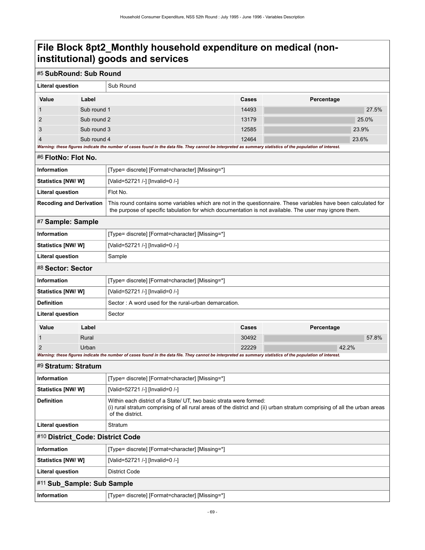### **File Block 8pt2\_Monthly household expenditure on medical (noninstitutional) goods and services**

| #5 SubRound: Sub Round                                                                                                                                                                       |                                                                                                                                                                                                                                         |                                                                                                                                                                                                                           |                |            |       |       |  |
|----------------------------------------------------------------------------------------------------------------------------------------------------------------------------------------------|-----------------------------------------------------------------------------------------------------------------------------------------------------------------------------------------------------------------------------------------|---------------------------------------------------------------------------------------------------------------------------------------------------------------------------------------------------------------------------|----------------|------------|-------|-------|--|
| <b>Literal question</b>                                                                                                                                                                      |                                                                                                                                                                                                                                         | Sub Round                                                                                                                                                                                                                 |                |            |       |       |  |
| Value                                                                                                                                                                                        | Label                                                                                                                                                                                                                                   |                                                                                                                                                                                                                           | Cases          | Percentage |       |       |  |
| 1                                                                                                                                                                                            | Sub round 1                                                                                                                                                                                                                             |                                                                                                                                                                                                                           | 14493          |            |       | 27.5% |  |
| 2                                                                                                                                                                                            | Sub round 2                                                                                                                                                                                                                             |                                                                                                                                                                                                                           | 13179          |            | 25.0% |       |  |
| 3                                                                                                                                                                                            | Sub round 3                                                                                                                                                                                                                             |                                                                                                                                                                                                                           | 12585<br>23.9% |            |       |       |  |
| 12464<br>23.6%<br>Sub round 4<br>Warning: these figures indicate the number of cases found in the data file. They cannot be interpreted as summary statistics of the population of interest. |                                                                                                                                                                                                                                         |                                                                                                                                                                                                                           |                |            |       |       |  |
| #6 FlotNo: Flot No.                                                                                                                                                                          |                                                                                                                                                                                                                                         |                                                                                                                                                                                                                           |                |            |       |       |  |
| <b>Information</b><br>[Type= discrete] [Format=character] [Missing=*]                                                                                                                        |                                                                                                                                                                                                                                         |                                                                                                                                                                                                                           |                |            |       |       |  |
| Statistics [NW/ W]                                                                                                                                                                           |                                                                                                                                                                                                                                         | [Valid=52721 /-] [Invalid=0 /-]                                                                                                                                                                                           |                |            |       |       |  |
| <b>Literal question</b>                                                                                                                                                                      |                                                                                                                                                                                                                                         | Flot No.                                                                                                                                                                                                                  |                |            |       |       |  |
| <b>Recoding and Derivation</b>                                                                                                                                                               |                                                                                                                                                                                                                                         | This round contains some variables which are not in the questionnaire. These variables have been calculated for<br>the purpose of specific tabulation for which documentation is not available. The user may ignore them. |                |            |       |       |  |
| #7 Sample: Sample                                                                                                                                                                            |                                                                                                                                                                                                                                         |                                                                                                                                                                                                                           |                |            |       |       |  |
| <b>Information</b>                                                                                                                                                                           |                                                                                                                                                                                                                                         | [Type= discrete] [Format=character] [Missing=*]                                                                                                                                                                           |                |            |       |       |  |
| Statistics [NW/W]                                                                                                                                                                            |                                                                                                                                                                                                                                         | [Valid=52721 /-] [Invalid=0 /-]                                                                                                                                                                                           |                |            |       |       |  |
| <b>Literal question</b>                                                                                                                                                                      |                                                                                                                                                                                                                                         | Sample                                                                                                                                                                                                                    |                |            |       |       |  |
| #8 Sector: Sector                                                                                                                                                                            |                                                                                                                                                                                                                                         |                                                                                                                                                                                                                           |                |            |       |       |  |
| <b>Information</b>                                                                                                                                                                           |                                                                                                                                                                                                                                         | [Type= discrete] [Format=character] [Missing=*]                                                                                                                                                                           |                |            |       |       |  |
| <b>Statistics [NW/W]</b>                                                                                                                                                                     |                                                                                                                                                                                                                                         | [Valid=52721 /-] [Invalid=0 /-]                                                                                                                                                                                           |                |            |       |       |  |
| <b>Definition</b>                                                                                                                                                                            |                                                                                                                                                                                                                                         | Sector: A word used for the rural-urban demarcation.                                                                                                                                                                      |                |            |       |       |  |
| <b>Literal question</b>                                                                                                                                                                      |                                                                                                                                                                                                                                         | Sector                                                                                                                                                                                                                    |                |            |       |       |  |
| Value                                                                                                                                                                                        | Label                                                                                                                                                                                                                                   |                                                                                                                                                                                                                           | Cases          | Percentage |       |       |  |
| 1                                                                                                                                                                                            | Rural                                                                                                                                                                                                                                   |                                                                                                                                                                                                                           | 30492          |            |       | 57.8% |  |
| 2                                                                                                                                                                                            | Urban                                                                                                                                                                                                                                   |                                                                                                                                                                                                                           | 22229          |            | 42.2% |       |  |
| #9 Stratum: Stratum                                                                                                                                                                          |                                                                                                                                                                                                                                         | Warning: these figures indicate the number of cases found in the data file. They cannot be interpreted as summary statistics of the population of interest.                                                               |                |            |       |       |  |
| Information                                                                                                                                                                                  |                                                                                                                                                                                                                                         | [Type= discrete] [Format=character] [Missing=*]                                                                                                                                                                           |                |            |       |       |  |
|                                                                                                                                                                                              |                                                                                                                                                                                                                                         |                                                                                                                                                                                                                           |                |            |       |       |  |
|                                                                                                                                                                                              | [Valid=52721 /-] [Invalid=0 /-]<br>Statistics [NW/ W]                                                                                                                                                                                   |                                                                                                                                                                                                                           |                |            |       |       |  |
|                                                                                                                                                                                              | <b>Definition</b><br>Within each district of a State/ UT, two basic strata were formed:<br>(i) rural stratum comprising of all rural areas of the district and (ii) urban stratum comprising of all the urban areas<br>of the district. |                                                                                                                                                                                                                           |                |            |       |       |  |
| <b>Literal question</b>                                                                                                                                                                      | Stratum                                                                                                                                                                                                                                 |                                                                                                                                                                                                                           |                |            |       |       |  |
| #10 District_Code: District Code                                                                                                                                                             |                                                                                                                                                                                                                                         |                                                                                                                                                                                                                           |                |            |       |       |  |
| <b>Information</b>                                                                                                                                                                           |                                                                                                                                                                                                                                         | [Type= discrete] [Format=character] [Missing=*]                                                                                                                                                                           |                |            |       |       |  |
| Statistics [NW/ W]                                                                                                                                                                           |                                                                                                                                                                                                                                         | [Valid=52721 /-] [Invalid=0 /-]                                                                                                                                                                                           |                |            |       |       |  |
| <b>Literal question</b>                                                                                                                                                                      |                                                                                                                                                                                                                                         | <b>District Code</b>                                                                                                                                                                                                      |                |            |       |       |  |
| #11 Sub_Sample: Sub Sample                                                                                                                                                                   |                                                                                                                                                                                                                                         |                                                                                                                                                                                                                           |                |            |       |       |  |
| Information                                                                                                                                                                                  |                                                                                                                                                                                                                                         | [Type= discrete] [Format=character] [Missing=*]                                                                                                                                                                           |                |            |       |       |  |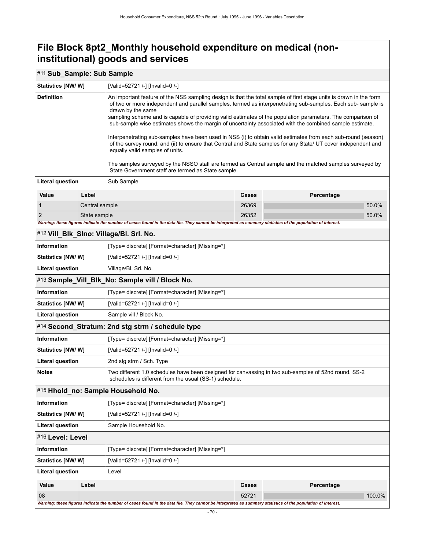### **File Block 8pt2\_Monthly household expenditure on medical (noninstitutional) goods and services**

### #11 **Sub\_Sample: Sub Sample**

| <b>Statistics [NW/ W]</b> |                | [Valid=52721 /-] [Invalid=0 /-]                                                                                                                                                                                                                                                                                                                                                                                                                                                                                                                                                                                                                                                                                                                                                                                                                                                                                         |              |            |        |  |  |
|---------------------------|----------------|-------------------------------------------------------------------------------------------------------------------------------------------------------------------------------------------------------------------------------------------------------------------------------------------------------------------------------------------------------------------------------------------------------------------------------------------------------------------------------------------------------------------------------------------------------------------------------------------------------------------------------------------------------------------------------------------------------------------------------------------------------------------------------------------------------------------------------------------------------------------------------------------------------------------------|--------------|------------|--------|--|--|
| <b>Definition</b>         |                | An important feature of the NSS sampling design is that the total sample of first stage units is drawn in the form<br>of two or more independent and parallel samples, termed as interpenetrating sub-samples. Each sub-sample is<br>drawn by the same<br>sampling scheme and is capable of providing valid estimates of the population parameters. The comparison of<br>sub-sample wise estimates shows the margin of uncertainty associated with the combined sample estimate.<br>Interpenetrating sub-samples have been used in NSS (i) to obtain valid estimates from each sub-round (season)<br>of the survey round, and (ii) to ensure that Central and State samples for any State/ UT cover independent and<br>equally valid samples of units.<br>The samples surveyed by the NSSO staff are termed as Central sample and the matched samples surveyed by<br>State Government staff are termed as State sample. |              |            |        |  |  |
| <b>Literal question</b>   |                | Sub Sample                                                                                                                                                                                                                                                                                                                                                                                                                                                                                                                                                                                                                                                                                                                                                                                                                                                                                                              |              |            |        |  |  |
| Value                     | Label          |                                                                                                                                                                                                                                                                                                                                                                                                                                                                                                                                                                                                                                                                                                                                                                                                                                                                                                                         | <b>Cases</b> | Percentage |        |  |  |
| $\mathbf 1$               | Central sample |                                                                                                                                                                                                                                                                                                                                                                                                                                                                                                                                                                                                                                                                                                                                                                                                                                                                                                                         | 26369        |            | 50.0%  |  |  |
| $\overline{2}$            | State sample   |                                                                                                                                                                                                                                                                                                                                                                                                                                                                                                                                                                                                                                                                                                                                                                                                                                                                                                                         | 26352        |            | 50.0%  |  |  |
|                           |                | Warning: these figures indicate the number of cases found in the data file. They cannot be interpreted as summary statistics of the population of interest.                                                                                                                                                                                                                                                                                                                                                                                                                                                                                                                                                                                                                                                                                                                                                             |              |            |        |  |  |
|                           |                | #12 Vill_Blk_Slno: Village/Bl. Srl. No.                                                                                                                                                                                                                                                                                                                                                                                                                                                                                                                                                                                                                                                                                                                                                                                                                                                                                 |              |            |        |  |  |
| <b>Information</b>        |                | [Type= discrete] [Format=character] [Missing=*]                                                                                                                                                                                                                                                                                                                                                                                                                                                                                                                                                                                                                                                                                                                                                                                                                                                                         |              |            |        |  |  |
| <b>Statistics [NW/ W]</b> |                | [Valid=52721 /-] [Invalid=0 /-]                                                                                                                                                                                                                                                                                                                                                                                                                                                                                                                                                                                                                                                                                                                                                                                                                                                                                         |              |            |        |  |  |
| <b>Literal question</b>   |                | Village/Bl. Srl. No.                                                                                                                                                                                                                                                                                                                                                                                                                                                                                                                                                                                                                                                                                                                                                                                                                                                                                                    |              |            |        |  |  |
|                           |                | #13 Sample_Vill_Blk_No: Sample vill / Block No.                                                                                                                                                                                                                                                                                                                                                                                                                                                                                                                                                                                                                                                                                                                                                                                                                                                                         |              |            |        |  |  |
| <b>Information</b>        |                | [Type= discrete] [Format=character] [Missing=*]                                                                                                                                                                                                                                                                                                                                                                                                                                                                                                                                                                                                                                                                                                                                                                                                                                                                         |              |            |        |  |  |
| <b>Statistics [NW/W]</b>  |                | [Valid=52721 /-] [Invalid=0 /-]                                                                                                                                                                                                                                                                                                                                                                                                                                                                                                                                                                                                                                                                                                                                                                                                                                                                                         |              |            |        |  |  |
| <b>Literal question</b>   |                | Sample vill / Block No.                                                                                                                                                                                                                                                                                                                                                                                                                                                                                                                                                                                                                                                                                                                                                                                                                                                                                                 |              |            |        |  |  |
|                           |                | #14 Second_Stratum: 2nd stg strm / schedule type                                                                                                                                                                                                                                                                                                                                                                                                                                                                                                                                                                                                                                                                                                                                                                                                                                                                        |              |            |        |  |  |
| <b>Information</b>        |                | [Type= discrete] [Format=character] [Missing=*]                                                                                                                                                                                                                                                                                                                                                                                                                                                                                                                                                                                                                                                                                                                                                                                                                                                                         |              |            |        |  |  |
| Statistics [NW/W]         |                | [Valid=52721 /-] [Invalid=0 /-]                                                                                                                                                                                                                                                                                                                                                                                                                                                                                                                                                                                                                                                                                                                                                                                                                                                                                         |              |            |        |  |  |
| <b>Literal question</b>   |                | 2nd stg strm / Sch. Type                                                                                                                                                                                                                                                                                                                                                                                                                                                                                                                                                                                                                                                                                                                                                                                                                                                                                                |              |            |        |  |  |
| <b>Notes</b>              |                | Two different 1.0 schedules have been designed for canvassing in two sub-samples of 52nd round. SS-2<br>schedules is different from the usual (SS-1) schedule.                                                                                                                                                                                                                                                                                                                                                                                                                                                                                                                                                                                                                                                                                                                                                          |              |            |        |  |  |
|                           |                | #15 Hhold_no: Sample Household No.                                                                                                                                                                                                                                                                                                                                                                                                                                                                                                                                                                                                                                                                                                                                                                                                                                                                                      |              |            |        |  |  |
| <b>Information</b>        |                | [Type= discrete] [Format=character] [Missing=*]                                                                                                                                                                                                                                                                                                                                                                                                                                                                                                                                                                                                                                                                                                                                                                                                                                                                         |              |            |        |  |  |
| Statistics [NW/W]         |                | [Valid=52721 /-] [Invalid=0 /-]                                                                                                                                                                                                                                                                                                                                                                                                                                                                                                                                                                                                                                                                                                                                                                                                                                                                                         |              |            |        |  |  |
| <b>Literal question</b>   |                | Sample Household No.                                                                                                                                                                                                                                                                                                                                                                                                                                                                                                                                                                                                                                                                                                                                                                                                                                                                                                    |              |            |        |  |  |
| #16 Level: Level          |                |                                                                                                                                                                                                                                                                                                                                                                                                                                                                                                                                                                                                                                                                                                                                                                                                                                                                                                                         |              |            |        |  |  |
| Information               |                | [Type= discrete] [Format=character] [Missing=*]                                                                                                                                                                                                                                                                                                                                                                                                                                                                                                                                                                                                                                                                                                                                                                                                                                                                         |              |            |        |  |  |
| <b>Statistics [NW/W]</b>  |                | [Valid=52721 /-] [Invalid=0 /-]                                                                                                                                                                                                                                                                                                                                                                                                                                                                                                                                                                                                                                                                                                                                                                                                                                                                                         |              |            |        |  |  |
| <b>Literal question</b>   |                | Level                                                                                                                                                                                                                                                                                                                                                                                                                                                                                                                                                                                                                                                                                                                                                                                                                                                                                                                   |              |            |        |  |  |
| Value                     | Label          |                                                                                                                                                                                                                                                                                                                                                                                                                                                                                                                                                                                                                                                                                                                                                                                                                                                                                                                         | <b>Cases</b> | Percentage |        |  |  |
| 08                        |                |                                                                                                                                                                                                                                                                                                                                                                                                                                                                                                                                                                                                                                                                                                                                                                                                                                                                                                                         | 52721        |            | 100.0% |  |  |
|                           |                | Warning: these figures indicate the number of cases found in the data file. They cannot be interpreted as summary statistics of the population of interest.                                                                                                                                                                                                                                                                                                                                                                                                                                                                                                                                                                                                                                                                                                                                                             |              |            |        |  |  |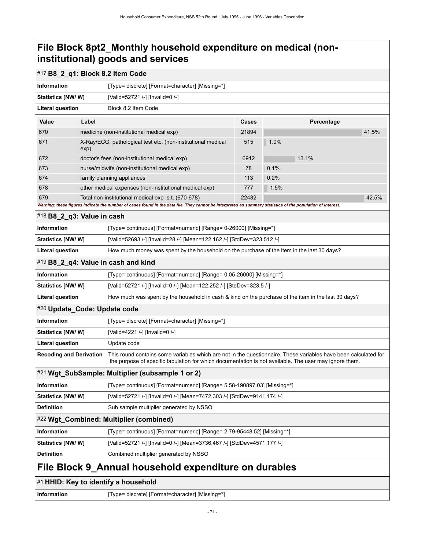### **File Block 8pt2\_Monthly household expenditure on medical (noninstitutional) goods and services**

# #17 **B8\_2\_q1: Block 8.2 Item Code**

| 41.5%                                                                                                                                                                                                                     |  |  |  |  |  |
|---------------------------------------------------------------------------------------------------------------------------------------------------------------------------------------------------------------------------|--|--|--|--|--|
|                                                                                                                                                                                                                           |  |  |  |  |  |
|                                                                                                                                                                                                                           |  |  |  |  |  |
|                                                                                                                                                                                                                           |  |  |  |  |  |
|                                                                                                                                                                                                                           |  |  |  |  |  |
|                                                                                                                                                                                                                           |  |  |  |  |  |
| 42.5%                                                                                                                                                                                                                     |  |  |  |  |  |
|                                                                                                                                                                                                                           |  |  |  |  |  |
|                                                                                                                                                                                                                           |  |  |  |  |  |
|                                                                                                                                                                                                                           |  |  |  |  |  |
|                                                                                                                                                                                                                           |  |  |  |  |  |
| How much money was spent by the household on the purchase of the item in the last 30 days?                                                                                                                                |  |  |  |  |  |
|                                                                                                                                                                                                                           |  |  |  |  |  |
| [Type= continuous] [Format=numeric] [Range= 0.05-26000] [Missing=*]                                                                                                                                                       |  |  |  |  |  |
|                                                                                                                                                                                                                           |  |  |  |  |  |
| How much was spent by the household in cash & kind on the purchase of the item in the last 30 days?                                                                                                                       |  |  |  |  |  |
|                                                                                                                                                                                                                           |  |  |  |  |  |
|                                                                                                                                                                                                                           |  |  |  |  |  |
|                                                                                                                                                                                                                           |  |  |  |  |  |
| Update code                                                                                                                                                                                                               |  |  |  |  |  |
| This round contains some variables which are not in the questionnaire. These variables have been calculated for<br>the purpose of specific tabulation for which documentation is not available. The user may ignore them. |  |  |  |  |  |
|                                                                                                                                                                                                                           |  |  |  |  |  |
| [Type= continuous] [Format=numeric] [Range= 5.58-190897.03] [Missing=*]                                                                                                                                                   |  |  |  |  |  |
|                                                                                                                                                                                                                           |  |  |  |  |  |
|                                                                                                                                                                                                                           |  |  |  |  |  |
|                                                                                                                                                                                                                           |  |  |  |  |  |
|                                                                                                                                                                                                                           |  |  |  |  |  |
|                                                                                                                                                                                                                           |  |  |  |  |  |
|                                                                                                                                                                                                                           |  |  |  |  |  |
|                                                                                                                                                                                                                           |  |  |  |  |  |
| #1 HHID: Key to identify a household                                                                                                                                                                                      |  |  |  |  |  |
|                                                                                                                                                                                                                           |  |  |  |  |  |

**Information information information [Type= discrete]** [Format=character] [Missing=\*]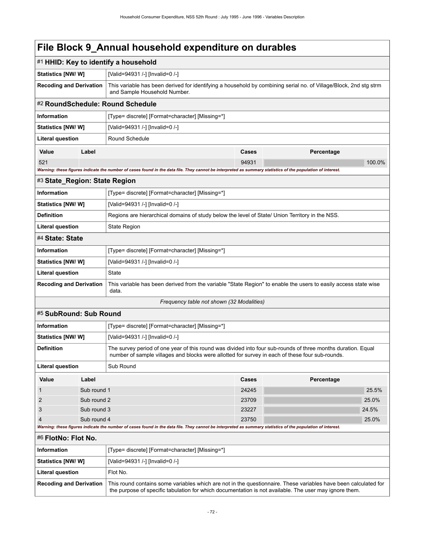|                                |                                                                                                                                                                                                                           | #1 HHID: Key to identify a household                                                                                                                                                                            |       |            |  |  |  |
|--------------------------------|---------------------------------------------------------------------------------------------------------------------------------------------------------------------------------------------------------------------------|-----------------------------------------------------------------------------------------------------------------------------------------------------------------------------------------------------------------|-------|------------|--|--|--|
| Statistics [NW/W]              |                                                                                                                                                                                                                           | [Valid=94931 /-] [Invalid=0 /-]                                                                                                                                                                                 |       |            |  |  |  |
| <b>Recoding and Derivation</b> |                                                                                                                                                                                                                           | This variable has been derived for identifying a household by combining serial no. of Village/Block, 2nd stg strm<br>and Sample Household Number.                                                               |       |            |  |  |  |
|                                |                                                                                                                                                                                                                           | #2 RoundSchedule: Round Schedule                                                                                                                                                                                |       |            |  |  |  |
| Information                    |                                                                                                                                                                                                                           | [Type= discrete] [Format=character] [Missing=*]                                                                                                                                                                 |       |            |  |  |  |
| Statistics [NW/W]              |                                                                                                                                                                                                                           | [Valid=94931 /-] [Invalid=0 /-]                                                                                                                                                                                 |       |            |  |  |  |
| <b>Literal question</b>        |                                                                                                                                                                                                                           | Round Schedule                                                                                                                                                                                                  |       |            |  |  |  |
| Value                          | Label                                                                                                                                                                                                                     |                                                                                                                                                                                                                 | Cases | Percentage |  |  |  |
| 521                            |                                                                                                                                                                                                                           |                                                                                                                                                                                                                 | 94931 | 100.0%     |  |  |  |
|                                |                                                                                                                                                                                                                           | Warning: these figures indicate the number of cases found in the data file. They cannot be interpreted as summary statistics of the population of interest.                                                     |       |            |  |  |  |
| #3 State_Region: State Region  |                                                                                                                                                                                                                           |                                                                                                                                                                                                                 |       |            |  |  |  |
| <b>Information</b>             |                                                                                                                                                                                                                           | [Type= discrete] [Format=character] [Missing=*]                                                                                                                                                                 |       |            |  |  |  |
| Statistics [NW/ W]             |                                                                                                                                                                                                                           | [Valid=94931 /-] [Invalid=0 /-]                                                                                                                                                                                 |       |            |  |  |  |
| <b>Definition</b>              |                                                                                                                                                                                                                           | Regions are hierarchical domains of study below the level of State/ Union Territory in the NSS.                                                                                                                 |       |            |  |  |  |
| <b>Literal question</b>        |                                                                                                                                                                                                                           | <b>State Region</b>                                                                                                                                                                                             |       |            |  |  |  |
| #4 State: State                |                                                                                                                                                                                                                           |                                                                                                                                                                                                                 |       |            |  |  |  |
| <b>Information</b>             |                                                                                                                                                                                                                           | [Type= discrete] [Format=character] [Missing=*]                                                                                                                                                                 |       |            |  |  |  |
| <b>Statistics [NW/ W]</b>      |                                                                                                                                                                                                                           | [Valid=94931 /-] [Invalid=0 /-]                                                                                                                                                                                 |       |            |  |  |  |
| <b>Literal question</b>        |                                                                                                                                                                                                                           | State                                                                                                                                                                                                           |       |            |  |  |  |
| <b>Recoding and Derivation</b> |                                                                                                                                                                                                                           | This variable has been derived from the variable "State Region" to enable the users to easily access state wise<br>data.                                                                                        |       |            |  |  |  |
|                                |                                                                                                                                                                                                                           | Frequency table not shown (32 Modalities)                                                                                                                                                                       |       |            |  |  |  |
| #5 SubRound: Sub Round         |                                                                                                                                                                                                                           |                                                                                                                                                                                                                 |       |            |  |  |  |
| <b>Information</b>             |                                                                                                                                                                                                                           | [Type= discrete] [Format=character] [Missing=*]                                                                                                                                                                 |       |            |  |  |  |
| <b>Statistics [NW/ W]</b>      |                                                                                                                                                                                                                           | [Valid=94931 /-] [Invalid=0 /-]                                                                                                                                                                                 |       |            |  |  |  |
| <b>Definition</b>              |                                                                                                                                                                                                                           | The survey period of one year of this round was divided into four sub-rounds of three months duration. Equal<br>number of sample villages and blocks were allotted for survey in each of these four sub-rounds. |       |            |  |  |  |
| <b>Literal question</b>        |                                                                                                                                                                                                                           | Sub Round                                                                                                                                                                                                       |       |            |  |  |  |
| Value                          | Label                                                                                                                                                                                                                     |                                                                                                                                                                                                                 | Cases | Percentage |  |  |  |
| $\mathbf{1}$                   | Sub round 1                                                                                                                                                                                                               |                                                                                                                                                                                                                 | 24245 | 25.5%      |  |  |  |
| $\overline{2}$                 | Sub round 2                                                                                                                                                                                                               |                                                                                                                                                                                                                 | 23709 | 25.0%      |  |  |  |
| 3<br>Sub round 3               |                                                                                                                                                                                                                           |                                                                                                                                                                                                                 | 23227 | 24.5%      |  |  |  |
| $\overline{4}$                 | Sub round 4<br>Warning: these figures indicate the number of cases found in the data file. They cannot be interpreted as summary statistics of the population of interest.                                                | 23750                                                                                                                                                                                                           | 25.0% |            |  |  |  |
| #6 FlotNo: Flot No.            |                                                                                                                                                                                                                           |                                                                                                                                                                                                                 |       |            |  |  |  |
| <b>Information</b>             |                                                                                                                                                                                                                           | [Type= discrete] [Format=character] [Missing=*]                                                                                                                                                                 |       |            |  |  |  |
| <b>Statistics [NW/ W]</b>      |                                                                                                                                                                                                                           | [Valid=94931 /-] [Invalid=0 /-]                                                                                                                                                                                 |       |            |  |  |  |
| Literal question               |                                                                                                                                                                                                                           | Flot No.                                                                                                                                                                                                        |       |            |  |  |  |
| <b>Recoding and Derivation</b> | This round contains some variables which are not in the questionnaire. These variables have been calculated for<br>the purpose of specific tabulation for which documentation is not available. The user may ignore them. |                                                                                                                                                                                                                 |       |            |  |  |  |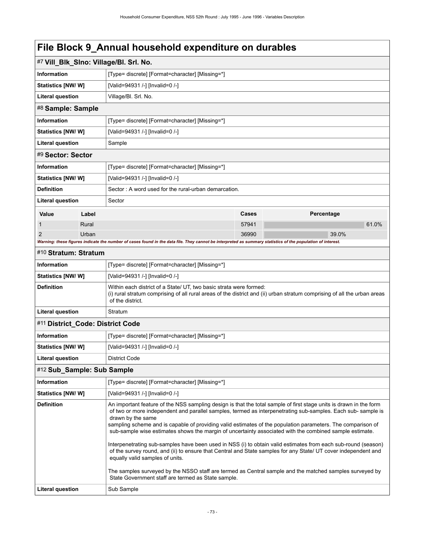| #7 Vill_Blk_SIno: Village/Bl. Srl. No.                                                                                                                                                                                                                                                                                                                                                                                                                                                                                                                                                                                                                                                                                                                                                                                                                                                                                                       |                                                 |                                                                                                                                                                                                                    |       |  |            |       |       |
|----------------------------------------------------------------------------------------------------------------------------------------------------------------------------------------------------------------------------------------------------------------------------------------------------------------------------------------------------------------------------------------------------------------------------------------------------------------------------------------------------------------------------------------------------------------------------------------------------------------------------------------------------------------------------------------------------------------------------------------------------------------------------------------------------------------------------------------------------------------------------------------------------------------------------------------------|-------------------------------------------------|--------------------------------------------------------------------------------------------------------------------------------------------------------------------------------------------------------------------|-------|--|------------|-------|-------|
| <b>Information</b>                                                                                                                                                                                                                                                                                                                                                                                                                                                                                                                                                                                                                                                                                                                                                                                                                                                                                                                           | [Type= discrete] [Format=character] [Missing=*] |                                                                                                                                                                                                                    |       |  |            |       |       |
| <b>Statistics [NW/ W]</b>                                                                                                                                                                                                                                                                                                                                                                                                                                                                                                                                                                                                                                                                                                                                                                                                                                                                                                                    |                                                 | [Valid=94931 /-] [Invalid=0 /-]                                                                                                                                                                                    |       |  |            |       |       |
| <b>Literal question</b>                                                                                                                                                                                                                                                                                                                                                                                                                                                                                                                                                                                                                                                                                                                                                                                                                                                                                                                      |                                                 | Village/Bl. Srl. No.                                                                                                                                                                                               |       |  |            |       |       |
| #8 Sample: Sample                                                                                                                                                                                                                                                                                                                                                                                                                                                                                                                                                                                                                                                                                                                                                                                                                                                                                                                            |                                                 |                                                                                                                                                                                                                    |       |  |            |       |       |
| <b>Information</b>                                                                                                                                                                                                                                                                                                                                                                                                                                                                                                                                                                                                                                                                                                                                                                                                                                                                                                                           |                                                 | [Type= discrete] [Format=character] [Missing=*]                                                                                                                                                                    |       |  |            |       |       |
| <b>Statistics [NW/ W]</b>                                                                                                                                                                                                                                                                                                                                                                                                                                                                                                                                                                                                                                                                                                                                                                                                                                                                                                                    |                                                 | [Valid=94931 /-] [Invalid=0 /-]                                                                                                                                                                                    |       |  |            |       |       |
| <b>Literal question</b>                                                                                                                                                                                                                                                                                                                                                                                                                                                                                                                                                                                                                                                                                                                                                                                                                                                                                                                      |                                                 | Sample                                                                                                                                                                                                             |       |  |            |       |       |
| #9 Sector: Sector                                                                                                                                                                                                                                                                                                                                                                                                                                                                                                                                                                                                                                                                                                                                                                                                                                                                                                                            |                                                 |                                                                                                                                                                                                                    |       |  |            |       |       |
| <b>Information</b>                                                                                                                                                                                                                                                                                                                                                                                                                                                                                                                                                                                                                                                                                                                                                                                                                                                                                                                           |                                                 | [Type= discrete] [Format=character] [Missing=*]                                                                                                                                                                    |       |  |            |       |       |
| Statistics [NW/ W]                                                                                                                                                                                                                                                                                                                                                                                                                                                                                                                                                                                                                                                                                                                                                                                                                                                                                                                           |                                                 | [Valid=94931 /-] [Invalid=0 /-]                                                                                                                                                                                    |       |  |            |       |       |
| <b>Definition</b>                                                                                                                                                                                                                                                                                                                                                                                                                                                                                                                                                                                                                                                                                                                                                                                                                                                                                                                            |                                                 | Sector: A word used for the rural-urban demarcation.                                                                                                                                                               |       |  |            |       |       |
| Literal question                                                                                                                                                                                                                                                                                                                                                                                                                                                                                                                                                                                                                                                                                                                                                                                                                                                                                                                             |                                                 | Sector                                                                                                                                                                                                             |       |  |            |       |       |
| Value                                                                                                                                                                                                                                                                                                                                                                                                                                                                                                                                                                                                                                                                                                                                                                                                                                                                                                                                        | Label                                           |                                                                                                                                                                                                                    | Cases |  | Percentage |       |       |
| 1                                                                                                                                                                                                                                                                                                                                                                                                                                                                                                                                                                                                                                                                                                                                                                                                                                                                                                                                            | Rural                                           |                                                                                                                                                                                                                    | 57941 |  |            |       | 61.0% |
| 2                                                                                                                                                                                                                                                                                                                                                                                                                                                                                                                                                                                                                                                                                                                                                                                                                                                                                                                                            | Urban                                           |                                                                                                                                                                                                                    | 36990 |  |            | 39.0% |       |
|                                                                                                                                                                                                                                                                                                                                                                                                                                                                                                                                                                                                                                                                                                                                                                                                                                                                                                                                              |                                                 | Warning: these figures indicate the number of cases found in the data file. They cannot be interpreted as summary statistics of the population of interest.                                                        |       |  |            |       |       |
| #10 Stratum: Stratum                                                                                                                                                                                                                                                                                                                                                                                                                                                                                                                                                                                                                                                                                                                                                                                                                                                                                                                         |                                                 |                                                                                                                                                                                                                    |       |  |            |       |       |
| Information                                                                                                                                                                                                                                                                                                                                                                                                                                                                                                                                                                                                                                                                                                                                                                                                                                                                                                                                  |                                                 | [Type= discrete] [Format=character] [Missing=*]                                                                                                                                                                    |       |  |            |       |       |
| Statistics [NW/W]                                                                                                                                                                                                                                                                                                                                                                                                                                                                                                                                                                                                                                                                                                                                                                                                                                                                                                                            |                                                 | [Valid=94931 /-] [Invalid=0 /-]                                                                                                                                                                                    |       |  |            |       |       |
| <b>Definition</b>                                                                                                                                                                                                                                                                                                                                                                                                                                                                                                                                                                                                                                                                                                                                                                                                                                                                                                                            |                                                 | Within each district of a State/ UT, two basic strata were formed:<br>(i) rural stratum comprising of all rural areas of the district and (ii) urban stratum comprising of all the urban areas<br>of the district. |       |  |            |       |       |
| <b>Literal question</b>                                                                                                                                                                                                                                                                                                                                                                                                                                                                                                                                                                                                                                                                                                                                                                                                                                                                                                                      |                                                 | Stratum                                                                                                                                                                                                            |       |  |            |       |       |
| #11 District_Code: District Code                                                                                                                                                                                                                                                                                                                                                                                                                                                                                                                                                                                                                                                                                                                                                                                                                                                                                                             |                                                 |                                                                                                                                                                                                                    |       |  |            |       |       |
| Information                                                                                                                                                                                                                                                                                                                                                                                                                                                                                                                                                                                                                                                                                                                                                                                                                                                                                                                                  |                                                 | [Type= discrete] [Format=character] [Missing=*]                                                                                                                                                                    |       |  |            |       |       |
| <b>Statistics [NW/ W]</b>                                                                                                                                                                                                                                                                                                                                                                                                                                                                                                                                                                                                                                                                                                                                                                                                                                                                                                                    |                                                 | [Valid=94931 /-] [Invalid=0 /-]                                                                                                                                                                                    |       |  |            |       |       |
| <b>Literal question</b>                                                                                                                                                                                                                                                                                                                                                                                                                                                                                                                                                                                                                                                                                                                                                                                                                                                                                                                      |                                                 | <b>District Code</b>                                                                                                                                                                                               |       |  |            |       |       |
| #12 Sub_Sample: Sub Sample                                                                                                                                                                                                                                                                                                                                                                                                                                                                                                                                                                                                                                                                                                                                                                                                                                                                                                                   |                                                 |                                                                                                                                                                                                                    |       |  |            |       |       |
| Information                                                                                                                                                                                                                                                                                                                                                                                                                                                                                                                                                                                                                                                                                                                                                                                                                                                                                                                                  |                                                 | [Type= discrete] [Format=character] [Missing=*]                                                                                                                                                                    |       |  |            |       |       |
| <b>Statistics [NW/ W]</b>                                                                                                                                                                                                                                                                                                                                                                                                                                                                                                                                                                                                                                                                                                                                                                                                                                                                                                                    |                                                 | [Valid=94931 /-] [Invalid=0 /-]                                                                                                                                                                                    |       |  |            |       |       |
| <b>Definition</b><br>An important feature of the NSS sampling design is that the total sample of first stage units is drawn in the form<br>of two or more independent and parallel samples, termed as interpenetrating sub-samples. Each sub-sample is<br>drawn by the same<br>sampling scheme and is capable of providing valid estimates of the population parameters. The comparison of<br>sub-sample wise estimates shows the margin of uncertainty associated with the combined sample estimate.<br>Interpenetrating sub-samples have been used in NSS (i) to obtain valid estimates from each sub-round (season)<br>of the survey round, and (ii) to ensure that Central and State samples for any State/ UT cover independent and<br>equally valid samples of units.<br>The samples surveyed by the NSSO staff are termed as Central sample and the matched samples surveyed by<br>State Government staff are termed as State sample. |                                                 |                                                                                                                                                                                                                    |       |  |            |       |       |
| <b>Literal question</b><br>Sub Sample                                                                                                                                                                                                                                                                                                                                                                                                                                                                                                                                                                                                                                                                                                                                                                                                                                                                                                        |                                                 |                                                                                                                                                                                                                    |       |  |            |       |       |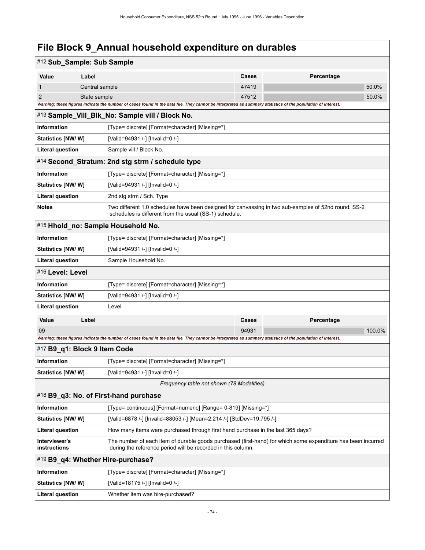| #12 Sub_Sample: Sub Sample                      |                                                                                                   |                                                                                                                                                                              |       |            |  |  |  |
|-------------------------------------------------|---------------------------------------------------------------------------------------------------|------------------------------------------------------------------------------------------------------------------------------------------------------------------------------|-------|------------|--|--|--|
| Value                                           | Label                                                                                             |                                                                                                                                                                              | Cases | Percentage |  |  |  |
| 1                                               | Central sample                                                                                    |                                                                                                                                                                              | 47419 | 50.0%      |  |  |  |
| $\overline{2}$                                  | State sample                                                                                      |                                                                                                                                                                              | 47512 | 50.0%      |  |  |  |
|                                                 |                                                                                                   | Warning: these figures indicate the number of cases found in the data file. They cannot be interpreted as summary statistics of the population of interest.                  |       |            |  |  |  |
|                                                 |                                                                                                   | #13 Sample_Vill_Blk_No: Sample vill / Block No.                                                                                                                              |       |            |  |  |  |
| <b>Information</b>                              |                                                                                                   | [Type= discrete] [Format=character] [Missing=*]                                                                                                                              |       |            |  |  |  |
| Statistics [NW/W]                               |                                                                                                   | [Valid=94931 /-] [Invalid=0 /-]                                                                                                                                              |       |            |  |  |  |
| <b>Literal question</b>                         |                                                                                                   | Sample vill / Block No.                                                                                                                                                      |       |            |  |  |  |
|                                                 |                                                                                                   | #14 Second_Stratum: 2nd stg strm / schedule type                                                                                                                             |       |            |  |  |  |
| <b>Information</b>                              |                                                                                                   | [Type= discrete] [Format=character] [Missing=*]                                                                                                                              |       |            |  |  |  |
| <b>Statistics [NW/ W]</b>                       |                                                                                                   | [Valid=94931 /-] [Invalid=0 /-]                                                                                                                                              |       |            |  |  |  |
| <b>Literal question</b>                         |                                                                                                   | 2nd stg strm / Sch. Type                                                                                                                                                     |       |            |  |  |  |
| <b>Notes</b>                                    |                                                                                                   | Two different 1.0 schedules have been designed for canvassing in two sub-samples of 52nd round. SS-2<br>schedules is different from the usual (SS-1) schedule.               |       |            |  |  |  |
|                                                 |                                                                                                   | #15 Hhold_no: Sample Household No.                                                                                                                                           |       |            |  |  |  |
| <b>Information</b>                              |                                                                                                   | [Type= discrete] [Format=character] [Missing=*]                                                                                                                              |       |            |  |  |  |
| <b>Statistics [NW/ W]</b>                       |                                                                                                   | [Valid=94931 /-] [Invalid=0 /-]                                                                                                                                              |       |            |  |  |  |
| <b>Literal question</b><br>Sample Household No. |                                                                                                   |                                                                                                                                                                              |       |            |  |  |  |
| #16 Level: Level                                |                                                                                                   |                                                                                                                                                                              |       |            |  |  |  |
| <b>Information</b>                              |                                                                                                   | [Type= discrete] [Format=character] [Missing=*]                                                                                                                              |       |            |  |  |  |
| <b>Statistics [NW/ W]</b>                       |                                                                                                   | [Valid=94931 /-] [Invalid=0 /-]                                                                                                                                              |       |            |  |  |  |
| <b>Literal question</b>                         |                                                                                                   | Level                                                                                                                                                                        |       |            |  |  |  |
| Value                                           | Label                                                                                             |                                                                                                                                                                              | Cases | Percentage |  |  |  |
| 09                                              |                                                                                                   |                                                                                                                                                                              | 94931 | 100.0%     |  |  |  |
|                                                 |                                                                                                   | Warning: these figures indicate the number of cases found in the data file. They cannot be interpreted as summary statistics of the population of interest.                  |       |            |  |  |  |
| #17 B9_q1: Block 9 Item Code                    |                                                                                                   |                                                                                                                                                                              |       |            |  |  |  |
| <b>Information</b>                              |                                                                                                   | [Type= discrete] [Format=character] [Missing=*]                                                                                                                              |       |            |  |  |  |
| Statistics [NW/W]                               |                                                                                                   | [Valid=94931 /-] [Invalid=0 /-]                                                                                                                                              |       |            |  |  |  |
|                                                 |                                                                                                   | Frequency table not shown (78 Modalities)                                                                                                                                    |       |            |  |  |  |
|                                                 |                                                                                                   | #18 B9_q3: No. of First-hand purchase                                                                                                                                        |       |            |  |  |  |
| Information                                     | [Type= continuous] [Format=numeric] [Range= 0-819] [Missing=*]                                    |                                                                                                                                                                              |       |            |  |  |  |
|                                                 | [Valid=6878 /-] [Invalid=88053 /-] [Mean=2.214 /-] [StdDev=19.795 /-]<br><b>Statistics [NW/W]</b> |                                                                                                                                                                              |       |            |  |  |  |
| <b>Literal question</b>                         | How many items were purchased through first hand purchase in the last 365 days?                   |                                                                                                                                                                              |       |            |  |  |  |
| Interviewer's<br>instructions                   |                                                                                                   | The number of each item of durable goods purchased (first-hand) for which some expenditure has been incurred<br>during the reference period will be recorded in this column. |       |            |  |  |  |
|                                                 |                                                                                                   | #19 B9_q4: Whether Hire-purchase?                                                                                                                                            |       |            |  |  |  |
| Information                                     |                                                                                                   | [Type= discrete] [Format=character] [Missing=*]                                                                                                                              |       |            |  |  |  |
| <b>Statistics [NW/ W]</b>                       |                                                                                                   | [Valid=18175 /-] [Invalid=0 /-]                                                                                                                                              |       |            |  |  |  |
| <b>Literal question</b>                         |                                                                                                   | Whether item was hire-purchased?                                                                                                                                             |       |            |  |  |  |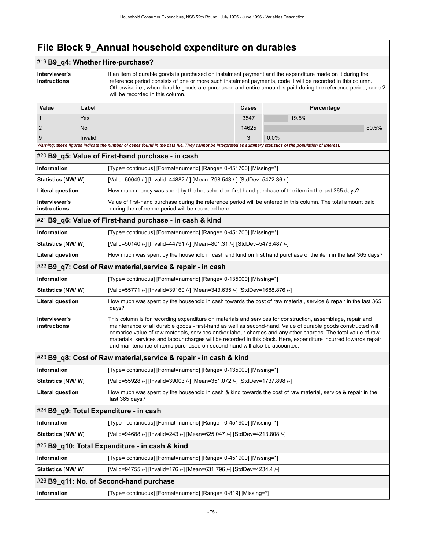### #19 **B9\_q4: Whether Hire-purchase?**

| Interviewer's<br>instructions                                                                           |                                                                                                                                                                                                                                                                                                                                                                                                                                                                                                                                                | If an item of durable goods is purchased on instalment payment and the expenditure made on it during the<br>reference period consists of one or more such instalment payments, code 1 will be recorded in this column.<br>Otherwise i.e., when durable goods are purchased and entire amount is paid during the reference period, code 2<br>will be recorded in this column. |       |            |  |  |  |
|---------------------------------------------------------------------------------------------------------|------------------------------------------------------------------------------------------------------------------------------------------------------------------------------------------------------------------------------------------------------------------------------------------------------------------------------------------------------------------------------------------------------------------------------------------------------------------------------------------------------------------------------------------------|------------------------------------------------------------------------------------------------------------------------------------------------------------------------------------------------------------------------------------------------------------------------------------------------------------------------------------------------------------------------------|-------|------------|--|--|--|
| Value                                                                                                   | Label                                                                                                                                                                                                                                                                                                                                                                                                                                                                                                                                          |                                                                                                                                                                                                                                                                                                                                                                              | Cases | Percentage |  |  |  |
| 1                                                                                                       | Yes                                                                                                                                                                                                                                                                                                                                                                                                                                                                                                                                            |                                                                                                                                                                                                                                                                                                                                                                              | 3547  | 19.5%      |  |  |  |
| 2                                                                                                       | No                                                                                                                                                                                                                                                                                                                                                                                                                                                                                                                                             |                                                                                                                                                                                                                                                                                                                                                                              | 14625 | 80.5%      |  |  |  |
| 9                                                                                                       | Invalid                                                                                                                                                                                                                                                                                                                                                                                                                                                                                                                                        | Warning: these figures indicate the number of cases found in the data file. They cannot be interpreted as summary statistics of the population of interest.                                                                                                                                                                                                                  | 3     | 0.0%       |  |  |  |
|                                                                                                         |                                                                                                                                                                                                                                                                                                                                                                                                                                                                                                                                                | #20 B9_q5: Value of First-hand purchase - in cash                                                                                                                                                                                                                                                                                                                            |       |            |  |  |  |
| Information                                                                                             |                                                                                                                                                                                                                                                                                                                                                                                                                                                                                                                                                | [Type= continuous] [Format=numeric] [Range= 0-451700] [Missing=*]                                                                                                                                                                                                                                                                                                            |       |            |  |  |  |
| Statistics [NW/W]                                                                                       |                                                                                                                                                                                                                                                                                                                                                                                                                                                                                                                                                | [Valid=50049 /-] [Invalid=44882 /-] [Mean=798.543 /-] [StdDev=5472.36 /-]                                                                                                                                                                                                                                                                                                    |       |            |  |  |  |
| <b>Literal question</b>                                                                                 |                                                                                                                                                                                                                                                                                                                                                                                                                                                                                                                                                | How much money was spent by the household on first hand purchase of the item in the last 365 days?                                                                                                                                                                                                                                                                           |       |            |  |  |  |
| Interviewer's<br>instructions                                                                           |                                                                                                                                                                                                                                                                                                                                                                                                                                                                                                                                                | Value of first-hand purchase during the reference period will be entered in this column. The total amount paid<br>during the reference period will be recorded here.                                                                                                                                                                                                         |       |            |  |  |  |
|                                                                                                         |                                                                                                                                                                                                                                                                                                                                                                                                                                                                                                                                                | #21 B9_q6: Value of First-hand purchase - in cash & kind                                                                                                                                                                                                                                                                                                                     |       |            |  |  |  |
| Information                                                                                             |                                                                                                                                                                                                                                                                                                                                                                                                                                                                                                                                                | [Type= continuous] [Format=numeric] [Range= 0-451700] [Missing=*]                                                                                                                                                                                                                                                                                                            |       |            |  |  |  |
| <b>Statistics [NW/ W]</b>                                                                               |                                                                                                                                                                                                                                                                                                                                                                                                                                                                                                                                                | [Valid=50140 /-] [Invalid=44791 /-] [Mean=801.31 /-] [StdDev=5476.487 /-]                                                                                                                                                                                                                                                                                                    |       |            |  |  |  |
| <b>Literal question</b>                                                                                 |                                                                                                                                                                                                                                                                                                                                                                                                                                                                                                                                                | How much was spent by the household in cash and kind on first hand purchase of the item in the last 365 days?                                                                                                                                                                                                                                                                |       |            |  |  |  |
|                                                                                                         |                                                                                                                                                                                                                                                                                                                                                                                                                                                                                                                                                | #22 B9_q7: Cost of Raw material, service & repair - in cash                                                                                                                                                                                                                                                                                                                  |       |            |  |  |  |
| Information                                                                                             |                                                                                                                                                                                                                                                                                                                                                                                                                                                                                                                                                | [Type= continuous] [Format=numeric] [Range= 0-135000] [Missing=*]                                                                                                                                                                                                                                                                                                            |       |            |  |  |  |
| <b>Statistics [NW/ W]</b><br>[Valid=55771 /-] [Invalid=39160 /-] [Mean=343.635 /-] [StdDev=1688.876 /-] |                                                                                                                                                                                                                                                                                                                                                                                                                                                                                                                                                |                                                                                                                                                                                                                                                                                                                                                                              |       |            |  |  |  |
| <b>Literal question</b>                                                                                 | How much was spent by the household in cash towards the cost of raw material, service & repair in the last 365<br>days?                                                                                                                                                                                                                                                                                                                                                                                                                        |                                                                                                                                                                                                                                                                                                                                                                              |       |            |  |  |  |
| Interviewer's<br>instructions                                                                           | This column is for recording expenditure on materials and services for construction, assemblage, repair and<br>maintenance of all durable goods - first-hand as well as second-hand. Value of durable goods constructed will<br>comprise value of raw materials, services and/or labour charges and any other charges. The total value of raw<br>materials, services and labour charges will be recorded in this block. Here, expenditure incurred towards repair<br>and maintenance of items purchased on second-hand will also be accounted. |                                                                                                                                                                                                                                                                                                                                                                              |       |            |  |  |  |
|                                                                                                         |                                                                                                                                                                                                                                                                                                                                                                                                                                                                                                                                                | #23 B9_q8: Cost of Raw material, service & repair - in cash & kind                                                                                                                                                                                                                                                                                                           |       |            |  |  |  |
| <b>Information</b>                                                                                      |                                                                                                                                                                                                                                                                                                                                                                                                                                                                                                                                                | [Type= continuous] [Format=numeric] [Range= 0-135000] [Missing=*]                                                                                                                                                                                                                                                                                                            |       |            |  |  |  |
| Statistics [NW/W]                                                                                       |                                                                                                                                                                                                                                                                                                                                                                                                                                                                                                                                                | [Valid=55928 /-] [Invalid=39003 /-] [Mean=351.072 /-] [StdDev=1737.898 /-]                                                                                                                                                                                                                                                                                                   |       |            |  |  |  |
| <b>Literal question</b>                                                                                 | How much was spent by the household in cash & kind towards the cost of raw material, service & repair in the<br>last 365 days?                                                                                                                                                                                                                                                                                                                                                                                                                 |                                                                                                                                                                                                                                                                                                                                                                              |       |            |  |  |  |
| #24 B9_q9: Total Expenditure - in cash                                                                  |                                                                                                                                                                                                                                                                                                                                                                                                                                                                                                                                                |                                                                                                                                                                                                                                                                                                                                                                              |       |            |  |  |  |
| Information                                                                                             | [Type= continuous] [Format=numeric] [Range= 0-451900] [Missing=*]                                                                                                                                                                                                                                                                                                                                                                                                                                                                              |                                                                                                                                                                                                                                                                                                                                                                              |       |            |  |  |  |
| Statistics [NW/W]                                                                                       | [Valid=94688 /-] [Invalid=243 /-] [Mean=625.047 /-] [StdDev=4213.808 /-]                                                                                                                                                                                                                                                                                                                                                                                                                                                                       |                                                                                                                                                                                                                                                                                                                                                                              |       |            |  |  |  |
|                                                                                                         |                                                                                                                                                                                                                                                                                                                                                                                                                                                                                                                                                | #25 B9_q10: Total Expenditure - in cash & kind                                                                                                                                                                                                                                                                                                                               |       |            |  |  |  |
| Information                                                                                             |                                                                                                                                                                                                                                                                                                                                                                                                                                                                                                                                                | [Type= continuous] [Format=numeric] [Range= 0-451900] [Missing=*]                                                                                                                                                                                                                                                                                                            |       |            |  |  |  |
| [Valid=94755 /-] [Invalid=176 /-] [Mean=631.796 /-] [StdDev=4234.4 /-]<br><b>Statistics [NW/ W]</b>     |                                                                                                                                                                                                                                                                                                                                                                                                                                                                                                                                                |                                                                                                                                                                                                                                                                                                                                                                              |       |            |  |  |  |
|                                                                                                         |                                                                                                                                                                                                                                                                                                                                                                                                                                                                                                                                                | #26 B9_q11: No. of Second-hand purchase                                                                                                                                                                                                                                                                                                                                      |       |            |  |  |  |
| Information                                                                                             | [Type= continuous] [Format=numeric] [Range= 0-819] [Missing=*]                                                                                                                                                                                                                                                                                                                                                                                                                                                                                 |                                                                                                                                                                                                                                                                                                                                                                              |       |            |  |  |  |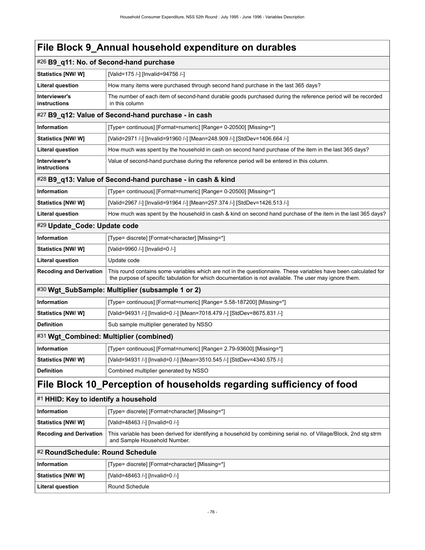|                                                                      | #26 B9_q11: No. of Second-hand purchase                                                                                                                                                                                   |  |  |  |
|----------------------------------------------------------------------|---------------------------------------------------------------------------------------------------------------------------------------------------------------------------------------------------------------------------|--|--|--|
| Statistics [NW/W]                                                    | [Valid=175 /-] [Invalid=94756 /-]                                                                                                                                                                                         |  |  |  |
| <b>Literal question</b>                                              | How many items were purchased through second hand purchase in the last 365 days?                                                                                                                                          |  |  |  |
| Interviewer's<br>instructions                                        | The number of each item of second-hand durable goods purchased during the reference period will be recorded<br>in this column                                                                                             |  |  |  |
|                                                                      | #27 B9_q12: Value of Second-hand purchase - in cash                                                                                                                                                                       |  |  |  |
| Information                                                          | [Type= continuous] [Format=numeric] [Range= 0-20500] [Missing=*]                                                                                                                                                          |  |  |  |
| Statistics [NW/W]                                                    | [Valid=2971 /-] [Invalid=91960 /-] [Mean=248.909 /-] [StdDev=1406.664 /-]                                                                                                                                                 |  |  |  |
| <b>Literal question</b>                                              | How much was spent by the household in cash on second hand purchase of the item in the last 365 days?                                                                                                                     |  |  |  |
| Interviewer's<br>instructions                                        | Value of second-hand purchase during the reference period will be entered in this column.                                                                                                                                 |  |  |  |
|                                                                      | #28 B9_q13: Value of Second-hand purchase - in cash & kind                                                                                                                                                                |  |  |  |
| Information                                                          | [Type= continuous] [Format=numeric] [Range= 0-20500] [Missing=*]                                                                                                                                                          |  |  |  |
| Statistics [NW/W]                                                    | [Valid=2967 /-] [Invalid=91964 /-] [Mean=257.374 /-] [StdDev=1426.513 /-]                                                                                                                                                 |  |  |  |
| <b>Literal question</b>                                              | How much was spent by the household in cash & kind on second hand purchase of the item in the last 365 days?                                                                                                              |  |  |  |
| #29 Update_Code: Update code                                         |                                                                                                                                                                                                                           |  |  |  |
| <b>Information</b>                                                   | [Type= discrete] [Format=character] [Missing=*]                                                                                                                                                                           |  |  |  |
| <b>Statistics [NW/W]</b>                                             | [Valid=9960 /-] [Invalid=0 /-]                                                                                                                                                                                            |  |  |  |
| <b>Literal question</b>                                              | Update code                                                                                                                                                                                                               |  |  |  |
| <b>Recoding and Derivation</b>                                       | This round contains some variables which are not in the questionnaire. These variables have been calculated for<br>the purpose of specific tabulation for which documentation is not available. The user may ignore them. |  |  |  |
|                                                                      | #30 Wgt_SubSample: Multiplier (subsample 1 or 2)                                                                                                                                                                          |  |  |  |
| Information                                                          | [Type= continuous] [Format=numeric] [Range= 5.58-187200] [Missing=*]                                                                                                                                                      |  |  |  |
| Statistics [NW/ W]                                                   | [Valid=94931 /-] [Invalid=0 /-] [Mean=7018.479 /-] [StdDev=8675.831 /-]                                                                                                                                                   |  |  |  |
| <b>Definition</b>                                                    | Sub sample multiplier generated by NSSO                                                                                                                                                                                   |  |  |  |
|                                                                      | #31 Wgt_Combined: Multiplier (combined)                                                                                                                                                                                   |  |  |  |
| Information                                                          | [Type= continuous] [Format=numeric] [Range= 2.79-93600] [Missing=*]                                                                                                                                                       |  |  |  |
| Statistics [NW/ W]                                                   | [Valid=94931 /-] [Invalid=0 /-] [Mean=3510.545 /-] [StdDev=4340.575 /-]                                                                                                                                                   |  |  |  |
| <b>Definition</b>                                                    | Combined multiplier generated by NSSO                                                                                                                                                                                     |  |  |  |
| File Block 10_Perception of households regarding sufficiency of food |                                                                                                                                                                                                                           |  |  |  |
| #1 HHID: Key to identify a household                                 |                                                                                                                                                                                                                           |  |  |  |
| <b>Information</b>                                                   | [Type= discrete] [Format=character] [Missing=*]                                                                                                                                                                           |  |  |  |
| <b>Statistics [NW/W]</b>                                             | [Valid=48463 /-] [Invalid=0 /-]                                                                                                                                                                                           |  |  |  |

| Recoding and Derivation   This variable has been derived for identifying a household by combining serial no. of Village/Block, 2nd stg strm |
|---------------------------------------------------------------------------------------------------------------------------------------------|
| and Sample Household Number.                                                                                                                |

### #2 **RoundSchedule: Round Schedule**

| ∣ Information      | [Type= discrete] [Format=character] [Missing=*] |
|--------------------|-------------------------------------------------|
| Statistics [NW/ W] | [Valid=48463 /-] [Invalid=0 /-]                 |
| Literal question   | Round Schedule                                  |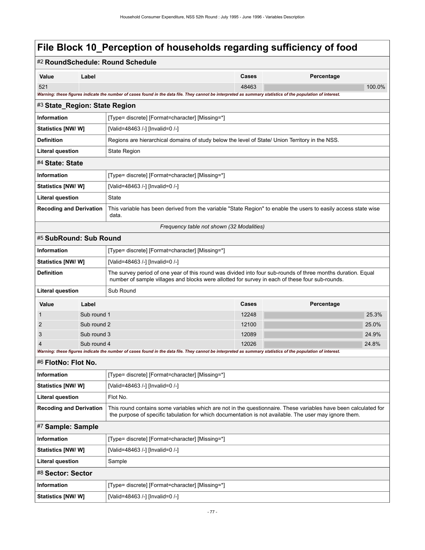|                                |                   | #2 RoundSchedule: Round Schedule                                                                                                                                                                                          |       |            |        |  |  |
|--------------------------------|-------------------|---------------------------------------------------------------------------------------------------------------------------------------------------------------------------------------------------------------------------|-------|------------|--------|--|--|
| Value                          | Label             |                                                                                                                                                                                                                           | Cases | Percentage |        |  |  |
| 521                            |                   |                                                                                                                                                                                                                           | 48463 |            | 100.0% |  |  |
|                                |                   | Warning: these figures indicate the number of cases found in the data file. They cannot be interpreted as summary statistics of the population of interest.                                                               |       |            |        |  |  |
| #3 State_Region: State Region  |                   |                                                                                                                                                                                                                           |       |            |        |  |  |
| <b>Information</b>             |                   | [Type= discrete] [Format=character] [Missing=*]                                                                                                                                                                           |       |            |        |  |  |
| Statistics [NW/W]              |                   | [Valid=48463 /-] [Invalid=0 /-]                                                                                                                                                                                           |       |            |        |  |  |
| <b>Definition</b>              |                   | Regions are hierarchical domains of study below the level of State/ Union Territory in the NSS.                                                                                                                           |       |            |        |  |  |
| <b>Literal question</b>        |                   | <b>State Region</b>                                                                                                                                                                                                       |       |            |        |  |  |
| #4 State: State                |                   |                                                                                                                                                                                                                           |       |            |        |  |  |
| <b>Information</b>             |                   | [Type= discrete] [Format=character] [Missing=*]                                                                                                                                                                           |       |            |        |  |  |
| Statistics [NW/W]              |                   | [Valid=48463 /-] [Invalid=0 /-]                                                                                                                                                                                           |       |            |        |  |  |
| <b>Literal question</b>        |                   | State                                                                                                                                                                                                                     |       |            |        |  |  |
| <b>Recoding and Derivation</b> |                   | This variable has been derived from the variable "State Region" to enable the users to easily access state wise<br>data.                                                                                                  |       |            |        |  |  |
|                                |                   | Frequency table not shown (32 Modalities)                                                                                                                                                                                 |       |            |        |  |  |
| #5 SubRound: Sub Round         |                   |                                                                                                                                                                                                                           |       |            |        |  |  |
| Information                    |                   | [Type= discrete] [Format=character] [Missing=*]                                                                                                                                                                           |       |            |        |  |  |
| <b>Statistics [NW/W]</b>       |                   | [Valid=48463 /-] [Invalid=0 /-]                                                                                                                                                                                           |       |            |        |  |  |
| <b>Definition</b>              |                   | The survey period of one year of this round was divided into four sub-rounds of three months duration. Equal<br>number of sample villages and blocks were allotted for survey in each of these four sub-rounds.           |       |            |        |  |  |
| <b>Literal question</b>        |                   | Sub Round                                                                                                                                                                                                                 |       |            |        |  |  |
| Value                          | Label             |                                                                                                                                                                                                                           | Cases | Percentage |        |  |  |
| 1                              | Sub round 1       |                                                                                                                                                                                                                           | 12248 |            | 25.3%  |  |  |
| 2                              | Sub round 2       |                                                                                                                                                                                                                           | 12100 |            | 25.0%  |  |  |
| 3                              | Sub round 3       |                                                                                                                                                                                                                           | 12089 |            | 24.9%  |  |  |
| 4                              | Sub round 4       | Warning: these figures indicate the number of cases found in the data file. They cannot be interpreted as summary statistics of the population of interest.                                                               | 12026 |            | 24.8%  |  |  |
| #6 FlotNo: Flot No.            |                   |                                                                                                                                                                                                                           |       |            |        |  |  |
| <b>Information</b>             |                   | [Type= discrete] [Format=character] [Missing=*]                                                                                                                                                                           |       |            |        |  |  |
| <b>Statistics [NW/W]</b>       |                   | [Valid=48463 /-] [Invalid=0 /-]                                                                                                                                                                                           |       |            |        |  |  |
| <b>Literal question</b>        |                   | Flot No.                                                                                                                                                                                                                  |       |            |        |  |  |
| <b>Recoding and Derivation</b> |                   | This round contains some variables which are not in the questionnaire. These variables have been calculated for<br>the purpose of specific tabulation for which documentation is not available. The user may ignore them. |       |            |        |  |  |
|                                | #7 Sample: Sample |                                                                                                                                                                                                                           |       |            |        |  |  |
| <b>Information</b>             |                   | [Type= discrete] [Format=character] [Missing=*]                                                                                                                                                                           |       |            |        |  |  |
| Statistics [NW/W]              |                   | [Valid=48463 /-] [Invalid=0 /-]                                                                                                                                                                                           |       |            |        |  |  |
| Literal question               |                   | Sample                                                                                                                                                                                                                    |       |            |        |  |  |
| #8 Sector: Sector              |                   |                                                                                                                                                                                                                           |       |            |        |  |  |
| <b>Information</b>             |                   | [Type= discrete] [Format=character] [Missing=*]                                                                                                                                                                           |       |            |        |  |  |
| Statistics [NW/W]              |                   | [Valid=48463 /-] [Invalid=0 /-]                                                                                                                                                                                           |       |            |        |  |  |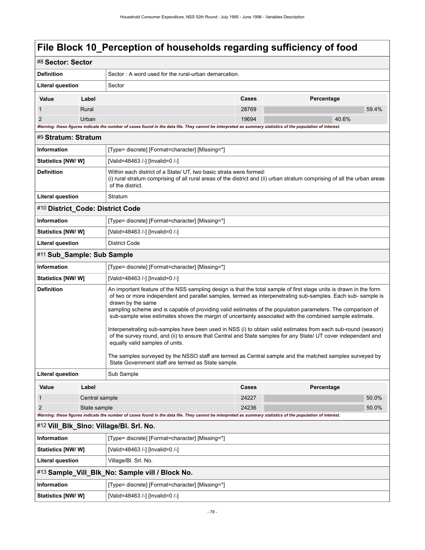| #8 Sector: Sector                       |                                                      |                                                                                                                                                                                                                                                                                                                                                                                                                                                                                                                                                                                                                                                                                                                                                                                                                                                                                                                         |                |            |  |  |  |  |
|-----------------------------------------|------------------------------------------------------|-------------------------------------------------------------------------------------------------------------------------------------------------------------------------------------------------------------------------------------------------------------------------------------------------------------------------------------------------------------------------------------------------------------------------------------------------------------------------------------------------------------------------------------------------------------------------------------------------------------------------------------------------------------------------------------------------------------------------------------------------------------------------------------------------------------------------------------------------------------------------------------------------------------------------|----------------|------------|--|--|--|--|
| <b>Definition</b>                       | Sector: A word used for the rural-urban demarcation. |                                                                                                                                                                                                                                                                                                                                                                                                                                                                                                                                                                                                                                                                                                                                                                                                                                                                                                                         |                |            |  |  |  |  |
| Literal question                        |                                                      | Sector                                                                                                                                                                                                                                                                                                                                                                                                                                                                                                                                                                                                                                                                                                                                                                                                                                                                                                                  |                |            |  |  |  |  |
| Value                                   | Label                                                |                                                                                                                                                                                                                                                                                                                                                                                                                                                                                                                                                                                                                                                                                                                                                                                                                                                                                                                         | Cases          | Percentage |  |  |  |  |
| 1                                       | Rural                                                |                                                                                                                                                                                                                                                                                                                                                                                                                                                                                                                                                                                                                                                                                                                                                                                                                                                                                                                         | 28769          | 59.4%      |  |  |  |  |
| $\overline{2}$                          | Urban                                                |                                                                                                                                                                                                                                                                                                                                                                                                                                                                                                                                                                                                                                                                                                                                                                                                                                                                                                                         | 19694          | 40.6%      |  |  |  |  |
|                                         |                                                      | Warning: these figures indicate the number of cases found in the data file. They cannot be interpreted as summary statistics of the population of interest.                                                                                                                                                                                                                                                                                                                                                                                                                                                                                                                                                                                                                                                                                                                                                             |                |            |  |  |  |  |
| #9 Stratum: Stratum                     |                                                      |                                                                                                                                                                                                                                                                                                                                                                                                                                                                                                                                                                                                                                                                                                                                                                                                                                                                                                                         |                |            |  |  |  |  |
| Information                             |                                                      | [Type= discrete] [Format=character] [Missing=*]                                                                                                                                                                                                                                                                                                                                                                                                                                                                                                                                                                                                                                                                                                                                                                                                                                                                         |                |            |  |  |  |  |
| Statistics [NW/W]                       |                                                      | [Valid=48463 /-] [Invalid=0 /-]                                                                                                                                                                                                                                                                                                                                                                                                                                                                                                                                                                                                                                                                                                                                                                                                                                                                                         |                |            |  |  |  |  |
| <b>Definition</b>                       |                                                      | Within each district of a State/ UT, two basic strata were formed:<br>(i) rural stratum comprising of all rural areas of the district and (ii) urban stratum comprising of all the urban areas<br>of the district.                                                                                                                                                                                                                                                                                                                                                                                                                                                                                                                                                                                                                                                                                                      |                |            |  |  |  |  |
| <b>Literal question</b>                 |                                                      | Stratum                                                                                                                                                                                                                                                                                                                                                                                                                                                                                                                                                                                                                                                                                                                                                                                                                                                                                                                 |                |            |  |  |  |  |
| #10 District_Code: District Code        |                                                      |                                                                                                                                                                                                                                                                                                                                                                                                                                                                                                                                                                                                                                                                                                                                                                                                                                                                                                                         |                |            |  |  |  |  |
| <b>Information</b>                      |                                                      | [Type= discrete] [Format=character] [Missing=*]                                                                                                                                                                                                                                                                                                                                                                                                                                                                                                                                                                                                                                                                                                                                                                                                                                                                         |                |            |  |  |  |  |
| <b>Statistics [NW/W]</b>                |                                                      | [Valid=48463 /-] [Invalid=0 /-]                                                                                                                                                                                                                                                                                                                                                                                                                                                                                                                                                                                                                                                                                                                                                                                                                                                                                         |                |            |  |  |  |  |
| <b>Literal question</b>                 |                                                      | <b>District Code</b>                                                                                                                                                                                                                                                                                                                                                                                                                                                                                                                                                                                                                                                                                                                                                                                                                                                                                                    |                |            |  |  |  |  |
| #11 Sub Sample: Sub Sample              |                                                      |                                                                                                                                                                                                                                                                                                                                                                                                                                                                                                                                                                                                                                                                                                                                                                                                                                                                                                                         |                |            |  |  |  |  |
| Information                             |                                                      | [Type= discrete] [Format=character] [Missing=*]                                                                                                                                                                                                                                                                                                                                                                                                                                                                                                                                                                                                                                                                                                                                                                                                                                                                         |                |            |  |  |  |  |
| Statistics [NW/W]                       |                                                      | [Valid=48463 /-] [Invalid=0 /-]                                                                                                                                                                                                                                                                                                                                                                                                                                                                                                                                                                                                                                                                                                                                                                                                                                                                                         |                |            |  |  |  |  |
| <b>Definition</b>                       |                                                      | An important feature of the NSS sampling design is that the total sample of first stage units is drawn in the form<br>of two or more independent and parallel samples, termed as interpenetrating sub-samples. Each sub-sample is<br>drawn by the same<br>sampling scheme and is capable of providing valid estimates of the population parameters. The comparison of<br>sub-sample wise estimates shows the margin of uncertainty associated with the combined sample estimate.<br>Interpenetrating sub-samples have been used in NSS (i) to obtain valid estimates from each sub-round (season)<br>of the survey round, and (ii) to ensure that Central and State samples for any State/ UT cover independent and<br>equally valid samples of units.<br>The samples surveyed by the NSSO staff are termed as Central sample and the matched samples surveyed by<br>State Government staff are termed as State sample. |                |            |  |  |  |  |
| <b>Literal question</b>                 |                                                      | Sub Sample                                                                                                                                                                                                                                                                                                                                                                                                                                                                                                                                                                                                                                                                                                                                                                                                                                                                                                              |                |            |  |  |  |  |
| Value                                   | Label                                                |                                                                                                                                                                                                                                                                                                                                                                                                                                                                                                                                                                                                                                                                                                                                                                                                                                                                                                                         | Cases          | Percentage |  |  |  |  |
| 1<br>Central sample                     |                                                      |                                                                                                                                                                                                                                                                                                                                                                                                                                                                                                                                                                                                                                                                                                                                                                                                                                                                                                                         | 24227          | 50.0%      |  |  |  |  |
| $\overline{2}$<br>State sample          |                                                      |                                                                                                                                                                                                                                                                                                                                                                                                                                                                                                                                                                                                                                                                                                                                                                                                                                                                                                                         | 24236<br>50.0% |            |  |  |  |  |
|                                         |                                                      | Warning: these figures indicate the number of cases found in the data file. They cannot be interpreted as summary statistics of the population of interest.                                                                                                                                                                                                                                                                                                                                                                                                                                                                                                                                                                                                                                                                                                                                                             |                |            |  |  |  |  |
| #12 Vill_Blk_SIno: Village/Bl. Srl. No. |                                                      |                                                                                                                                                                                                                                                                                                                                                                                                                                                                                                                                                                                                                                                                                                                                                                                                                                                                                                                         |                |            |  |  |  |  |
| Information                             |                                                      | [Type= discrete] [Format=character] [Missing=*]                                                                                                                                                                                                                                                                                                                                                                                                                                                                                                                                                                                                                                                                                                                                                                                                                                                                         |                |            |  |  |  |  |
| Statistics [NW/W]                       |                                                      | [Valid=48463 /-] [Invalid=0 /-]                                                                                                                                                                                                                                                                                                                                                                                                                                                                                                                                                                                                                                                                                                                                                                                                                                                                                         |                |            |  |  |  |  |
| <b>Literal question</b>                 |                                                      | Village/Bl. Srl. No.                                                                                                                                                                                                                                                                                                                                                                                                                                                                                                                                                                                                                                                                                                                                                                                                                                                                                                    |                |            |  |  |  |  |
|                                         |                                                      | #13 Sample_Vill_Blk_No: Sample vill / Block No.                                                                                                                                                                                                                                                                                                                                                                                                                                                                                                                                                                                                                                                                                                                                                                                                                                                                         |                |            |  |  |  |  |
| <b>Information</b>                      |                                                      | [Type= discrete] [Format=character] [Missing=*]                                                                                                                                                                                                                                                                                                                                                                                                                                                                                                                                                                                                                                                                                                                                                                                                                                                                         |                |            |  |  |  |  |
| Statistics [NW/W]                       |                                                      | [Valid=48463 /-] [Invalid=0 /-]                                                                                                                                                                                                                                                                                                                                                                                                                                                                                                                                                                                                                                                                                                                                                                                                                                                                                         |                |            |  |  |  |  |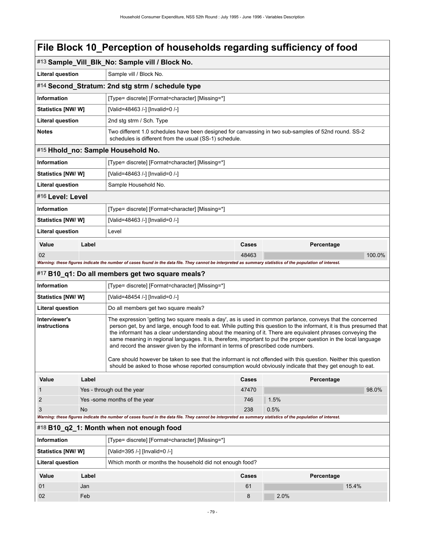|                               | #13 Sample_Vill_Blk_No: Sample vill / Block No. |                                                                                                                                                                                                                                                                                                                                                                                                                                                                                                                                                            |       |            |        |  |
|-------------------------------|-------------------------------------------------|------------------------------------------------------------------------------------------------------------------------------------------------------------------------------------------------------------------------------------------------------------------------------------------------------------------------------------------------------------------------------------------------------------------------------------------------------------------------------------------------------------------------------------------------------------|-------|------------|--------|--|
| <b>Literal question</b>       |                                                 | Sample vill / Block No.                                                                                                                                                                                                                                                                                                                                                                                                                                                                                                                                    |       |            |        |  |
|                               |                                                 | #14 Second_Stratum: 2nd stg strm / schedule type                                                                                                                                                                                                                                                                                                                                                                                                                                                                                                           |       |            |        |  |
| <b>Information</b>            |                                                 | [Type= discrete] [Format=character] [Missing=*]                                                                                                                                                                                                                                                                                                                                                                                                                                                                                                            |       |            |        |  |
| Statistics [NW/W]             |                                                 | [Valid=48463 /-] [Invalid=0 /-]                                                                                                                                                                                                                                                                                                                                                                                                                                                                                                                            |       |            |        |  |
| <b>Literal question</b>       |                                                 | 2nd stg strm / Sch. Type                                                                                                                                                                                                                                                                                                                                                                                                                                                                                                                                   |       |            |        |  |
| <b>Notes</b>                  |                                                 | Two different 1.0 schedules have been designed for canvassing in two sub-samples of 52nd round. SS-2<br>schedules is different from the usual (SS-1) schedule.                                                                                                                                                                                                                                                                                                                                                                                             |       |            |        |  |
|                               |                                                 | #15 Hhold_no: Sample Household No.                                                                                                                                                                                                                                                                                                                                                                                                                                                                                                                         |       |            |        |  |
| <b>Information</b>            |                                                 | [Type= discrete] [Format=character] [Missing=*]                                                                                                                                                                                                                                                                                                                                                                                                                                                                                                            |       |            |        |  |
| Statistics [NW/W]             |                                                 | [Valid=48463 /-] [Invalid=0 /-]                                                                                                                                                                                                                                                                                                                                                                                                                                                                                                                            |       |            |        |  |
| <b>Literal question</b>       |                                                 | Sample Household No.                                                                                                                                                                                                                                                                                                                                                                                                                                                                                                                                       |       |            |        |  |
| #16 Level: Level              |                                                 |                                                                                                                                                                                                                                                                                                                                                                                                                                                                                                                                                            |       |            |        |  |
| <b>Information</b>            |                                                 | [Type= discrete] [Format=character] [Missing=*]                                                                                                                                                                                                                                                                                                                                                                                                                                                                                                            |       |            |        |  |
| Statistics [NW/W]             |                                                 | [Valid=48463 /-] [Invalid=0 /-]                                                                                                                                                                                                                                                                                                                                                                                                                                                                                                                            |       |            |        |  |
| <b>Literal question</b>       |                                                 | Level                                                                                                                                                                                                                                                                                                                                                                                                                                                                                                                                                      |       |            |        |  |
| Value                         | Label                                           |                                                                                                                                                                                                                                                                                                                                                                                                                                                                                                                                                            | Cases | Percentage |        |  |
| 02                            |                                                 |                                                                                                                                                                                                                                                                                                                                                                                                                                                                                                                                                            | 48463 |            | 100.0% |  |
|                               |                                                 | Warning: these figures indicate the number of cases found in the data file. They cannot be interpreted as summary statistics of the population of interest.                                                                                                                                                                                                                                                                                                                                                                                                |       |            |        |  |
|                               |                                                 | #17 B10_q1: Do all members get two square meals?                                                                                                                                                                                                                                                                                                                                                                                                                                                                                                           |       |            |        |  |
| Information                   |                                                 | [Type= discrete] [Format=character] [Missing=*]                                                                                                                                                                                                                                                                                                                                                                                                                                                                                                            |       |            |        |  |
| Statistics [NW/W]             |                                                 | [Valid=48454 /-] [Invalid=0 /-]                                                                                                                                                                                                                                                                                                                                                                                                                                                                                                                            |       |            |        |  |
| Literal question              |                                                 | Do all members get two square meals?                                                                                                                                                                                                                                                                                                                                                                                                                                                                                                                       |       |            |        |  |
| Interviewer's<br>instructions |                                                 | The expression 'getting two square meals a day', as is used in common parlance, conveys that the concerned<br>person get, by and large, enough food to eat. While putting this question to the informant, it is thus presumed that<br>the informant has a clear understanding about the meaning of it. There are equivalent phrases conveying the<br>same meaning in regional languages. It is, therefore, important to put the proper question in the local language<br>and record the answer given by the informant in terms of prescribed code numbers. |       |            |        |  |
|                               |                                                 | Care should however be taken to see that the informant is not offended with this question. Neither this question<br>should be asked to those whose reported consumption would obviously indicate that they get enough to eat.                                                                                                                                                                                                                                                                                                                              |       |            |        |  |
| Value                         | Label                                           |                                                                                                                                                                                                                                                                                                                                                                                                                                                                                                                                                            | Cases | Percentage |        |  |
| 1                             |                                                 | Yes - through out the year                                                                                                                                                                                                                                                                                                                                                                                                                                                                                                                                 | 47470 |            | 98.0%  |  |
| $\overline{2}$                |                                                 | Yes-some months of the year                                                                                                                                                                                                                                                                                                                                                                                                                                                                                                                                | 746   | 1.5%       |        |  |
| 3                             | <b>No</b>                                       | Warning: these figures indicate the number of cases found in the data file. They cannot be interpreted as summary statistics of the population of interest.                                                                                                                                                                                                                                                                                                                                                                                                | 238   | 0.5%       |        |  |
|                               |                                                 | #18 B10_q2_1: Month when not enough food                                                                                                                                                                                                                                                                                                                                                                                                                                                                                                                   |       |            |        |  |
| Information                   |                                                 | [Type= discrete] [Format=character] [Missing=*]                                                                                                                                                                                                                                                                                                                                                                                                                                                                                                            |       |            |        |  |
| Statistics [NW/W]             |                                                 | [Valid=395 /-] [Invalid=0 /-]                                                                                                                                                                                                                                                                                                                                                                                                                                                                                                                              |       |            |        |  |
| <b>Literal question</b>       |                                                 | Which month or months the household did not enough food?                                                                                                                                                                                                                                                                                                                                                                                                                                                                                                   |       |            |        |  |
| Value                         | Label                                           |                                                                                                                                                                                                                                                                                                                                                                                                                                                                                                                                                            | Cases | Percentage |        |  |
| 01                            | Jan                                             |                                                                                                                                                                                                                                                                                                                                                                                                                                                                                                                                                            | 61    |            | 15.4%  |  |
| 02                            | Feb                                             |                                                                                                                                                                                                                                                                                                                                                                                                                                                                                                                                                            | 8     | 2.0%       |        |  |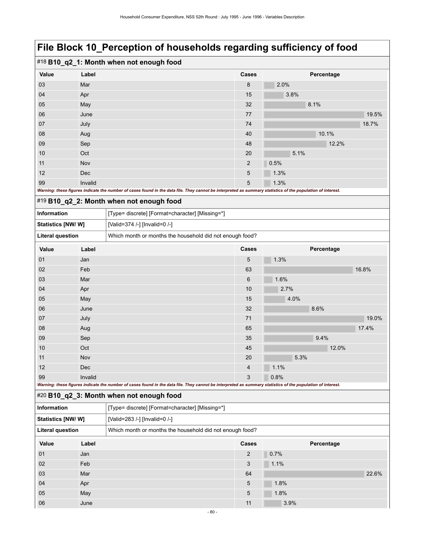|       | #18 B10_q2_1: Month when not enough food                                                                                                                    |                |      |            |       |  |  |  |
|-------|-------------------------------------------------------------------------------------------------------------------------------------------------------------|----------------|------|------------|-------|--|--|--|
| Value | Label                                                                                                                                                       | <b>Cases</b>   |      | Percentage |       |  |  |  |
| 03    | Mar                                                                                                                                                         | 8              | 2.0% |            |       |  |  |  |
| 04    | Apr                                                                                                                                                         | 15             | 3.8% |            |       |  |  |  |
| 05    | May                                                                                                                                                         | 32             |      | 8.1%       |       |  |  |  |
| 06    | June                                                                                                                                                        | 77             |      |            | 19.5% |  |  |  |
| 07    | July                                                                                                                                                        | 74             |      |            | 18.7% |  |  |  |
| 08    | Aug                                                                                                                                                         | 40             |      | 10.1%      |       |  |  |  |
| 09    | Sep                                                                                                                                                         | 48             |      | 12.2%      |       |  |  |  |
| 10    | Oct                                                                                                                                                         | 20             | 5.1% |            |       |  |  |  |
| 11    | Nov                                                                                                                                                         | $\overline{2}$ | 0.5% |            |       |  |  |  |
| 12    | <b>Dec</b>                                                                                                                                                  | 5              | 1.3% |            |       |  |  |  |
| 99    | Invalid                                                                                                                                                     | 5              | 1.3% |            |       |  |  |  |
|       | Warning: these figures indicate the number of cases found in the data file. They cannot be interpreted as summary statistics of the population of interest. |                |      |            |       |  |  |  |

### #19 **B10\_q2\_2: Month when not enough food**

| _ . _                                                                                                                                                       |            |                                                          |       |      |            |       |       |  |
|-------------------------------------------------------------------------------------------------------------------------------------------------------------|------------|----------------------------------------------------------|-------|------|------------|-------|-------|--|
| Information<br>[Type= discrete] [Format=character] [Missing=*]                                                                                              |            |                                                          |       |      |            |       |       |  |
| Statistics [NW/W]                                                                                                                                           |            | [Valid=374 /-] [Invalid=0 /-]                            |       |      |            |       |       |  |
| <b>Literal question</b>                                                                                                                                     |            | Which month or months the household did not enough food? |       |      |            |       |       |  |
| Value                                                                                                                                                       | Label      |                                                          | Cases |      | Percentage |       |       |  |
| 01                                                                                                                                                          | Jan        |                                                          | 5     | 1.3% |            |       |       |  |
| 02                                                                                                                                                          | Feb        |                                                          | 63    |      |            |       | 16.8% |  |
| 03                                                                                                                                                          | Mar        |                                                          | 6     | 1.6% |            |       |       |  |
| 04                                                                                                                                                          | Apr        |                                                          | 10    | 2.7% |            |       |       |  |
| 05                                                                                                                                                          | May        |                                                          | 15    | 4.0% |            |       |       |  |
| 06                                                                                                                                                          | June       |                                                          | 32    |      | 8.6%       |       |       |  |
| 07                                                                                                                                                          | July       |                                                          | 71    |      |            |       | 19.0% |  |
| 08                                                                                                                                                          | Aug        |                                                          | 65    |      |            |       | 17.4% |  |
| 09                                                                                                                                                          | Sep        |                                                          | 35    |      | 9.4%       |       |       |  |
| 10                                                                                                                                                          | Oct        |                                                          | 45    |      |            | 12.0% |       |  |
| 11                                                                                                                                                          | Nov        |                                                          | 20    | 5.3% |            |       |       |  |
| 12                                                                                                                                                          | <b>Dec</b> |                                                          | 4     | 1.1% |            |       |       |  |
| 99                                                                                                                                                          | Invalid    |                                                          | 3     | 0.8% |            |       |       |  |
| Warning: these figures indicate the number of cases found in the data file. They cannot be interpreted as summary statistics of the population of interest. |            |                                                          |       |      |            |       |       |  |

### #20 **B10\_q2\_3: Month when not enough food**

| Information             | [Type= discrete] [Format=character] [Missing=*] |                                                          |       |            |       |  |  |  |
|-------------------------|-------------------------------------------------|----------------------------------------------------------|-------|------------|-------|--|--|--|
| Statistics [NW/W]       |                                                 | [Valid=283 /-] [Invalid=0 /-]                            |       |            |       |  |  |  |
| <b>Literal question</b> |                                                 | Which month or months the household did not enough food? |       |            |       |  |  |  |
| Value                   | Label                                           |                                                          | Cases | Percentage |       |  |  |  |
| 01                      | Jan                                             |                                                          | 2     | 0.7%       |       |  |  |  |
| 02                      | Feb                                             |                                                          | 3     | 1.1%       |       |  |  |  |
| 03                      | Mar                                             |                                                          | 64    |            | 22.6% |  |  |  |
| 04                      | Apr                                             |                                                          | 5     | 1.8%       |       |  |  |  |
| 05                      | May                                             |                                                          | 5     | 1.8%       |       |  |  |  |
| 06                      | June                                            |                                                          | 11    | 3.9%       |       |  |  |  |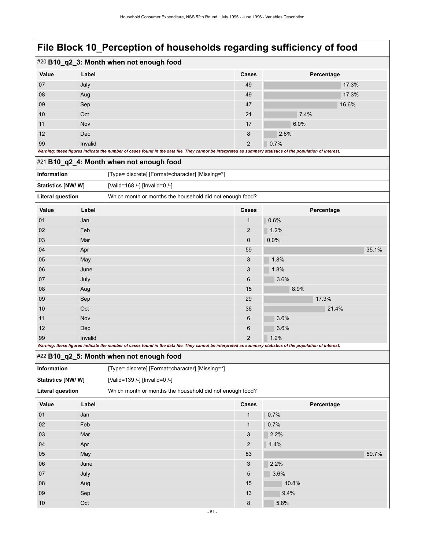### #20 **B10\_q2\_3: Month when not enough food Value Label Cases Percentage** 07 July 49 17.3% 08 Aug 49 17.3% 09 Sep 47 16.6% 10 Oct 21  $21$  7.4% 11 Nov 17 6.0% and 17 6.0% and 17 6.0% and 17 6.0% and 17 6.0% and 17 6.0% and 17 6.0% and 17 6.0% and 17 6.0% 12 Dec 2.8% and  $\sim$  2.8% and  $\sim$  2.8% and  $\sim$  2.8% and  $\sim$  2.8% and  $\sim$  2.8% and  $\sim$  2.8% and  $\sim$  2.8% and  $\sim$  2.8% and  $\sim$  2.8% and  $\sim$  2.8% and  $\sim$  2.8% and  $\sim$  2.8% and  $\sim$  2.8% and  $\sim$  2.8% and  $\sim$  2.8% 99 Invalid 2 0.7% *Warning: these figures indicate the number of cases found in the data file. They cannot be interpreted as summary statistics of the population of interest.*

#### #21 **B10\_q2\_4: Month when not enough food**

|                    |       | $\pi$ $\sim$ $\cdot$ D IV Q $\alpha$ 4. Month when not enough lood |              |            |       |  |  |
|--------------------|-------|--------------------------------------------------------------------|--------------|------------|-------|--|--|
| <b>Information</b> |       | [Type= discrete] [Format=character] [Missing=*]                    |              |            |       |  |  |
| Statistics [NW/ W] |       | [Valid=168 /-] [Invalid=0 /-]                                      |              |            |       |  |  |
| Literal question   |       | Which month or months the household did not enough food?           |              |            |       |  |  |
| Value              | Label |                                                                    | <b>Cases</b> | Percentage |       |  |  |
| 01                 | Jan   |                                                                    |              | 0.6%       |       |  |  |
| 02                 | Feb   |                                                                    | 2            | 1.2%       |       |  |  |
| 03                 | Mar   |                                                                    | $\Omega$     | 0.0%       |       |  |  |
| 04                 | Apr   |                                                                    | 59           |            | 35.1% |  |  |

99 Invalid 2 1.2% *Warning: these figures indicate the number of cases found in the data file. They cannot be interpreted as summary statistics of the population of interest.*

09 Sep 29 17.3% 10  $\qquad$  Oct  $\qquad$  36  $\qquad$  21.4%

05 May 3 1.8% **May 1.8% and 1.8% and 1.8%** 06 June 3 1.8% 07 July 6 3.6% 08 Aug 15 8.9% 15 8.9%

11 Nov  $N_{\rm O}$  Nov  $6$  3.6% 12 Dec 6 3.6%

#### #22 **B10\_q2\_5: Month when not enough food**

| Information             |       | [Type= discrete] [Format=character] [Missing=*]          |              |            |       |  |  |
|-------------------------|-------|----------------------------------------------------------|--------------|------------|-------|--|--|
| Statistics [NW/W]       |       | [Valid=139 /-] [Invalid=0 /-]                            |              |            |       |  |  |
| <b>Literal question</b> |       | Which month or months the household did not enough food? |              |            |       |  |  |
| Value                   | Label |                                                          | Cases        | Percentage |       |  |  |
| 01                      | Jan   |                                                          | $\mathbf{1}$ | 0.7%       |       |  |  |
| 02                      | Feb   |                                                          | 1            | 0.7%       |       |  |  |
| 03                      | Mar   |                                                          | 3            | 2.2%       |       |  |  |
| 04                      | Apr   |                                                          | 2            | 1.4%       |       |  |  |
| 05                      | May   |                                                          | 83           |            | 59.7% |  |  |
| 06                      | June  |                                                          | 3            | 2.2%       |       |  |  |
| 07                      | July  |                                                          | 5            | 3.6%       |       |  |  |
| 08                      | Aug   |                                                          | 15           | 10.8%      |       |  |  |
| 09                      | Sep   |                                                          | 13           | 9.4%       |       |  |  |
| 10                      | Oct   |                                                          | 8            | 5.8%       |       |  |  |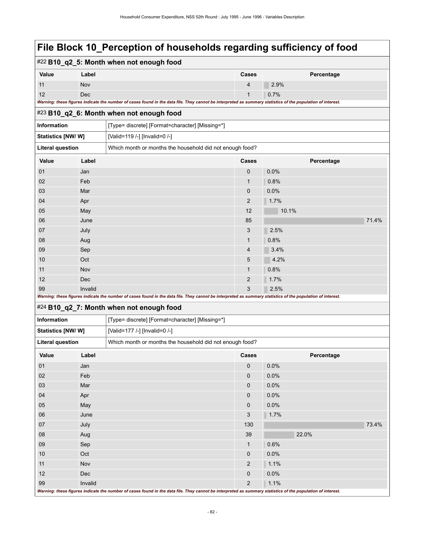| #22 B10_q2_5: Month when not enough food |         |                                                                                                                                                             |                |            |       |  |
|------------------------------------------|---------|-------------------------------------------------------------------------------------------------------------------------------------------------------------|----------------|------------|-------|--|
| Value                                    | Label   |                                                                                                                                                             |                | Percentage |       |  |
| 11                                       | Nov     |                                                                                                                                                             | 4              | 2.9%       |       |  |
| 12                                       | Dec     |                                                                                                                                                             | $\mathbf{1}$   | 0.7%       |       |  |
|                                          |         | Warning: these figures indicate the number of cases found in the data file. They cannot be interpreted as summary statistics of the population of interest. |                |            |       |  |
|                                          |         | #23 B10_q2_6: Month when not enough food                                                                                                                    |                |            |       |  |
| Information                              |         | [Type= discrete] [Format=character] [Missing=*]                                                                                                             |                |            |       |  |
| Statistics [NW/ W]                       |         | [Valid=119 /-] [Invalid=0 /-]                                                                                                                               |                |            |       |  |
| <b>Literal question</b>                  |         | Which month or months the household did not enough food?                                                                                                    |                |            |       |  |
| Value                                    | Label   |                                                                                                                                                             | Cases          | Percentage |       |  |
| 01                                       | Jan     |                                                                                                                                                             | 0              | 0.0%       |       |  |
| 02                                       | Feb     |                                                                                                                                                             | $\mathbf{1}$   | 0.8%       |       |  |
| 03                                       | Mar     |                                                                                                                                                             | 0              | 0.0%       |       |  |
| 04                                       | Apr     |                                                                                                                                                             | $\overline{c}$ | 1.7%       |       |  |
| 05                                       | May     |                                                                                                                                                             | 12             | 10.1%      |       |  |
| 06                                       | June    |                                                                                                                                                             | 85             |            | 71.4% |  |
| 07                                       | July    |                                                                                                                                                             | 3              | 2.5%       |       |  |
| 08                                       | Aug     |                                                                                                                                                             | $\mathbf{1}$   | 0.8%       |       |  |
| 09                                       | Sep     |                                                                                                                                                             | 4              | 3.4%       |       |  |
| 10                                       | Oct     |                                                                                                                                                             | 5              | 4.2%       |       |  |
| 11                                       | Nov     |                                                                                                                                                             | 1              | 0.8%       |       |  |
| 12                                       | Dec     |                                                                                                                                                             | $\overline{c}$ | 1.7%       |       |  |
| 99                                       | Invalid |                                                                                                                                                             | 3              | 2.5%       |       |  |
|                                          |         | Warning: these figures indicate the number of cases found in the data file. They cannot be interpreted as summary statistics of the population of interest. |                |            |       |  |
|                                          |         | #24 B10_q2_7: Month when not enough food                                                                                                                    |                |            |       |  |
| Information                              |         | [Type= discrete] [Format=character] [Missing=*]                                                                                                             |                |            |       |  |
| Statistics [NW/W]                        |         | [Valid=177 /-] [Invalid=0 /-]                                                                                                                               |                |            |       |  |
| <b>Literal question</b>                  |         | Which month or months the household did not enough food?                                                                                                    |                |            |       |  |
| Value                                    | Label   |                                                                                                                                                             | Cases          | Percentage |       |  |
| 01                                       | Jan     |                                                                                                                                                             | 0              | 0.0%       |       |  |
| 02                                       | Feb     |                                                                                                                                                             | $\mathbf 0$    | 0.0%       |       |  |
| 03                                       | Mar     |                                                                                                                                                             | $\mathbf 0$    | 0.0%       |       |  |
| 04                                       | Apr     |                                                                                                                                                             | 0              | 0.0%       |       |  |
| 05                                       | May     |                                                                                                                                                             | $\mathbf 0$    | 0.0%       |       |  |
| 06                                       | June    |                                                                                                                                                             | 3              | 1.7%       |       |  |
| 07                                       | July    |                                                                                                                                                             | 130            |            | 73.4% |  |
| 08                                       | Aug     |                                                                                                                                                             | 39             | 22.0%      |       |  |
| 09                                       | Sep     |                                                                                                                                                             | $\mathbf{1}$   | 0.6%       |       |  |
| 10                                       | Oct     |                                                                                                                                                             | 0              | 0.0%       |       |  |
| 11                                       | Nov     |                                                                                                                                                             | $\overline{2}$ | 1.1%       |       |  |
| 12                                       | Dec     |                                                                                                                                                             | $\pmb{0}$      | 0.0%       |       |  |
| 99                                       | Invalid |                                                                                                                                                             | $\overline{2}$ | 1.1%       |       |  |
|                                          |         | Warning: these figures indicate the number of cases found in the data file. They cannot be interpreted as summary statistics of the population of interest. |                |            |       |  |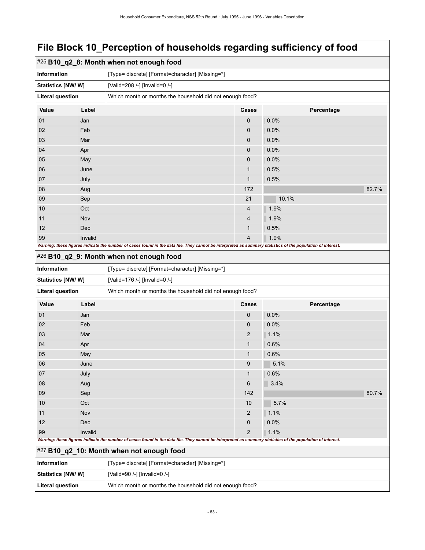| #25 B10_q2_8: Month when not enough food                                                                                                                    |         |                                                          |                |            |       |  |
|-------------------------------------------------------------------------------------------------------------------------------------------------------------|---------|----------------------------------------------------------|----------------|------------|-------|--|
| <b>Information</b>                                                                                                                                          |         | [Type= discrete] [Format=character] [Missing=*]          |                |            |       |  |
| Statistics [NW/W]                                                                                                                                           |         | [Valid=208 /-] [Invalid=0 /-]                            |                |            |       |  |
| <b>Literal question</b>                                                                                                                                     |         | Which month or months the household did not enough food? |                |            |       |  |
| Value                                                                                                                                                       | Label   |                                                          | <b>Cases</b>   | Percentage |       |  |
| 01                                                                                                                                                          | Jan     |                                                          | $\mathbf{0}$   | 0.0%       |       |  |
| 02                                                                                                                                                          | Feb     |                                                          | $\mathbf{0}$   | 0.0%       |       |  |
| 03                                                                                                                                                          | Mar     |                                                          | $\mathbf{0}$   | 0.0%       |       |  |
| 04                                                                                                                                                          | Apr     |                                                          | $\mathbf{0}$   | 0.0%       |       |  |
| 05                                                                                                                                                          | May     |                                                          | $\mathbf{0}$   | 0.0%       |       |  |
| 06                                                                                                                                                          | June    |                                                          | 1              | 0.5%       |       |  |
| 07                                                                                                                                                          | July    |                                                          | 1              | 0.5%       |       |  |
| 08                                                                                                                                                          | Aug     |                                                          | 172            |            | 82.7% |  |
| 09                                                                                                                                                          | Sep     |                                                          | 21             | 10.1%      |       |  |
| 10                                                                                                                                                          | Oct     |                                                          | $\overline{4}$ | 1.9%       |       |  |
| 11                                                                                                                                                          | Nov     |                                                          | $\overline{4}$ | 1.9%       |       |  |
| 12                                                                                                                                                          | Dec     |                                                          | 1              | 0.5%       |       |  |
| 99                                                                                                                                                          | Invalid |                                                          | $\overline{4}$ | 1.9%       |       |  |
| Warning: these figures indicate the number of cases found in the data file. They cannot be interpreted as summary statistics of the population of interest. |         |                                                          |                |            |       |  |

### #26 **B10\_q2\_9: Month when not enough food**

| <b>Information</b>                                 |                                                                                                                                                             | [Type= discrete] [Format=character] [Missing=*]          |                |            |       |  |
|----------------------------------------------------|-------------------------------------------------------------------------------------------------------------------------------------------------------------|----------------------------------------------------------|----------------|------------|-------|--|
| Statistics [NW/W]<br>[Valid=176 /-] [Invalid=0 /-] |                                                                                                                                                             |                                                          |                |            |       |  |
| <b>Literal question</b>                            |                                                                                                                                                             | Which month or months the household did not enough food? |                |            |       |  |
| Value                                              | Label                                                                                                                                                       |                                                          | Cases          | Percentage |       |  |
| 01                                                 | Jan                                                                                                                                                         |                                                          | 0              | 0.0%       |       |  |
| 02                                                 | Feb                                                                                                                                                         |                                                          | 0              | 0.0%       |       |  |
| 03                                                 | Mar                                                                                                                                                         |                                                          | $\overline{2}$ | 1.1%       |       |  |
| 04                                                 | Apr                                                                                                                                                         |                                                          | $\mathbf{1}$   | 0.6%       |       |  |
| 05                                                 | May                                                                                                                                                         |                                                          | $\mathbf{1}$   | 0.6%       |       |  |
| 06                                                 | June                                                                                                                                                        |                                                          | 9              | 5.1%       |       |  |
| 07                                                 | July                                                                                                                                                        |                                                          | $\mathbf{1}$   | 0.6%       |       |  |
| 08                                                 | Aug                                                                                                                                                         |                                                          | 6              | 3.4%       |       |  |
| 09                                                 | Sep                                                                                                                                                         |                                                          | 142            |            | 80.7% |  |
| 10                                                 | Oct                                                                                                                                                         |                                                          | 10             | 5.7%       |       |  |
| 11                                                 | Nov                                                                                                                                                         |                                                          | $\overline{2}$ | 1.1%       |       |  |
| 12                                                 | Dec                                                                                                                                                         |                                                          | 0              | 0.0%       |       |  |
| 99                                                 | Invalid                                                                                                                                                     |                                                          | $\overline{2}$ | 1.1%       |       |  |
|                                                    | Warning: these figures indicate the number of cases found in the data file. They cannot be interpreted as summary statistics of the population of interest. |                                                          |                |            |       |  |
|                                                    | #27 B10_q2_10: Month when not enough food                                                                                                                   |                                                          |                |            |       |  |

| Information       | [Type= discrete] [Format=character] [Missing=*]          |
|-------------------|----------------------------------------------------------|
| Statistics [NW/W] | [Valid=90 /-] [Invalid=0 /-]                             |
| Literal question  | Which month or months the household did not enough food? |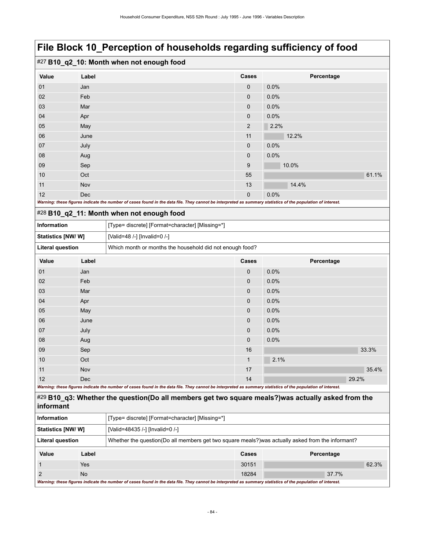|  |  |  |  |  | #27 B10_q2_10: Month when not enough food |
|--|--|--|--|--|-------------------------------------------|
|--|--|--|--|--|-------------------------------------------|

| Value | Label                                                                                                                                                       | Cases          | Percentage |
|-------|-------------------------------------------------------------------------------------------------------------------------------------------------------------|----------------|------------|
| 01    | Jan                                                                                                                                                         | $\mathbf{0}$   | 0.0%       |
| 02    | Feb                                                                                                                                                         | $\mathbf 0$    | 0.0%       |
| 03    | Mar                                                                                                                                                         | $\mathbf 0$    | 0.0%       |
| 04    | Apr                                                                                                                                                         | $\mathbf{0}$   | 0.0%       |
| 05    | May                                                                                                                                                         | $\overline{2}$ | 2.2%       |
| 06    | June                                                                                                                                                        | 11             | 12.2%      |
| 07    | July                                                                                                                                                        | $\mathbf{0}$   | 0.0%       |
| 08    | Aug                                                                                                                                                         | $\mathbf 0$    | 0.0%       |
| 09    | Sep                                                                                                                                                         | 9              | 10.0%      |
| 10    | Oct                                                                                                                                                         | 55             | 61.1%      |
| 11    | Nov                                                                                                                                                         | 13             | 14.4%      |
| 12    | <b>Dec</b>                                                                                                                                                  | $\mathbf{0}$   | 0.0%       |
|       | Warning: these figures indicate the number of cases found in the data file. They cannot be interpreted as summary statistics of the population of interest. |                |            |

|  |  |  |  |  |  |  | #28 B10_q2_11: Month when not enough food |  |
|--|--|--|--|--|--|--|-------------------------------------------|--|
|--|--|--|--|--|--|--|-------------------------------------------|--|

| _ . _                                                                               |       | $\cdot$                                         |       |            |
|-------------------------------------------------------------------------------------|-------|-------------------------------------------------|-------|------------|
| <b>Information</b>                                                                  |       | [Type= discrete] [Format=character] [Missing=*] |       |            |
| <b>Statistics [NW/W]</b>                                                            |       | [Valid=48 /-] [Invalid=0 /-]                    |       |            |
| <b>Literal question</b><br>Which month or months the household did not enough food? |       |                                                 |       |            |
| Value                                                                               | Label |                                                 | Cases | Percentage |
| 01                                                                                  | Jan   |                                                 | 0     | $0.0\%$    |
| 02                                                                                  | Feb   |                                                 | 0     | $0.0\%$    |
| 03                                                                                  | Mar   |                                                 | 0     | $0.0\%$    |
| 04                                                                                  | Apr   |                                                 | 0     | $0.0\%$    |
| 05                                                                                  | May   |                                                 | 0     | 0.0%       |

| 06 | June       | 0            | $0.0\%$ |
|----|------------|--------------|---------|
| 07 | July       | $\mathbf{0}$ | 0.0%    |
| 08 | Aug        | $\mathbf{0}$ | 0.0%    |
| 09 | Sep        | 16           | 33.3%   |
| 10 | Oct        |              | 2.1%    |
| 11 | <b>Nov</b> | 17           | 35.4%   |
| 12 | <b>Dec</b> | 14           | 29.2%   |

*Warning: these figures indicate the number of cases found in the data file. They cannot be interpreted as summary statistics of the population of interest.*

#### #29 **B10\_q3: Whether the question(Do all members get two square meals?)was actually asked from the informant**

| <b>Information</b>                                                                                                            |       | [Type= discrete] [Format=character] [Missing=*]                                                                                                             |              |            |       |  |
|-------------------------------------------------------------------------------------------------------------------------------|-------|-------------------------------------------------------------------------------------------------------------------------------------------------------------|--------------|------------|-------|--|
| <b>Statistics [NW/ W]</b><br>[Valid=48435 /-] [Invalid=0 /-]                                                                  |       |                                                                                                                                                             |              |            |       |  |
| Whether the question (Do all members get two square meals?) was actually asked from the informant?<br><b>Literal question</b> |       |                                                                                                                                                             |              |            |       |  |
| Value                                                                                                                         | Label |                                                                                                                                                             | <b>Cases</b> | Percentage |       |  |
|                                                                                                                               | Yes   |                                                                                                                                                             | 30151        |            | 62.3% |  |
|                                                                                                                               | No.   |                                                                                                                                                             | 18284        | 37.7%      |       |  |
|                                                                                                                               |       | Warning: these figures indicate the number of cases found in the data file. They cannot be interpreted as summary statistics of the population of interest. |              |            |       |  |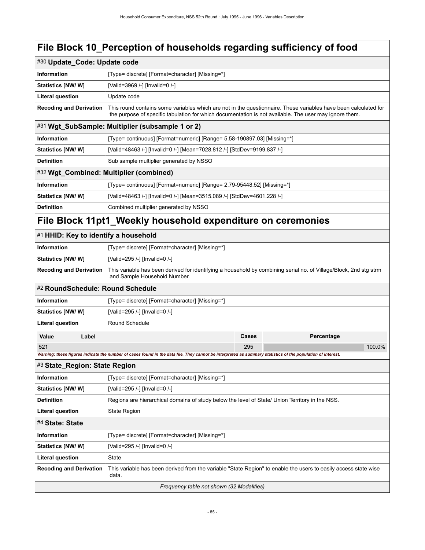| #30 Update_Code: Update code                                                                                                                                                        |                                                                                                                                                                                                                           |                                                                                                 |            |  |  |  |
|-------------------------------------------------------------------------------------------------------------------------------------------------------------------------------------|---------------------------------------------------------------------------------------------------------------------------------------------------------------------------------------------------------------------------|-------------------------------------------------------------------------------------------------|------------|--|--|--|
| <b>Information</b>                                                                                                                                                                  | [Type= discrete] [Format=character] [Missing=*]                                                                                                                                                                           |                                                                                                 |            |  |  |  |
| <b>Statistics [NW/W]</b>                                                                                                                                                            | [Valid=3969 /-] [Invalid=0 /-]                                                                                                                                                                                            |                                                                                                 |            |  |  |  |
| <b>Literal question</b>                                                                                                                                                             | Update code                                                                                                                                                                                                               |                                                                                                 |            |  |  |  |
| <b>Recoding and Derivation</b>                                                                                                                                                      | This round contains some variables which are not in the questionnaire. These variables have been calculated for<br>the purpose of specific tabulation for which documentation is not available. The user may ignore them. |                                                                                                 |            |  |  |  |
|                                                                                                                                                                                     | #31 Wgt_SubSample: Multiplier (subsample 1 or 2)                                                                                                                                                                          |                                                                                                 |            |  |  |  |
| Information                                                                                                                                                                         | [Type= continuous] [Format=numeric] [Range= 5.58-190897.03] [Missing=*]                                                                                                                                                   |                                                                                                 |            |  |  |  |
| <b>Statistics [NW/ W]</b>                                                                                                                                                           | [Valid=48463 /-] [Invalid=0 /-] [Mean=7028.812 /-] [StdDev=9199.837 /-]                                                                                                                                                   |                                                                                                 |            |  |  |  |
| <b>Definition</b>                                                                                                                                                                   | Sub sample multiplier generated by NSSO                                                                                                                                                                                   |                                                                                                 |            |  |  |  |
|                                                                                                                                                                                     | #32 Wgt_Combined: Multiplier (combined)                                                                                                                                                                                   |                                                                                                 |            |  |  |  |
| <b>Information</b>                                                                                                                                                                  | [Type= continuous] [Format=numeric] [Range= 2.79-95448.52] [Missing=*]                                                                                                                                                    |                                                                                                 |            |  |  |  |
| <b>Statistics [NW/ W]</b>                                                                                                                                                           | [Valid=48463 /-] [Invalid=0 /-] [Mean=3515.089 /-] [StdDev=4601.228 /-]                                                                                                                                                   |                                                                                                 |            |  |  |  |
| <b>Definition</b>                                                                                                                                                                   | Combined multiplier generated by NSSO                                                                                                                                                                                     |                                                                                                 |            |  |  |  |
|                                                                                                                                                                                     | File Block 11 pt1_Weekly household expenditure on ceremonies                                                                                                                                                              |                                                                                                 |            |  |  |  |
| #1 HHID: Key to identify a household                                                                                                                                                |                                                                                                                                                                                                                           |                                                                                                 |            |  |  |  |
| <b>Information</b>                                                                                                                                                                  | [Type= discrete] [Format=character] [Missing=*]                                                                                                                                                                           |                                                                                                 |            |  |  |  |
| <b>Statistics [NW/ W]</b>                                                                                                                                                           | [Valid=295 /-] [Invalid=0 /-]                                                                                                                                                                                             |                                                                                                 |            |  |  |  |
| This variable has been derived for identifying a household by combining serial no. of Village/Block, 2nd stg strm<br><b>Recoding and Derivation</b><br>and Sample Household Number. |                                                                                                                                                                                                                           |                                                                                                 |            |  |  |  |
| #2 RoundSchedule: Round Schedule                                                                                                                                                    |                                                                                                                                                                                                                           |                                                                                                 |            |  |  |  |
| Information                                                                                                                                                                         | [Type= discrete] [Format=character] [Missing=*]                                                                                                                                                                           |                                                                                                 |            |  |  |  |
| <b>Statistics [NW/ W]</b>                                                                                                                                                           | [Valid=295 /-] [Invalid=0 /-]                                                                                                                                                                                             |                                                                                                 |            |  |  |  |
| <b>Literal question</b>                                                                                                                                                             | Round Schedule                                                                                                                                                                                                            |                                                                                                 |            |  |  |  |
| Label<br>Value                                                                                                                                                                      |                                                                                                                                                                                                                           | Cases                                                                                           | Percentage |  |  |  |
| 521                                                                                                                                                                                 |                                                                                                                                                                                                                           | 295                                                                                             | 100.0%     |  |  |  |
|                                                                                                                                                                                     | Warning: these figures indicate the number of cases found in the data file. They cannot be interpreted as summary statistics of the population of interest.                                                               |                                                                                                 |            |  |  |  |
| #3 State_Region: State Region                                                                                                                                                       |                                                                                                                                                                                                                           |                                                                                                 |            |  |  |  |
| <b>Information</b>                                                                                                                                                                  | [Type= discrete] [Format=character] [Missing=*]                                                                                                                                                                           |                                                                                                 |            |  |  |  |
| Statistics [NW/W]                                                                                                                                                                   | [Valid=295 /-] [Invalid=0 /-]                                                                                                                                                                                             |                                                                                                 |            |  |  |  |
| <b>Definition</b>                                                                                                                                                                   |                                                                                                                                                                                                                           | Regions are hierarchical domains of study below the level of State/ Union Territory in the NSS. |            |  |  |  |
| <b>Literal question</b><br><b>State Region</b>                                                                                                                                      |                                                                                                                                                                                                                           |                                                                                                 |            |  |  |  |
| #4 State: State                                                                                                                                                                     |                                                                                                                                                                                                                           |                                                                                                 |            |  |  |  |
| Information                                                                                                                                                                         | [Type= discrete] [Format=character] [Missing=*]                                                                                                                                                                           |                                                                                                 |            |  |  |  |
| Statistics [NW/W]                                                                                                                                                                   | [Valid=295 /-] [Invalid=0 /-]                                                                                                                                                                                             |                                                                                                 |            |  |  |  |
| <b>Literal question</b>                                                                                                                                                             | State                                                                                                                                                                                                                     |                                                                                                 |            |  |  |  |

**Recoding and Derivation** This variable has been derived from the variable "State Region" to enable the users to easily access state wise data.

*Frequency table not shown (32 Modalities)*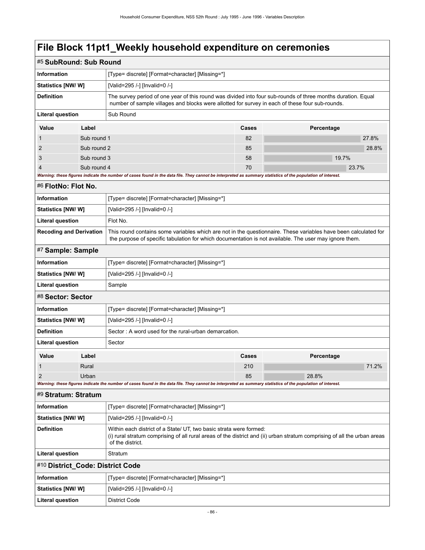# **File Block 11pt1\_Weekly household expenditure on ceremonies**

| #5 SubRound: Sub Round                                                                                                                                                                                                                                      |             |                                                                                                                                                                                                                 |       |            |  |  |  |
|-------------------------------------------------------------------------------------------------------------------------------------------------------------------------------------------------------------------------------------------------------------|-------------|-----------------------------------------------------------------------------------------------------------------------------------------------------------------------------------------------------------------|-------|------------|--|--|--|
| <b>Information</b>                                                                                                                                                                                                                                          |             | [Type= discrete] [Format=character] [Missing=*]                                                                                                                                                                 |       |            |  |  |  |
| <b>Statistics [NW/ W]</b>                                                                                                                                                                                                                                   |             | [Valid=295 /-] [Invalid=0 /-]                                                                                                                                                                                   |       |            |  |  |  |
| <b>Definition</b>                                                                                                                                                                                                                                           |             | The survey period of one year of this round was divided into four sub-rounds of three months duration. Equal<br>number of sample villages and blocks were allotted for survey in each of these four sub-rounds. |       |            |  |  |  |
| Literal question                                                                                                                                                                                                                                            |             | Sub Round                                                                                                                                                                                                       |       |            |  |  |  |
| Value                                                                                                                                                                                                                                                       | Label       |                                                                                                                                                                                                                 | Cases | Percentage |  |  |  |
| 1                                                                                                                                                                                                                                                           | Sub round 1 |                                                                                                                                                                                                                 | 82    | 27.8%      |  |  |  |
| $\overline{2}$                                                                                                                                                                                                                                              | Sub round 2 |                                                                                                                                                                                                                 | 85    |            |  |  |  |
| 3                                                                                                                                                                                                                                                           | Sub round 3 |                                                                                                                                                                                                                 | 58    | 19.7%      |  |  |  |
| $\overline{4}$                                                                                                                                                                                                                                              | Sub round 4 |                                                                                                                                                                                                                 | 70    | 23.7%      |  |  |  |
|                                                                                                                                                                                                                                                             |             | Warning: these figures indicate the number of cases found in the data file. They cannot be interpreted as summary statistics of the population of interest.                                                     |       |            |  |  |  |
| #6 FlotNo: Flot No.                                                                                                                                                                                                                                         |             |                                                                                                                                                                                                                 |       |            |  |  |  |
| Information                                                                                                                                                                                                                                                 |             | [Type= discrete] [Format=character] [Missing=*]                                                                                                                                                                 |       |            |  |  |  |
| <b>Statistics [NW/ W]</b>                                                                                                                                                                                                                                   |             | [Valid=295 /-] [Invalid=0 /-]                                                                                                                                                                                   |       |            |  |  |  |
| <b>Literal question</b>                                                                                                                                                                                                                                     |             | Flot No.                                                                                                                                                                                                        |       |            |  |  |  |
| <b>Recoding and Derivation</b><br>This round contains some variables which are not in the questionnaire. These variables have been calculated for<br>the purpose of specific tabulation for which documentation is not available. The user may ignore them. |             |                                                                                                                                                                                                                 |       |            |  |  |  |
| #7 Sample: Sample                                                                                                                                                                                                                                           |             |                                                                                                                                                                                                                 |       |            |  |  |  |
| <b>Information</b>                                                                                                                                                                                                                                          |             | [Type= discrete] [Format=character] [Missing=*]                                                                                                                                                                 |       |            |  |  |  |
| <b>Statistics [NW/W]</b>                                                                                                                                                                                                                                    |             | [Valid=295 /-] [Invalid=0 /-]                                                                                                                                                                                   |       |            |  |  |  |
| <b>Literal question</b><br>Sample                                                                                                                                                                                                                           |             |                                                                                                                                                                                                                 |       |            |  |  |  |
| #8 Sector: Sector                                                                                                                                                                                                                                           |             |                                                                                                                                                                                                                 |       |            |  |  |  |
| <b>Information</b>                                                                                                                                                                                                                                          |             | [Type= discrete] [Format=character] [Missing=*]                                                                                                                                                                 |       |            |  |  |  |
| <b>Statistics [NW/W]</b>                                                                                                                                                                                                                                    |             | [Valid=295 /-] [Invalid=0 /-]                                                                                                                                                                                   |       |            |  |  |  |
| <b>Definition</b>                                                                                                                                                                                                                                           |             | Sector: A word used for the rural-urban demarcation.                                                                                                                                                            |       |            |  |  |  |
| Literal question                                                                                                                                                                                                                                            |             | Sector                                                                                                                                                                                                          |       |            |  |  |  |
| Value                                                                                                                                                                                                                                                       | Label       |                                                                                                                                                                                                                 | Cases | Percentage |  |  |  |
| $\mathbf{1}$                                                                                                                                                                                                                                                | Rural       |                                                                                                                                                                                                                 | 210   | 71.2%      |  |  |  |
| $\overline{2}$                                                                                                                                                                                                                                              | Urban       |                                                                                                                                                                                                                 | 85    | 28.8%      |  |  |  |
|                                                                                                                                                                                                                                                             |             | Warning: these figures indicate the number of cases found in the data file. They cannot be interpreted as summary statistics of the population of interest.                                                     |       |            |  |  |  |
| #9 Stratum: Stratum                                                                                                                                                                                                                                         |             |                                                                                                                                                                                                                 |       |            |  |  |  |
| <b>Information</b>                                                                                                                                                                                                                                          |             | [Type= discrete] [Format=character] [Missing=*]                                                                                                                                                                 |       |            |  |  |  |
| <b>Statistics [NW/W]</b>                                                                                                                                                                                                                                    |             | [Valid=295 /-] [Invalid=0 /-]                                                                                                                                                                                   |       |            |  |  |  |
| <b>Definition</b><br>Within each district of a State/ UT, two basic strata were formed:<br>(i) rural stratum comprising of all rural areas of the district and (ii) urban stratum comprising of all the urban areas<br>of the district.                     |             |                                                                                                                                                                                                                 |       |            |  |  |  |
| Literal question                                                                                                                                                                                                                                            |             | Stratum                                                                                                                                                                                                         |       |            |  |  |  |
| #10 District_Code: District Code                                                                                                                                                                                                                            |             |                                                                                                                                                                                                                 |       |            |  |  |  |
| Information                                                                                                                                                                                                                                                 |             | [Type= discrete] [Format=character] [Missing=*]                                                                                                                                                                 |       |            |  |  |  |
| <b>Statistics [NW/W]</b>                                                                                                                                                                                                                                    |             | [Valid=295 /-] [Invalid=0 /-]                                                                                                                                                                                   |       |            |  |  |  |
| <b>Literal question</b>                                                                                                                                                                                                                                     |             | <b>District Code</b>                                                                                                                                                                                            |       |            |  |  |  |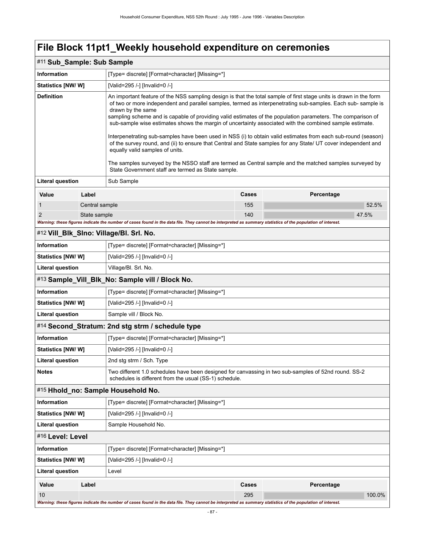### **File Block 11pt1\_Weekly household expenditure on ceremonies**

### #11 **Sub\_Sample: Sub Sample**

| <b>Information</b>        | [Type= discrete] [Format=character] [Missing=*] |                                                                                                                                                                                                                                                                                                                                                                                                                                                                                                                                                                                                                                                                                                                                                                                                                                                                   |       |            |  |  |
|---------------------------|-------------------------------------------------|-------------------------------------------------------------------------------------------------------------------------------------------------------------------------------------------------------------------------------------------------------------------------------------------------------------------------------------------------------------------------------------------------------------------------------------------------------------------------------------------------------------------------------------------------------------------------------------------------------------------------------------------------------------------------------------------------------------------------------------------------------------------------------------------------------------------------------------------------------------------|-------|------------|--|--|
| Statistics [NW/W]         |                                                 | [Valid=295 /-] [Invalid=0 /-]                                                                                                                                                                                                                                                                                                                                                                                                                                                                                                                                                                                                                                                                                                                                                                                                                                     |       |            |  |  |
| <b>Definition</b>         |                                                 | An important feature of the NSS sampling design is that the total sample of first stage units is drawn in the form<br>of two or more independent and parallel samples, termed as interpenetrating sub-samples. Each sub-sample is<br>drawn by the same<br>sampling scheme and is capable of providing valid estimates of the population parameters. The comparison of<br>sub-sample wise estimates shows the margin of uncertainty associated with the combined sample estimate.<br>Interpenetrating sub-samples have been used in NSS (i) to obtain valid estimates from each sub-round (season)<br>of the survey round, and (ii) to ensure that Central and State samples for any State/ UT cover independent and<br>equally valid samples of units.<br>The samples surveyed by the NSSO staff are termed as Central sample and the matched samples surveyed by |       |            |  |  |
| <b>Literal question</b>   |                                                 | State Government staff are termed as State sample.<br>Sub Sample                                                                                                                                                                                                                                                                                                                                                                                                                                                                                                                                                                                                                                                                                                                                                                                                  |       |            |  |  |
| Value                     | Label                                           |                                                                                                                                                                                                                                                                                                                                                                                                                                                                                                                                                                                                                                                                                                                                                                                                                                                                   | Cases | Percentage |  |  |
| 1                         | Central sample                                  |                                                                                                                                                                                                                                                                                                                                                                                                                                                                                                                                                                                                                                                                                                                                                                                                                                                                   | 155   | 52.5%      |  |  |
| 2                         | State sample                                    |                                                                                                                                                                                                                                                                                                                                                                                                                                                                                                                                                                                                                                                                                                                                                                                                                                                                   | 140   | 47.5%      |  |  |
|                           |                                                 | Warning: these figures indicate the number of cases found in the data file. They cannot be interpreted as summary statistics of the population of interest.                                                                                                                                                                                                                                                                                                                                                                                                                                                                                                                                                                                                                                                                                                       |       |            |  |  |
|                           |                                                 | #12 Vill_Blk_SIno: Village/Bl. Srl. No.                                                                                                                                                                                                                                                                                                                                                                                                                                                                                                                                                                                                                                                                                                                                                                                                                           |       |            |  |  |
| <b>Information</b>        |                                                 | [Type= discrete] [Format=character] [Missing=*]                                                                                                                                                                                                                                                                                                                                                                                                                                                                                                                                                                                                                                                                                                                                                                                                                   |       |            |  |  |
| <b>Statistics [NW/W]</b>  |                                                 | [Valid=295 /-] [Invalid=0 /-]                                                                                                                                                                                                                                                                                                                                                                                                                                                                                                                                                                                                                                                                                                                                                                                                                                     |       |            |  |  |
| Literal question          |                                                 | Village/Bl. Srl. No.                                                                                                                                                                                                                                                                                                                                                                                                                                                                                                                                                                                                                                                                                                                                                                                                                                              |       |            |  |  |
|                           |                                                 | #13 Sample_Vill_Blk_No: Sample vill / Block No.                                                                                                                                                                                                                                                                                                                                                                                                                                                                                                                                                                                                                                                                                                                                                                                                                   |       |            |  |  |
| <b>Information</b>        |                                                 | [Type= discrete] [Format=character] [Missing=*]                                                                                                                                                                                                                                                                                                                                                                                                                                                                                                                                                                                                                                                                                                                                                                                                                   |       |            |  |  |
| <b>Statistics [NW/W]</b>  |                                                 | [Valid=295 /-] [Invalid=0 /-]                                                                                                                                                                                                                                                                                                                                                                                                                                                                                                                                                                                                                                                                                                                                                                                                                                     |       |            |  |  |
| <b>Literal question</b>   |                                                 | Sample vill / Block No.                                                                                                                                                                                                                                                                                                                                                                                                                                                                                                                                                                                                                                                                                                                                                                                                                                           |       |            |  |  |
|                           |                                                 | #14 Second_Stratum: 2nd stg strm / schedule type                                                                                                                                                                                                                                                                                                                                                                                                                                                                                                                                                                                                                                                                                                                                                                                                                  |       |            |  |  |
| <b>Information</b>        |                                                 | [Type= discrete] [Format=character] [Missing=*]                                                                                                                                                                                                                                                                                                                                                                                                                                                                                                                                                                                                                                                                                                                                                                                                                   |       |            |  |  |
| <b>Statistics [NW/W]</b>  |                                                 | [Valid=295 /-] [Invalid=0 /-]                                                                                                                                                                                                                                                                                                                                                                                                                                                                                                                                                                                                                                                                                                                                                                                                                                     |       |            |  |  |
| <b>Literal question</b>   |                                                 | 2nd stg strm / Sch. Type                                                                                                                                                                                                                                                                                                                                                                                                                                                                                                                                                                                                                                                                                                                                                                                                                                          |       |            |  |  |
| <b>Notes</b>              |                                                 | Two different 1.0 schedules have been designed for canvassing in two sub-samples of 52nd round. SS-2<br>schedules is different from the usual (SS-1) schedule.                                                                                                                                                                                                                                                                                                                                                                                                                                                                                                                                                                                                                                                                                                    |       |            |  |  |
|                           |                                                 | #15 Hhold_no: Sample Household No.                                                                                                                                                                                                                                                                                                                                                                                                                                                                                                                                                                                                                                                                                                                                                                                                                                |       |            |  |  |
| Information               |                                                 | [Type= discrete] [Format=character] [Missing=*]                                                                                                                                                                                                                                                                                                                                                                                                                                                                                                                                                                                                                                                                                                                                                                                                                   |       |            |  |  |
| <b>Statistics [NW/ W]</b> |                                                 | [Valid=295 /-] [Invalid=0 /-]                                                                                                                                                                                                                                                                                                                                                                                                                                                                                                                                                                                                                                                                                                                                                                                                                                     |       |            |  |  |
| <b>Literal question</b>   |                                                 | Sample Household No.                                                                                                                                                                                                                                                                                                                                                                                                                                                                                                                                                                                                                                                                                                                                                                                                                                              |       |            |  |  |
| #16 Level: Level          |                                                 |                                                                                                                                                                                                                                                                                                                                                                                                                                                                                                                                                                                                                                                                                                                                                                                                                                                                   |       |            |  |  |
| Information               |                                                 | [Type= discrete] [Format=character] [Missing=*]                                                                                                                                                                                                                                                                                                                                                                                                                                                                                                                                                                                                                                                                                                                                                                                                                   |       |            |  |  |
| Statistics [NW/W]         |                                                 | [Valid=295 /-] [Invalid=0 /-]                                                                                                                                                                                                                                                                                                                                                                                                                                                                                                                                                                                                                                                                                                                                                                                                                                     |       |            |  |  |
| <b>Literal question</b>   |                                                 | Level                                                                                                                                                                                                                                                                                                                                                                                                                                                                                                                                                                                                                                                                                                                                                                                                                                                             |       |            |  |  |
| Value                     | Label                                           |                                                                                                                                                                                                                                                                                                                                                                                                                                                                                                                                                                                                                                                                                                                                                                                                                                                                   | Cases | Percentage |  |  |
| 10                        |                                                 |                                                                                                                                                                                                                                                                                                                                                                                                                                                                                                                                                                                                                                                                                                                                                                                                                                                                   | 295   | 100.0%     |  |  |
|                           |                                                 | Warning: these figures indicate the number of cases found in the data file. They cannot be interpreted as summary statistics of the population of interest.                                                                                                                                                                                                                                                                                                                                                                                                                                                                                                                                                                                                                                                                                                       |       |            |  |  |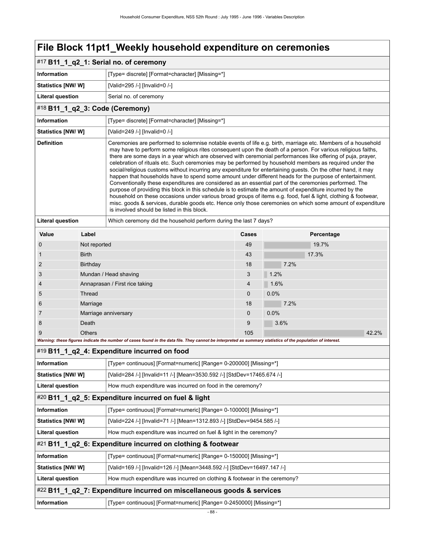# **File Block 11pt1\_Weekly household expenditure on ceremonies**

|                                                                                             |                                                                    | #17 B11_1_q2_1: Serial no. of ceremony                                                                                                                                                                                                                                                                                                                                                                                                                                                                                                                                                                                                                                                                                                                                                                                                                                                                                                                                                                                                                                                                                                                                                       |                                                                         |              |  |  |
|---------------------------------------------------------------------------------------------|--------------------------------------------------------------------|----------------------------------------------------------------------------------------------------------------------------------------------------------------------------------------------------------------------------------------------------------------------------------------------------------------------------------------------------------------------------------------------------------------------------------------------------------------------------------------------------------------------------------------------------------------------------------------------------------------------------------------------------------------------------------------------------------------------------------------------------------------------------------------------------------------------------------------------------------------------------------------------------------------------------------------------------------------------------------------------------------------------------------------------------------------------------------------------------------------------------------------------------------------------------------------------|-------------------------------------------------------------------------|--------------|--|--|
| <b>Information</b>                                                                          | [Type= discrete] [Format=character] [Missing=*]                    |                                                                                                                                                                                                                                                                                                                                                                                                                                                                                                                                                                                                                                                                                                                                                                                                                                                                                                                                                                                                                                                                                                                                                                                              |                                                                         |              |  |  |
| <b>Statistics [NW/ W]</b>                                                                   |                                                                    | [Valid=295 /-] [Invalid=0 /-]                                                                                                                                                                                                                                                                                                                                                                                                                                                                                                                                                                                                                                                                                                                                                                                                                                                                                                                                                                                                                                                                                                                                                                |                                                                         |              |  |  |
| <b>Literal question</b>                                                                     |                                                                    | Serial no. of ceremony                                                                                                                                                                                                                                                                                                                                                                                                                                                                                                                                                                                                                                                                                                                                                                                                                                                                                                                                                                                                                                                                                                                                                                       |                                                                         |              |  |  |
|                                                                                             | #18 B11_1_q2_3: Code (Ceremony)                                    |                                                                                                                                                                                                                                                                                                                                                                                                                                                                                                                                                                                                                                                                                                                                                                                                                                                                                                                                                                                                                                                                                                                                                                                              |                                                                         |              |  |  |
| <b>Information</b>                                                                          |                                                                    | [Type= discrete] [Format=character] [Missing=*]                                                                                                                                                                                                                                                                                                                                                                                                                                                                                                                                                                                                                                                                                                                                                                                                                                                                                                                                                                                                                                                                                                                                              |                                                                         |              |  |  |
| <b>Statistics [NW/ W]</b>                                                                   |                                                                    | [Valid=249 /-] [Invalid=0 /-]                                                                                                                                                                                                                                                                                                                                                                                                                                                                                                                                                                                                                                                                                                                                                                                                                                                                                                                                                                                                                                                                                                                                                                |                                                                         |              |  |  |
| <b>Definition</b>                                                                           |                                                                    | Ceremonies are performed to solemnise notable events of life e.g. birth, marriage etc. Members of a household<br>may have to perform some religious rites consequent upon the death of a person. For various religious faiths,<br>there are some days in a year which are observed with ceremonial performances like offering of puja, prayer,<br>celebration of rituals etc. Such ceremonies may be performed by household members as required under the<br>social/religious customs without incurring any expenditure for entertaining guests. On the other hand, it may<br>happen that households have to spend some amount under different heads for the purpose of entertainment.<br>Conventionally these expenditures are considered as an essential part of the ceremonies performed. The<br>purpose of providing this block in this schedule is to estimate the amount of expenditure incurred by the<br>household on these occasions under various broad groups of items e.g. food, fuel & light, clothing & footwear,<br>misc. goods & services, durable goods etc. Hence only those ceremonies on which some amount of expenditure<br>is involved should be listed in this block. |                                                                         |              |  |  |
| <b>Literal question</b><br>Which ceremony did the household perform during the last 7 days? |                                                                    |                                                                                                                                                                                                                                                                                                                                                                                                                                                                                                                                                                                                                                                                                                                                                                                                                                                                                                                                                                                                                                                                                                                                                                                              |                                                                         |              |  |  |
| Value                                                                                       | Label                                                              |                                                                                                                                                                                                                                                                                                                                                                                                                                                                                                                                                                                                                                                                                                                                                                                                                                                                                                                                                                                                                                                                                                                                                                                              | Cases                                                                   | Percentage   |  |  |
| 0                                                                                           | Not reported                                                       |                                                                                                                                                                                                                                                                                                                                                                                                                                                                                                                                                                                                                                                                                                                                                                                                                                                                                                                                                                                                                                                                                                                                                                                              | 49                                                                      | 19.7%        |  |  |
| 1                                                                                           | <b>Birth</b>                                                       |                                                                                                                                                                                                                                                                                                                                                                                                                                                                                                                                                                                                                                                                                                                                                                                                                                                                                                                                                                                                                                                                                                                                                                                              | 43                                                                      | 17.3%        |  |  |
| $\overline{2}$                                                                              | <b>Birthday</b>                                                    |                                                                                                                                                                                                                                                                                                                                                                                                                                                                                                                                                                                                                                                                                                                                                                                                                                                                                                                                                                                                                                                                                                                                                                                              | 18                                                                      | 7.2%         |  |  |
| 3                                                                                           |                                                                    | Mundan / Head shaving                                                                                                                                                                                                                                                                                                                                                                                                                                                                                                                                                                                                                                                                                                                                                                                                                                                                                                                                                                                                                                                                                                                                                                        | 3                                                                       | 1.2%         |  |  |
| 4                                                                                           |                                                                    | Annaprasan / First rice taking                                                                                                                                                                                                                                                                                                                                                                                                                                                                                                                                                                                                                                                                                                                                                                                                                                                                                                                                                                                                                                                                                                                                                               | 4                                                                       | 1.6%         |  |  |
| 5                                                                                           | Thread                                                             |                                                                                                                                                                                                                                                                                                                                                                                                                                                                                                                                                                                                                                                                                                                                                                                                                                                                                                                                                                                                                                                                                                                                                                                              | $\mathbf{0}$                                                            | 0.0%         |  |  |
| 6                                                                                           | Marriage                                                           |                                                                                                                                                                                                                                                                                                                                                                                                                                                                                                                                                                                                                                                                                                                                                                                                                                                                                                                                                                                                                                                                                                                                                                                              | 18                                                                      | 7.2%         |  |  |
| 7                                                                                           | Death                                                              | Marriage anniversary                                                                                                                                                                                                                                                                                                                                                                                                                                                                                                                                                                                                                                                                                                                                                                                                                                                                                                                                                                                                                                                                                                                                                                         | $\mathbf{0}$<br>9                                                       | 0.0%<br>3.6% |  |  |
| 8<br>9                                                                                      | <b>Others</b>                                                      |                                                                                                                                                                                                                                                                                                                                                                                                                                                                                                                                                                                                                                                                                                                                                                                                                                                                                                                                                                                                                                                                                                                                                                                              | 105                                                                     | 42.2%        |  |  |
|                                                                                             |                                                                    | Warning: these figures indicate the number of cases found in the data file. They cannot be interpreted as summary statistics of the population of interest.                                                                                                                                                                                                                                                                                                                                                                                                                                                                                                                                                                                                                                                                                                                                                                                                                                                                                                                                                                                                                                  |                                                                         |              |  |  |
|                                                                                             |                                                                    | #19 B11_1_q2_4: Expenditure incurred on food                                                                                                                                                                                                                                                                                                                                                                                                                                                                                                                                                                                                                                                                                                                                                                                                                                                                                                                                                                                                                                                                                                                                                 |                                                                         |              |  |  |
| <b>Information</b>                                                                          |                                                                    | [Type= continuous] [Format=numeric] [Range= 0-200000] [Missing=*]                                                                                                                                                                                                                                                                                                                                                                                                                                                                                                                                                                                                                                                                                                                                                                                                                                                                                                                                                                                                                                                                                                                            |                                                                         |              |  |  |
| Statistics [NW/ W]                                                                          |                                                                    |                                                                                                                                                                                                                                                                                                                                                                                                                                                                                                                                                                                                                                                                                                                                                                                                                                                                                                                                                                                                                                                                                                                                                                                              | [Valid=284 /-] [Invalid=11 /-] [Mean=3530.592 /-] [StdDev=17465.674 /-] |              |  |  |
| <b>Literal question</b>                                                                     |                                                                    | How much expenditure was incurred on food in the ceremony?                                                                                                                                                                                                                                                                                                                                                                                                                                                                                                                                                                                                                                                                                                                                                                                                                                                                                                                                                                                                                                                                                                                                   |                                                                         |              |  |  |
|                                                                                             |                                                                    | #20 B11_1_q2_5: Expenditure incurred on fuel & light                                                                                                                                                                                                                                                                                                                                                                                                                                                                                                                                                                                                                                                                                                                                                                                                                                                                                                                                                                                                                                                                                                                                         |                                                                         |              |  |  |
| Information                                                                                 |                                                                    | [Type= continuous] [Format=numeric] [Range= 0-100000] [Missing=*]                                                                                                                                                                                                                                                                                                                                                                                                                                                                                                                                                                                                                                                                                                                                                                                                                                                                                                                                                                                                                                                                                                                            |                                                                         |              |  |  |
| Statistics [NW/W]                                                                           |                                                                    | [Valid=224 /-] [Invalid=71 /-] [Mean=1312.893 /-] [StdDev=9454.585 /-]                                                                                                                                                                                                                                                                                                                                                                                                                                                                                                                                                                                                                                                                                                                                                                                                                                                                                                                                                                                                                                                                                                                       |                                                                         |              |  |  |
| <b>Literal question</b>                                                                     |                                                                    | How much expenditure was incurred on fuel & light in the ceremony?                                                                                                                                                                                                                                                                                                                                                                                                                                                                                                                                                                                                                                                                                                                                                                                                                                                                                                                                                                                                                                                                                                                           |                                                                         |              |  |  |
|                                                                                             |                                                                    | #21 B11_1_q2_6: Expenditure incurred on clothing & footwear                                                                                                                                                                                                                                                                                                                                                                                                                                                                                                                                                                                                                                                                                                                                                                                                                                                                                                                                                                                                                                                                                                                                  |                                                                         |              |  |  |
| Information                                                                                 |                                                                    | [Type= continuous] [Format=numeric] [Range= 0-150000] [Missing=*]                                                                                                                                                                                                                                                                                                                                                                                                                                                                                                                                                                                                                                                                                                                                                                                                                                                                                                                                                                                                                                                                                                                            |                                                                         |              |  |  |
| Statistics [NW/W]                                                                           |                                                                    | [Valid=169 /-] [Invalid=126 /-] [Mean=3448.592 /-] [StdDev=16497.147 /-]                                                                                                                                                                                                                                                                                                                                                                                                                                                                                                                                                                                                                                                                                                                                                                                                                                                                                                                                                                                                                                                                                                                     |                                                                         |              |  |  |
| <b>Literal question</b>                                                                     |                                                                    | How much expenditure was incurred on clothing & footwear in the ceremony?                                                                                                                                                                                                                                                                                                                                                                                                                                                                                                                                                                                                                                                                                                                                                                                                                                                                                                                                                                                                                                                                                                                    |                                                                         |              |  |  |
|                                                                                             |                                                                    | #22 B11_1_q2_7: Expenditure incurred on miscellaneous goods & services                                                                                                                                                                                                                                                                                                                                                                                                                                                                                                                                                                                                                                                                                                                                                                                                                                                                                                                                                                                                                                                                                                                       |                                                                         |              |  |  |
| Information                                                                                 | [Type= continuous] [Format=numeric] [Range= 0-2450000] [Missing=*] |                                                                                                                                                                                                                                                                                                                                                                                                                                                                                                                                                                                                                                                                                                                                                                                                                                                                                                                                                                                                                                                                                                                                                                                              |                                                                         |              |  |  |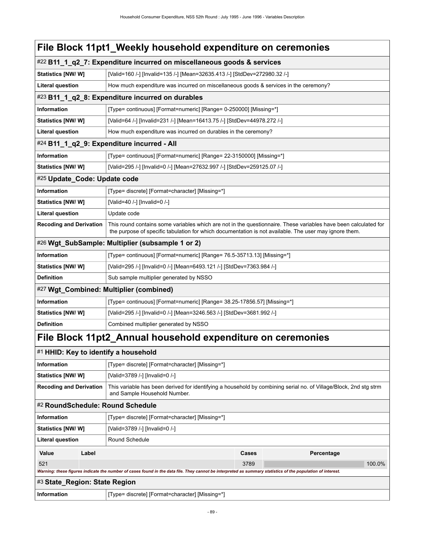|                                                  |       | File Block 11 pt1_Weekly household expenditure on ceremonies                                                                                                                                                              |       |  |            |        |
|--------------------------------------------------|-------|---------------------------------------------------------------------------------------------------------------------------------------------------------------------------------------------------------------------------|-------|--|------------|--------|
|                                                  |       | #22 B11_1_q2_7: Expenditure incurred on miscellaneous goods & services                                                                                                                                                    |       |  |            |        |
| Statistics [NW/ W]                               |       | [Valid=160 /-] [Invalid=135 /-] [Mean=32635.413 /-] [StdDev=272980.32 /-]                                                                                                                                                 |       |  |            |        |
| <b>Literal question</b>                          |       | How much expenditure was incurred on miscellaneous goods & services in the ceremony?                                                                                                                                      |       |  |            |        |
| #23 B11_1_q2_8: Expenditure incurred on durables |       |                                                                                                                                                                                                                           |       |  |            |        |
| Information                                      |       | [Type= continuous] [Format=numeric] [Range= 0-250000] [Missing=*]                                                                                                                                                         |       |  |            |        |
| Statistics [NW/W]                                |       | [Valid=64 /-] [Invalid=231 /-] [Mean=16413.75 /-] [StdDev=44978.272 /-]                                                                                                                                                   |       |  |            |        |
| <b>Literal question</b>                          |       | How much expenditure was incurred on durables in the ceremony?                                                                                                                                                            |       |  |            |        |
|                                                  |       | #24 B11_1_q2_9: Expenditure incurred - All                                                                                                                                                                                |       |  |            |        |
| Information                                      |       | [Type= continuous] [Format=numeric] [Range= 22-3150000] [Missing=*]                                                                                                                                                       |       |  |            |        |
| <b>Statistics [NW/ W]</b>                        |       | [Valid=295 /-] [Invalid=0 /-] [Mean=27632.997 /-] [StdDev=259125.07 /-]                                                                                                                                                   |       |  |            |        |
| #25 Update_Code: Update code                     |       |                                                                                                                                                                                                                           |       |  |            |        |
| Information                                      |       | [Type= discrete] [Format=character] [Missing=*]                                                                                                                                                                           |       |  |            |        |
| Statistics [NW/W]                                |       | [Valid=40 /-] [Invalid=0 /-]                                                                                                                                                                                              |       |  |            |        |
| <b>Literal question</b>                          |       | Update code                                                                                                                                                                                                               |       |  |            |        |
| <b>Recoding and Derivation</b>                   |       | This round contains some variables which are not in the questionnaire. These variables have been calculated for<br>the purpose of specific tabulation for which documentation is not available. The user may ignore them. |       |  |            |        |
|                                                  |       | #26 Wgt_SubSample: Multiplier (subsample 1 or 2)                                                                                                                                                                          |       |  |            |        |
| Information                                      |       | [Type= continuous] [Format=numeric] [Range= 76.5-35713.13] [Missing=*]                                                                                                                                                    |       |  |            |        |
| <b>Statistics [NW/W]</b>                         |       | [Valid=295 /-] [Invalid=0 /-] [Mean=6493.121 /-] [StdDev=7363.984 /-]                                                                                                                                                     |       |  |            |        |
| <b>Definition</b>                                |       | Sub sample multiplier generated by NSSO                                                                                                                                                                                   |       |  |            |        |
|                                                  |       | #27 Wgt_Combined: Multiplier (combined)                                                                                                                                                                                   |       |  |            |        |
| Information                                      |       | [Type= continuous] [Format=numeric] [Range= 38.25-17856.57] [Missing=*]                                                                                                                                                   |       |  |            |        |
| Statistics [NW/ W]                               |       | [Valid=295 /-] [Invalid=0 /-] [Mean=3246.563 /-] [StdDev=3681.992 /-]                                                                                                                                                     |       |  |            |        |
| <b>Definition</b>                                |       | Combined multiplier generated by NSSO                                                                                                                                                                                     |       |  |            |        |
|                                                  |       | File Block 11 pt2_Annual household expenditure on ceremonies                                                                                                                                                              |       |  |            |        |
|                                                  |       | #1 HHID: Key to identify a household                                                                                                                                                                                      |       |  |            |        |
| Information                                      |       | [Type= discrete] [Format=character] [Missing=*]                                                                                                                                                                           |       |  |            |        |
| Statistics [NW/W]                                |       | [Valid=3789 /-] [Invalid=0 /-]                                                                                                                                                                                            |       |  |            |        |
| <b>Recoding and Derivation</b>                   |       | This variable has been derived for identifying a household by combining serial no. of Village/Block, 2nd stg strm<br>and Sample Household Number.                                                                         |       |  |            |        |
|                                                  |       | #2 RoundSchedule: Round Schedule                                                                                                                                                                                          |       |  |            |        |
| <b>Information</b>                               |       | [Type= discrete] [Format=character] [Missing=*]                                                                                                                                                                           |       |  |            |        |
| <b>Statistics [NW/W]</b>                         |       | [Valid=3789 /-] [Invalid=0 /-]                                                                                                                                                                                            |       |  |            |        |
| <b>Literal question</b>                          |       | Round Schedule                                                                                                                                                                                                            |       |  |            |        |
| Value                                            | Label |                                                                                                                                                                                                                           | Cases |  | Percentage |        |
| 521                                              |       |                                                                                                                                                                                                                           | 3789  |  |            | 100.0% |

*Warning: these figures indicate the number of cases found in the data file. They cannot be interpreted as summary statistics of the population of interest.*

| #3 State_Region: State Region |                                                 |
|-------------------------------|-------------------------------------------------|
| <b>Information</b>            | [Type= discrete] [Format=character] [Missing=*] |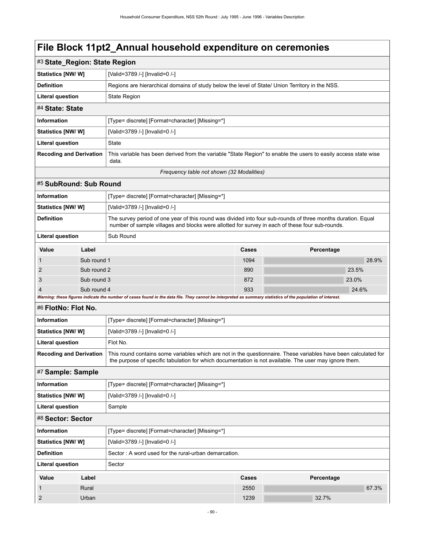| #3 State_Region: State Region             |                                                                                                                          |  |  |
|-------------------------------------------|--------------------------------------------------------------------------------------------------------------------------|--|--|
| <b>Statistics [NW/ W]</b>                 | [Valid=3789 /-] [Invalid=0 /-]                                                                                           |  |  |
|                                           |                                                                                                                          |  |  |
| <b>Definition</b>                         | Regions are hierarchical domains of study below the level of State/ Union Territory in the NSS.                          |  |  |
| <b>Literal question</b>                   | <b>State Region</b>                                                                                                      |  |  |
| #4 State: State                           |                                                                                                                          |  |  |
| <b>Information</b>                        | [Type= discrete] [Format=character] [Missing=*]                                                                          |  |  |
| Statistics [NW/W]                         | [Valid=3789 /-] [Invalid=0 /-]                                                                                           |  |  |
| Literal question                          | <b>State</b>                                                                                                             |  |  |
| <b>Recoding and Derivation</b>            | This variable has been derived from the variable "State Region" to enable the users to easily access state wise<br>data. |  |  |
| Frequency table not shown (32 Modalities) |                                                                                                                          |  |  |

#### #5 **SubRound: Sub Round**

| <b>Information</b><br>[Type= discrete] [Format=character] [Missing=*] |             |                                                                                                                                                                                                                 |       |            |       |  |  |  |
|-----------------------------------------------------------------------|-------------|-----------------------------------------------------------------------------------------------------------------------------------------------------------------------------------------------------------------|-------|------------|-------|--|--|--|
| <b>Statistics [NW/W]</b>                                              |             | [Valid=3789 /-] [Invalid=0 /-]                                                                                                                                                                                  |       |            |       |  |  |  |
| <b>Definition</b>                                                     |             | The survey period of one year of this round was divided into four sub-rounds of three months duration. Equal<br>number of sample villages and blocks were allotted for survey in each of these four sub-rounds. |       |            |       |  |  |  |
| <b>Literal question</b>                                               |             | Sub Round                                                                                                                                                                                                       |       |            |       |  |  |  |
| Value                                                                 | Label       |                                                                                                                                                                                                                 | Cases | Percentage |       |  |  |  |
| $\overline{1}$                                                        | Sub round 1 |                                                                                                                                                                                                                 | 1094  |            | 28.9% |  |  |  |
| $\overline{2}$                                                        | Sub round 2 |                                                                                                                                                                                                                 | 890   | 23.5%      |       |  |  |  |
| 3                                                                     | Sub round 3 |                                                                                                                                                                                                                 | 872   | 23.0%      |       |  |  |  |
| $\overline{4}$                                                        |             | Sub round 4                                                                                                                                                                                                     |       | 24.6%      |       |  |  |  |
|                                                                       |             | Warning: these figures indicate the number of cases found in the data file. They cannot be interpreted as summary statistics of the population of interest.                                                     |       |            |       |  |  |  |

#### #6 **FlotNo: Flot No.**

| #¤ FI0INO: FI0I NO.            |                                                 |                                                                                                                                                                                                                           |       |  |            |  |
|--------------------------------|-------------------------------------------------|---------------------------------------------------------------------------------------------------------------------------------------------------------------------------------------------------------------------------|-------|--|------------|--|
| <b>Information</b>             |                                                 | [Type= discrete] [Format=character] [Missing=*]                                                                                                                                                                           |       |  |            |  |
| Statistics [NW/W]              |                                                 | [Valid=3789 /-] [Invalid=0 /-]                                                                                                                                                                                            |       |  |            |  |
| <b>Literal question</b>        |                                                 | Flot No.                                                                                                                                                                                                                  |       |  |            |  |
| <b>Recoding and Derivation</b> |                                                 | This round contains some variables which are not in the questionnaire. These variables have been calculated for<br>the purpose of specific tabulation for which documentation is not available. The user may ignore them. |       |  |            |  |
| #7 Sample: Sample              |                                                 |                                                                                                                                                                                                                           |       |  |            |  |
| <b>Information</b>             | [Type= discrete] [Format=character] [Missing=*] |                                                                                                                                                                                                                           |       |  |            |  |
| Statistics [NW/W]              |                                                 | [Valid=3789 /-] [Invalid=0 /-]                                                                                                                                                                                            |       |  |            |  |
| <b>Literal question</b>        |                                                 | Sample                                                                                                                                                                                                                    |       |  |            |  |
| #8 Sector: Sector              |                                                 |                                                                                                                                                                                                                           |       |  |            |  |
| <b>Information</b>             |                                                 | [Type= discrete] [Format=character] [Missing=*]                                                                                                                                                                           |       |  |            |  |
| Statistics [NW/W]              |                                                 | [Valid=3789 /-] [Invalid=0 /-]                                                                                                                                                                                            |       |  |            |  |
| <b>Definition</b>              |                                                 | Sector: A word used for the rural-urban demarcation.                                                                                                                                                                      |       |  |            |  |
| <b>Literal question</b>        |                                                 | Sector                                                                                                                                                                                                                    |       |  |            |  |
| Value                          | Label                                           |                                                                                                                                                                                                                           | Cases |  | Percentage |  |

1 Rural 2550 67.3%

2 Urban 1239 32.7%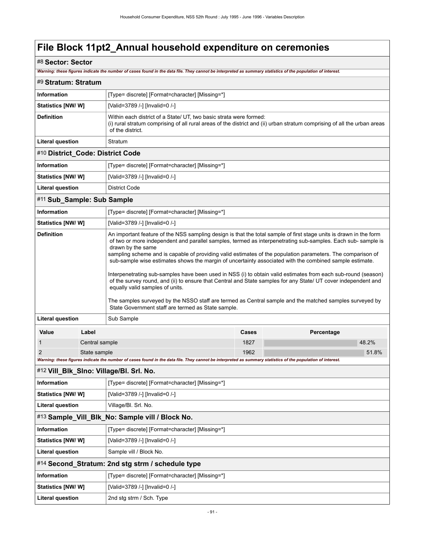### #8 **Sector: Sector**

*Warning: these figures indicate the number of cases found in the data file. They cannot be interpreted as summary statistics of the population of interest.*

| #9 Stratum: Stratum                                                   |                |                                                                                                                                                                                                                                                                                                                                                                                                                                                                                                                                                                                                                                                                                                                                                                                                                                                                                                                          |      |            |  |  |  |
|-----------------------------------------------------------------------|----------------|--------------------------------------------------------------------------------------------------------------------------------------------------------------------------------------------------------------------------------------------------------------------------------------------------------------------------------------------------------------------------------------------------------------------------------------------------------------------------------------------------------------------------------------------------------------------------------------------------------------------------------------------------------------------------------------------------------------------------------------------------------------------------------------------------------------------------------------------------------------------------------------------------------------------------|------|------------|--|--|--|
| <b>Information</b>                                                    |                | [Type= discrete] [Format=character] [Missing=*]                                                                                                                                                                                                                                                                                                                                                                                                                                                                                                                                                                                                                                                                                                                                                                                                                                                                          |      |            |  |  |  |
| Statistics [NW/ W]                                                    |                | [Valid=3789 /-] [Invalid=0 /-]                                                                                                                                                                                                                                                                                                                                                                                                                                                                                                                                                                                                                                                                                                                                                                                                                                                                                           |      |            |  |  |  |
| <b>Definition</b>                                                     |                | Within each district of a State/ UT, two basic strata were formed:<br>(i) rural stratum comprising of all rural areas of the district and (ii) urban stratum comprising of all the urban areas<br>of the district.                                                                                                                                                                                                                                                                                                                                                                                                                                                                                                                                                                                                                                                                                                       |      |            |  |  |  |
| <b>Literal question</b>                                               |                | Stratum                                                                                                                                                                                                                                                                                                                                                                                                                                                                                                                                                                                                                                                                                                                                                                                                                                                                                                                  |      |            |  |  |  |
| #10 District_Code: District Code                                      |                |                                                                                                                                                                                                                                                                                                                                                                                                                                                                                                                                                                                                                                                                                                                                                                                                                                                                                                                          |      |            |  |  |  |
| <b>Information</b>                                                    |                | [Type= discrete] [Format=character] [Missing=*]                                                                                                                                                                                                                                                                                                                                                                                                                                                                                                                                                                                                                                                                                                                                                                                                                                                                          |      |            |  |  |  |
| Statistics [NW/W]                                                     |                | [Valid=3789 /-] [Invalid=0 /-]                                                                                                                                                                                                                                                                                                                                                                                                                                                                                                                                                                                                                                                                                                                                                                                                                                                                                           |      |            |  |  |  |
| Literal question                                                      |                | <b>District Code</b>                                                                                                                                                                                                                                                                                                                                                                                                                                                                                                                                                                                                                                                                                                                                                                                                                                                                                                     |      |            |  |  |  |
| #11 Sub_Sample: Sub Sample                                            |                |                                                                                                                                                                                                                                                                                                                                                                                                                                                                                                                                                                                                                                                                                                                                                                                                                                                                                                                          |      |            |  |  |  |
| Information                                                           |                | [Type= discrete] [Format=character] [Missing=*]                                                                                                                                                                                                                                                                                                                                                                                                                                                                                                                                                                                                                                                                                                                                                                                                                                                                          |      |            |  |  |  |
| Statistics [NW/W]                                                     |                | [Valid=3789 /-] [Invalid=0 /-]                                                                                                                                                                                                                                                                                                                                                                                                                                                                                                                                                                                                                                                                                                                                                                                                                                                                                           |      |            |  |  |  |
| <b>Definition</b>                                                     |                | An important feature of the NSS sampling design is that the total sample of first stage units is drawn in the form<br>of two or more independent and parallel samples, termed as interpenetrating sub-samples. Each sub- sample is<br>drawn by the same<br>sampling scheme and is capable of providing valid estimates of the population parameters. The comparison of<br>sub-sample wise estimates shows the margin of uncertainty associated with the combined sample estimate.<br>Interpenetrating sub-samples have been used in NSS (i) to obtain valid estimates from each sub-round (season)<br>of the survey round, and (ii) to ensure that Central and State samples for any State/ UT cover independent and<br>equally valid samples of units.<br>The samples surveyed by the NSSO staff are termed as Central sample and the matched samples surveyed by<br>State Government staff are termed as State sample. |      |            |  |  |  |
| <b>Literal question</b>                                               |                | Sub Sample                                                                                                                                                                                                                                                                                                                                                                                                                                                                                                                                                                                                                                                                                                                                                                                                                                                                                                               |      |            |  |  |  |
| Value                                                                 | Label          | Cases                                                                                                                                                                                                                                                                                                                                                                                                                                                                                                                                                                                                                                                                                                                                                                                                                                                                                                                    |      | Percentage |  |  |  |
| 1                                                                     | Central sample |                                                                                                                                                                                                                                                                                                                                                                                                                                                                                                                                                                                                                                                                                                                                                                                                                                                                                                                          | 1827 | 48.2%      |  |  |  |
| 2                                                                     | State sample   | Warning: these figures indicate the number of cases found in the data file. They cannot be interpreted as summary statistics of the population of interest.                                                                                                                                                                                                                                                                                                                                                                                                                                                                                                                                                                                                                                                                                                                                                              | 1962 | 51.8%      |  |  |  |
| #12 Vill_Blk_Slno: Village/Bl. Srl. No.                               |                |                                                                                                                                                                                                                                                                                                                                                                                                                                                                                                                                                                                                                                                                                                                                                                                                                                                                                                                          |      |            |  |  |  |
| <b>Information</b>                                                    |                |                                                                                                                                                                                                                                                                                                                                                                                                                                                                                                                                                                                                                                                                                                                                                                                                                                                                                                                          |      |            |  |  |  |
| Statistics [NW/W]                                                     |                | [Type= discrete] [Format=character] [Missing=*]<br>[Valid=3789 /-] [Invalid=0 /-]                                                                                                                                                                                                                                                                                                                                                                                                                                                                                                                                                                                                                                                                                                                                                                                                                                        |      |            |  |  |  |
| <b>Literal question</b>                                               |                | Village/Bl. Srl. No.                                                                                                                                                                                                                                                                                                                                                                                                                                                                                                                                                                                                                                                                                                                                                                                                                                                                                                     |      |            |  |  |  |
|                                                                       |                | #13 Sample_Vill_Blk_No: Sample vill / Block No.                                                                                                                                                                                                                                                                                                                                                                                                                                                                                                                                                                                                                                                                                                                                                                                                                                                                          |      |            |  |  |  |
| <b>Information</b><br>[Type= discrete] [Format=character] [Missing=*] |                |                                                                                                                                                                                                                                                                                                                                                                                                                                                                                                                                                                                                                                                                                                                                                                                                                                                                                                                          |      |            |  |  |  |
| Statistics [NW/W]                                                     |                | [Valid=3789 /-] [Invalid=0 /-]                                                                                                                                                                                                                                                                                                                                                                                                                                                                                                                                                                                                                                                                                                                                                                                                                                                                                           |      |            |  |  |  |
| <b>Literal question</b>                                               |                | Sample vill / Block No.                                                                                                                                                                                                                                                                                                                                                                                                                                                                                                                                                                                                                                                                                                                                                                                                                                                                                                  |      |            |  |  |  |
| #14 Second Stratum: 2nd stg strm / schedule type                      |                |                                                                                                                                                                                                                                                                                                                                                                                                                                                                                                                                                                                                                                                                                                                                                                                                                                                                                                                          |      |            |  |  |  |
| <b>Information</b>                                                    |                | [Type= discrete] [Format=character] [Missing=*]                                                                                                                                                                                                                                                                                                                                                                                                                                                                                                                                                                                                                                                                                                                                                                                                                                                                          |      |            |  |  |  |
| Statistics [NW/W]                                                     |                | [Valid=3789 /-] [Invalid=0 /-]                                                                                                                                                                                                                                                                                                                                                                                                                                                                                                                                                                                                                                                                                                                                                                                                                                                                                           |      |            |  |  |  |
| <b>Literal question</b>                                               |                | 2nd stg strm / Sch. Type                                                                                                                                                                                                                                                                                                                                                                                                                                                                                                                                                                                                                                                                                                                                                                                                                                                                                                 |      |            |  |  |  |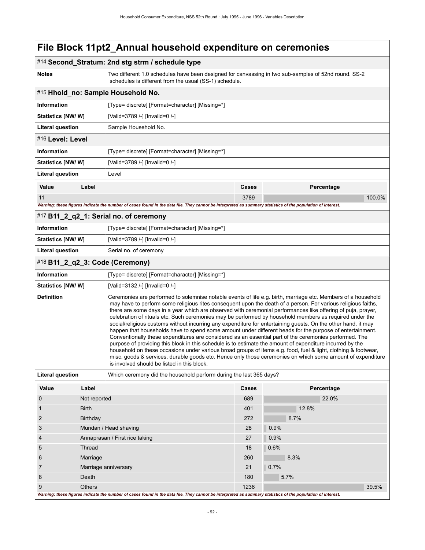|                                                                                               |                                  | #14 Second_Stratum: 2nd stg strm / schedule type                                                                                                                                                                                                                                                                                                                                                                                                                                                                                                                                                                                                                                                                                                                                                                                                                                                                                                                                                                                                                                                                                                                                             |            |              |  |  |
|-----------------------------------------------------------------------------------------------|----------------------------------|----------------------------------------------------------------------------------------------------------------------------------------------------------------------------------------------------------------------------------------------------------------------------------------------------------------------------------------------------------------------------------------------------------------------------------------------------------------------------------------------------------------------------------------------------------------------------------------------------------------------------------------------------------------------------------------------------------------------------------------------------------------------------------------------------------------------------------------------------------------------------------------------------------------------------------------------------------------------------------------------------------------------------------------------------------------------------------------------------------------------------------------------------------------------------------------------|------------|--------------|--|--|
| <b>Notes</b>                                                                                  |                                  | Two different 1.0 schedules have been designed for canvassing in two sub-samples of 52nd round. SS-2<br>schedules is different from the usual (SS-1) schedule.                                                                                                                                                                                                                                                                                                                                                                                                                                                                                                                                                                                                                                                                                                                                                                                                                                                                                                                                                                                                                               |            |              |  |  |
| #15 Hhold_no: Sample Household No.                                                            |                                  |                                                                                                                                                                                                                                                                                                                                                                                                                                                                                                                                                                                                                                                                                                                                                                                                                                                                                                                                                                                                                                                                                                                                                                                              |            |              |  |  |
| <b>Information</b>                                                                            |                                  | [Type= discrete] [Format=character] [Missing=*]                                                                                                                                                                                                                                                                                                                                                                                                                                                                                                                                                                                                                                                                                                                                                                                                                                                                                                                                                                                                                                                                                                                                              |            |              |  |  |
| <b>Statistics [NW/W]</b>                                                                      |                                  | [Valid=3789 /-] [Invalid=0 /-]                                                                                                                                                                                                                                                                                                                                                                                                                                                                                                                                                                                                                                                                                                                                                                                                                                                                                                                                                                                                                                                                                                                                                               |            |              |  |  |
| <b>Literal question</b>                                                                       |                                  | Sample Household No.                                                                                                                                                                                                                                                                                                                                                                                                                                                                                                                                                                                                                                                                                                                                                                                                                                                                                                                                                                                                                                                                                                                                                                         |            |              |  |  |
| #16 Level: Level                                                                              |                                  |                                                                                                                                                                                                                                                                                                                                                                                                                                                                                                                                                                                                                                                                                                                                                                                                                                                                                                                                                                                                                                                                                                                                                                                              |            |              |  |  |
| <b>Information</b>                                                                            |                                  | [Type= discrete] [Format=character] [Missing=*]                                                                                                                                                                                                                                                                                                                                                                                                                                                                                                                                                                                                                                                                                                                                                                                                                                                                                                                                                                                                                                                                                                                                              |            |              |  |  |
| Statistics [NW/W]                                                                             |                                  | [Valid=3789 /-] [Invalid=0 /-]                                                                                                                                                                                                                                                                                                                                                                                                                                                                                                                                                                                                                                                                                                                                                                                                                                                                                                                                                                                                                                                                                                                                                               |            |              |  |  |
| <b>Literal question</b>                                                                       |                                  | Level                                                                                                                                                                                                                                                                                                                                                                                                                                                                                                                                                                                                                                                                                                                                                                                                                                                                                                                                                                                                                                                                                                                                                                                        |            |              |  |  |
| Value                                                                                         | Label                            |                                                                                                                                                                                                                                                                                                                                                                                                                                                                                                                                                                                                                                                                                                                                                                                                                                                                                                                                                                                                                                                                                                                                                                                              | Cases      | Percentage   |  |  |
| 11                                                                                            |                                  |                                                                                                                                                                                                                                                                                                                                                                                                                                                                                                                                                                                                                                                                                                                                                                                                                                                                                                                                                                                                                                                                                                                                                                                              | 3789       | 100.0%       |  |  |
|                                                                                               |                                  | Warning: these figures indicate the number of cases found in the data file. They cannot be interpreted as summary statistics of the population of interest.                                                                                                                                                                                                                                                                                                                                                                                                                                                                                                                                                                                                                                                                                                                                                                                                                                                                                                                                                                                                                                  |            |              |  |  |
|                                                                                               |                                  | #17 B11_2_q2_1: Serial no. of ceremony                                                                                                                                                                                                                                                                                                                                                                                                                                                                                                                                                                                                                                                                                                                                                                                                                                                                                                                                                                                                                                                                                                                                                       |            |              |  |  |
| Information                                                                                   |                                  | [Type= discrete] [Format=character] [Missing=*]                                                                                                                                                                                                                                                                                                                                                                                                                                                                                                                                                                                                                                                                                                                                                                                                                                                                                                                                                                                                                                                                                                                                              |            |              |  |  |
| Statistics [NW/W]                                                                             |                                  | [Valid=3789 /-] [Invalid=0 /-]                                                                                                                                                                                                                                                                                                                                                                                                                                                                                                                                                                                                                                                                                                                                                                                                                                                                                                                                                                                                                                                                                                                                                               |            |              |  |  |
| <b>Literal question</b>                                                                       |                                  | Serial no. of ceremony                                                                                                                                                                                                                                                                                                                                                                                                                                                                                                                                                                                                                                                                                                                                                                                                                                                                                                                                                                                                                                                                                                                                                                       |            |              |  |  |
|                                                                                               |                                  | #18 B11_2_q2_3: Code (Ceremony)                                                                                                                                                                                                                                                                                                                                                                                                                                                                                                                                                                                                                                                                                                                                                                                                                                                                                                                                                                                                                                                                                                                                                              |            |              |  |  |
| <b>Information</b>                                                                            |                                  | [Type= discrete] [Format=character] [Missing=*]                                                                                                                                                                                                                                                                                                                                                                                                                                                                                                                                                                                                                                                                                                                                                                                                                                                                                                                                                                                                                                                                                                                                              |            |              |  |  |
| Statistics [NW/W]                                                                             |                                  | [Valid=3132 /-] [Invalid=0 /-]                                                                                                                                                                                                                                                                                                                                                                                                                                                                                                                                                                                                                                                                                                                                                                                                                                                                                                                                                                                                                                                                                                                                                               |            |              |  |  |
| <b>Definition</b>                                                                             |                                  | Ceremonies are performed to solemnise notable events of life e.g. birth, marriage etc. Members of a household<br>may have to perform some religious rites consequent upon the death of a person. For various religious faiths,<br>there are some days in a year which are observed with ceremonial performances like offering of puja, prayer,<br>celebration of rituals etc. Such ceremonies may be performed by household members as required under the<br>social/religious customs without incurring any expenditure for entertaining guests. On the other hand, it may<br>happen that households have to spend some amount under different heads for the purpose of entertainment.<br>Conventionally these expenditures are considered as an essential part of the ceremonies performed. The<br>purpose of providing this block in this schedule is to estimate the amount of expenditure incurred by the<br>household on these occasions under various broad groups of items e.g. food, fuel & light, clothing & footwear,<br>misc. goods & services, durable goods etc. Hence only those ceremonies on which some amount of expenditure<br>is involved should be listed in this block. |            |              |  |  |
| <b>Literal question</b><br>Which ceremony did the household perform during the last 365 days? |                                  |                                                                                                                                                                                                                                                                                                                                                                                                                                                                                                                                                                                                                                                                                                                                                                                                                                                                                                                                                                                                                                                                                                                                                                                              |            |              |  |  |
| Value                                                                                         | Label                            |                                                                                                                                                                                                                                                                                                                                                                                                                                                                                                                                                                                                                                                                                                                                                                                                                                                                                                                                                                                                                                                                                                                                                                                              | Cases      | Percentage   |  |  |
| 0                                                                                             | Not reported                     |                                                                                                                                                                                                                                                                                                                                                                                                                                                                                                                                                                                                                                                                                                                                                                                                                                                                                                                                                                                                                                                                                                                                                                                              | 689        | 22.0%        |  |  |
| 1                                                                                             | <b>Birth</b>                     |                                                                                                                                                                                                                                                                                                                                                                                                                                                                                                                                                                                                                                                                                                                                                                                                                                                                                                                                                                                                                                                                                                                                                                                              | 401<br>272 | 12.8%        |  |  |
| $\overline{2}$                                                                                | Birthday                         |                                                                                                                                                                                                                                                                                                                                                                                                                                                                                                                                                                                                                                                                                                                                                                                                                                                                                                                                                                                                                                                                                                                                                                                              |            | 8.7%         |  |  |
| 3                                                                                             | Mundan / Head shaving            |                                                                                                                                                                                                                                                                                                                                                                                                                                                                                                                                                                                                                                                                                                                                                                                                                                                                                                                                                                                                                                                                                                                                                                                              | 28         | 0.9%         |  |  |
| 4                                                                                             | Annaprasan / First rice taking   |                                                                                                                                                                                                                                                                                                                                                                                                                                                                                                                                                                                                                                                                                                                                                                                                                                                                                                                                                                                                                                                                                                                                                                                              | 27         | 0.9%         |  |  |
| 5<br>6                                                                                        | Thread                           |                                                                                                                                                                                                                                                                                                                                                                                                                                                                                                                                                                                                                                                                                                                                                                                                                                                                                                                                                                                                                                                                                                                                                                                              | 18<br>260  | 0.6%<br>8.3% |  |  |
| 7                                                                                             | Marriage<br>Marriage anniversary |                                                                                                                                                                                                                                                                                                                                                                                                                                                                                                                                                                                                                                                                                                                                                                                                                                                                                                                                                                                                                                                                                                                                                                                              | 21         | 0.7%         |  |  |
| 8                                                                                             | Death                            |                                                                                                                                                                                                                                                                                                                                                                                                                                                                                                                                                                                                                                                                                                                                                                                                                                                                                                                                                                                                                                                                                                                                                                                              | 180        | 5.7%         |  |  |
| 9                                                                                             | <b>Others</b>                    |                                                                                                                                                                                                                                                                                                                                                                                                                                                                                                                                                                                                                                                                                                                                                                                                                                                                                                                                                                                                                                                                                                                                                                                              | 1236       | 39.5%        |  |  |
|                                                                                               |                                  | Warning: these figures indicate the number of cases found in the data file. They cannot be interpreted as summary statistics of the population of interest.                                                                                                                                                                                                                                                                                                                                                                                                                                                                                                                                                                                                                                                                                                                                                                                                                                                                                                                                                                                                                                  |            |              |  |  |